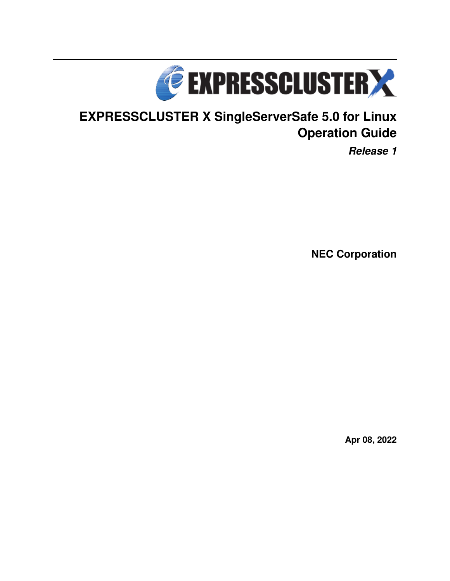

# **EXPRESSCLUSTER X SingleServerSafe 5.0 for Linux Operation Guide**

*Release 1*

**NEC Corporation**

**Apr 08, 2022**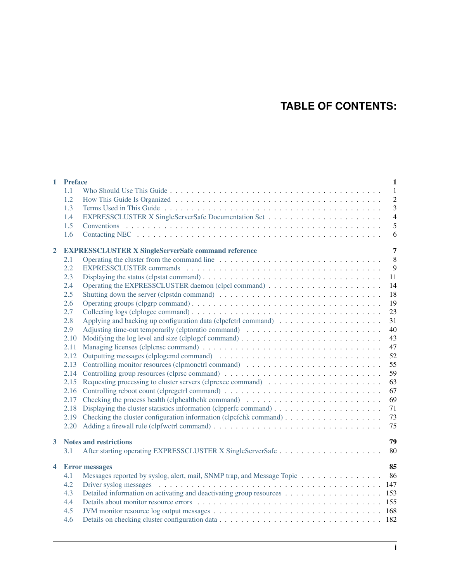## **TABLE OF CONTENTS:**

| $\mathbf{1}$            | <b>Preface</b> |                                                                           | $\mathbf{1}$   |
|-------------------------|----------------|---------------------------------------------------------------------------|----------------|
|                         | 1.1            |                                                                           | $\mathbf{1}$   |
|                         | 1.2            |                                                                           | $\overline{c}$ |
|                         | 1.3            |                                                                           | 3              |
|                         | 1.4            |                                                                           | $\overline{4}$ |
|                         | 1.5            |                                                                           | 5              |
|                         | 1.6            |                                                                           | 6              |
| $\mathbf{2}$            |                | <b>EXPRESSCLUSTER X SingleServerSafe command reference</b>                | $\overline{7}$ |
|                         | 2.1            |                                                                           | 8              |
|                         | 2.2            |                                                                           | 9              |
|                         | 2.3            |                                                                           | 11             |
|                         | 2.4            |                                                                           | 14             |
|                         | 2.5            |                                                                           | 18             |
|                         | 2.6            |                                                                           | 19             |
|                         | 2.7            |                                                                           | 23             |
|                         | 2.8            |                                                                           | 31             |
|                         | 2.9            |                                                                           | 40             |
|                         | 2.10           |                                                                           | 43             |
|                         | 2.11           |                                                                           | 47             |
|                         | 2.12           |                                                                           | 52             |
|                         | 2.13           |                                                                           | 55             |
|                         |                |                                                                           | 59             |
|                         | 2.15           |                                                                           | 63             |
|                         | 2.16           |                                                                           | 67             |
|                         | 2.17           |                                                                           | 69             |
|                         | 2.18           |                                                                           | 71             |
|                         |                |                                                                           | 73             |
|                         | 2.20           |                                                                           | 75             |
| 3                       |                | <b>Notes and restrictions</b>                                             | 79             |
|                         | 3.1            |                                                                           | 80             |
| $\overline{\mathbf{4}}$ |                | <b>Error</b> messages                                                     | 85             |
|                         | 4.1            | Messages reported by syslog, alert, mail, SNMP trap, and Message Topic 86 |                |
|                         | 4.2            |                                                                           |                |
|                         | 4.3            | Detailed information on activating and deactivating group resources 153   |                |
|                         | 4.4            |                                                                           |                |
|                         | 4.5            |                                                                           |                |
|                         | 4.6            |                                                                           |                |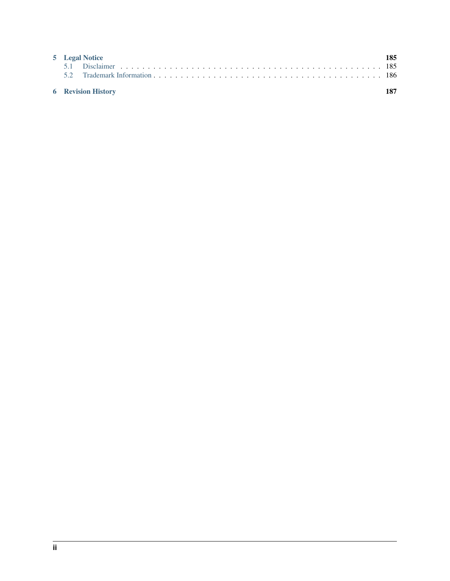| 5 Legal Notice            | 185 |
|---------------------------|-----|
|                           |     |
| <b>6</b> Revision History |     |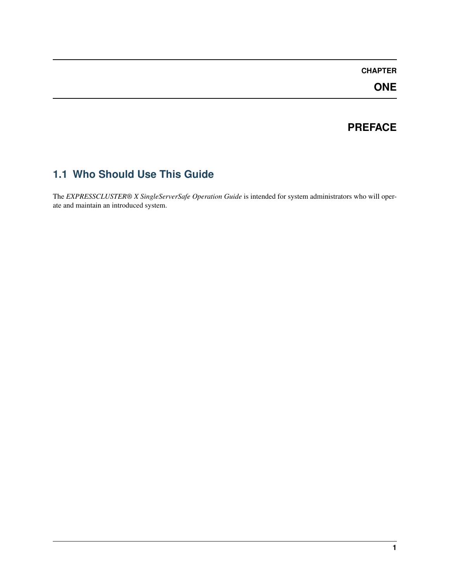### **CHAPTER**

**ONE**

### **PREFACE**

## <span id="page-4-1"></span><span id="page-4-0"></span>**1.1 Who Should Use This Guide**

The *EXPRESSCLUSTER® X SingleServerSafe Operation Guide* is intended for system administrators who will operate and maintain an introduced system.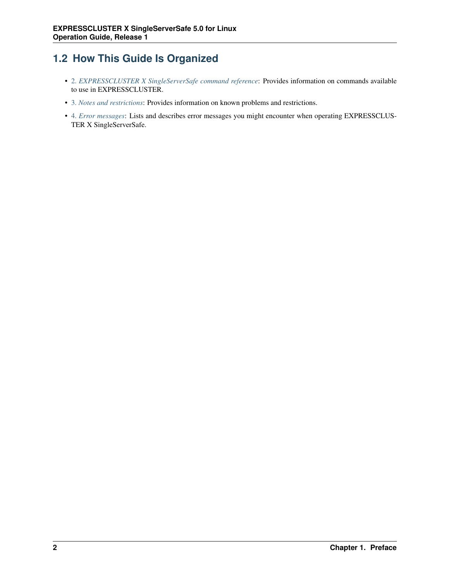## <span id="page-5-0"></span>**1.2 How This Guide Is Organized**

- [2.](#page-10-0) *[EXPRESSCLUSTER X SingleServerSafe command reference](#page-10-0)*: Provides information on commands available to use in EXPRESSCLUSTER.
- [3.](#page-82-0) *[Notes and restrictions](#page-82-0)*: Provides information on known problems and restrictions.
- [4.](#page-88-0) *[Error messages](#page-88-0)*: Lists and describes error messages you might encounter when operating EXPRESSCLUS-TER X SingleServerSafe.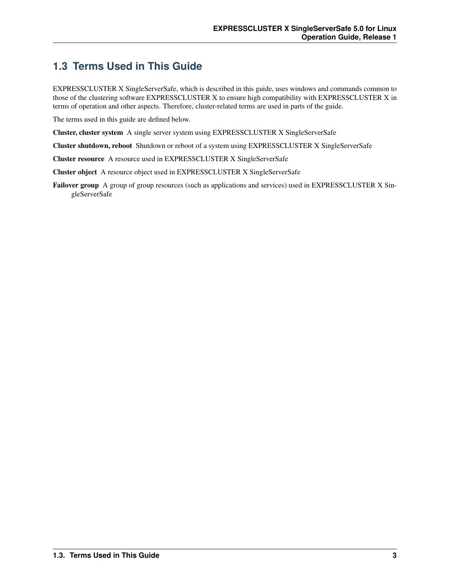## <span id="page-6-0"></span>**1.3 Terms Used in This Guide**

EXPRESSCLUSTER X SingleServerSafe, which is described in this guide, uses windows and commands common to those of the clustering software EXPRESSCLUSTER X to ensure high compatibility with EXPRESSCLUSTER X in terms of operation and other aspects. Therefore, cluster-related terms are used in parts of the guide.

The terms used in this guide are defined below.

Cluster, cluster system A single server system using EXPRESSCLUSTER X SingleServerSafe

Cluster shutdown, reboot Shutdown or reboot of a system using EXPRESSCLUSTER X SingleServerSafe

Cluster resource A resource used in EXPRESSCLUSTER X SingleServerSafe

Cluster object A resource object used in EXPRESSCLUSTER X SingleServerSafe

Failover group A group of group resources (such as applications and services) used in EXPRESSCLUSTER X SingleServerSafe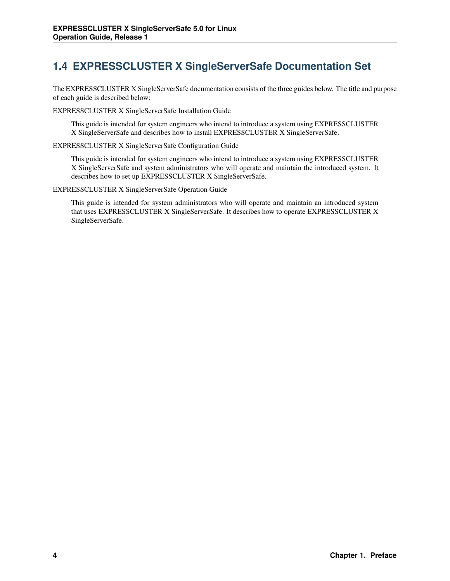## <span id="page-7-0"></span>**1.4 EXPRESSCLUSTER X SingleServerSafe Documentation Set**

The EXPRESSCLUSTER X SingleServerSafe documentation consists of the three guides below. The title and purpose of each guide is described below:

EXPRESSCLUSTER X SingleServerSafe Installation Guide

This guide is intended for system engineers who intend to introduce a system using EXPRESSCLUSTER X SingleServerSafe and describes how to install EXPRESSCLUSTER X SingleServerSafe.

EXPRESSCLUSTER X SingleServerSafe Configuration Guide

This guide is intended for system engineers who intend to introduce a system using EXPRESSCLUSTER X SingleServerSafe and system administrators who will operate and maintain the introduced system. It describes how to set up EXPRESSCLUSTER X SingleServerSafe.

EXPRESSCLUSTER X SingleServerSafe Operation Guide

This guide is intended for system administrators who will operate and maintain an introduced system that uses EXPRESSCLUSTER X SingleServerSafe. It describes how to operate EXPRESSCLUSTER X SingleServerSafe.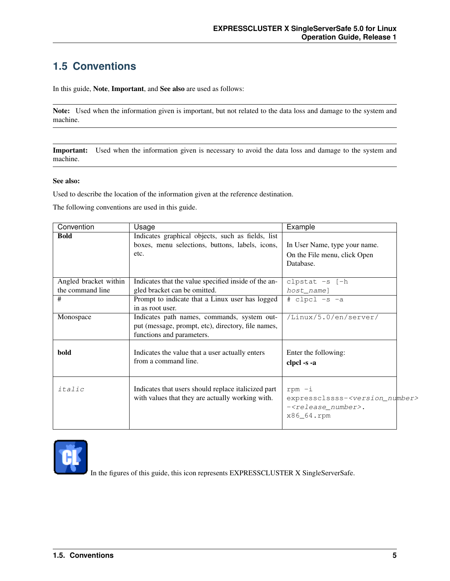## <span id="page-8-0"></span>**1.5 Conventions**

In this guide, Note, Important, and See also are used as follows:

Note: Used when the information given is important, but not related to the data loss and damage to the system and machine.

Important: Used when the information given is necessary to avoid the data loss and damage to the system and machine.

#### See also:

Used to describe the location of the information given at the reference destination.

The following conventions are used in this guide.

| Convention                                | Usage                                                                                                                          | Example                                                                                                            |
|-------------------------------------------|--------------------------------------------------------------------------------------------------------------------------------|--------------------------------------------------------------------------------------------------------------------|
| <b>Bold</b>                               | Indicates graphical objects, such as fields, list<br>boxes, menu selections, buttons, labels, icons,<br>etc.                   | In User Name, type your name.<br>On the File menu, click Open<br>Database.                                         |
| Angled bracket within<br>the command line | Indicates that the value specified inside of the an-<br>gled bracket can be omitted.                                           | clpstat $-s$ [ $-h$ ]<br>host_name]                                                                                |
| #                                         | Prompt to indicate that a Linux user has logged<br>in as root user.                                                            | # clpcl -s -a                                                                                                      |
| Monospace                                 | Indicates path names, commands, system out-<br>put (message, prompt, etc), directory, file names,<br>functions and parameters. | $\overline{\text{/Linux/5}}.0\text{/en/server/}$                                                                   |
| bold                                      | Indicates the value that a user actually enters<br>from a command line.                                                        | Enter the following:<br>clpcl -s -a                                                                                |
| italic                                    | Indicates that users should replace italicized part<br>with values that they are actually working with.                        | $r$ pm $-i$<br>expressclssss- <version_number><br/>-<release number="">.<br/>x86_64.rpm</release></version_number> |



In the figures of this guide, this icon represents EXPRESSCLUSTER X SingleServerSafe.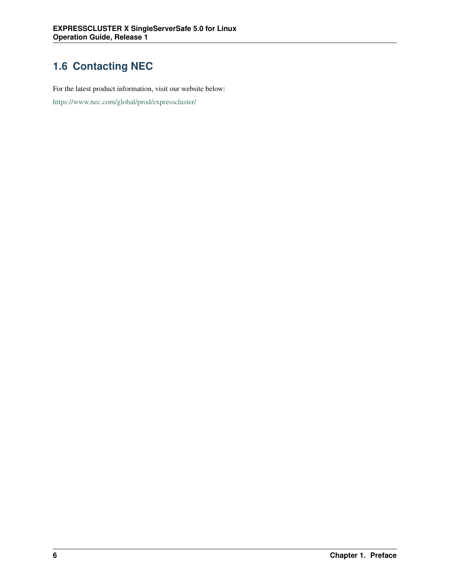## <span id="page-9-0"></span>**1.6 Contacting NEC**

For the latest product information, visit our website below:

<https://www.nec.com/global/prod/expresscluster/>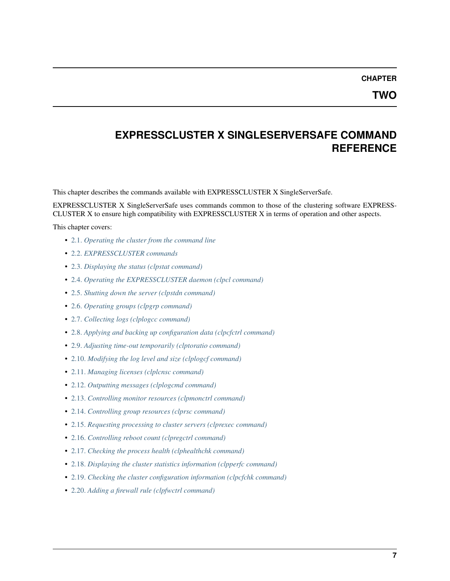**CHAPTER**

**TWO**

### <span id="page-10-0"></span>**EXPRESSCLUSTER X SINGLESERVERSAFE COMMAND REFERENCE**

This chapter describes the commands available with EXPRESSCLUSTER X SingleServerSafe.

EXPRESSCLUSTER X SingleServerSafe uses commands common to those of the clustering software EXPRESS-CLUSTER X to ensure high compatibility with EXPRESSCLUSTER X in terms of operation and other aspects.

This chapter covers:

- [2.1.](#page-11-0) *[Operating the cluster from the command line](#page-11-0)*
- [2.2.](#page-12-0) *[EXPRESSCLUSTER commands](#page-12-0)*
- [2.3.](#page-14-0) *[Displaying the status \(clpstat command\)](#page-14-0)*
- [2.4.](#page-17-0) *[Operating the EXPRESSCLUSTER daemon \(clpcl command\)](#page-17-0)*
- [2.5.](#page-21-0) *[Shutting down the server \(clpstdn command\)](#page-21-0)*
- [2.6.](#page-22-0) *[Operating groups \(clpgrp command\)](#page-22-0)*
- [2.7.](#page-26-0) *[Collecting logs \(clplogcc command\)](#page-26-0)*
- [2.8.](#page-34-0) *[Applying and backing up configuration data \(clpcfctrl command\)](#page-34-0)*
- [2.9.](#page-43-0) *[Adjusting time-out temporarily \(clptoratio command\)](#page-43-0)*
- [2.10.](#page-46-0) *[Modifying the log level and size \(clplogcf command\)](#page-46-0)*
- [2.11.](#page-50-0) *[Managing licenses \(clplcnsc command\)](#page-50-0)*
- [2.12.](#page-55-0) *[Outputting messages \(clplogcmd command\)](#page-55-0)*
- [2.13.](#page-58-0) *[Controlling monitor resources \(clpmonctrl command\)](#page-58-0)*
- [2.14.](#page-62-0) *[Controlling group resources \(clprsc command\)](#page-62-0)*
- [2.15.](#page-66-0) *[Requesting processing to cluster servers \(clprexec command\)](#page-66-0)*
- [2.16.](#page-70-0) *[Controlling reboot count \(clpregctrl command\)](#page-70-0)*
- [2.17.](#page-72-0) *[Checking the process health \(clphealthchk command\)](#page-72-0)*
- [2.18.](#page-74-0) *[Displaying the cluster statistics information \(clpperfc command\)](#page-74-0)*
- [2.19.](#page-76-0) *[Checking the cluster configuration information \(clpcfchk command\)](#page-76-0)*
- [2.20.](#page-78-0) *[Adding a firewall rule \(clpfwctrl command\)](#page-78-0)*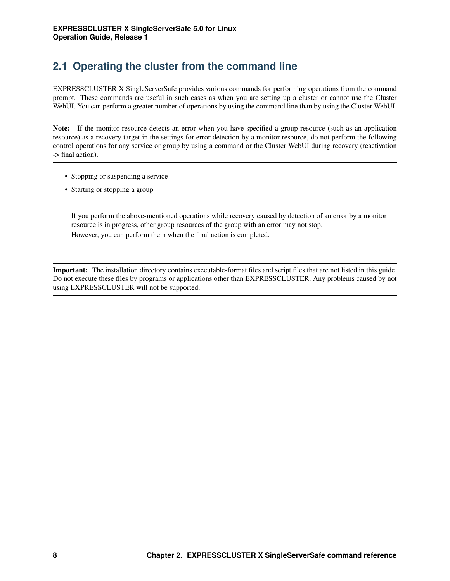## <span id="page-11-0"></span>**2.1 Operating the cluster from the command line**

EXPRESSCLUSTER X SingleServerSafe provides various commands for performing operations from the command prompt. These commands are useful in such cases as when you are setting up a cluster or cannot use the Cluster WebUI. You can perform a greater number of operations by using the command line than by using the Cluster WebUI.

Note: If the monitor resource detects an error when you have specified a group resource (such as an application resource) as a recovery target in the settings for error detection by a monitor resource, do not perform the following control operations for any service or group by using a command or the Cluster WebUI during recovery (reactivation -> final action).

- Stopping or suspending a service
- Starting or stopping a group

If you perform the above-mentioned operations while recovery caused by detection of an error by a monitor resource is in progress, other group resources of the group with an error may not stop. However, you can perform them when the final action is completed.

Important: The installation directory contains executable-format files and script files that are not listed in this guide. Do not execute these files by programs or applications other than EXPRESSCLUSTER. Any problems caused by not using EXPRESSCLUSTER will not be supported.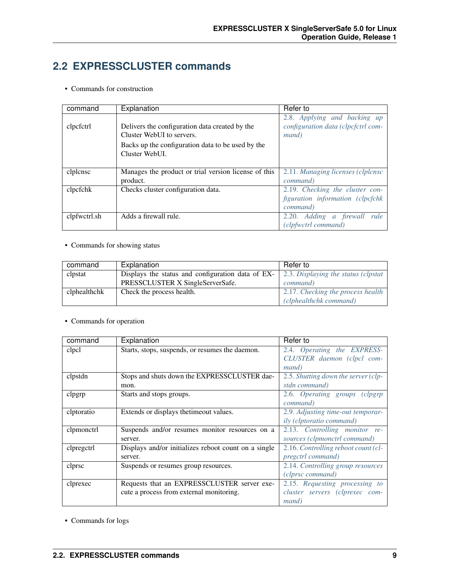### <span id="page-12-0"></span>**2.2 EXPRESSCLUSTER commands**

• Commands for construction

| command      | Explanation                                          | Refer to                           |
|--------------|------------------------------------------------------|------------------------------------|
|              |                                                      | 2.8. Applying and backing up       |
| clpcfctrl    | Delivers the configuration data created by the       | configuration data (clpcfctrl com- |
|              | Cluster WebUI to servers.                            | mand)                              |
|              | Backs up the configuration data to be used by the    |                                    |
|              | Cluster WebUL.                                       |                                    |
|              |                                                      |                                    |
| clplcnsc     | Manages the product or trial version license of this | 2.11. Managing licenses (clplcnsc) |
|              | product.                                             | command)                           |
| clpcfchk     | Checks cluster configuration data.                   | 2.19. Checking the cluster con-    |
|              |                                                      | figuration information (clpcfchk   |
|              |                                                      | command)                           |
| clpfwctrl.sh | Adds a firewall rule.                                | 2.20. Adding a firewall rule       |
|              |                                                      | (clpfwctrl command)                |

#### • Commands for showing status

| command      | Explanation                                       | Refer to                             |
|--------------|---------------------------------------------------|--------------------------------------|
| clpstat      | Displays the status and configuration data of EX- | 2.3. Displaying the status (clpstat) |
|              | PRESSCLUSTER X SingleServerSafe.                  | <i>command</i> )                     |
| clphealthchk | Check the process health.                         | 2.17. Checking the process health    |
|              |                                                   | (clphealthchk command)               |

#### • Commands for operation

| command    | Explanation                                          | Refer to                                 |
|------------|------------------------------------------------------|------------------------------------------|
| clpcl      | Starts, stops, suspends, or resumes the daemon.      | 2.4. Operating the EXPRESS-              |
|            |                                                      | CLUSTER daemon (clpcl com-               |
|            |                                                      | mand)                                    |
| clpstdn    | Stops and shuts down the EXPRESSCLUSTER dae-         | 2.5. Shutting down the server (clp-      |
|            | mon.                                                 | stdn command)                            |
| clpgrp     | Starts and stops groups.                             | 2.6. Operating groups (clpgrp            |
|            |                                                      | command)                                 |
| clptoratio | Extends or displays the timeout values.              | 2.9. Adjusting time-out temporar-        |
|            |                                                      | <i>ily</i> ( <i>clptoratio command</i> ) |
| clpmonetrl | Suspends and/or resumes monitor resources on a       | 2.13. Controlling monitor re-            |
|            | server.                                              | sources (clpmonctrl command)             |
| clpregetrl | Displays and/or initializes reboot count on a single | 2.16. Controlling reboot count (cl-      |
|            | server.                                              | <i>pregctrl command</i> )                |
| clprsc     | Suspends or resumes group resources.                 | 2.14. Controlling group resources        |
|            |                                                      | (clprsc command)                         |
| clprexec   | Requests that an EXPRESSCLUSTER server exe-          | 2.15. Requesting processing to           |
|            | cute a process from external monitoring.             | cluster servers (clprexec com-           |
|            |                                                      | mand)                                    |

• Commands for logs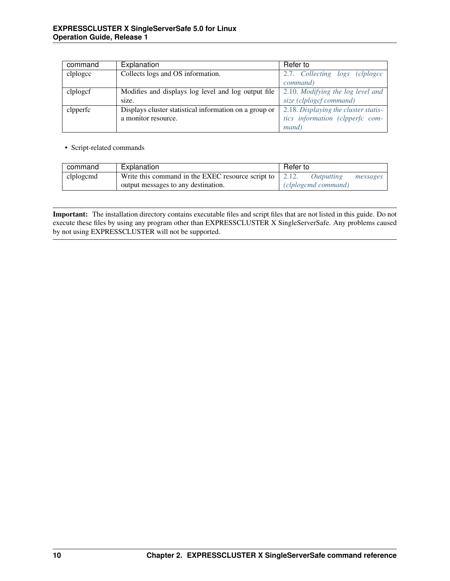| command  | Explanation                                            | Refer to                                       |
|----------|--------------------------------------------------------|------------------------------------------------|
| clplogcc | Collects logs and OS information.                      | 2.7. Collecting<br>$\log s$<br><i>clplogcc</i> |
|          |                                                        | command)                                       |
| clplogef | Modifies and displays log level and log output file    | 2.10. Modifying the log level and              |
|          | size.                                                  | size (clplogcf command)                        |
| clpperfc | Displays cluster statistical information on a group or | 2.18. Displaying the cluster statis-           |
|          | a monitor resource.                                    | tics information (clpperfc com-                |
|          |                                                        | <i>mand</i> )                                  |

#### • Script-related commands

| command   | Explanation                                                     | Refer to |                     |          |
|-----------|-----------------------------------------------------------------|----------|---------------------|----------|
| clplogcmd | Write this command in the EXEC resource script to $\vert$ 2.12. |          | Outputting          | messages |
|           | output messages to any destination.                             |          | (clplogcmd command) |          |

Important: The installation directory contains executable files and script files that are not listed in this guide. Do not execute these files by using any program other than EXPRESSCLUSTER X SingleServerSafe. Any problems caused by not using EXPRESSCLUSTER will not be supported.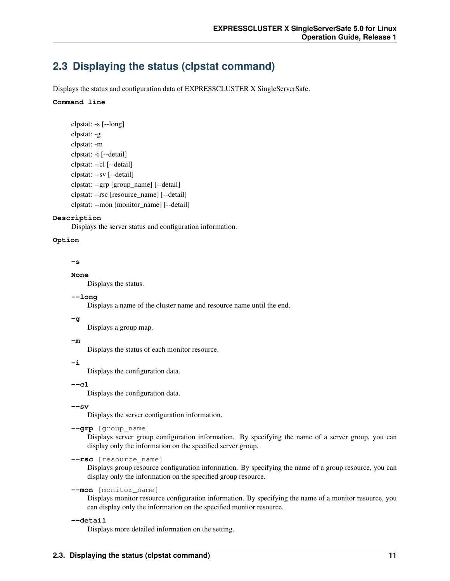### <span id="page-14-0"></span>**2.3 Displaying the status (clpstat command)**

Displays the status and configuration data of EXPRESSCLUSTER X SingleServerSafe.

#### **Command line**

```
clpstat: -s [--long]
clpstat: -g
clpstat: -m
clpstat: -i [--detail]
clpstat: --cl [--detail]
clpstat: --sv [--detail]
clpstat: --grp [group_name] [--detail]
clpstat: --rsc [resource_name] [--detail]
clpstat: --mon [monitor_name] [--detail]
```
#### **Description**

Displays the server status and configuration information.

#### **Option**

#### **-s**

#### **None**

Displays the status.

#### **--long**

Displays a name of the cluster name and resource name until the end.

#### **-g**

Displays a group map.

#### **-m**

Displays the status of each monitor resource.

### **-i**

Displays the configuration data.

### **--cl**

Displays the configuration data.

#### **--sv**

Displays the server configuration information.

```
--grp [group_name]
```
Displays server group configuration information. By specifying the name of a server group, you can display only the information on the specified server group.

**--rsc** [resource\_name]

Displays group resource configuration information. By specifying the name of a group resource, you can display only the information on the specified group resource.

#### **--mon** [monitor\_name]

Displays monitor resource configuration information. By specifying the name of a monitor resource, you can display only the information on the specified monitor resource.

**--detail**

Displays more detailed information on the setting.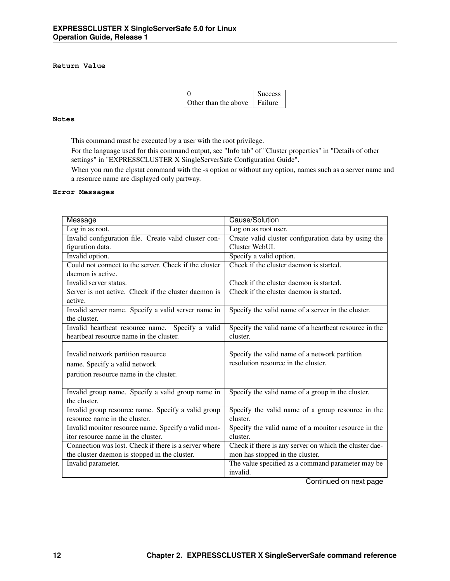#### **Return Value**

|                      | <b>Success</b> |
|----------------------|----------------|
| Other than the above | Failure        |

#### **Notes**

This command must be executed by a user with the root privilege.

For the language used for this command output, see "Info tab" of "Cluster properties" in "Details of other settings" in "EXPRESSCLUSTER X SingleServerSafe Configuration Guide".

When you run the clpstat command with the -s option or without any option, names such as a server name and a resource name are displayed only partway.

#### **Error Messages**

| Message                                               | Cause/Solution                                         |
|-------------------------------------------------------|--------------------------------------------------------|
| $\overline{\text{Log}}$ in as root.                   | Log on as root user.                                   |
| Invalid configuration file. Create valid cluster con- | Create valid cluster configuration data by using the   |
| figuration data.                                      | Cluster WebUL                                          |
| Invalid option.                                       | Specify a valid option.                                |
| Could not connect to the server. Check if the cluster | Check if the cluster daemon is started.                |
| daemon is active.                                     |                                                        |
| Invalid server status.                                | Check if the cluster daemon is started.                |
| Server is not active. Check if the cluster daemon is  | Check if the cluster daemon is started.                |
| active.                                               |                                                        |
| Invalid server name. Specify a valid server name in   | Specify the valid name of a server in the cluster.     |
| the cluster.                                          |                                                        |
| Invalid heartbeat resource name. Specify a valid      | Specify the valid name of a heartbeat resource in the  |
| heartbeat resource name in the cluster.               | cluster.                                               |
|                                                       |                                                        |
| Invalid network partition resource                    | Specify the valid name of a network partition          |
| name. Specify a valid network                         | resolution resource in the cluster.                    |
| partition resource name in the cluster.               |                                                        |
|                                                       |                                                        |
| Invalid group name. Specify a valid group name in     | Specify the valid name of a group in the cluster.      |
| the cluster.                                          |                                                        |
| Invalid group resource name. Specify a valid group    | Specify the valid name of a group resource in the      |
| resource name in the cluster.                         | cluster.                                               |
| Invalid monitor resource name. Specify a valid mon-   | Specify the valid name of a monitor resource in the    |
| itor resource name in the cluster.                    | cluster.                                               |
| Connection was lost. Check if there is a server where | Check if there is any server on which the cluster dae- |
| the cluster daemon is stopped in the cluster.         | mon has stopped in the cluster.                        |
| Invalid parameter.                                    | The value specified as a command parameter may be      |
|                                                       | invalid.                                               |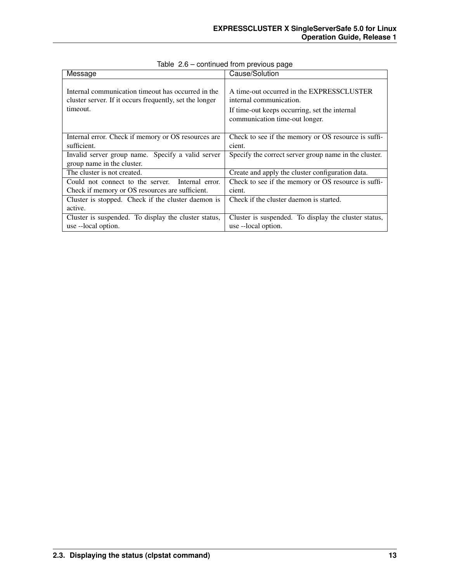| Message                                                                                                                   | Cause/Solution                                                                                                                                          |
|---------------------------------------------------------------------------------------------------------------------------|---------------------------------------------------------------------------------------------------------------------------------------------------------|
| Internal communication timeout has occurred in the<br>cluster server. If it occurs frequently, set the longer<br>timeout. | A time-out occurred in the EXPRESSCLUSTER<br>internal communication.<br>If time-out keeps occurring, set the internal<br>communication time-out longer. |
| Internal error. Check if memory or OS resources are                                                                       | Check to see if the memory or OS resource is suffi-                                                                                                     |
| sufficient.                                                                                                               | cient.                                                                                                                                                  |
| Invalid server group name. Specify a valid server<br>group name in the cluster.                                           | Specify the correct server group name in the cluster.                                                                                                   |
| The cluster is not created.                                                                                               | Create and apply the cluster configuration data.                                                                                                        |
| Could not connect to the server. Internal error.                                                                          | Check to see if the memory or OS resource is suffi-                                                                                                     |
| Check if memory or OS resources are sufficient.                                                                           | cient.                                                                                                                                                  |
| Cluster is stopped. Check if the cluster daemon is                                                                        | Check if the cluster daemon is started.                                                                                                                 |
| active.                                                                                                                   |                                                                                                                                                         |
| Cluster is suspended. To display the cluster status,                                                                      | Cluster is suspended. To display the cluster status,                                                                                                    |
| use --local option.                                                                                                       | use --local option.                                                                                                                                     |

Table 2.6 – continued from previous page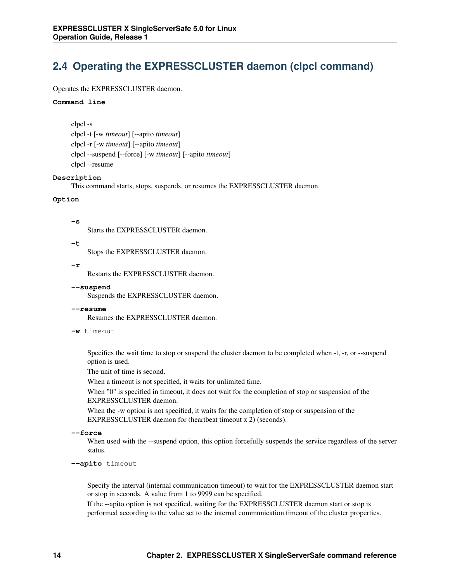## <span id="page-17-0"></span>**2.4 Operating the EXPRESSCLUSTER daemon (clpcl command)**

#### Operates the EXPRESSCLUSTER daemon.

#### **Command line**

clpcl -s clpcl -t [-w *timeout*] [--apito *timeout*] clpcl -r [-w *timeout*] [--apito *timeout*] clpcl --suspend [--force] [-w *timeout*] [--apito *timeout*] clpcl --resume

#### **Description**

This command starts, stops, suspends, or resumes the EXPRESSCLUSTER daemon.

#### **Option**

**-s**

Starts the EXPRESSCLUSTER daemon.

**-t**

Stops the EXPRESSCLUSTER daemon.

**-r**

Restarts the EXPRESSCLUSTER daemon.

#### **--suspend**

Suspends the EXPRESSCLUSTER daemon.

#### **--resume**

Resumes the EXPRESSCLUSTER daemon.

**-w** timeout

Specifies the wait time to stop or suspend the cluster daemon to be completed when -t, -r, or --suspend option is used.

The unit of time is second.

When a timeout is not specified, it waits for unlimited time.

When "0" is specified in timeout, it does not wait for the completion of stop or suspension of the EXPRESSCLUSTER daemon.

When the -w option is not specified, it waits for the completion of stop or suspension of the EXPRESSCLUSTER daemon for (heartbeat timeout x 2) (seconds).

```
--force
```
When used with the --suspend option, this option forcefully suspends the service regardless of the server status.

**--apito** timeout

Specify the interval (internal communication timeout) to wait for the EXPRESSCLUSTER daemon start or stop in seconds. A value from 1 to 9999 can be specified.

If the --apito option is not specified, waiting for the EXPRESSCLUSTER daemon start or stop is performed according to the value set to the internal communication timeout of the cluster properties.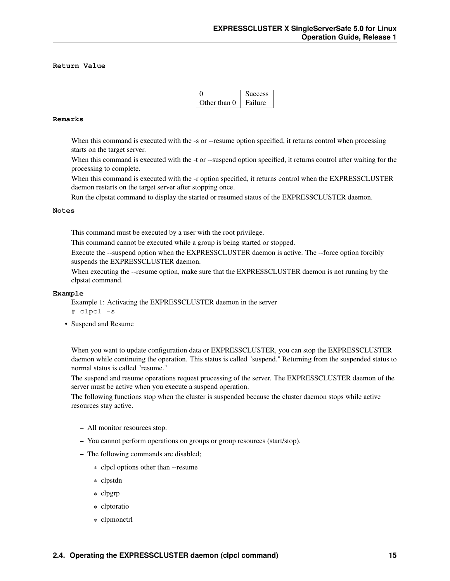#### **Return Value**

|              | <b>Success</b> |
|--------------|----------------|
| Other than 0 | Failure        |

#### **Remarks**

When this command is executed with the -s or --resume option specified, it returns control when processing starts on the target server.

When this command is executed with the -t or --suspend option specified, it returns control after waiting for the processing to complete.

When this command is executed with the -r option specified, it returns control when the EXPRESSCLUSTER daemon restarts on the target server after stopping once.

Run the clpstat command to display the started or resumed status of the EXPRESSCLUSTER daemon.

#### **Notes**

This command must be executed by a user with the root privilege.

This command cannot be executed while a group is being started or stopped.

Execute the --suspend option when the EXPRESSCLUSTER daemon is active. The --force option forcibly suspends the EXPRESSCLUSTER daemon.

When executing the --resume option, make sure that the EXPRESSCLUSTER daemon is not running by the clpstat command.

#### **Example**

Example 1: Activating the EXPRESSCLUSTER daemon in the server # clpcl -s

• Suspend and Resume

When you want to update configuration data or EXPRESSCLUSTER, you can stop the EXPRESSCLUSTER daemon while continuing the operation. This status is called "suspend." Returning from the suspended status to normal status is called "resume."

The suspend and resume operations request processing of the server. The EXPRESSCLUSTER daemon of the server must be active when you execute a suspend operation.

The following functions stop when the cluster is suspended because the cluster daemon stops while active resources stay active.

- All monitor resources stop.
- You cannot perform operations on groups or group resources (start/stop).
- The following commands are disabled;
	- \* clpcl options other than --resume
	- \* clpstdn
	- \* clpgrp
	- \* clptoratio
	- \* clpmonctrl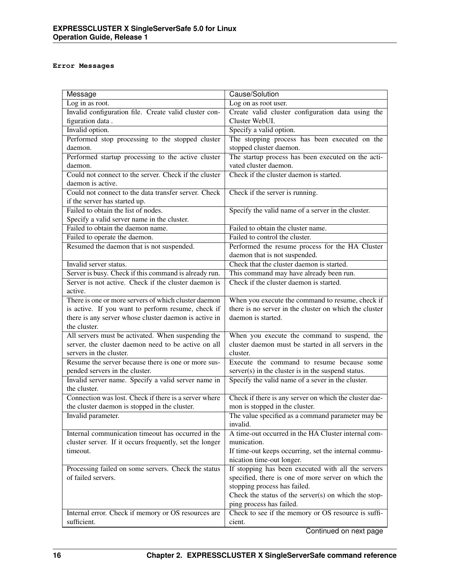#### **Error Messages**

| Message                                                                   | Cause/Solution                                                                      |
|---------------------------------------------------------------------------|-------------------------------------------------------------------------------------|
| Log in as root.                                                           | Log on as root user.                                                                |
| Invalid configuration file. Create valid cluster con-                     | Create valid cluster configuration data using the                                   |
| figuration data.                                                          | Cluster WebUI.                                                                      |
| Invalid option.                                                           | Specify a valid option.                                                             |
| Performed stop processing to the stopped cluster                          | The stopping process has been executed on the                                       |
| daemon.                                                                   | stopped cluster daemon.                                                             |
| Performed startup processing to the active cluster                        | The startup process has been executed on the acti-                                  |
| daemon.                                                                   | vated cluster daemon.                                                               |
| Could not connect to the server. Check if the cluster                     | Check if the cluster daemon is started.                                             |
| daemon is active.                                                         |                                                                                     |
| Could not connect to the data transfer server. Check                      | Check if the server is running.                                                     |
| if the server has started up.                                             |                                                                                     |
| Failed to obtain the list of nodes.                                       | Specify the valid name of a server in the cluster.                                  |
| Specify a valid server name in the cluster.                               |                                                                                     |
| Failed to obtain the daemon name.                                         | Failed to obtain the cluster name.                                                  |
| Failed to operate the daemon.                                             | Failed to control the cluster.                                                      |
| Resumed the daemon that is not suspended.                                 | Performed the resume process for the HA Cluster                                     |
|                                                                           | daemon that is not suspended.                                                       |
| Invalid server status.                                                    | Check that the cluster daemon is started.                                           |
| Server is busy. Check if this command is already run.                     | This command may have already been run.                                             |
| Server is not active. Check if the cluster daemon is                      | Check if the cluster daemon is started.                                             |
| active.                                                                   |                                                                                     |
| There is one or more servers of which cluster daemon                      | When you execute the command to resume, check if                                    |
| is active. If you want to perform resume, check if                        | there is no server in the cluster on which the cluster                              |
| there is any server whose cluster daemon is active in                     | daemon is started.                                                                  |
| the cluster.                                                              |                                                                                     |
| All servers must be activated. When suspending the                        | When you execute the command to suspend, the                                        |
| server, the cluster daemon need to be active on all                       | cluster daemon must be started in all servers in the                                |
| servers in the cluster.                                                   | cluster.                                                                            |
| Resume the server because there is one or more sus-                       | Execute the command to resume because some                                          |
| pended servers in the cluster.                                            | server(s) in the cluster is in the suspend status.                                  |
| Invalid server name. Specify a valid server name in                       | Specify the valid name of a sever in the cluster.                                   |
| the cluster.                                                              |                                                                                     |
| Connection was lost. Check if there is a server where                     | Check if there is any server on which the cluster dae-                              |
| the cluster daemon is stopped in the cluster.                             | mon is stopped in the cluster.                                                      |
| Invalid parameter.                                                        | The value specified as a command parameter may be                                   |
|                                                                           | invalid.                                                                            |
| Internal communication timeout has occurred in the                        | A time-out occurred in the HA Cluster internal com-                                 |
| cluster server. If it occurs frequently, set the longer                   | munication.                                                                         |
| timeout.                                                                  | If time-out keeps occurring, set the internal commu-                                |
|                                                                           | nication time-out longer.                                                           |
| Processing failed on some servers. Check the status<br>of failed servers. | If stopping has been executed with all the servers                                  |
|                                                                           | specified, there is one of more server on which the<br>stopping process has failed. |
|                                                                           |                                                                                     |
|                                                                           | Check the status of the server(s) on which the stop-<br>ping process has failed.    |
| Internal error. Check if memory or OS resources are                       | Check to see if the memory or OS resource is suffi-                                 |
| sufficient.                                                               | cient.                                                                              |
|                                                                           |                                                                                     |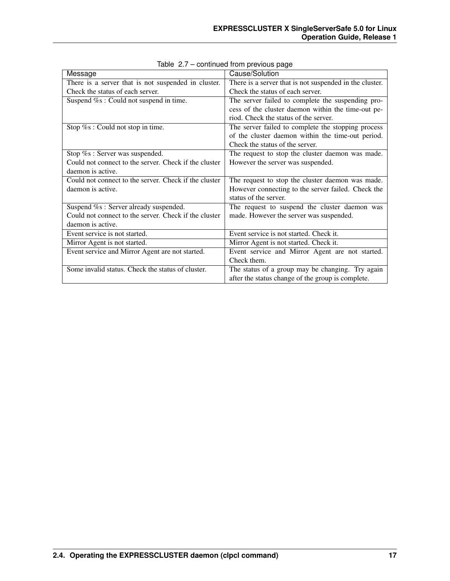| Message                                               | Cause/Solution                                          |
|-------------------------------------------------------|---------------------------------------------------------|
| There is a server that is not suspended in cluster.   | There is a server that is not suspended in the cluster. |
| Check the status of each server.                      | Check the status of each server.                        |
| Suspend %s : Could not suspend in time.               | The server failed to complete the suspending pro-       |
|                                                       | cess of the cluster daemon within the time-out pe-      |
|                                                       | riod. Check the status of the server.                   |
| Stop $\%s$ : Could not stop in time.                  | The server failed to complete the stopping process      |
|                                                       | of the cluster daemon within the time-out period.       |
|                                                       | Check the status of the server.                         |
| Stop %s: Server was suspended.                        | The request to stop the cluster daemon was made.        |
| Could not connect to the server. Check if the cluster | However the server was suspended.                       |
| daemon is active.                                     |                                                         |
| Could not connect to the server. Check if the cluster | The request to stop the cluster daemon was made.        |
| daemon is active.                                     | However connecting to the server failed. Check the      |
|                                                       | status of the server.                                   |
| Suspend %s : Server already suspended.                | The request to suspend the cluster daemon was           |
| Could not connect to the server. Check if the cluster | made. However the server was suspended.                 |
| daemon is active.                                     |                                                         |
| Event service is not started.                         | Event service is not started. Check it.                 |
| Mirror Agent is not started.                          | Mirror Agent is not started. Check it.                  |
| Event service and Mirror Agent are not started.       | Event service and Mirror Agent are not started.         |
|                                                       | Check them.                                             |
| Some invalid status. Check the status of cluster.     | The status of a group may be changing. Try again        |
|                                                       | after the status change of the group is complete.       |

Table 2.7 – continued from previous page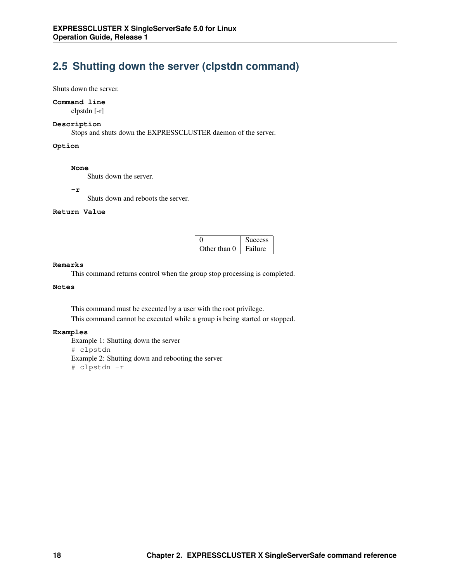## <span id="page-21-0"></span>**2.5 Shutting down the server (clpstdn command)**

Shuts down the server.

#### **Command line**

clpstdn [-r]

#### **Description**

Stops and shuts down the EXPRESSCLUSTER daemon of the server.

**Option**

#### **None**

Shuts down the server.

**-r**

Shuts down and reboots the server.

#### **Return Value**

|              | <b>Success</b> |
|--------------|----------------|
| Other than 0 | Failure        |

#### **Remarks**

This command returns control when the group stop processing is completed.

### **Notes**

This command must be executed by a user with the root privilege. This command cannot be executed while a group is being started or stopped.

#### **Examples**

Example 1: Shutting down the server # clpstdn Example 2: Shutting down and rebooting the server # clpstdn -r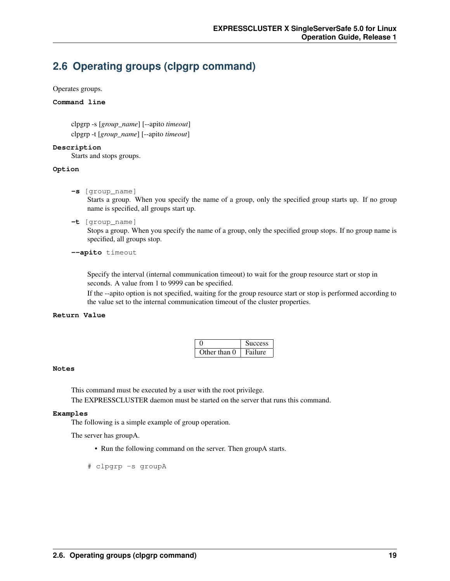### <span id="page-22-0"></span>**2.6 Operating groups (clpgrp command)**

Operates groups.

#### **Command line**

clpgrp -s [*group\_name*] [--apito *timeout*] clpgrp -t [*group\_name*] [--apito *timeout*]

#### **Description**

Starts and stops groups.

#### **Option**

**-s** [group\_name]

Starts a group. When you specify the name of a group, only the specified group starts up. If no group name is specified, all groups start up.

**-t** [group\_name]

Stops a group. When you specify the name of a group, only the specified group stops. If no group name is specified, all groups stop.

#### **--apito** timeout

Specify the interval (internal communication timeout) to wait for the group resource start or stop in seconds. A value from 1 to 9999 can be specified.

If the --apito option is not specified, waiting for the group resource start or stop is performed according to the value set to the internal communication timeout of the cluster properties.

#### **Return Value**

|              | <b>Success</b> |
|--------------|----------------|
| Other than 0 | Failure        |

#### **Notes**

This command must be executed by a user with the root privilege.

The EXPRESSCLUSTER daemon must be started on the server that runs this command.

#### **Examples**

The following is a simple example of group operation.

The server has groupA.

• Run the following command on the server. Then groupA starts.

# clpgrp -s groupA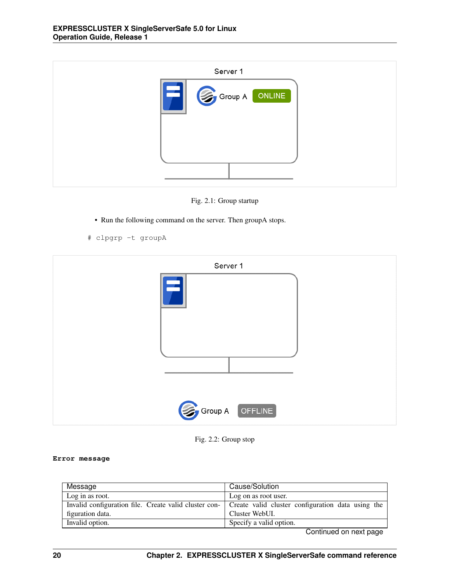| Server 1 |                |
|----------|----------------|
|          | Group A ONLINE |
|          |                |
|          |                |

Fig. 2.1: Group startup

- Run the following command on the server. Then groupA stops.
- # clpgrp -t groupA



Fig. 2.2: Group stop

#### **Error message**

| Message          | Cause/Solution                                                                                          |
|------------------|---------------------------------------------------------------------------------------------------------|
| Log in as root.  | Log on as root user.                                                                                    |
|                  | Invalid configuration file. Create valid cluster con- Create valid cluster configuration data using the |
| figuration data. | Cluster WebUI.                                                                                          |
| Invalid option.  | Specify a valid option.                                                                                 |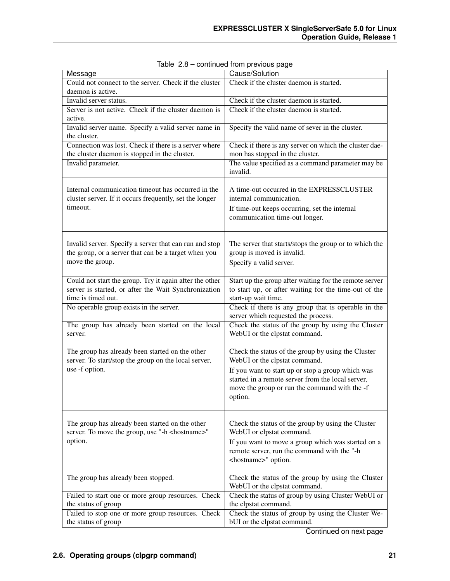| Message                                                                                                                               | Cause/Solution                                                                                                                                                     |
|---------------------------------------------------------------------------------------------------------------------------------------|--------------------------------------------------------------------------------------------------------------------------------------------------------------------|
| Could not connect to the server. Check if the cluster                                                                                 | Check if the cluster daemon is started.                                                                                                                            |
| daemon is active.                                                                                                                     |                                                                                                                                                                    |
| Invalid server status.                                                                                                                | Check if the cluster daemon is started.                                                                                                                            |
| Server is not active. Check if the cluster daemon is<br>active.                                                                       | Check if the cluster daemon is started.                                                                                                                            |
| Invalid server name. Specify a valid server name in<br>the cluster.                                                                   | Specify the valid name of sever in the cluster.                                                                                                                    |
| Connection was lost. Check if there is a server where<br>the cluster daemon is stopped in the cluster.                                | Check if there is any server on which the cluster dae-<br>mon has stopped in the cluster.                                                                          |
| Invalid parameter.                                                                                                                    | The value specified as a command parameter may be<br>invalid.                                                                                                      |
| Internal communication timeout has occurred in the<br>cluster server. If it occurs frequently, set the longer<br>timeout.             | A time-out occurred in the EXPRESSCLUSTER<br>internal communication.                                                                                               |
|                                                                                                                                       | If time-out keeps occurring, set the internal<br>communication time-out longer.                                                                                    |
| Invalid server. Specify a server that can run and stop<br>the group, or a server that can be a target when you<br>move the group.     | The server that starts/stops the group or to which the<br>group is moved is invalid.<br>Specify a valid server.                                                    |
| Could not start the group. Try it again after the other<br>server is started, or after the Wait Synchronization<br>time is timed out. | Start up the group after waiting for the remote server<br>to start up, or after waiting for the time-out of the<br>start-up wait time.                             |
| No operable group exists in the server.                                                                                               | Check if there is any group that is operable in the<br>server which requested the process.                                                                         |
| The group has already been started on the local<br>server.                                                                            | Check the status of the group by using the Cluster<br>WebUI or the clpstat command.                                                                                |
| The group has already been started on the other<br>server. To start/stop the group on the local server,                               | Check the status of the group by using the Cluster<br>WebUI or the clpstat command.                                                                                |
| use -f option.                                                                                                                        | If you want to start up or stop a group which was<br>started in a remote server from the local server,<br>move the group or run the command with the -f<br>option. |
| The group has already been started on the other<br>server. To move the group, use "-h <hostname>"</hostname>                          | Check the status of the group by using the Cluster<br>WebUI or clpstat command.                                                                                    |
| option.                                                                                                                               | If you want to move a group which was started on a<br>remote server, run the command with the "-h<br><hostname>" option.</hostname>                                |
| The group has already been stopped.                                                                                                   | Check the status of the group by using the Cluster<br>WebUI or the clpstat command.                                                                                |
| Failed to start one or more group resources. Check                                                                                    | Check the status of group by using Cluster WebUI or                                                                                                                |
| the status of group                                                                                                                   | the clpstat command.                                                                                                                                               |
| Failed to stop one or more group resources. Check<br>the status of group                                                              | Check the status of group by using the Cluster We-<br>bUI or the clpstat command.                                                                                  |

Table 2.8 – continued from previous page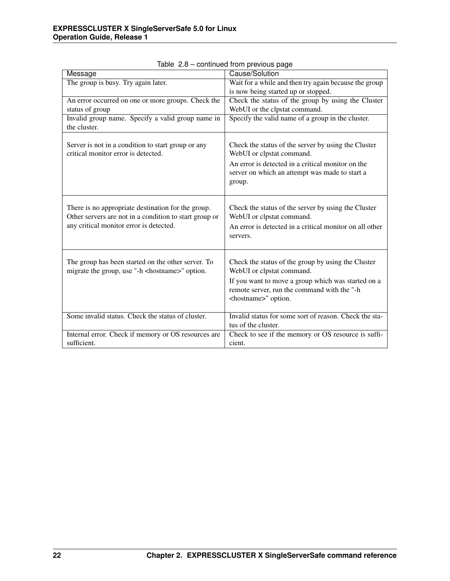| Message                                                                                                                                                 | Cause/Solution                                                                                                                                                                                                         |
|---------------------------------------------------------------------------------------------------------------------------------------------------------|------------------------------------------------------------------------------------------------------------------------------------------------------------------------------------------------------------------------|
| The group is busy. Try again later.                                                                                                                     | Wait for a while and then try again because the group                                                                                                                                                                  |
|                                                                                                                                                         | is now being started up or stopped.                                                                                                                                                                                    |
| An error occurred on one or more groups. Check the                                                                                                      | Check the status of the group by using the Cluster                                                                                                                                                                     |
| status of group                                                                                                                                         | WebUI or the clpstat command.                                                                                                                                                                                          |
| Invalid group name. Specify a valid group name in                                                                                                       | Specify the valid name of a group in the cluster.                                                                                                                                                                      |
| the cluster.                                                                                                                                            |                                                                                                                                                                                                                        |
| Server is not in a condition to start group or any<br>critical monitor error is detected.                                                               | Check the status of the server by using the Cluster<br>WebUI or clpstat command.                                                                                                                                       |
|                                                                                                                                                         | An error is detected in a critical monitor on the<br>server on which an attempt was made to start a<br>group.                                                                                                          |
| There is no appropriate destination for the group.<br>Other servers are not in a condition to start group or<br>any critical monitor error is detected. | Check the status of the server by using the Cluster<br>WebUI or clpstat command.<br>An error is detected in a critical monitor on all other<br>servers.                                                                |
| The group has been started on the other server. To<br>migrate the group, use "-h <hostname>" option.</hostname>                                         | Check the status of the group by using the Cluster<br>WebUI or clpstat command.<br>If you want to move a group which was started on a<br>remote server, run the command with the "-h<br><hostname>" option.</hostname> |
| Some invalid status. Check the status of cluster.                                                                                                       | Invalid status for some sort of reason. Check the sta-<br>tus of the cluster.                                                                                                                                          |
| Internal error. Check if memory or OS resources are<br>sufficient.                                                                                      | Check to see if the memory or OS resource is suffi-<br>cient.                                                                                                                                                          |

Table 2.8 – continued from previous page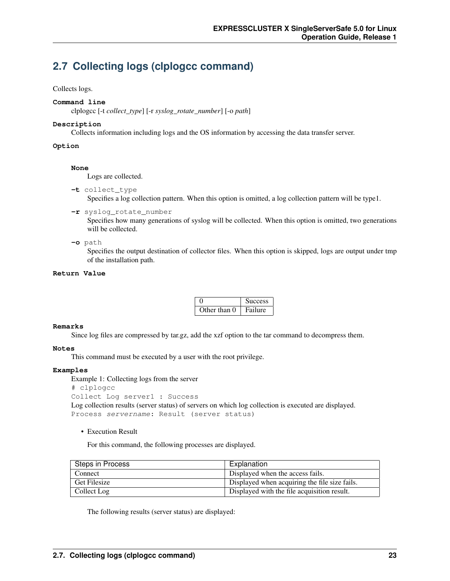## <span id="page-26-0"></span>**2.7 Collecting logs (clplogcc command)**

#### Collects logs.

#### **Command line**

clplogcc [-t *collect\_type*] [-r *syslog\_rotate\_number*] [-o *path*]

#### **Description**

Collects information including logs and the OS information by accessing the data transfer server.

#### **Option**

#### **None**

Logs are collected.

**-t** collect\_type

Specifies a log collection pattern. When this option is omitted, a log collection pattern will be type1.

**-r** syslog\_rotate\_number

Specifies how many generations of syslog will be collected. When this option is omitted, two generations will be collected.

**-o** path

Specifies the output destination of collector files. When this option is skipped, logs are output under tmp of the installation path.

#### **Return Value**

|              | <b>Success</b> |
|--------------|----------------|
| Other than 0 | Failure        |

#### **Remarks**

Since log files are compressed by tar.gz, add the xzf option to the tar command to decompress them.

#### **Notes**

This command must be executed by a user with the root privilege.

#### **Examples**

Example 1: Collecting logs from the server

```
# clplogcc
```

```
Collect Log server1 : Success
```
Log collection results (server status) of servers on which log collection is executed are displayed. Process servername: Result (server status)

• Execution Result

For this command, the following processes are displayed.

| Steps in Process    | Explanation                                   |
|---------------------|-----------------------------------------------|
| Connect             | Displayed when the access fails.              |
| <b>Get Filesize</b> | Displayed when acquiring the file size fails. |
| Collect Log         | Displayed with the file acquisition result.   |

The following results (server status) are displayed: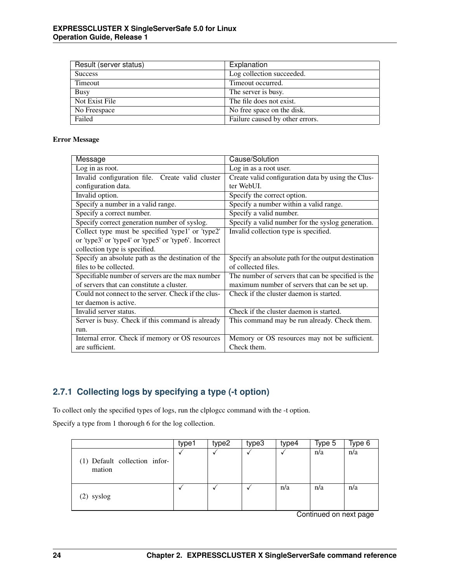| Result (server status) | Explanation                     |
|------------------------|---------------------------------|
| <b>Success</b>         | Log collection succeeded.       |
| Timeout                | Timeout occurred.               |
| Busy                   | The server is busy.             |
| Not Exist File         | The file does not exist.        |
| No Freespace           | No free space on the disk.      |
| Failed                 | Failure caused by other errors. |

#### Error Message

| Message                                                | Cause/Solution                                      |
|--------------------------------------------------------|-----------------------------------------------------|
| Log in as root.                                        | Log in as a root user.                              |
| Invalid configuration file. Create valid cluster       | Create valid configuration data by using the Clus-  |
| configuration data.                                    | ter WebUL.                                          |
| Invalid option.                                        | Specify the correct option.                         |
| Specify a number in a valid range.                     | Specify a number within a valid range.              |
| Specify a correct number.                              | Specify a valid number.                             |
| Specify correct generation number of syslog.           | Specify a valid number for the syslog generation.   |
| Collect type must be specified 'type1' or 'type2'      | Invalid collection type is specified.               |
| or 'type3' or 'type4' or 'type5' or 'type6'. Incorrect |                                                     |
| collection type is specified.                          |                                                     |
| Specify an absolute path as the destination of the     | Specify an absolute path for the output destination |
| files to be collected.                                 | of collected files.                                 |
| Specifiable number of servers are the max number       | The number of servers that can be specified is the  |
| of servers that can constitute a cluster.              | maximum number of servers that can be set up.       |
| Could not connect to the server. Check if the clus-    | Check if the cluster daemon is started.             |
| ter daemon is active.                                  |                                                     |
| Invalid server status.                                 | Check if the cluster daemon is started.             |
| Server is busy. Check if this command is already       | This command may be run already. Check them.        |
| run.                                                   |                                                     |
| Internal error. Check if memory or OS resources        | Memory or OS resources may not be sufficient.       |
| are sufficient.                                        | Check them.                                         |

### **2.7.1 Collecting logs by specifying a type (-t option)**

To collect only the specified types of logs, run the clplogcc command with the -t option.

Specify a type from 1 thorough 6 for the log collection.

|                                         | type1 | type2 | type3 | type4 | Type 5 | Type 6 |
|-----------------------------------------|-------|-------|-------|-------|--------|--------|
| (1) Default collection infor-<br>mation |       |       |       |       | n/a    | n/a    |
| (2) syslog                              |       |       |       | n/a   | n/a    | n/a    |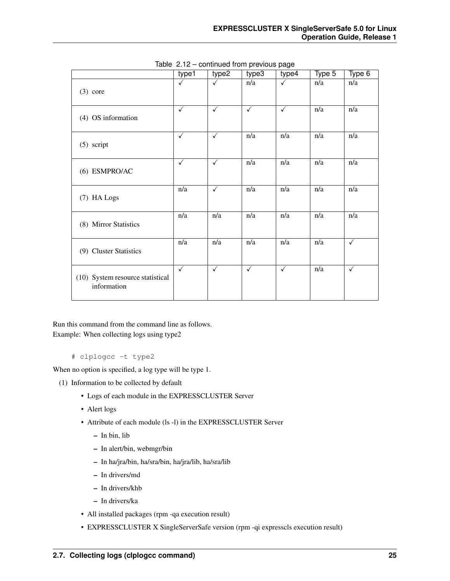|                                                 | type1        | type2        | type3            | type4            | Type 5           | Type 6           |
|-------------------------------------------------|--------------|--------------|------------------|------------------|------------------|------------------|
| $(3)$ core                                      | ✓            | $\checkmark$ | n/a              | ✓                | n/a              | n/a              |
| (4) OS information                              | $\checkmark$ | $\checkmark$ | ✓                | $\checkmark$     | n/a              | $\overline{n/a}$ |
| $(5)$ script                                    | $\checkmark$ | $\checkmark$ | n/a              | n/a              | n/a              | n/a              |
| (6) ESMPRO/AC                                   | ✓            | ✓            | n/a              | n/a              | n/a              | n/a              |
| (7) HA Logs                                     | n/a          | ✓            | n/a              | n/a              | n/a              | n/a              |
| (8) Mirror Statistics                           | n/a          | n/a          | n/a              | n/a              | n/a              | n/a              |
| (9) Cluster Statistics                          | n/a          | n/a          | $\overline{n/a}$ | $\overline{n/a}$ | $\overline{n/a}$ | $\checkmark$     |
| (10) System resource statistical<br>information | $\checkmark$ | $\checkmark$ | $\checkmark$     | $\checkmark$     | $\overline{n/a}$ | $\checkmark$     |

Table 2.12 – continued from previous page

Run this command from the command line as follows. Example: When collecting logs using type2

# clplogcc -t type2

When no option is specified, a log type will be type 1.

- (1) Information to be collected by default
	- Logs of each module in the EXPRESSCLUSTER Server
	- Alert logs
	- Attribute of each module (ls -l) in the EXPRESSCLUSTER Server
		- In bin, lib
		- In alert/bin, webmgr/bin
		- In ha/jra/bin, ha/sra/bin, ha/jra/lib, ha/sra/lib
		- In drivers/md
		- In drivers/khb
		- In drivers/ka
	- All installed packages (rpm -qa execution result)
	- EXPRESSCLUSTER X SingleServerSafe version (rpm -qi expresscls execution result)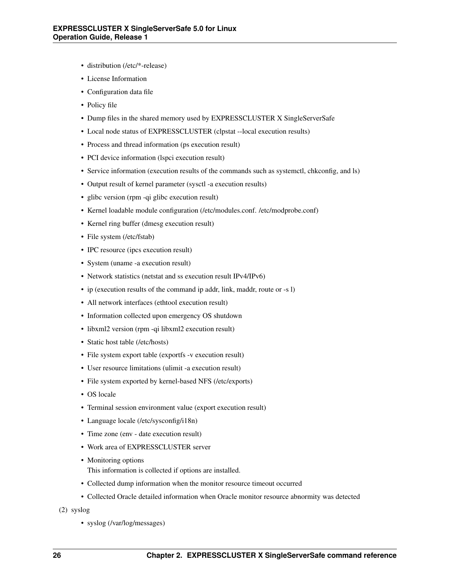- distribution (/etc/\*-release)
- License Information
- Configuration data file
- Policy file
- Dump files in the shared memory used by EXPRESSCLUSTER X SingleServerSafe
- Local node status of EXPRESSCLUSTER (clpstat --local execution results)
- Process and thread information (ps execution result)
- PCI device information (lspci execution result)
- Service information (execution results of the commands such as systemctl, chkconfig, and ls)
- Output result of kernel parameter (sysctl -a execution results)
- glibc version (rpm -qi glibc execution result)
- Kernel loadable module configuration (/etc/modules.conf. /etc/modprobe.conf)
- Kernel ring buffer (dmesg execution result)
- File system (/etc/fstab)
- IPC resource (ipcs execution result)
- System (uname -a execution result)
- Network statistics (netstat and ss execution result IPv4/IPv6)
- ip (execution results of the command ip addr, link, maddr, route or -s l)
- All network interfaces (ethtool execution result)
- Information collected upon emergency OS shutdown
- libxml2 version (rpm -qi libxml2 execution result)
- Static host table (/etc/hosts)
- File system export table (exportfs -v execution result)
- User resource limitations (ulimit -a execution result)
- File system exported by kernel-based NFS (/etc/exports)
- OS locale
- Terminal session environment value (export execution result)
- Language locale (/etc/sysconfig/i18n)
- Time zone (env date execution result)
- Work area of EXPRESSCLUSTER server
- Monitoring options This information is collected if options are installed.
- Collected dump information when the monitor resource timeout occurred
- Collected Oracle detailed information when Oracle monitor resource abnormity was detected
- (2) syslog
	- syslog (/var/log/messages)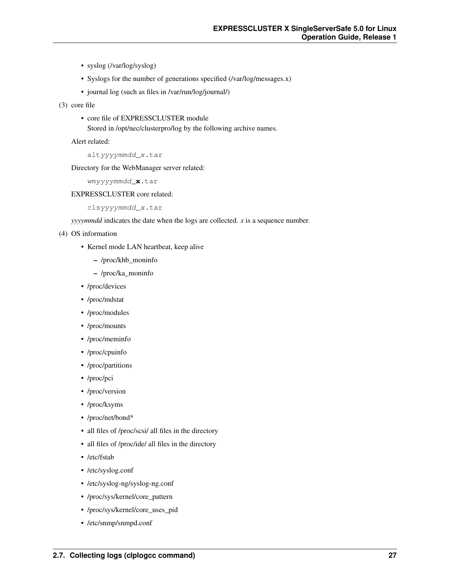- syslog (/var/log/syslog)
- Syslogs for the number of generations specified (/var/log/messages.x)
- journal log (such as files in /var/run/log/journal/)

(3) core file

• core file of EXPRESSCLUSTER module

Stored in /opt/nec/clusterpro/log by the following archive names.

Alert related:

altyyyymmdd\_x.tar

Directory for the WebManager server related:

wmyyyymmdd\_**x**.tar

#### EXPRESSCLUSTER core related:

clsyyyymmdd\_x.tar

*yyyymmdd* indicates the date when the logs are collected. *x* is a sequence number.

- (4) OS information
	- Kernel mode LAN heartbeat, keep alive
		- /proc/khb\_moninfo
		- /proc/ka\_moninfo
	- /proc/devices
	- /proc/mdstat
	- /proc/modules
	- /proc/mounts
	- /proc/meminfo
	- /proc/cpuinfo
	- /proc/partitions
	- /proc/pci
	- /proc/version
	- /proc/ksyms
	- /proc/net/bond\*
	- all files of /proc/scsi/ all files in the directory
	- all files of /proc/ide/ all files in the directory
	- /etc/fstab
	- /etc/syslog.conf
	- /etc/syslog-ng/syslog-ng.conf
	- /proc/sys/kernel/core\_pattern
	- /proc/sys/kernel/core\_uses\_pid
	- /etc/snmp/snmpd.conf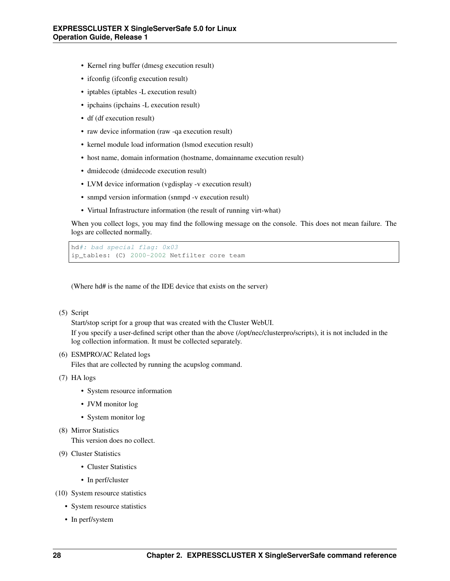- Kernel ring buffer (dmesg execution result)
- if config (if config execution result)
- iptables (iptables -L execution result)
- ipchains (ipchains -L execution result)
- df (df execution result)
- raw device information (raw -qa execution result)
- kernel module load information (lsmod execution result)
- host name, domain information (hostname, domainname execution result)
- dmidecode (dmidecode execution result)
- LVM device information (vgdisplay -v execution result)
- snmpd version information (snmpd -v execution result)
- Virtual Infrastructure information (the result of running virt-what)

When you collect logs, you may find the following message on the console. This does not mean failure. The logs are collected normally.

```
hd#: bad special flag: 0x03
ip_tables: (C) 2000-2002 Netfilter core team
```
(Where hd# is the name of the IDE device that exists on the server)

#### (5) Script

Start/stop script for a group that was created with the Cluster WebUI.

If you specify a user-defined script other than the above (/opt/nec/clusterpro/scripts), it is not included in the log collection information. It must be collected separately.

(6) ESMPRO/AC Related logs

Files that are collected by running the acupslog command.

(7) HA logs

- System resource information
- JVM monitor log
- System monitor log
- (8) Mirror Statistics

This version does no collect.

- (9) Cluster Statistics
	- Cluster Statistics
	- In perf/cluster
- (10) System resource statistics
	- System resource statistics
	- In perf/system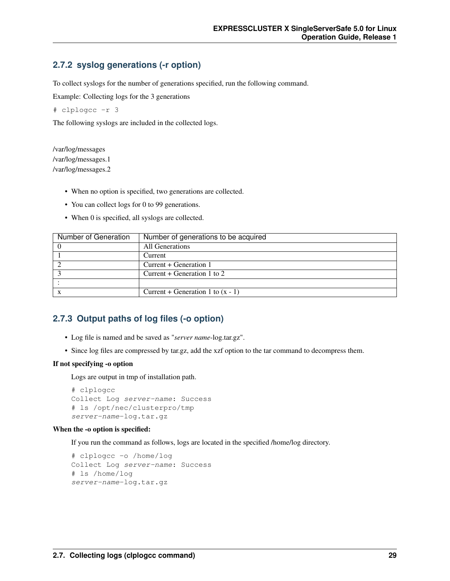### **2.7.2 syslog generations (-r option)**

To collect syslogs for the number of generations specified, run the following command.

Example: Collecting logs for the 3 generations

# clplogcc -r 3

The following syslogs are included in the collected logs.

/var/log/messages /var/log/messages.1 /var/log/messages.2

- When no option is specified, two generations are collected.
- You can collect logs for 0 to 99 generations.
- When 0 is specified, all syslogs are collected.

| Number of Generation | Number of generations to be acquired |
|----------------------|--------------------------------------|
|                      | All Generations                      |
|                      | Current                              |
|                      | Current + Generation 1               |
|                      | Current $+$ Generation 1 to 2        |
|                      |                                      |
|                      | Current + Generation 1 to $(x - 1)$  |

### **2.7.3 Output paths of log files (-o option)**

- Log file is named and be saved as "*server name*-log.tar.gz".
- Since log files are compressed by tar.gz, add the xzf option to the tar command to decompress them.

#### If not specifying -o option

Logs are output in tmp of installation path.

```
# clplogcc
Collect Log server-name: Success
# ls /opt/nec/clusterpro/tmp
server-name-log.tar.gz
```
#### When the -o option is specified:

If you run the command as follows, logs are located in the specified /home/log directory.

```
# clplogcc -o /home/log
Collect Log server-name: Success
# ls /home/log
server-name-log.tar.gz
```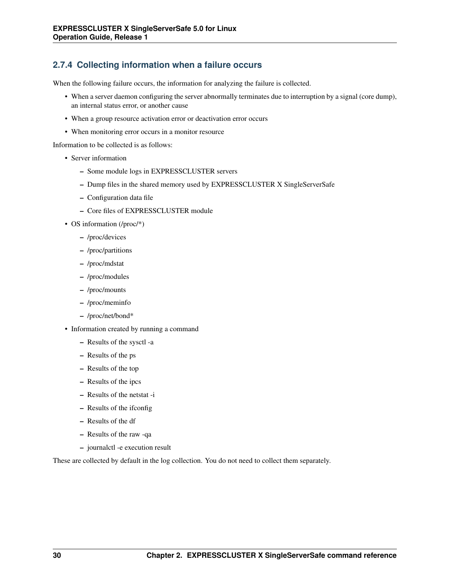### **2.7.4 Collecting information when a failure occurs**

When the following failure occurs, the information for analyzing the failure is collected.

- When a server daemon configuring the server abnormally terminates due to interruption by a signal (core dump), an internal status error, or another cause
- When a group resource activation error or deactivation error occurs
- When monitoring error occurs in a monitor resource

Information to be collected is as follows:

- Server information
	- Some module logs in EXPRESSCLUSTER servers
	- Dump files in the shared memory used by EXPRESSCLUSTER X SingleServerSafe
	- Configuration data file
	- Core files of EXPRESSCLUSTER module
- OS information (/proc/\*)
	- /proc/devices
	- /proc/partitions
	- /proc/mdstat
	- /proc/modules
	- /proc/mounts
	- /proc/meminfo
	- /proc/net/bond\*
- Information created by running a command
	- Results of the sysctl -a
	- Results of the ps
	- Results of the top
	- Results of the ipcs
	- Results of the netstat -i
	- Results of the ifconfig
	- Results of the df
	- Results of the raw -qa
	- journalctl -e execution result

These are collected by default in the log collection. You do not need to collect them separately.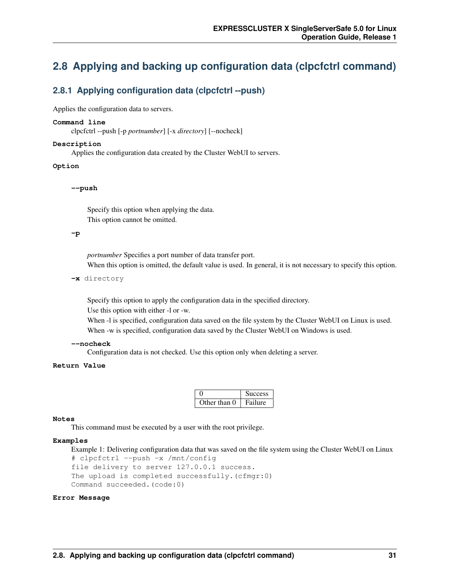### <span id="page-34-0"></span>**2.8 Applying and backing up configuration data (clpcfctrl command)**

### **2.8.1 Applying configuration data (clpcfctrl --push)**

Applies the configuration data to servers.

#### **Command line**

clpcfctrl --push [-p *portnumber*] [-x *directory*] [--nocheck]

#### **Description**

Applies the configuration data created by the Cluster WebUI to servers.

#### **Option**

**--push**

Specify this option when applying the data. This option cannot be omitted.

#### **-p**

*portnumber* Specifies a port number of data transfer port. When this option is omitted, the default value is used. In general, it is not necessary to specify this option.

**-x** directory

Specify this option to apply the configuration data in the specified directory.

Use this option with either -l or -w.

When  $-1$  is specified, configuration data saved on the file system by the Cluster WebUI on Linux is used. When -w is specified, configuration data saved by the Cluster WebUI on Windows is used.

#### **--nocheck**

Configuration data is not checked. Use this option only when deleting a server.

#### **Return Value**

|              | <b>Nuccess</b> |
|--------------|----------------|
| Other than 0 | Failure        |

#### **Notes**

This command must be executed by a user with the root privilege.

#### **Examples**

Example 1: Delivering configuration data that was saved on the file system using the Cluster WebUI on Linux

```
# clpcfctrl --push -x /mnt/config
file delivery to server 127.0.0.1 success.
The upload is completed successfully.(cfmgr:0)
Command succeeded.(code:0)
```
#### **Error Message**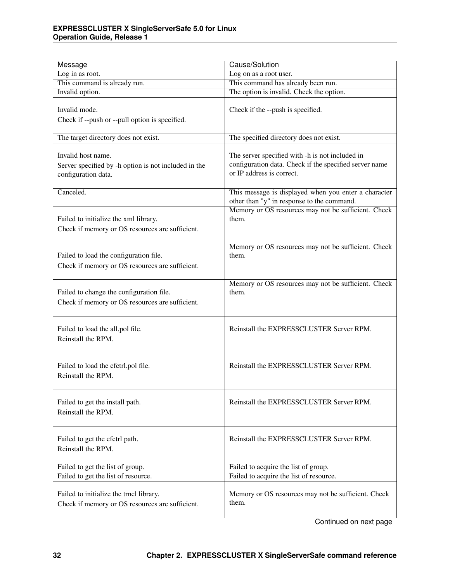| Message                                                                                           | Cause/Solution                                                                                                                         |
|---------------------------------------------------------------------------------------------------|----------------------------------------------------------------------------------------------------------------------------------------|
| Log in as root.                                                                                   | Log on as a root user.                                                                                                                 |
| This command is already run.                                                                      | This command has already been run.                                                                                                     |
| Invalid option.                                                                                   | The option is invalid. Check the option.                                                                                               |
| Invalid mode.<br>Check if --push or --pull option is specified.                                   | Check if the --push is specified.                                                                                                      |
| The target directory does not exist.                                                              | The specified directory does not exist.                                                                                                |
| Invalid host name.<br>Server specified by -h option is not included in the<br>configuration data. | The server specified with -h is not included in<br>configuration data. Check if the specified server name<br>or IP address is correct. |
| Canceled.                                                                                         | This message is displayed when you enter a character<br>other than "y" in response to the command.                                     |
| Failed to initialize the xml library.<br>Check if memory or OS resources are sufficient.          | Memory or OS resources may not be sufficient. Check<br>them.                                                                           |
| Failed to load the configuration file.<br>Check if memory or OS resources are sufficient.         | Memory or OS resources may not be sufficient. Check<br>them.                                                                           |
| Failed to change the configuration file.<br>Check if memory or OS resources are sufficient.       | Memory or OS resources may not be sufficient. Check<br>them.                                                                           |
| Failed to load the all.pol file.<br>Reinstall the RPM.                                            | Reinstall the EXPRESSCLUSTER Server RPM.                                                                                               |
| Failed to load the cfctrl.pol file.<br>Reinstall the RPM.                                         | Reinstall the EXPRESSCLUSTER Server RPM.                                                                                               |
| Failed to get the install path.<br>Reinstall the RPM.                                             | Reinstall the EXPRESSCLUSTER Server RPM.                                                                                               |
| Failed to get the cfctrl path.<br>Reinstall the RPM.                                              | Reinstall the EXPRESSCLUSTER Server RPM.                                                                                               |
| Failed to get the list of group.                                                                  | Failed to acquire the list of group.                                                                                                   |
| Failed to get the list of resource.                                                               | Failed to acquire the list of resource.                                                                                                |
| Failed to initialize the trncl library.<br>Check if memory or OS resources are sufficient.        | Memory or OS resources may not be sufficient. Check<br>them.                                                                           |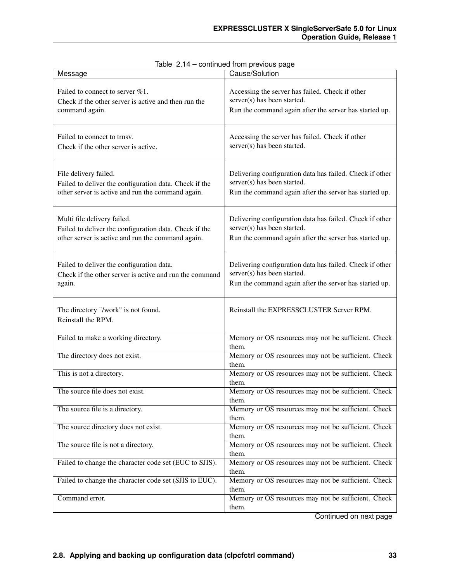| Message                                                                                                                                    | Cause/Solution                                                                                                                                    |
|--------------------------------------------------------------------------------------------------------------------------------------------|---------------------------------------------------------------------------------------------------------------------------------------------------|
| Failed to connect to server %1.<br>Check if the other server is active and then run the<br>command again.                                  | Accessing the server has failed. Check if other<br>server(s) has been started.<br>Run the command again after the server has started up.          |
| Failed to connect to trnsv.<br>Check if the other server is active.                                                                        | Accessing the server has failed. Check if other<br>server(s) has been started.                                                                    |
| File delivery failed.<br>Failed to deliver the configuration data. Check if the<br>other server is active and run the command again.       | Delivering configuration data has failed. Check if other<br>server(s) has been started.<br>Run the command again after the server has started up. |
| Multi file delivery failed.<br>Failed to deliver the configuration data. Check if the<br>other server is active and run the command again. | Delivering configuration data has failed. Check if other<br>server(s) has been started.<br>Run the command again after the server has started up. |
| Failed to deliver the configuration data.<br>Check if the other server is active and run the command<br>again.                             | Delivering configuration data has failed. Check if other<br>server(s) has been started.<br>Run the command again after the server has started up. |
| The directory "/work" is not found.<br>Reinstall the RPM.                                                                                  | Reinstall the EXPRESSCLUSTER Server RPM.                                                                                                          |
| Failed to make a working directory.                                                                                                        | Memory or OS resources may not be sufficient. Check<br>them.                                                                                      |
| The directory does not exist.                                                                                                              | Memory or OS resources may not be sufficient. Check<br>them.                                                                                      |
| This is not a directory.                                                                                                                   | Memory or OS resources may not be sufficient. Check<br>them.                                                                                      |
| The source file does not exist.                                                                                                            | Memory or OS resources may not be sufficient. Check<br>them.                                                                                      |
| The source file is a directory.                                                                                                            | Memory or OS resources may not be sufficient. Check<br>them.                                                                                      |
| The source directory does not exist.                                                                                                       | Memory or OS resources may not be sufficient. Check<br>them.                                                                                      |
| The source file is not a directory.                                                                                                        | Memory or OS resources may not be sufficient. Check<br>them.                                                                                      |
| Failed to change the character code set (EUC to SJIS).                                                                                     | Memory or OS resources may not be sufficient. Check<br>them.                                                                                      |
| Failed to change the character code set (SJIS to EUC).                                                                                     | Memory or OS resources may not be sufficient. Check<br>them.                                                                                      |
| Command error.                                                                                                                             | Memory or OS resources may not be sufficient. Check<br>them.                                                                                      |

|  | Table 2.14 - continued from previous page |  |
|--|-------------------------------------------|--|
|--|-------------------------------------------|--|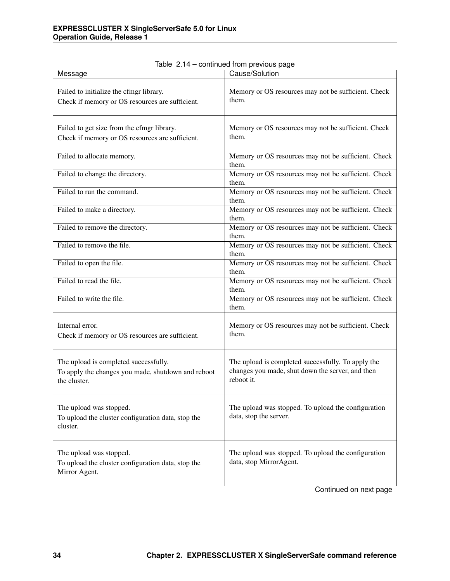| Cause/Solution                                                                                                       |
|----------------------------------------------------------------------------------------------------------------------|
| Memory or OS resources may not be sufficient. Check<br>them.                                                         |
| Memory or OS resources may not be sufficient. Check<br>them.                                                         |
| Memory or OS resources may not be sufficient. Check<br>them.                                                         |
| Memory or OS resources may not be sufficient. Check<br>them.                                                         |
| Memory or OS resources may not be sufficient. Check<br>them.                                                         |
| Memory or OS resources may not be sufficient. Check<br>them.                                                         |
| Memory or OS resources may not be sufficient. Check<br>them.                                                         |
| Memory or OS resources may not be sufficient. Check<br>them.                                                         |
| Memory or OS resources may not be sufficient. Check<br>them.                                                         |
| Memory or OS resources may not be sufficient. Check<br>them.                                                         |
| Memory or OS resources may not be sufficient. Check<br>them.                                                         |
| Memory or OS resources may not be sufficient. Check<br>them.                                                         |
| The upload is completed successfully. To apply the<br>changes you made, shut down the server, and then<br>reboot it. |
| The upload was stopped. To upload the configuration<br>data, stop the server.                                        |
| The upload was stopped. To upload the configuration<br>data, stop MirrorAgent.                                       |
|                                                                                                                      |

|  |  |  |  | Table 2.14 - continued from previous page |
|--|--|--|--|-------------------------------------------|
|--|--|--|--|-------------------------------------------|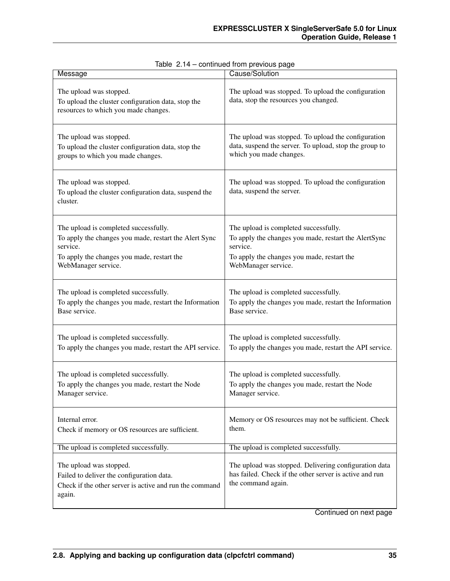| Message                                                                                                                                   | Cause/Solution                                                                                                                         |
|-------------------------------------------------------------------------------------------------------------------------------------------|----------------------------------------------------------------------------------------------------------------------------------------|
| The upload was stopped.<br>To upload the cluster configuration data, stop the<br>resources to which you made changes.                     | The upload was stopped. To upload the configuration<br>data, stop the resources you changed.                                           |
| The upload was stopped.                                                                                                                   | The upload was stopped. To upload the configuration                                                                                    |
| To upload the cluster configuration data, stop the                                                                                        | data, suspend the server. To upload, stop the group to                                                                                 |
| groups to which you made changes.                                                                                                         | which you made changes.                                                                                                                |
| The upload was stopped.<br>To upload the cluster configuration data, suspend the<br>cluster.                                              | The upload was stopped. To upload the configuration<br>data, suspend the server.                                                       |
| The upload is completed successfully.                                                                                                     | The upload is completed successfully.                                                                                                  |
| To apply the changes you made, restart the Alert Sync                                                                                     | To apply the changes you made, restart the AlertSync                                                                                   |
| service.                                                                                                                                  | service.                                                                                                                               |
| To apply the changes you made, restart the                                                                                                | To apply the changes you made, restart the                                                                                             |
| WebManager service.                                                                                                                       | WebManager service.                                                                                                                    |
| The upload is completed successfully.                                                                                                     | The upload is completed successfully.                                                                                                  |
| To apply the changes you made, restart the Information                                                                                    | To apply the changes you made, restart the Information                                                                                 |
| Base service.                                                                                                                             | Base service.                                                                                                                          |
| The upload is completed successfully.                                                                                                     | The upload is completed successfully.                                                                                                  |
| To apply the changes you made, restart the API service.                                                                                   | To apply the changes you made, restart the API service.                                                                                |
| The upload is completed successfully.                                                                                                     | The upload is completed successfully.                                                                                                  |
| To apply the changes you made, restart the Node                                                                                           | To apply the changes you made, restart the Node                                                                                        |
| Manager service.                                                                                                                          | Manager service.                                                                                                                       |
| Internal error.                                                                                                                           | Memory or OS resources may not be sufficient. Check                                                                                    |
| Check if memory or OS resources are sufficient.                                                                                           | them.                                                                                                                                  |
| The upload is completed successfully.                                                                                                     | The upload is completed successfully.                                                                                                  |
| The upload was stopped.<br>Failed to deliver the configuration data.<br>Check if the other server is active and run the command<br>again. | The upload was stopped. Delivering configuration data<br>has failed. Check if the other server is active and run<br>the command again. |

|  |  | Table 2.14 - continued from previous page |  |  |  |
|--|--|-------------------------------------------|--|--|--|
|--|--|-------------------------------------------|--|--|--|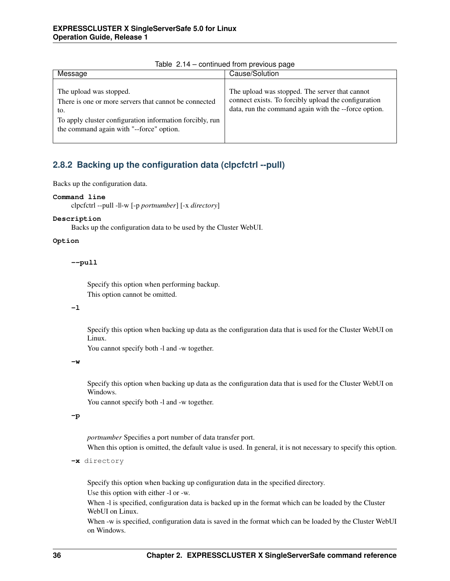| Message                                                                                                                                                                                         | Cause/Solution                                                                                                                                                 |
|-------------------------------------------------------------------------------------------------------------------------------------------------------------------------------------------------|----------------------------------------------------------------------------------------------------------------------------------------------------------------|
| The upload was stopped.<br>There is one or more servers that cannot be connected<br>to.<br>To apply cluster configuration information forcibly, run<br>the command again with "--force" option. | The upload was stopped. The server that cannot<br>connect exists. To forcibly upload the configuration<br>data, run the command again with the --force option. |

Table 2.14 – continued from previous page

# **2.8.2 Backing up the configuration data (clpcfctrl --pull)**

Backs up the configuration data.

## **Command line**

clpcfctrl --pull -l|-w [-p *portnumber*] [-x *directory*]

## **Description**

Backs up the configuration data to be used by the Cluster WebUI.

## **Option**

**--pull**

Specify this option when performing backup. This option cannot be omitted.

### **-l**

Specify this option when backing up data as the configuration data that is used for the Cluster WebUI on Linux.

You cannot specify both -l and -w together.

**-w**

Specify this option when backing up data as the configuration data that is used for the Cluster WebUI on Windows.

You cannot specify both -l and -w together.

# **-p**

*portnumber* Specifies a port number of data transfer port.

When this option is omitted, the default value is used. In general, it is not necessary to specify this option.

```
-x directory
```
Specify this option when backing up configuration data in the specified directory.

Use this option with either -l or -w.

When -l is specified, configuration data is backed up in the format which can be loaded by the Cluster WebUI on Linux.

When -w is specified, configuration data is saved in the format which can be loaded by the Cluster WebUI on Windows.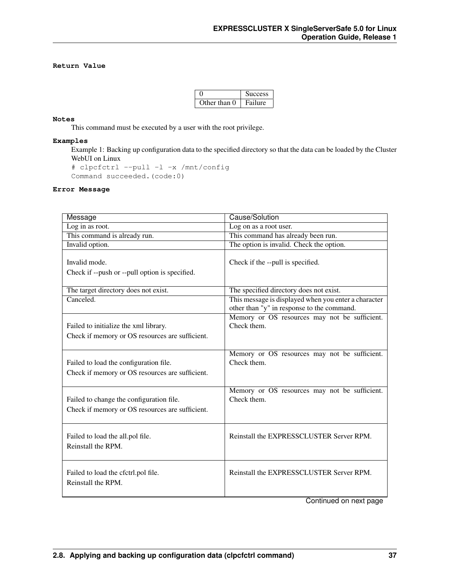# **Return Value**

|              | Success |
|--------------|---------|
| Other than 0 | Failure |

# **Notes**

This command must be executed by a user with the root privilege.

## **Examples**

Example 1: Backing up configuration data to the specified directory so that the data can be loaded by the Cluster WebUI on Linux

```
# clpcfctrl --pull -l -x /mnt/config
Command succeeded.(code:0)
```
## **Error Message**

| Message                                                         | Cause/Solution                                               |
|-----------------------------------------------------------------|--------------------------------------------------------------|
| Log in as root.                                                 | Log on as a root user.                                       |
| This command is already run.                                    | This command has already been run.                           |
| Invalid option.                                                 | The option is invalid. Check the option.                     |
| Invalid mode.<br>Check if --push or --pull option is specified. | Check if the --pull is specified.                            |
| The target directory does not exist.                            | The specified directory does not exist.                      |
| Canceled.                                                       | This message is displayed when you enter a character         |
|                                                                 | other than "y" in response to the command.                   |
|                                                                 | Memory or OS resources may not be sufficient.                |
| Failed to initialize the xml library.                           | Check them.                                                  |
| Check if memory or OS resources are sufficient.                 |                                                              |
|                                                                 |                                                              |
|                                                                 | Memory or OS resources may not be sufficient.                |
| Failed to load the configuration file.                          | Check them.                                                  |
| Check if memory or OS resources are sufficient.                 |                                                              |
|                                                                 |                                                              |
|                                                                 | Memory or OS resources may not be sufficient.<br>Check them. |
| Failed to change the configuration file.                        |                                                              |
| Check if memory or OS resources are sufficient.                 |                                                              |
|                                                                 |                                                              |
| Failed to load the all.pol file.                                | Reinstall the EXPRESSCLUSTER Server RPM.                     |
| Reinstall the RPM.                                              |                                                              |
|                                                                 |                                                              |
|                                                                 |                                                              |
| Failed to load the cfctrl.pol file.                             | Reinstall the EXPRESSCLUSTER Server RPM.                     |
| Reinstall the RPM.                                              |                                                              |
|                                                                 |                                                              |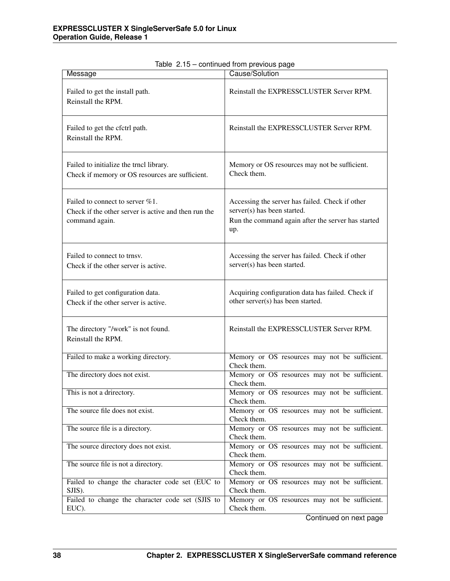| Message                                                                                                   | Cause/Solution                                                                                                                              |  |  |
|-----------------------------------------------------------------------------------------------------------|---------------------------------------------------------------------------------------------------------------------------------------------|--|--|
| Failed to get the install path.<br>Reinstall the RPM.                                                     | Reinstall the EXPRESSCLUSTER Server RPM.                                                                                                    |  |  |
| Failed to get the cfctrl path.<br>Reinstall the RPM.                                                      | Reinstall the EXPRESSCLUSTER Server RPM.                                                                                                    |  |  |
| Failed to initialize the trncl library.<br>Check if memory or OS resources are sufficient.                | Memory or OS resources may not be sufficient.<br>Check them.                                                                                |  |  |
| Failed to connect to server %1.<br>Check if the other server is active and then run the<br>command again. | Accessing the server has failed. Check if other<br>server(s) has been started.<br>Run the command again after the server has started<br>up. |  |  |
| Failed to connect to trnsv.<br>Check if the other server is active.                                       | Accessing the server has failed. Check if other<br>server(s) has been started.                                                              |  |  |
| Failed to get configuration data.<br>Check if the other server is active.                                 | Acquiring configuration data has failed. Check if<br>other server(s) has been started.                                                      |  |  |
| The directory "/work" is not found.<br>Reinstall the RPM.                                                 | Reinstall the EXPRESSCLUSTER Server RPM.                                                                                                    |  |  |
| Failed to make a working directory.                                                                       | Memory or OS resources may not be sufficient.<br>Check them.                                                                                |  |  |
| The directory does not exist.                                                                             | Memory or OS resources may not be sufficient.<br>Check them.                                                                                |  |  |
| This is not a drirectory.                                                                                 | Memory or OS resources may not be sufficient.<br>Check them.                                                                                |  |  |
| The source file does not exist.                                                                           | Memory or OS resources may not be sufficient.<br>Check them.                                                                                |  |  |
| The source file is a directory.                                                                           | Memory or OS resources may not be sufficient.<br>Check them.                                                                                |  |  |
| The source directory does not exist.                                                                      | Memory or OS resources may not be sufficient.<br>Check them.                                                                                |  |  |
| The source file is not a directory.                                                                       | Memory or OS resources may not be sufficient.<br>Check them.                                                                                |  |  |
| Failed to change the character code set (EUC to<br>SJIS).                                                 | Memory or OS resources may not be sufficient.<br>Check them.                                                                                |  |  |
| Failed to change the character code set (SJIS to<br>EUC).                                                 | Memory or OS resources may not be sufficient.<br>Check them.                                                                                |  |  |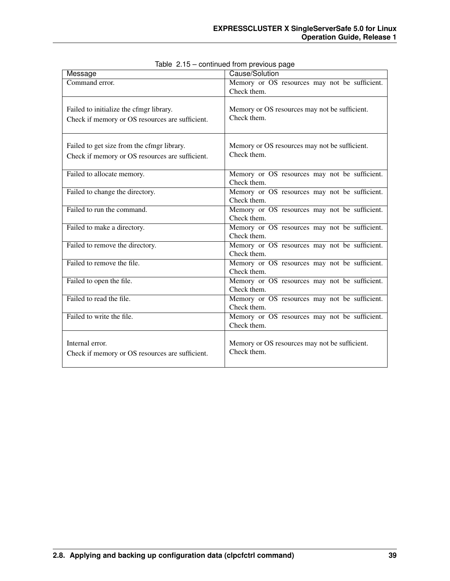| Message                                                                                       | Cause/Solution                                               |
|-----------------------------------------------------------------------------------------------|--------------------------------------------------------------|
| Command error.                                                                                | Memory or OS resources may not be sufficient.<br>Check them. |
| Failed to initialize the cfmgr library.<br>Check if memory or OS resources are sufficient.    | Memory or OS resources may not be sufficient.<br>Check them. |
| Failed to get size from the cfmgr library.<br>Check if memory or OS resources are sufficient. | Memory or OS resources may not be sufficient.<br>Check them. |
| Failed to allocate memory.                                                                    | Memory or OS resources may not be sufficient.<br>Check them. |
| Failed to change the directory.                                                               | Memory or OS resources may not be sufficient.<br>Check them. |
| Failed to run the command.                                                                    | Memory or OS resources may not be sufficient.<br>Check them. |
| Failed to make a directory.                                                                   | Memory or OS resources may not be sufficient.<br>Check them. |
| Failed to remove the directory.                                                               | Memory or OS resources may not be sufficient.<br>Check them. |
| Failed to remove the file.                                                                    | Memory or OS resources may not be sufficient.<br>Check them. |
| Failed to open the file.                                                                      | Memory or OS resources may not be sufficient.<br>Check them. |
| Failed to read the file.                                                                      | Memory or OS resources may not be sufficient.<br>Check them. |
| Failed to write the file.                                                                     | Memory or OS resources may not be sufficient.<br>Check them. |
| Internal error.<br>Check if memory or OS resources are sufficient.                            | Memory or OS resources may not be sufficient.<br>Check them. |

|  |  | Table 2.15 - continued from previous page |  |  |  |
|--|--|-------------------------------------------|--|--|--|
|--|--|-------------------------------------------|--|--|--|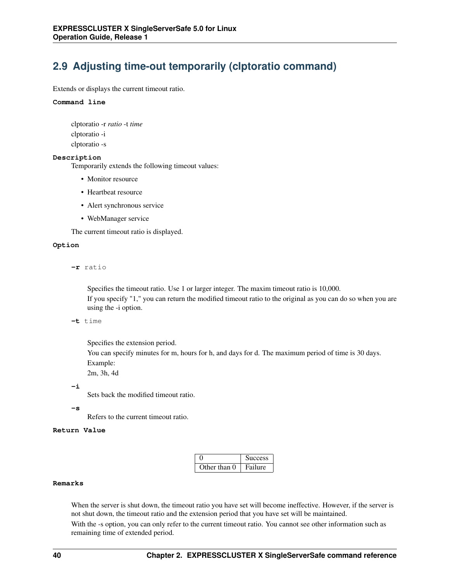# **2.9 Adjusting time-out temporarily (clptoratio command)**

Extends or displays the current timeout ratio.

#### **Command line**

clptoratio -r *ratio* -t *time* clptoratio -i clptoratio -s

#### **Description**

Temporarily extends the following timeout values:

- Monitor resource
- Heartbeat resource
- Alert synchronous service
- WebManager service

The current timeout ratio is displayed.

## **Option**

**-r** ratio

Specifies the timeout ratio. Use 1 or larger integer. The maxim timeout ratio is 10,000. If you specify "1," you can return the modified timeout ratio to the original as you can do so when you are using the -i option.

**-t** time

Specifies the extension period.

You can specify minutes for m, hours for h, and days for d. The maximum period of time is 30 days. Example:

2m, 3h, 4d

## **-i**

Sets back the modified timeout ratio.

### **-s**

Refers to the current timeout ratio.

### **Return Value**

|              | <b>Success</b> |
|--------------|----------------|
| Other than 0 | Failure        |

## **Remarks**

When the server is shut down, the timeout ratio you have set will become ineffective. However, if the server is not shut down, the timeout ratio and the extension period that you have set will be maintained.

With the -s option, you can only refer to the current timeout ratio. You cannot see other information such as remaining time of extended period.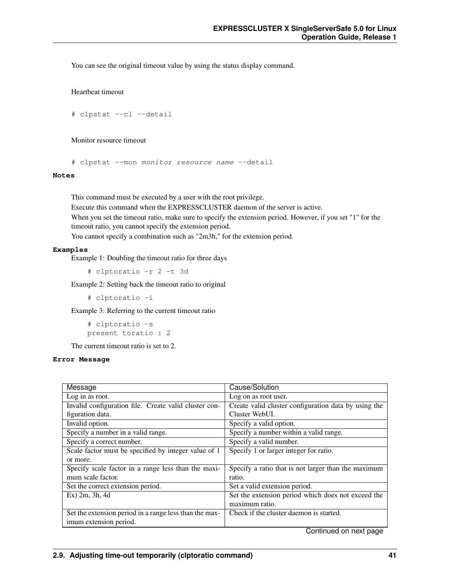You can see the original timeout value by using the status display command.

Heartbeat timeout

# clpstat --cl --detail

Monitor resource timeout

# clpstat --mon monitor resource name --detail

**Notes**

This command must be executed by a user with the root privilege.

Execute this command when the EXPRESSCLUSTER daemon of the server is active.

When you set the timeout ratio, make sure to specify the extension period. However, if you set "1" for the timeout ratio, you cannot specify the extension period.

You cannot specify a combination such as "2m3h," for the extension period.

#### **Examples**

Example 1: Doubling the timeout ratio for three days

# clptoratio -r 2 -t 3d

Example 2: Setting back the timeout ratio to original

# clptoratio -i

Example 3: Referring to the current timeout ratio

# clptoratio -s present toratio : 2

The current timeout ratio is set to 2.

## **Error Message**

| Message                                                | Cause/Solution                                       |
|--------------------------------------------------------|------------------------------------------------------|
| Log in as root.                                        | Log on as root user.                                 |
| Invalid configuration file. Create valid cluster con-  | Create valid cluster configuration data by using the |
| figuration data.                                       | Cluster WebUL.                                       |
| Invalid option.                                        | Specify a valid option.                              |
| Specify a number in a valid range.                     | Specify a number within a valid range.               |
| Specify a correct number.                              | Specify a valid number.                              |
| Scale factor must be specified by integer value of 1   | Specify 1 or larger integer for ratio.               |
| or more.                                               |                                                      |
| Specify scale factor in a range less than the maxi-    | Specify a ratio that is not larger than the maximum  |
| mum scale factor.                                      | ratio.                                               |
| Set the correct extension period.                      | Set a valid extension period.                        |
| Ex) 2m, 3h, 4d                                         | Set the extension period which does not exceed the   |
|                                                        | maximum ratio.                                       |
| Set the extension period in a range less than the max- | Check if the cluster daemon is started.              |
| imum extension period.                                 |                                                      |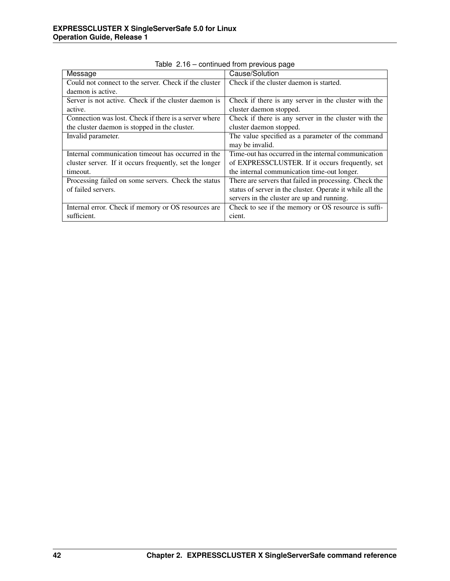| Message                                                 | Cause/Solution                                            |
|---------------------------------------------------------|-----------------------------------------------------------|
| Could not connect to the server. Check if the cluster   | Check if the cluster daemon is started.                   |
| daemon is active.                                       |                                                           |
| Server is not active. Check if the cluster daemon is    | Check if there is any server in the cluster with the      |
| active.                                                 | cluster daemon stopped.                                   |
| Connection was lost. Check if there is a server where   | Check if there is any server in the cluster with the      |
| the cluster daemon is stopped in the cluster.           | cluster daemon stopped.                                   |
| Invalid parameter.                                      | The value specified as a parameter of the command         |
|                                                         | may be invalid.                                           |
| Internal communication timeout has occurred in the      | Time-out has occurred in the internal communication       |
| cluster server. If it occurs frequently, set the longer | of EXPRESSCLUSTER. If it occurs frequently, set           |
| timeout.                                                | the internal communication time-out longer.               |
| Processing failed on some servers. Check the status     | There are servers that failed in processing. Check the    |
| of failed servers.                                      | status of server in the cluster. Operate it while all the |
|                                                         | servers in the cluster are up and running.                |
| Internal error. Check if memory or OS resources are     | Check to see if the memory or OS resource is suffi-       |
| sufficient.                                             | cient.                                                    |

Table 2.16 – continued from previous page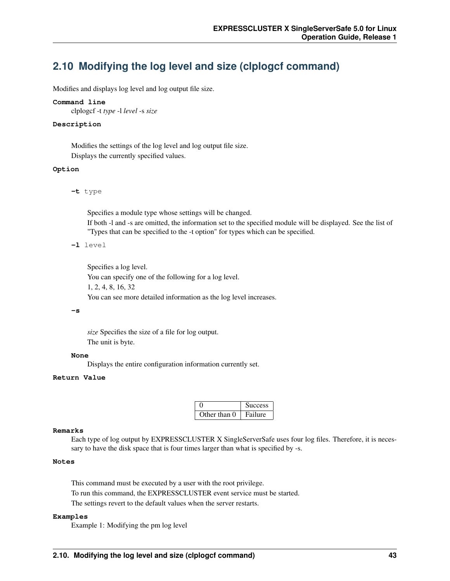# **2.10 Modifying the log level and size (clplogcf command)**

Modifies and displays log level and log output file size.

#### **Command line**

clplogcf -t *type* -l *level* -s *size*

#### **Description**

Modifies the settings of the log level and log output file size. Displays the currently specified values.

#### **Option**

**-t** type

Specifies a module type whose settings will be changed.

If both -l and -s are omitted, the information set to the specified module will be displayed. See the list of "Types that can be specified to the -t option" for types which can be specified.

**-l** level

Specifies a log level.

You can specify one of the following for a log level. 1, 2, 4, 8, 16, 32 You can see more detailed information as the log level increases.

#### **-s**

*size* Specifies the size of a file for log output. The unit is byte.

#### **None**

Displays the entire configuration information currently set.

#### **Return Value**

|              | <b>Success</b> |
|--------------|----------------|
| Other than 0 | Failure        |

#### **Remarks**

Each type of log output by EXPRESSCLUSTER X SingleServerSafe uses four log files. Therefore, it is necessary to have the disk space that is four times larger than what is specified by -s.

## **Notes**

This command must be executed by a user with the root privilege. To run this command, the EXPRESSCLUSTER event service must be started. The settings revert to the default values when the server restarts.

#### **Examples**

Example 1: Modifying the pm log level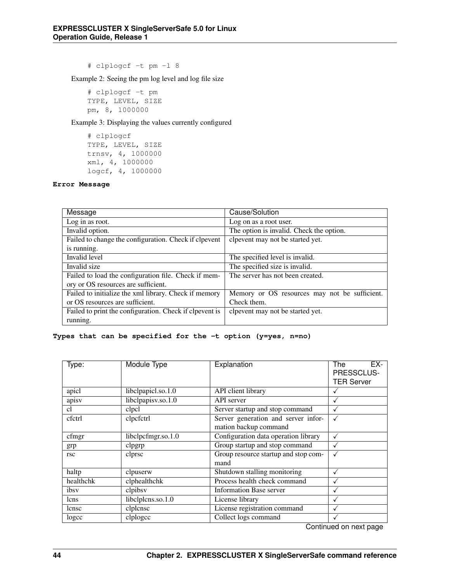# clplogcf -t pm -l 8

Example 2: Seeing the pm log level and log file size

# clplogcf -t pm TYPE, LEVEL, SIZE pm, 8, 1000000

Example 3: Displaying the values currently configured

```
# clplogcf
TYPE, LEVEL, SIZE
trnsv, 4, 1000000
xml, 4, 1000000
logcf, 4, 1000000
```
## **Error Message**

| Message                                                 | Cause/Solution                                |
|---------------------------------------------------------|-----------------------------------------------|
| Log in as root.                                         | Log on as a root user.                        |
| Invalid option.                                         | The option is invalid. Check the option.      |
| Failed to change the configuration. Check if clpevent   | clpevent may not be started yet.              |
| is running.                                             |                                               |
| Invalid level                                           | The specified level is invalid.               |
| Invalid size                                            | The specified size is invalid.                |
| Failed to load the configuration file. Check if mem-    | The server has not been created.              |
| ory or OS resources are sufficient.                     |                                               |
| Failed to initialize the xml library. Check if memory   | Memory or OS resources may not be sufficient. |
| or OS resources are sufficient.                         | Check them.                                   |
| Failed to print the configuration. Check if clpevent is | clpevent may not be started yet.              |
| running.                                                |                                               |

## **Types that can be specified for the -t option (y=yes, n=no)**

| Type:      | Module Type        | Explanation                            | EX-<br>The        |
|------------|--------------------|----------------------------------------|-------------------|
|            |                    |                                        | PRESSCLUS-        |
|            |                    |                                        | <b>TER Server</b> |
| apicl      | libclpapicl.so.1.0 | API client library                     | √                 |
| apisv      | libclpapisv.so.1.0 | API server                             | $\checkmark$      |
| cl         | clpcl              | Server startup and stop command        | √                 |
| cfctrl     | clpcfctrl          | Server generation and server infor-    |                   |
|            |                    | mation backup command                  |                   |
| cfmgr      | libclpcfmgr.so.1.0 | Configuration data operation library   | √                 |
| grp        | clpgrp             | Group startup and stop command         |                   |
| <b>rsc</b> | clprsc             | Group resource startup and stop com-   |                   |
|            |                    | mand                                   |                   |
| haltp      | clpuserw           | Shutdown stalling monitoring           | √                 |
| healthchk  | clphealthchk       | Process health check command           |                   |
| ibsy       | clpibsy            | <b>Information Base server</b>         |                   |
| lcns       | libclplcns.so.1.0  | License library                        |                   |
| lense      | clplcnsc           | License registration command           |                   |
| logcc      | clplogcc           | Collect logs command<br>$\sim$ $\cdot$ | - 11              |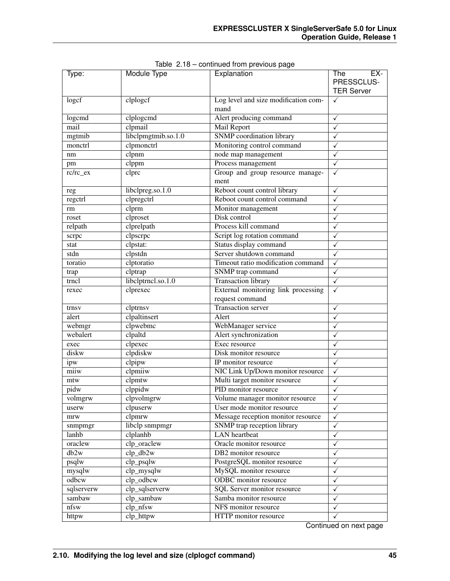| Type:      | <b>Module Type</b>  | Explanation                              | The<br>EX-        |
|------------|---------------------|------------------------------------------|-------------------|
|            |                     |                                          | PRESSCLUS-        |
|            |                     |                                          | <b>TER Server</b> |
| logcf      | clplogef            | Log level and size modification com-     | $\checkmark$      |
|            |                     | mand                                     |                   |
| logcmd     | clplogcmd           | Alert producing command                  | ✓                 |
| mail       | clpmail             | Mail Report                              | ✓                 |
| mgtmib     | libclpmgtmib.so.1.0 | <b>SNMP</b> coordination library         | ✓                 |
| monctrl    | clpmonctrl          | Monitoring control command               | ✓                 |
| nm         | clpnm               | node map management                      | ✓                 |
| pm         | clppm               | Process management                       | ✓                 |
| rc/rc_ex   | clprc               | Group and group resource manage-<br>ment | $\checkmark$      |
| reg        | libclpreg.so.1.0    | Reboot count control library             | $\checkmark$      |
| regctrl    | clpregctrl          | Reboot count control command             | $\checkmark$      |
| rm         | clprm               | Monitor management                       | $\checkmark$      |
| roset      | clproset            | Disk control                             | √                 |
| relpath    | clprelpath          | Process kill command                     | √                 |
| scrpc      | clpscrpc            | Script log rotation command              | $\checkmark$      |
| stat       | clpstat:            | Status display command                   | ✓                 |
| stdn       | clpstdn             | Server shutdown command                  | ✓                 |
| toratio    | clptoratio          | Timeout ratio modification command       | ✓                 |
| trap       | clptrap             | SNMP trap command                        | ✓                 |
| trncl      | libclptrncl.so.1.0  | <b>Transaction library</b>               | ✓                 |
| rexec      | clprexec            | External monitoring link processing      | ✓                 |
|            |                     | request command                          |                   |
| trnsy      | clptrnsv            | <b>Transaction server</b>                | ✓                 |
| alert      | clpaltinsert        | Alert                                    | ✓                 |
| webmgr     | clpwebmc            | WebManager service                       | ✓                 |
| webalert   | clpaltd             | Alert synchronization                    | ✓                 |
| exec       | clpexec             | Exec resource                            | ✓                 |
| diskw      | clpdiskw            | Disk monitor resource                    | $\checkmark$      |
| ipw        | clpipw              | IP monitor resource                      | $\checkmark$      |
| miiw       | clpmiiw             | NIC Link Up/Down monitor resource        | $\checkmark$      |
| mtw        | clpmtw              | Multi target monitor resource            | ✓                 |
| pidw       | clppidw             | PID monitor resource                     | ✓                 |
| volmgrw    | clpvolmgrw          | Volume manager monitor resource          | $\checkmark$      |
| userw      | clpuserw            | User mode monitor resource               | $\checkmark$      |
| mrw        | clpmrw              | Message reception monitor resource       | $\checkmark$      |
| snmpmgr    | libclp snmpmgr      | SNMP trap reception library              | $\checkmark$      |
| lanhb      | clplanhb            | <b>LAN</b> heartbeat                     | ✓                 |
| oraclew    | clp_oraclew         | Oracle monitor resource                  | ✓                 |
| db2w       | $clp_db2w$          | DB2 monitor resource                     | ✓                 |
| psqlw      | $clp_{psqlw}$       | PostgreSQL monitor resource              | ✓                 |
| mysqlw     | clp_mysqlw          | MySQL monitor resource                   | ✓                 |
| odbcw      | clp_odbcw           | <b>ODBC</b> monitor resource             | ✓                 |
| sqlserverw | clp_sqlserverw      | SQL Server monitor resource              | ✓                 |
| sambaw     | clp_sambaw          | Samba monitor resource                   | ✓                 |
| nfsw       | clp_nfsw            | NFS monitor resource                     | $\checkmark$      |
| httpw      | clp_httpw           | HTTP monitor resource                    | $\checkmark$      |

Table 2.18 – continued from previous page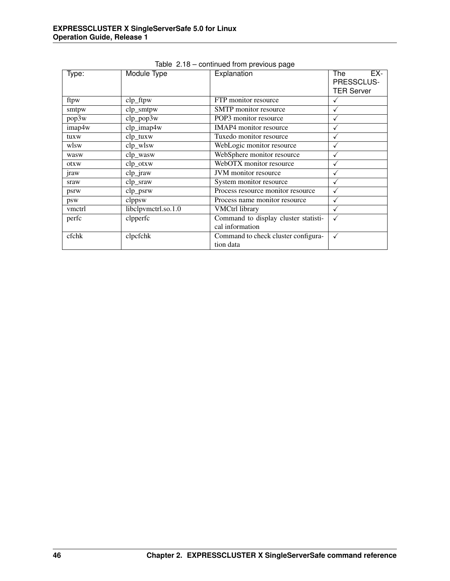| Type:       | Module Type         | Explanation                          | EX-<br>The        |
|-------------|---------------------|--------------------------------------|-------------------|
|             |                     |                                      | PRESSCLUS-        |
|             |                     |                                      | <b>TER Server</b> |
| ftpw        | $clp_f$             | FTP monitor resource                 |                   |
| smtpw       | clp_smtpw           | SMTP monitor resource                |                   |
| pop3w       | $clp\_pop3w$        | POP3 monitor resource                | √                 |
| imap4w      | clp_imap4w          | <b>IMAP4</b> monitor resource        | √                 |
| tuxw        | $clp_{tuxw}$        | Tuxedo monitor resource              | $\checkmark$      |
| wlsw        | clp_wlsw            | WebLogic monitor resource            | $\checkmark$      |
| wasw        | clp_wasw            | WebSphere monitor resource           | √                 |
| otxw        | clp_otxw            | WebOTX monitor resource              |                   |
| <i>iraw</i> | $clp_i$ iraw        | JVM monitor resource                 |                   |
| sraw        | clp_sraw            | System monitor resource              |                   |
| psrw        | $clp\_psrw$         | Process resource monitor resource    |                   |
| psw         | clppsw              | Process name monitor resource        |                   |
| vmctrl      | libclpvmctrl.so.1.0 | <b>VMCtrl library</b>                | √                 |
| perfc       | clpperfc            | Command to display cluster statisti- | $\checkmark$      |
|             |                     | cal information                      |                   |
| cfchk       | clpcfchk            | Command to check cluster configura-  | $\checkmark$      |
|             |                     | tion data                            |                   |

Table 2.18 – continued from previous page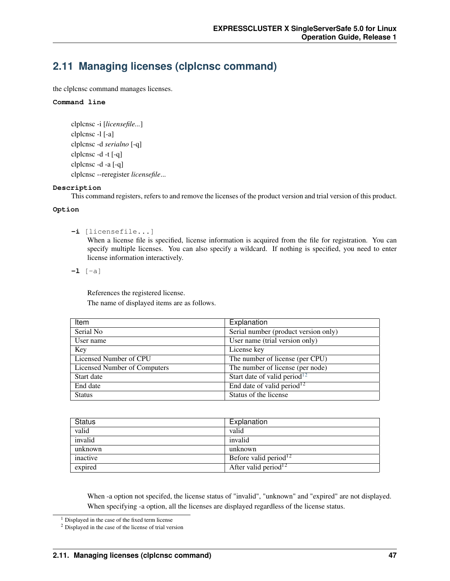# **2.11 Managing licenses (clplcnsc command)**

the clplcnsc command manages licenses.

## **Command line**

```
clplcnsc -i [licensefile...]
clplcnsc -l [-a]
clplcnsc -d serialno [-q]
clplcnsc -d -t [-q]
clplcnsc -d -a [-q]
clplcnsc --reregister licensefile...
```
## **Description**

This command registers, refers to and remove the licenses of the product version and trial version of this product.

## **Option**

**-i** [licensefile...]

When a license file is specified, license information is acquired from the file for registration. You can specify multiple licenses. You can also specify a wildcard. If nothing is specified, you need to enter license information interactively.

**-l** [-a]

References the registered license. The name of displayed items are as follows.

| Item                                | Explanation                              |
|-------------------------------------|------------------------------------------|
| Serial No                           | Serial number (product version only)     |
| User name                           | User name (trial version only)           |
| Key                                 | License key                              |
| Licensed Number of CPU              | The number of license (per CPU)          |
| <b>Licensed Number of Computers</b> | The number of license (per node)         |
| Start date                          | Start date of valid period <sup>12</sup> |
| End date                            | End date of valid period <sup>12</sup>   |
| <b>Status</b>                       | Status of the license                    |

| <b>Status</b> | Explanation                       |
|---------------|-----------------------------------|
| valid         | valid                             |
| invalid       | invalid                           |
| unknown       | unknown                           |
| inactive      | Before valid period <sup>12</sup> |
| expired       | After valid period <sup>12</sup>  |

When -a option not specifed, the license status of "invalid", "unknown" and "expired" are not displayed. When specifying -a option, all the licenses are displayed regardless of the license status.

<span id="page-50-0"></span><sup>&</sup>lt;sup>1</sup> Displayed in the case of the fixed term license

<span id="page-50-1"></span><sup>2</sup> Displayed in the case of the license of trial version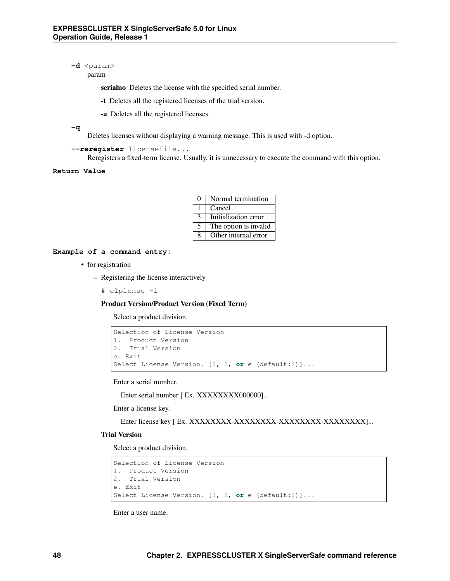-d <param>

param

serialno Deletes the license with the specified serial number.

-t Deletes all the registered licenses of the trial version.

-a Deletes all the registered licenses.

**-q**

Deletes licenses without displaying a warning message. This is used with -d option.

```
--reregister licensefile...
```
Reregisters a fixed-term license. Usually, it is unnecessary to execute the command with this option.

```
Return Value
```

| $\Omega$ | Normal termination    |
|----------|-----------------------|
|          | Cancel                |
| 3        | Initialization error  |
| 5        | The option is invalid |
| 8        | Other internal error  |

## **Example of a command entry:**

- for registration
	- Registering the license interactively
		- # clplcnsc -i

Product Version/Product Version (Fixed Term)

Select a product division.

```
Selection of License Version
1. Product Version
2. Trial Version
e. Exit
Select License Version. [1, 2, or e (default:1)]...
```
Enter a serial number.

Enter serial number [ Ex. XXXXXXXX000000]...

Enter a license key.

Enter license key [ Ex. XXXXXXXX-XXXXXXXX-XXXXXXXX-XXXXXXXX]...

## Trial Version

Select a product division.

```
Selection of License Version
1. Product Version
2. Trial Version
e. Exit
Select License Version. [1, 2, or e (default:1)]...
```
Enter a user name.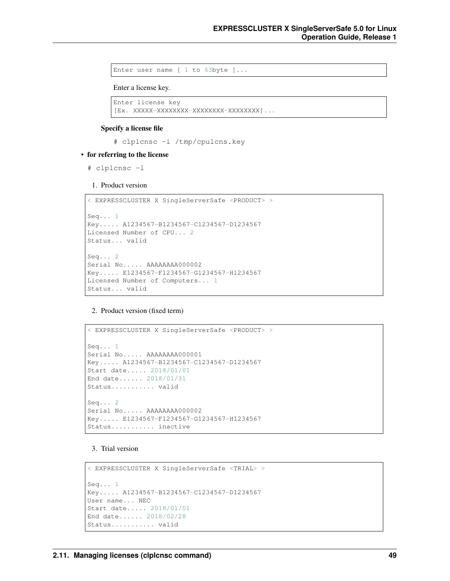Enter user name [ 1 to 63byte ]...

Enter a license key.

```
Enter license key
[Ex. XXXXX-XXXXXXXX-XXXXXXXX-XXXXXXXX]...
```
#### Specify a license file

# clplcnsc -i /tmp/cpulcns.key

#### • for referring to the license

# clplcnsc -l

1. Product version

```
< EXPRESSCLUSTER X SingleServerSafe <PRODUCT> >
Seq... 1
Key..... A1234567-B1234567-C1234567-D1234567
Licensed Number of CPU... 2
Status... valid
Seq... 2
Serial No..... AAAAAAAA000002
Key..... E1234567-F1234567-G1234567-H1234567
Licensed Number of Computers... 1
Status... valid
```
2. Product version (fixed term)

```
< EXPRESSCLUSTER X SingleServerSafe <PRODUCT> >
Seq... 1
Serial No..... AAAAAAAA000001
Key..... A1234567-B1234567-C1234567-D1234567
Start date..... 2018/01/01
End date...... 2018/01/31
Status........... valid
Seq... 2
Serial No..... AAAAAAAA000002
Key..... E1234567-F1234567-G1234567-H1234567
Status........... inactive
```
### 3. Trial version

```
< EXPRESSCLUSTER X SingleServerSafe <TRIAL> >
Seq... 1
Key..... A1234567-B1234567-C1234567-D1234567
User name... NEC
Start date..... 2018/01/01
End date...... 2018/02/28
Status........... valid
```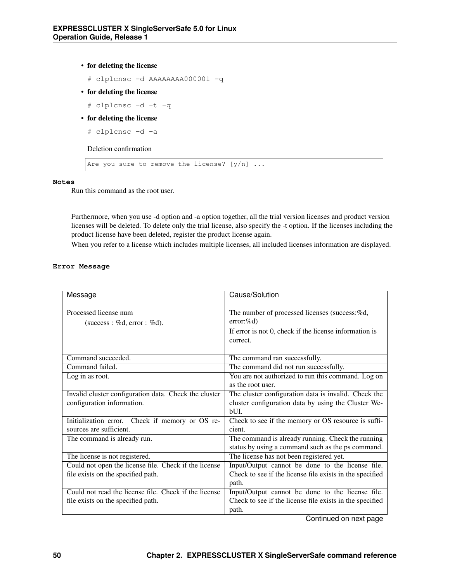• for deleting the license

```
# clplcnsc -d AAAAAAAA000001 -q
```
- for deleting the license
	- # clplcnsc -d -t -q
- for deleting the license
	- # clplcnsc -d -a

Deletion confirmation

Are you sure to remove the license?  $[y/n]$  ...

## **Notes**

Run this command as the root user.

Furthermore, when you use -d option and -a option together, all the trial version licenses and product version licenses will be deleted. To delete only the trial license, also specify the -t option. If the licenses including the product license have been deleted, register the product license again.

When you refer to a license which includes multiple licenses, all included licenses information are displayed.

# **Error Message**

| Message                                               | Cause/Solution                                                                                                                      |
|-------------------------------------------------------|-------------------------------------------------------------------------------------------------------------------------------------|
| Processed license num<br>(success : %d, error : %d).  | The number of processed licenses (success:%d,<br>$error:\%d)$<br>If error is not 0, check if the license information is<br>correct. |
| Command succeeded.                                    | The command ran successfully.                                                                                                       |
| Command failed.                                       | The command did not run successfully.                                                                                               |
| Log in as root.                                       | You are not authorized to run this command. Log on                                                                                  |
|                                                       | as the root user.                                                                                                                   |
| Invalid cluster configuration data. Check the cluster | The cluster configuration data is invalid. Check the                                                                                |
| configuration information.                            | cluster configuration data by using the Cluster We-                                                                                 |
|                                                       | bUL.                                                                                                                                |
| Initialization error. Check if memory or OS re-       | Check to see if the memory or OS resource is suffi-                                                                                 |
| sources are sufficient.                               | cient.                                                                                                                              |
| The command is already run.                           | The command is already running. Check the running                                                                                   |
|                                                       | status by using a command such as the ps command.                                                                                   |
| The license is not registered.                        | The license has not been registered yet.                                                                                            |
| Could not open the license file. Check if the license | Input/Output cannot be done to the license file.                                                                                    |
| file exists on the specified path.                    | Check to see if the license file exists in the specified                                                                            |
|                                                       | path.                                                                                                                               |
| Could not read the license file. Check if the license | Input/Output cannot be done to the license file.                                                                                    |
| file exists on the specified path.                    | Check to see if the license file exists in the specified                                                                            |
|                                                       | path.                                                                                                                               |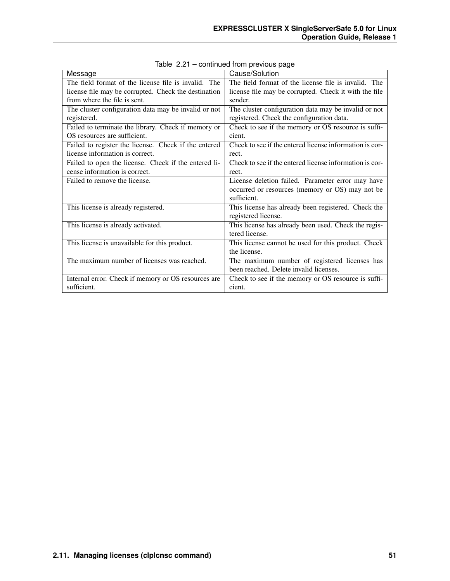| Message                                              | Cause/Solution                                          |
|------------------------------------------------------|---------------------------------------------------------|
| The field format of the license file is invalid. The | The field format of the license file is invalid. The    |
| license file may be corrupted. Check the destination | license file may be corrupted. Check it with the file   |
| from where the file is sent.                         | sender.                                                 |
| The cluster configuration data may be invalid or not | The cluster configuration data may be invalid or not    |
| registered.                                          | registered. Check the configuration data.               |
| Failed to terminate the library. Check if memory or  | Check to see if the memory or OS resource is suffi-     |
| OS resources are sufficient.                         | cient.                                                  |
| Failed to register the license. Check if the entered | Check to see if the entered license information is cor- |
| license information is correct.                      | rect.                                                   |
| Failed to open the license. Check if the entered li- | Check to see if the entered license information is cor- |
| cense information is correct.                        | rect.                                                   |
| Failed to remove the license.                        | License deletion failed. Parameter error may have       |
|                                                      | occurred or resources (memory or OS) may not be         |
|                                                      | sufficient.                                             |
| This license is already registered.                  | This license has already been registered. Check the     |
|                                                      | registered license.                                     |
| This license is already activated.                   | This license has already been used. Check the regis-    |
|                                                      | tered license.                                          |
| This license is unavailable for this product.        | This license cannot be used for this product. Check     |
|                                                      | the license.                                            |
| The maximum number of licenses was reached.          | The maximum number of registered licenses has           |
|                                                      | been reached. Delete invalid licenses.                  |
| Internal error. Check if memory or OS resources are  | Check to see if the memory or OS resource is suffi-     |
| sufficient.                                          | cient.                                                  |

Table 2.21 – continued from previous page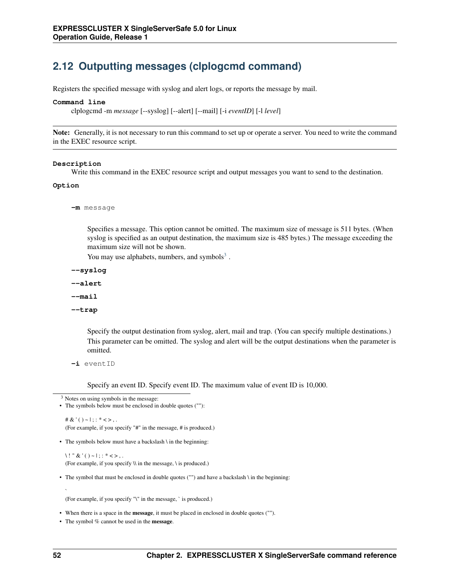# **2.12 Outputting messages (clplogcmd command)**

Registers the specified message with syslog and alert logs, or reports the message by mail.

#### **Command line**

clplogcmd -m *message* [--syslog] [--alert] [--mail] [-i *eventID*] [-l *level*]

Note: Generally, it is not necessary to run this command to set up or operate a server. You need to write the command in the EXEC resource script.

#### **Description**

Write this command in the EXEC resource script and output messages you want to send to the destination.

#### **Option**

**-m** message

Specifies a message. This option cannot be omitted. The maximum size of message is 511 bytes. (When syslog is specified as an output destination, the maximum size is 485 bytes.) The message exceeding the maximum size will not be shown.

You may use alphabets, numbers, and symbols $3$ .

**--syslog**

**--alert**

**--mail**

**--trap**

Specify the output destination from syslog, alert, mail and trap. (You can specify multiple destinations.) This parameter can be omitted. The syslog and alert will be the output destinations when the parameter is omitted.

**-i** eventID

Specify an event ID. Specify event ID. The maximum value of event ID is 10,000.

```
3 Notes on using symbols in the message:
```

```
• The symbols below must be enclosed in double quotes (""):
```

```
# & ' ( ) ~ | ; : * < > , .
(For example, if you specify "#" in the message, # is produced.)
```
• The symbols below must have a backslash \ in the beginning:

 $\backslash$ ! " & ' ( ) ~ |; : \* < >,. (For example, if you specify \\ in the message, \ is produced.)

• The symbol that must be enclosed in double quotes ("") and have a backslash \ in the beginning:

(For example, if you specify "\" in the message, ` is produced.)

• When there is a space in the message, it must be placed in enclosed in double quotes ("").

• The symbol % cannot be used in the **message**.

`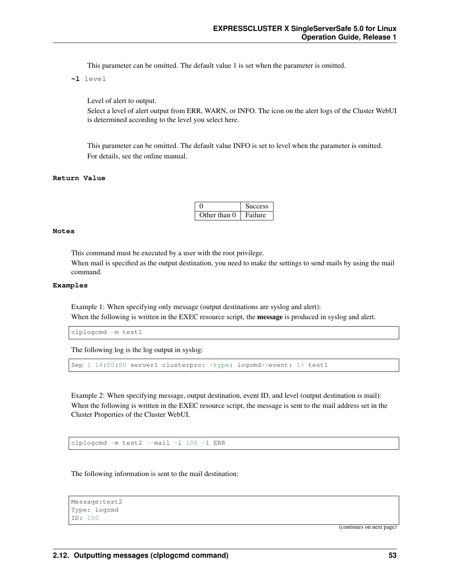This parameter can be omitted. The default value 1 is set when the parameter is omitted.

**-l** level

Level of alert to output.

Select a level of alert output from ERR, WARN, or INFO. The icon on the alert logs of the Cluster WebUI is determined according to the level you select here.

This parameter can be omitted. The default value INFO is set to level when the parameter is omitted. For details, see the online manual.

#### **Return Value**

|              | <b>Success</b> |
|--------------|----------------|
| Other than 0 | Failure        |

#### **Notes**

This command must be executed by a user with the root privilege.

When mail is specified as the output destination, you need to make the settings to send mails by using the mail command.

### **Examples**

Example 1: When specifying only message (output destinations are syslog and alert): When the following is written in the EXEC resource script, the **message** is produced in syslog and alert.

clplogcmd -m test1

The following log is the log output in syslog:

```
Sep 1 14:00:00 server1 clusterpro: <type: logcmd><event: 1> test1
```
Example 2: When specifying message, output destination, event ID, and level (output destination is mail): When the following is written in the EXEC resource script, the message is sent to the mail address set in the Cluster Properties of the Cluster WebUI.

clplogcmd -m test2 --mail -i 100 -l ERR

The following information is sent to the mail destination:

```
Message:test2
Type: logcmd
ID: 100
```
(continues on next page)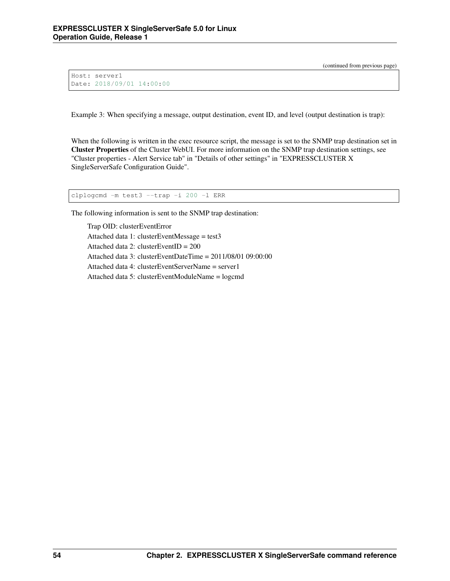(continued from previous page)

```
Host: server1
Date: 2018/09/01 14:00:00
```
Example 3: When specifying a message, output destination, event ID, and level (output destination is trap):

When the following is written in the exec resource script, the message is set to the SNMP trap destination set in Cluster Properties of the Cluster WebUI. For more information on the SNMP trap destination settings, see "Cluster properties - Alert Service tab" in "Details of other settings" in "EXPRESSCLUSTER X SingleServerSafe Configuration Guide".

clplogcmd -m test3 --trap -i 200 -l ERR

The following information is sent to the SNMP trap destination:

Trap OID: clusterEventError Attached data 1: clusterEventMessage = test3 Attached data 2: clusterEventID = 200 Attached data 3: clusterEventDateTime = 2011/08/01 09:00:00 Attached data 4: clusterEventServerName = server1 Attached data 5: clusterEventModuleName = logcmd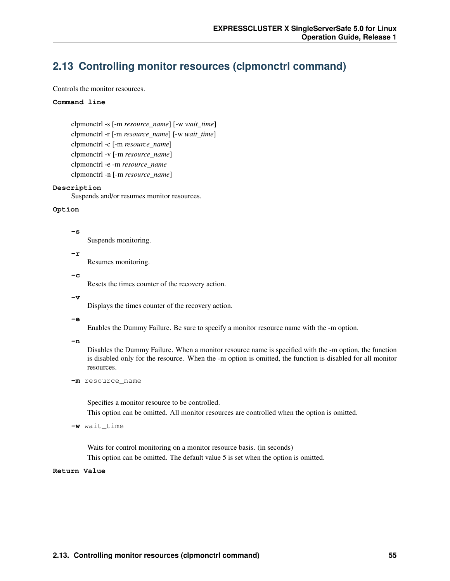# **2.13 Controlling monitor resources (clpmonctrl command)**

Controls the monitor resources.

#### **Command line**

```
clpmonctrl -s [-m resource_name] [-w wait_time]
clpmonctrl -r [-m resource_name] [-w wait_time]
clpmonctrl -c [-m resource_name]
clpmonctrl -v [-m resource_name]
clpmonctrl -e -m resource_name
clpmonctrl -n [-m resource_name]
```
#### **Description**

Suspends and/or resumes monitor resources.

## **Option**

#### **-s**

Suspends monitoring.

**-r**

Resumes monitoring.

**-c**

Resets the times counter of the recovery action.

 $-rr$ 

Displays the times counter of the recovery action.

#### **-e**

Enables the Dummy Failure. Be sure to specify a monitor resource name with the -m option.

**-n**

Disables the Dummy Failure. When a monitor resource name is specified with the -m option, the function is disabled only for the resource. When the -m option is omitted, the function is disabled for all monitor resources.

**-m** resource\_name

Specifies a monitor resource to be controlled.

This option can be omitted. All monitor resources are controlled when the option is omitted.

```
-w wait_time
```
Waits for control monitoring on a monitor resource basis. (in seconds) This option can be omitted. The default value 5 is set when the option is omitted.

## **Return Value**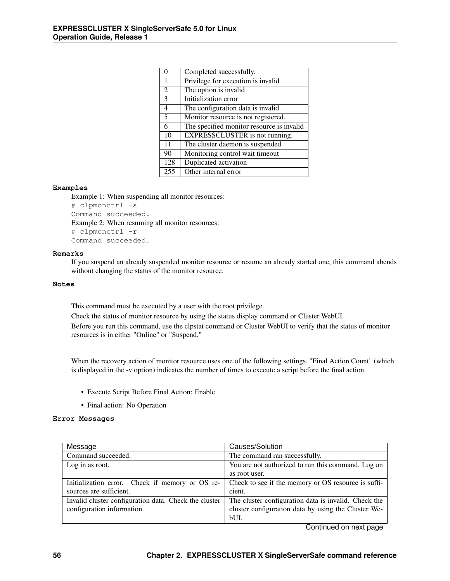| $\theta$       | Completed successfully.                   |
|----------------|-------------------------------------------|
| 1              | Privilege for execution is invalid        |
| $\overline{2}$ | The option is invalid                     |
| 3              | Initialization error                      |
| $\overline{4}$ | The configuration data is invalid.        |
| 5              | Monitor resource is not registered.       |
| 6              | The specified monitor resource is invalid |
| 10             | EXPRESSCLUSTER is not running.            |
| 11             | The cluster daemon is suspended           |
| 90             | Monitoring control wait timeout           |
| 128            | Duplicated activation                     |
| 255            | Other internal error                      |
|                |                                           |

## **Examples**

Example 1: When suspending all monitor resources: # clpmonctrl -s Command succeeded. Example 2: When resuming all monitor resources: # clpmonctrl -r Command succeeded.

#### **Remarks**

If you suspend an already suspended monitor resource or resume an already started one, this command abends without changing the status of the monitor resource.

#### **Notes**

This command must be executed by a user with the root privilege.

Check the status of monitor resource by using the status display command or Cluster WebUI.

Before you run this command, use the clpstat command or Cluster WebUI to verify that the status of monitor resources is in either "Online" or "Suspend."

When the recovery action of monitor resource uses one of the following settings, "Final Action Count" (which is displayed in the -v option) indicates the number of times to execute a script before the final action.

- Execute Script Before Final Action: Enable
- Final action: No Operation

### **Error Messages**

| Message                                               | Causes/Solution                                      |
|-------------------------------------------------------|------------------------------------------------------|
| Command succeeded.                                    | The command ran successfully.                        |
| Log in as root.                                       | You are not authorized to run this command. Log on   |
|                                                       | as root user.                                        |
| Initialization error. Check if memory or OS re-       | Check to see if the memory or OS resource is suffi-  |
| sources are sufficient.                               | cient.                                               |
| Invalid cluster configuration data. Check the cluster | The cluster configuration data is invalid. Check the |
| configuration information.                            | cluster configuration data by using the Cluster We-  |
|                                                       | bUI.<br>$\sim$                                       |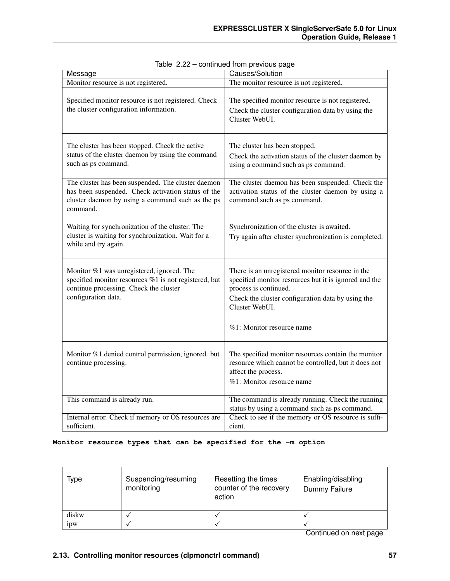| Message                                                                                                                                                                  | Causes/Solution                                                                                                                                                                                                                        |  |  |
|--------------------------------------------------------------------------------------------------------------------------------------------------------------------------|----------------------------------------------------------------------------------------------------------------------------------------------------------------------------------------------------------------------------------------|--|--|
| Monitor resource is not registered.                                                                                                                                      | The monitor resource is not registered.                                                                                                                                                                                                |  |  |
| Specified monitor resource is not registered. Check<br>the cluster configuration information.                                                                            | The specified monitor resource is not registered.<br>Check the cluster configuration data by using the<br>Cluster WebUI.                                                                                                               |  |  |
| The cluster has been stopped. Check the active<br>status of the cluster daemon by using the command<br>such as ps command.                                               | The cluster has been stopped.<br>Check the activation status of the cluster daemon by<br>using a command such as ps command.                                                                                                           |  |  |
| The cluster has been suspended. The cluster daemon<br>has been suspended. Check activation status of the<br>cluster daemon by using a command such as the ps<br>command. | The cluster daemon has been suspended. Check the<br>activation status of the cluster daemon by using a<br>command such as ps command.                                                                                                  |  |  |
| Waiting for synchronization of the cluster. The<br>cluster is waiting for synchronization. Wait for a<br>while and try again.                                            | Synchronization of the cluster is awaited.<br>Try again after cluster synchronization is completed.                                                                                                                                    |  |  |
| Monitor %1 was unregistered, ignored. The<br>specified monitor resources %1 is not registered, but<br>continue processing. Check the cluster<br>configuration data.      | There is an unregistered monitor resource in the<br>specified monitor resources but it is ignored and the<br>process is continued.<br>Check the cluster configuration data by using the<br>Cluster WebUI.<br>%1: Monitor resource name |  |  |
| Monitor %1 denied control permission, ignored. but<br>continue processing.                                                                                               | The specified monitor resources contain the monitor<br>resource which cannot be controlled, but it does not<br>affect the process.<br>%1: Monitor resource name                                                                        |  |  |
| This command is already run.                                                                                                                                             | The command is already running. Check the running<br>status by using a command such as ps command.                                                                                                                                     |  |  |
| Internal error. Check if memory or OS resources are<br>sufficient.                                                                                                       | Check to see if the memory or OS resource is suffi-<br>cient.                                                                                                                                                                          |  |  |

Table 2.22 – continued from previous page

# **Monitor resource types that can be specified for the -m option**

| Suspending/resuming<br>monitoring | Resetting the times<br>counter of the recovery<br>action | Enabling/disabling<br>Dummy Failure |
|-----------------------------------|----------------------------------------------------------|-------------------------------------|
|                                   |                                                          |                                     |
|                                   |                                                          |                                     |
|                                   |                                                          |                                     |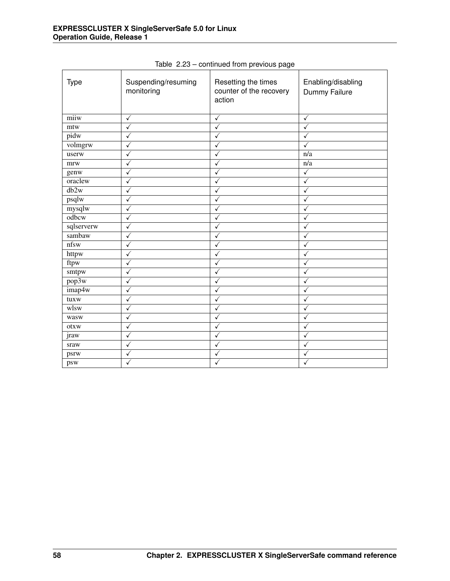| <b>Type</b> | Suspending/resuming<br>monitoring | Resetting the times<br>counter of the recovery<br>action | Enabling/disabling<br>Dummy Failure |
|-------------|-----------------------------------|----------------------------------------------------------|-------------------------------------|
| miiw        | $\checkmark$                      | $\checkmark$                                             | $\checkmark$                        |
| mtw         | √                                 | ✓                                                        | $\checkmark$                        |
| pidw        | $\checkmark$                      | $\checkmark$                                             | $\checkmark$                        |
| volmgrw     | ✓                                 | $\checkmark$                                             | $\checkmark$                        |
| userw       | ✓                                 | ✓                                                        | n/a                                 |
| mrw         | ✓                                 | ✓                                                        | n/a                                 |
| genw        | ✓                                 | √                                                        | $\checkmark$                        |
| oraclew     | √                                 | √                                                        | $\checkmark$                        |
| db2w        | $\checkmark$                      | √                                                        | $\checkmark$                        |
| psqlw       | √                                 | $\checkmark$                                             | $\checkmark$                        |
| mysqlw      | $\checkmark$                      | $\checkmark$                                             | $\checkmark$                        |
| odbcw       | √                                 | √                                                        | ✓                                   |
| sqlserverw  | √                                 | $\checkmark$                                             | ✓                                   |
| sambaw      | ✓                                 | $\checkmark$                                             | $\checkmark$                        |
| nfsw        | $\checkmark$                      | $\checkmark$                                             | $\checkmark$                        |
| httpw       | ✓                                 | $\checkmark$                                             | ✓                                   |
| ftpw        | ✓                                 | $\checkmark$                                             | $\checkmark$                        |
| smtpw       | √                                 | ✓                                                        | $\checkmark$                        |
| pop3w       | ✓                                 | ✓                                                        | $\checkmark$                        |
| imap4w      | ✓                                 | ✓                                                        | ✓                                   |
| tuxw        | ✓                                 | ✓                                                        | $\checkmark$                        |
| wlsw        | √                                 | $\checkmark$                                             | $\checkmark$                        |
| wasw        | $\checkmark$                      | ✓                                                        | ✓                                   |
| otxw        | ✓                                 | √                                                        | ✓                                   |
| jraw        | √                                 | √                                                        | ✓                                   |
| sraw        | √                                 | ✓                                                        | $\checkmark$                        |
| psrw        | ✓                                 | ✓                                                        | $\checkmark$                        |
| psw         | ✓                                 | ✓                                                        | ✓                                   |

Table 2.23 – continued from previous page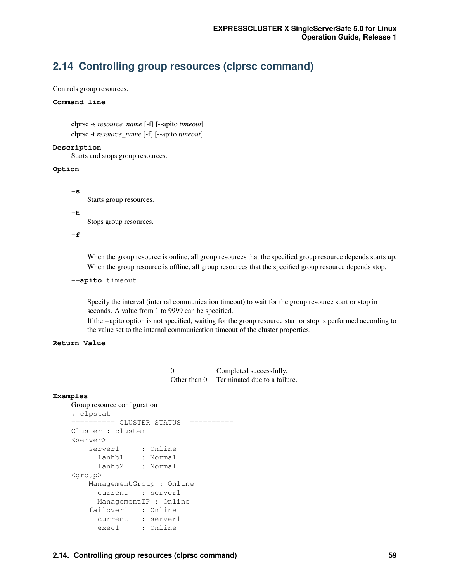# **2.14 Controlling group resources (clprsc command)**

Controls group resources.

## **Command line**

clprsc -s *resource\_name* [-f] [--apito *timeout*] clprsc -t *resource\_name* [-f] [--apito *timeout*]

#### **Description**

Starts and stops group resources.

### **Option**

Starts group resources.

#### **-t**

**-s**

Stops group resources.

**-f**

When the group resource is online, all group resources that the specified group resource depends starts up. When the group resource is offline, all group resources that the specified group resource depends stop.

```
--apito timeout
```
Specify the interval (internal communication timeout) to wait for the group resource start or stop in seconds. A value from 1 to 9999 can be specified.

If the --apito option is not specified, waiting for the group resource start or stop is performed according to the value set to the internal communication timeout of the cluster properties.

## **Return Value**

| $\begin{array}{c} 0 \\ 0 \end{array}$ | Completed successfully.                          |
|---------------------------------------|--------------------------------------------------|
|                                       | Other than $0 \mid$ Terminated due to a failure. |

## **Examples**

## Group resource configuration

```
# clpstat
========== CLUSTER STATUS ==========
Cluster : cluster
<server>
    server1 : Online
     lanhb1 : Normal
     lanhb2 : Normal
<group>
   ManagementGroup : Online
     current : server1
     ManagementIP : Online
   failover1 : Online
     current : server1
     exec1 : Online
```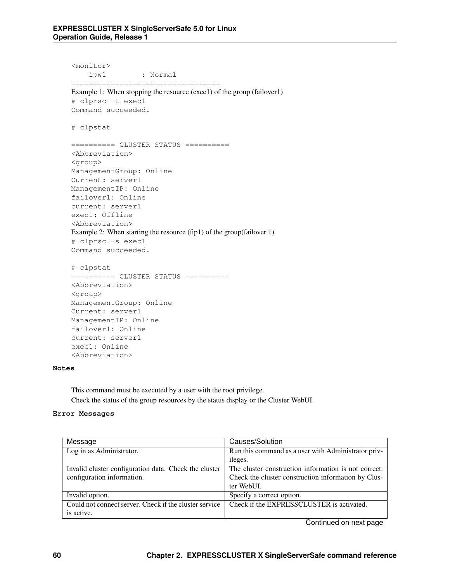<monitor> ipw1 : Normal ================================== Example 1: When stopping the resource (exec1) of the group (failover1) # clprsc -t exec1 Command succeeded. # clpstat ========== CLUSTER STATUS ========== <Abbreviation> <group> ManagementGroup: Online Current: server1 ManagementIP: Online failover1: Online current: server1 exec1: Offline <Abbreviation> Example 2: When starting the resource (fip1) of the group(failover 1) # clprsc -s exec1 Command succeeded. # clpstat ========== CLUSTER STATUS ========== <Abbreviation> <group> ManagementGroup: Online Current: server1 ManagementIP: Online failover1: Online current: server1

### **Notes**

This command must be executed by a user with the root privilege. Check the status of the group resources by the status display or the Cluster WebUI.

### **Error Messages**

exec1: Online <Abbreviation>

| Message                                                | Causes/Solution                                      |  |
|--------------------------------------------------------|------------------------------------------------------|--|
| Log in as Administrator.                               | Run this command as a user with Administrator priv-  |  |
|                                                        | ileges.                                              |  |
| Invalid cluster configuration data. Check the cluster  | The cluster construction information is not correct. |  |
| configuration information.                             | Check the cluster construction information by Clus-  |  |
|                                                        | ter WebUL.                                           |  |
| Invalid option.                                        | Specify a correct option.                            |  |
| Could not connect server. Check if the cluster service | Check if the EXPRESSCLUSTER is activated.            |  |
| is active.                                             |                                                      |  |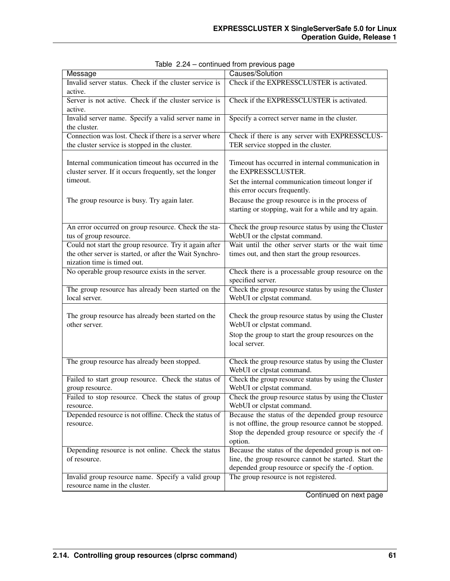| Message                                                                                | Causes/Solution                                               |
|----------------------------------------------------------------------------------------|---------------------------------------------------------------|
| Invalid server status. Check if the cluster service is                                 | Check if the EXPRESSCLUSTER is activated.                     |
| active.                                                                                |                                                               |
| Server is not active. Check if the cluster service is                                  | Check if the EXPRESSCLUSTER is activated.                     |
| active.                                                                                |                                                               |
| Invalid server name. Specify a valid server name in                                    | Specify a correct server name in the cluster.                 |
| the cluster.                                                                           |                                                               |
| Connection was lost. Check if there is a server where                                  | Check if there is any server with EXPRESSCLUS-                |
| the cluster service is stopped in the cluster.                                         | TER service stopped in the cluster.                           |
|                                                                                        |                                                               |
| Internal communication timeout has occurred in the                                     | Timeout has occurred in internal communication in             |
| cluster server. If it occurs frequently, set the longer                                | the EXPRESSCLUSTER.                                           |
| timeout.                                                                               | Set the internal communication timeout longer if              |
|                                                                                        | this error occurs frequently.                                 |
| The group resource is busy. Try again later.                                           | Because the group resource is in the process of               |
|                                                                                        | starting or stopping, wait for a while and try again.         |
|                                                                                        |                                                               |
| An error occurred on group resource. Check the sta-                                    | Check the group resource status by using the Cluster          |
| tus of group resource.                                                                 | WebUI or the clpstat command.                                 |
| Could not start the group resource. Try it again after                                 | Wait until the other server starts or the wait time           |
| the other server is started, or after the Wait Synchro-<br>nization time is timed out. | times out, and then start the group resources.                |
| No operable group resource exists in the server.                                       | Check there is a processable group resource on the            |
|                                                                                        | specified server.                                             |
| The group resource has already been started on the                                     | Check the group resource status by using the Cluster          |
| local server.                                                                          | WebUI or clpstat command.                                     |
|                                                                                        |                                                               |
| The group resource has already been started on the                                     | Check the group resource status by using the Cluster          |
| other server.                                                                          | WebUI or clpstat command.                                     |
|                                                                                        | Stop the group to start the group resources on the            |
|                                                                                        | local server.                                                 |
|                                                                                        |                                                               |
| The group resource has already been stopped.                                           | Check the group resource status by using the Cluster          |
|                                                                                        | WebUI or clpstat command.                                     |
| Failed to start group resource. Check the status of                                    | Check the group resource status by using the Cluster          |
| group resource.                                                                        | WebUI or clpstat command.                                     |
| Failed to stop resource. Check the status of group                                     | Check the group resource status by using the Cluster          |
| resource.                                                                              | WebUI or clpstat command.                                     |
| Depended resource is not offline. Check the status of                                  | Because the status of the depended group resource             |
| resource.                                                                              | is not offline, the group resource cannot be stopped.         |
|                                                                                        | Stop the depended group resource or specify the -f<br>option. |
| Depending resource is not online. Check the status                                     | Because the status of the depended group is not on-           |
| of resource.                                                                           | line, the group resource cannot be started. Start the         |
|                                                                                        | depended group resource or specify the -f option.             |
| Invalid group resource name. Specify a valid group                                     | The group resource is not registered.                         |
| resource name in the cluster.                                                          |                                                               |

|  | Table 2.24 - continued from previous page |  |  |
|--|-------------------------------------------|--|--|
|--|-------------------------------------------|--|--|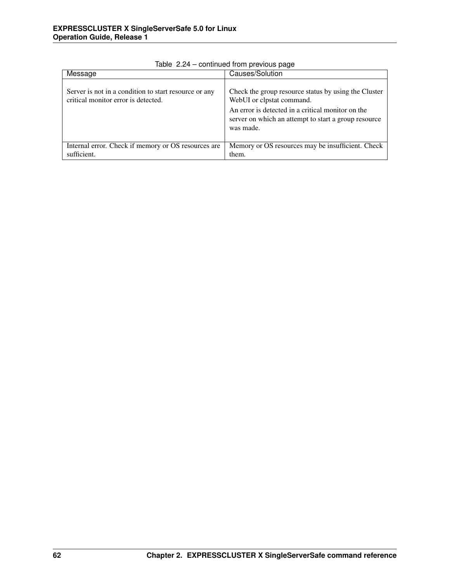| Message                                                                                      | Causes/Solution                                                                                                                                                                                             |
|----------------------------------------------------------------------------------------------|-------------------------------------------------------------------------------------------------------------------------------------------------------------------------------------------------------------|
| Server is not in a condition to start resource or any<br>critical monitor error is detected. | Check the group resource status by using the Cluster<br>WebUI or clpstat command.<br>An error is detected in a critical monitor on the<br>server on which an attempt to start a group resource<br>was made. |
| Internal error. Check if memory or OS resources are                                          | Memory or OS resources may be insufficient. Check                                                                                                                                                           |
| sufficient.                                                                                  | them.                                                                                                                                                                                                       |

Table 2.24 – continued from previous page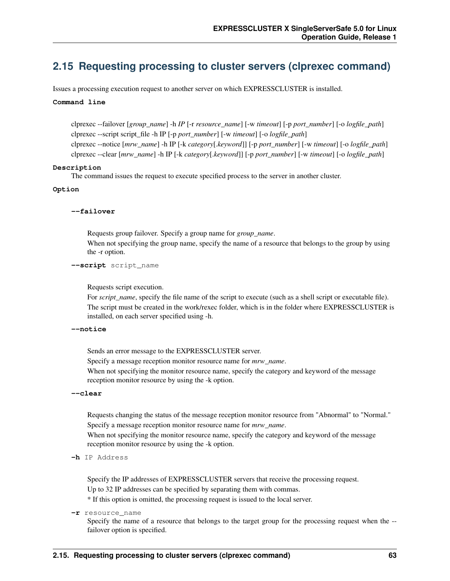# **2.15 Requesting processing to cluster servers (clprexec command)**

Issues a processing execution request to another server on which EXPRESSCLUSTER is installed.

## **Command line**

clprexec --failover [*group\_name*] -h *IP* [-r *resource\_name*] [-w *timeout*] [-p *port\_number*] [-o *logfile\_path*] clprexec --script script\_file -h IP [-p *port\_number*] [-w *timeout*] [-o *logfile\_path*] clprexec --notice [*mrw\_name*] -h IP [-k *category*[.*keyword*]] [-p *port\_number*] [-w *timeout*] [-o *logfile\_path*] clprexec --clear [*mrw\_name*] -h IP [-k *category*[.*keyword*]] [-p *port\_number*] [-w *timeout*] [-o *logfile\_path*]

## **Description**

The command issues the request to execute specified process to the server in another cluster.

#### **Option**

#### **--failover**

Requests group failover. Specify a group name for *group\_name*. When not specifying the group name, specify the name of a resource that belongs to the group by using the -r option.

## **--script** script\_name

Requests script execution.

For *script\_name*, specify the file name of the script to execute (such as a shell script or executable file). The script must be created in the work/rexec folder, which is in the folder where EXPRESSCLUSTER is installed, on each server specified using -h.

#### **--notice**

Sends an error message to the EXPRESSCLUSTER server.

Specify a message reception monitor resource name for *mrw\_name*.

When not specifying the monitor resource name, specify the category and keyword of the message reception monitor resource by using the -k option.

#### **--clear**

Requests changing the status of the message reception monitor resource from "Abnormal" to "Normal." Specify a message reception monitor resource name for *mrw\_name*.

When not specifying the monitor resource name, specify the category and keyword of the message reception monitor resource by using the -k option.

**-h** IP Address

Specify the IP addresses of EXPRESSCLUSTER servers that receive the processing request. Up to 32 IP addresses can be specified by separating them with commas.

\* If this option is omitted, the processing request is issued to the local server.

#### **-r** resource\_name

Specify the name of a resource that belongs to the target group for the processing request when the - failover option is specified.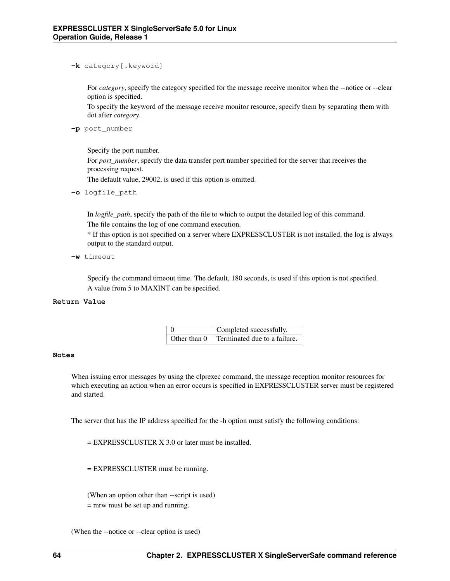## **-k** category[.keyword]

For *category*, specify the category specified for the message receive monitor when the --notice or --clear option is specified.

To specify the keyword of the message receive monitor resource, specify them by separating them with dot after *category*.

**-p** port\_number

Specify the port number.

For *port\_number*, specify the data transfer port number specified for the server that receives the processing request.

The default value, 29002, is used if this option is omitted.

**-o** logfile\_path

In *logfile\_path*, specify the path of the file to which to output the detailed log of this command. The file contains the log of one command execution.

\* If this option is not specified on a server where EXPRESSCLUSTER is not installed, the log is always output to the standard output.

**-w** timeout

Specify the command timeout time. The default, 180 seconds, is used if this option is not specified. A value from 5 to MAXINT can be specified.

### **Return Value**

| Completed successfully.                                 |
|---------------------------------------------------------|
| Other than $0 \mid$ Terminated due to a failure. $\mid$ |

#### **Notes**

When issuing error messages by using the clprexec command, the message reception monitor resources for which executing an action when an error occurs is specified in EXPRESSCLUSTER server must be registered and started.

The server that has the IP address specified for the -h option must satisfy the following conditions:

= EXPRESSCLUSTER X 3.0 or later must be installed.

= EXPRESSCLUSTER must be running.

(When an option other than --script is used) = mrw must be set up and running.

(When the --notice or --clear option is used)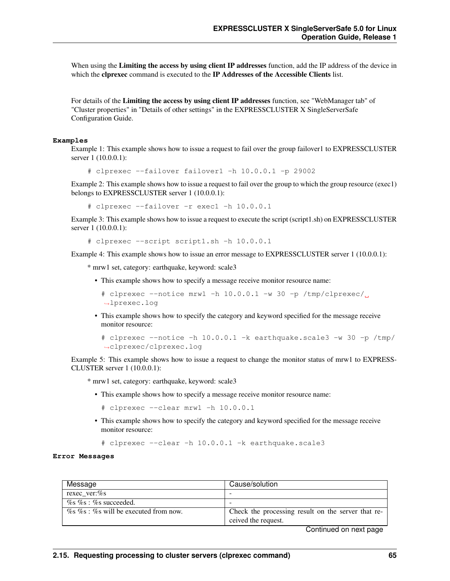When using the Limiting the access by using client IP addresses function, add the IP address of the device in which the clprexec command is executed to the IP Addresses of the Accessible Clients list.

For details of the Limiting the access by using client IP addresses function, see "WebManager tab" of "Cluster properties" in "Details of other settings" in the EXPRESSCLUSTER X SingleServerSafe Configuration Guide.

#### **Examples**

Example 1: This example shows how to issue a request to fail over the group failover1 to EXPRESSCLUSTER server 1 (10.0.0.1):

# clprexec --failover failover1 -h 10.0.0.1 -p 29002

Example 2: This example shows how to issue a request to fail over the group to which the group resource (exec1) belongs to EXPRESSCLUSTER server 1 (10.0.0.1):

# clprexec --failover -r exec1 -h 10.0.0.1

Example 3: This example shows how to issue a request to execute the script (script1.sh) on EXPRESSCLUSTER server 1 (10.0.0.1):

# clprexec --script script1.sh -h 10.0.0.1

Example 4: This example shows how to issue an error message to EXPRESSCLUSTER server 1 (10.0.0.1):

\* mrw1 set, category: earthquake, keyword: scale3

- This example shows how to specify a message receive monitor resource name:
	- # clprexec --notice mrw1 -h 10.0.0.1 -w 30 -p /tmp/clprexec/ ˓<sup>→</sup>lprexec.log
- This example shows how to specify the category and keyword specified for the message receive monitor resource:

```
# clprexec --notice -h 10.0.0.1 -k earthquake.scale3 -w 30 -p /tmp/
˓→clprexec/clprexec.log
```
Example 5: This example shows how to issue a request to change the monitor status of mrw1 to EXPRESS-CLUSTER server 1 (10.0.0.1):

\* mrw1 set, category: earthquake, keyword: scale3

• This example shows how to specify a message receive monitor resource name:

```
# clprexec --clear mrw1 -h 10.0.0.1
```
• This example shows how to specify the category and keyword specified for the message receive monitor resource:

# clprexec --clear -h 10.0.0.1 -k earthquake.scale3

#### **Error Messages**

| Message                                           | Cause/solution                                     |
|---------------------------------------------------|----------------------------------------------------|
| rexec ver:%s                                      |                                                    |
| $\%$ s $\%$ s : $\%$ s succeeded.                 |                                                    |
| $\%$ s $\%$ s : $\%$ s will be executed from now. | Check the processing result on the server that re- |
|                                                   | ceived the request.                                |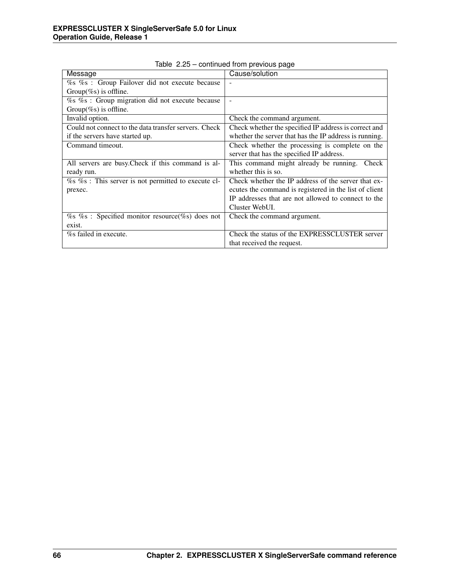|                                                             | sonandod nom provisão pago                             |
|-------------------------------------------------------------|--------------------------------------------------------|
| Message                                                     | Cause/solution                                         |
| % % % : Group Failover did not execute because              |                                                        |
| Group $(\%s)$ is offline.                                   |                                                        |
| % % % : Group migration did not execute because             |                                                        |
| Group(%s) is offline.                                       |                                                        |
| Invalid option.                                             | Check the command argument.                            |
| Could not connect to the data transfer servers. Check       | Check whether the specified IP address is correct and  |
| if the servers have started up.                             | whether the server that has the IP address is running. |
| Command timeout.                                            | Check whether the processing is complete on the        |
|                                                             | server that has the specified IP address.              |
| All servers are busy. Check if this command is al-          | This command might already be running.<br>Check        |
| ready run.                                                  | whether this is so.                                    |
| $\%$ s $\%$ s : This server is not permitted to execute cl- | Check whether the IP address of the server that ex-    |
| prexec.                                                     | ecutes the command is registered in the list of client |
|                                                             | IP addresses that are not allowed to connect to the    |
|                                                             | Cluster WebUI.                                         |
| $\%$ s % : Specified monitor resource(%s) does not          | Check the command argument.                            |
| exist.                                                      |                                                        |
| %s failed in execute.                                       | Check the status of the EXPRESSCLUSTER server          |
|                                                             | that received the request.                             |

Table 2.25 – continued from previous page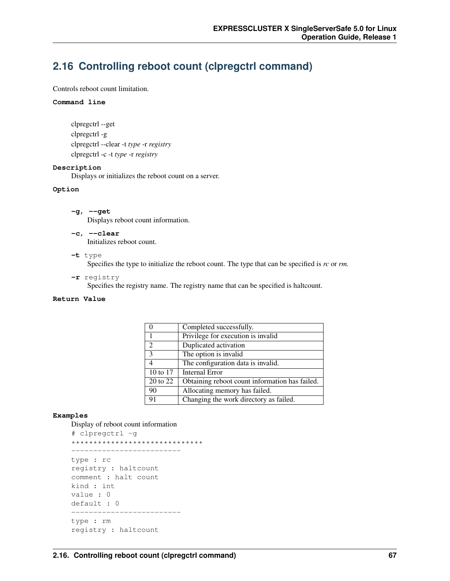# **2.16 Controlling reboot count (clpregctrl command)**

Controls reboot count limitation.

#### **Command line**

```
clpregctrl --get
clpregctrl -g
clpregctrl --clear -t type -r registry
clpregctrl -c -t type -r registry
```
#### **Description**

Displays or initializes the reboot count on a server.

#### **Option**

- **-g**, **--get** Displays reboot count information.
- **-c**, **--clear** Initializes reboot count.
- **-t** type

Specifies the type to initialize the reboot count. The type that can be specified is *rc* or *rm.*

**-r** registry

Specifies the registry name. The registry name that can be specified is haltcount.

# **Return Value**

|                          | Completed successfully.                        |
|--------------------------|------------------------------------------------|
|                          | Privilege for execution is invalid             |
| $\mathfrak{D}$           | Duplicated activation                          |
| 3                        | The option is invalid                          |
| $\overline{\mathcal{A}}$ | The configuration data is invalid.             |
| 10 to 17                 | <b>Internal Error</b>                          |
| 20 to 22                 | Obtaining reboot count information has failed. |
| 90                       | Allocating memory has failed.                  |
| 91                       | Changing the work directory as failed.         |

## **Examples**

```
Display of reboot count information
# clpregctrl -g
******************************
-------------------------
type : rc
registry : haltcount
comment : halt count
kind : int
value : 0
default : 0
-------------------------
type : rm
registry : haltcount
```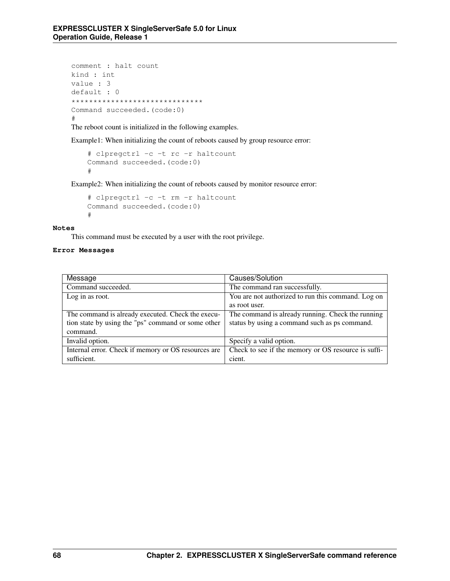```
comment : halt count
kind : int
value : 3
default : 0
******************************
Command succeeded.(code:0)
#
```
The reboot count is initialized in the following examples.

Example1: When initializing the count of reboots caused by group resource error:

```
# clpregctrl -c -t rc -r haltcount
Command succeeded.(code:0)
#
```
Example2: When initializing the count of reboots caused by monitor resource error:

```
# clpregctrl -c -t rm -r haltcount
Command succeeded.(code:0)
#
```
#### **Notes**

This command must be executed by a user with the root privilege.

## **Error Messages**

| Message                                             | Causes/Solution                                     |
|-----------------------------------------------------|-----------------------------------------------------|
| Command succeeded.                                  | The command ran successfully.                       |
| Log in as root.                                     | You are not authorized to run this command. Log on  |
|                                                     | as root user.                                       |
| The command is already executed. Check the execu-   | The command is already running. Check the running   |
| tion state by using the "ps" command or some other  | status by using a command such as ps command.       |
| command.                                            |                                                     |
| Invalid option.                                     | Specify a valid option.                             |
| Internal error. Check if memory or OS resources are | Check to see if the memory or OS resource is suffi- |
| sufficient.                                         | cient.                                              |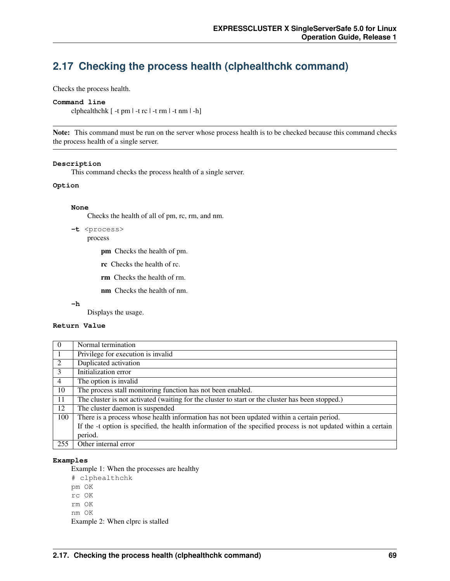# **2.17 Checking the process health (clphealthchk command)**

Checks the process health.

#### **Command line**

clphealthchk [ -t pm | -t rc | -t rm | -t nm | -h]

Note: This command must be run on the server whose process health is to be checked because this command checks the process health of a single server.

#### **Description**

This command checks the process health of a single server.

#### **Option**

#### **None**

Checks the health of all of pm, rc, rm, and nm.

```
-t <process>
    process
```
pm Checks the health of pm.

- rc Checks the health of rc.
- rm Checks the health of rm.
- nm Checks the health of nm.

**-h**

Displays the usage.

#### **Return Value**

| $\theta$       | Normal termination                                                                                             |
|----------------|----------------------------------------------------------------------------------------------------------------|
| -1             | Privilege for execution is invalid                                                                             |
| 2              | Duplicated activation                                                                                          |
| 3              | Initialization error                                                                                           |
| $\overline{4}$ | The option is invalid                                                                                          |
| 10             | The process stall monitoring function has not been enabled.                                                    |
| 11             | The cluster is not activated (waiting for the cluster to start or the cluster has been stopped.)               |
| 12             | The cluster daemon is suspended                                                                                |
| 100            | There is a process whose health information has not been updated within a certain period.                      |
|                | If the -t option is specified, the health information of the specified process is not updated within a certain |
|                | period.                                                                                                        |
| 255            | Other internal error                                                                                           |

#### **Examples**

Example 1: When the processes are healthy

- # clphealthchk
- pm OK
- rc OK
- rm OK
- nm OK

Example 2: When clprc is stalled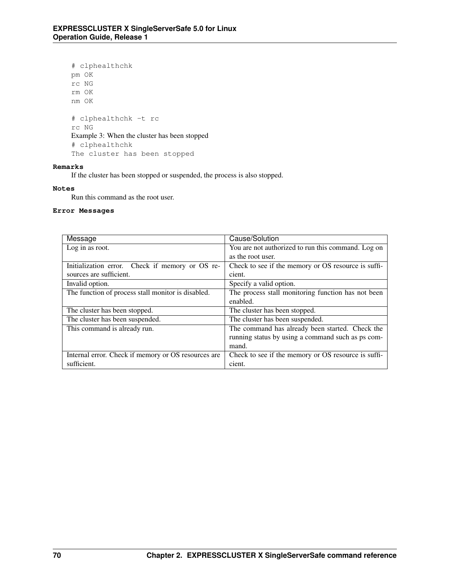```
# clphealthchk
pm OK
rc NG
rm OK
nm OK
# clphealthchk -t rc
rc NG
Example 3: When the cluster has been stopped
# clphealthchk
The cluster has been stopped
```
### **Remarks**

If the cluster has been stopped or suspended, the process is also stopped.

#### **Notes**

Run this command as the root user.

#### **Error Messages**

| Message                                             | Cause/Solution                                      |
|-----------------------------------------------------|-----------------------------------------------------|
| Log in as root.                                     | You are not authorized to run this command. Log on  |
|                                                     | as the root user.                                   |
| Initialization error. Check if memory or OS re-     | Check to see if the memory or OS resource is suffi- |
| sources are sufficient.                             | cient.                                              |
| Invalid option.                                     | Specify a valid option.                             |
| The function of process stall monitor is disabled.  | The process stall monitoring function has not been  |
|                                                     | enabled.                                            |
| The cluster has been stopped.                       | The cluster has been stopped.                       |
| The cluster has been suspended.                     | The cluster has been suspended.                     |
| This command is already run.                        | The command has already been started. Check the     |
|                                                     | running status by using a command such as ps com-   |
|                                                     | mand.                                               |
| Internal error. Check if memory or OS resources are | Check to see if the memory or OS resource is suffi- |
| sufficient.                                         | cient.                                              |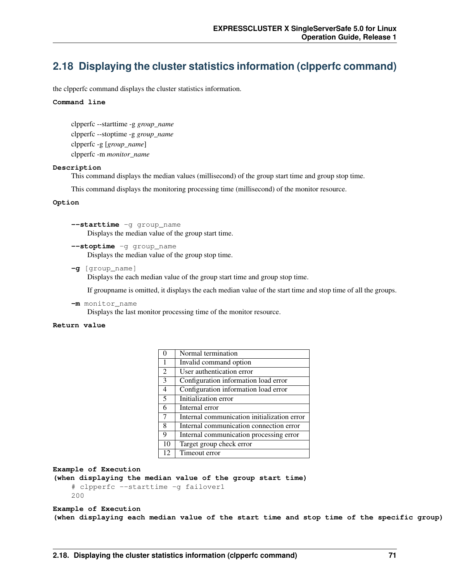# **2.18 Displaying the cluster statistics information (clpperfc command)**

the clpperfc command displays the cluster statistics information.

#### **Command line**

clpperfc --starttime -g *group\_name* clpperfc --stoptime -g *group\_name* clpperfc -g [*group\_name*] clpperfc -m *monitor\_name*

#### **Description**

This command displays the median values (millisecond) of the group start time and group stop time.

This command displays the monitoring processing time (millisecond) of the monitor resource.

#### **Option**

**--starttime** -g group\_name Displays the median value of the group start time.

**--stoptime** -g group\_name Displays the median value of the group stop time.

**-g** [group\_name]

Displays the each median value of the group start time and group stop time.

If groupname is omitted, it displays the each median value of the start time and stop time of all the groups.

**-m** monitor\_name Displays the last monitor processing time of the monitor resource.

#### **Return value**

| $\theta$      | Normal termination                          |
|---------------|---------------------------------------------|
| 1             | Invalid command option                      |
| 2             | User authentication error                   |
| $\mathcal{E}$ | Configuration information load error        |
| 4             | Configuration information load error        |
| 5             | Initialization error                        |
| 6             | Internal error                              |
| 7             | Internal communication initialization error |
| 8             | Internal communication connection error     |
| 9             | Internal communication processing error     |
| 10            | Target group check error                    |
| 12            | Timeout error                               |

```
Example of Execution
```

```
(when displaying the median value of the group start time)
    # clpperfc --starttime -g failover1
   200
```
#### **Example of Execution**

**(when displaying each median value of the start time and stop time of the specific group)**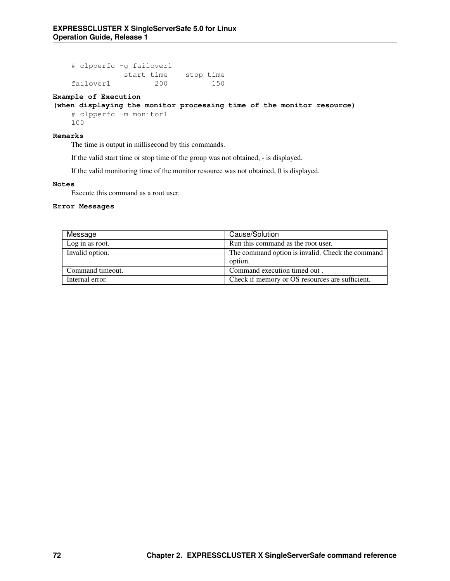# clpperfc -g failover1 start time stop time failover1 200 150

#### **Example of Execution**

### **(when displaying the monitor processing time of the monitor resource)**

# clpperfc -m monitor1 100

#### **Remarks**

The time is output in millisecond by this commands.

If the valid start time or stop time of the group was not obtained, - is displayed.

If the valid monitoring time of the monitor resource was not obtained, 0 is displayed.

#### **Notes**

Execute this command as a root user.

#### **Error Messages**

| Message          | Cause/Solution                                   |
|------------------|--------------------------------------------------|
| Log in as root.  | Run this command as the root user.               |
| Invalid option.  | The command option is invalid. Check the command |
|                  | option.                                          |
| Command timeout. | Command execution timed out.                     |
| Internal error.  | Check if memory or OS resources are sufficient.  |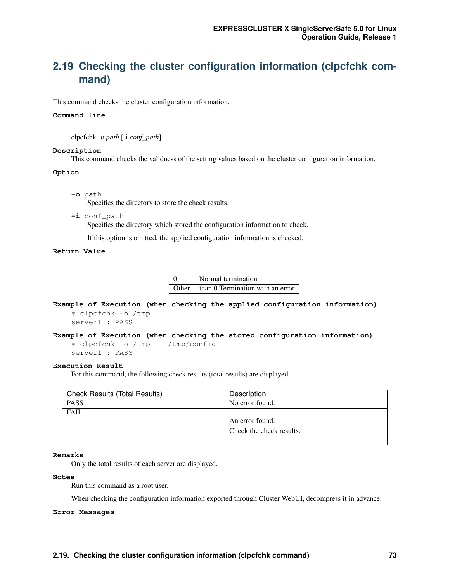# **2.19 Checking the cluster configuration information (clpcfchk command)**

This command checks the cluster configuration information.

#### **Command line**

clpcfchk -o *path* [-i *conf\_path*]

#### **Description**

This command checks the validness of the setting values based on the cluster configuration information.

#### **Option**

**-o** path

Specifies the directory to store the check results.

**-i** conf\_path Specifies the directory which stored the configuration information to check.

If this option is omitted, the applied configuration information is checked.

#### **Return Value**

0 Normal termination Other  $\parallel$  than 0 Termination with an error

**Example of Execution (when checking the applied configuration information)** # clpcfchk -o /tmp

server1 : PASS

```
Example of Execution (when checking the stored configuration information)
    # clpcfchk -o /tmp -i /tmp/config
```

```
server1 : PASS
```
#### **Execution Result**

For this command, the following check results (total results) are displayed.

| <b>Check Results (Total Results)</b> | Description              |
|--------------------------------------|--------------------------|
| <b>PASS</b>                          | No error found.          |
| <b>FAIL</b>                          |                          |
|                                      | An error found.          |
|                                      | Check the check results. |
|                                      |                          |

#### **Remarks**

Only the total results of each server are displayed.

#### **Notes**

Run this command as a root user.

When checking the configuration information exported through Cluster WebUI, decompress it in advance.

#### **Error Messages**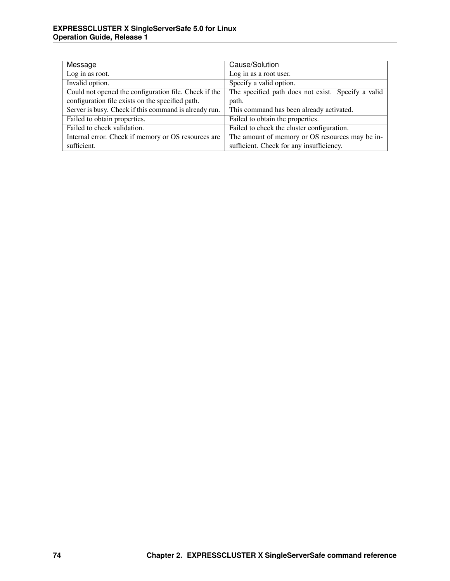| Message                                               | Cause/Solution                                     |
|-------------------------------------------------------|----------------------------------------------------|
| Log in as root.                                       | Log in as a root user.                             |
| Invalid option.                                       | Specify a valid option.                            |
| Could not opened the configuration file. Check if the | The specified path does not exist. Specify a valid |
| configuration file exists on the specified path.      | path.                                              |
| Server is busy. Check if this command is already run. | This command has been already activated.           |
| Failed to obtain properties.                          | Failed to obtain the properties.                   |
| Failed to check validation.                           | Failed to check the cluster configuration.         |
| Internal error. Check if memory or OS resources are   | The amount of memory or OS resources may be in-    |
| sufficient.                                           | sufficient. Check for any insufficiency.           |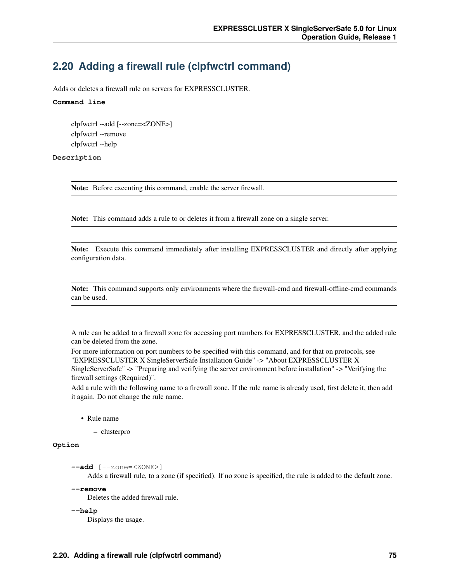# **2.20 Adding a firewall rule (clpfwctrl command)**

Adds or deletes a firewall rule on servers for EXPRESSCLUSTER.

#### **Command line**

clpfwctrl --add [--zone=<ZONE>] clpfwctrl --remove clpfwctrl --help

#### **Description**

Note: Before executing this command, enable the server firewall.

Note: This command adds a rule to or deletes it from a firewall zone on a single server.

Note: Execute this command immediately after installing EXPRESSCLUSTER and directly after applying configuration data.

Note: This command supports only environments where the firewall-cmd and firewall-offline-cmd commands can be used.

A rule can be added to a firewall zone for accessing port numbers for EXPRESSCLUSTER, and the added rule can be deleted from the zone.

For more information on port numbers to be specified with this command, and for that on protocols, see "EXPRESSCLUSTER X SingleServerSafe Installation Guide" -> "About EXPRESSCLUSTER X

SingleServerSafe" -> "Preparing and verifying the server environment before installation" -> "Verifying the firewall settings (Required)".

Add a rule with the following name to a firewall zone. If the rule name is already used, first delete it, then add it again. Do not change the rule name.

• Rule name

– clusterpro

#### **Option**

**--add** [--zone=<ZONE>]

Adds a firewall rule, to a zone (if specified). If no zone is specified, the rule is added to the default zone.

#### **--remove**

Deletes the added firewall rule.

**--help**

Displays the usage.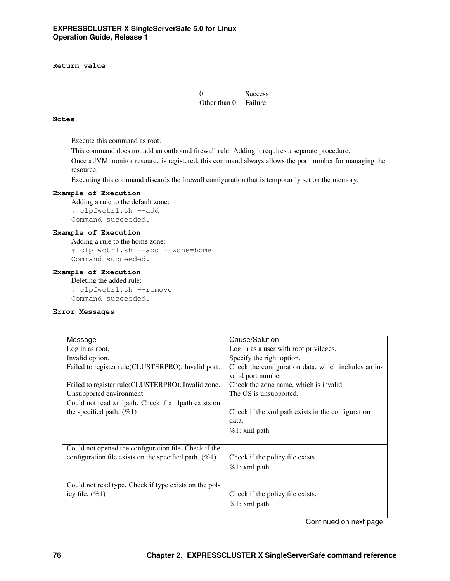#### **Return value**

|              | <b>Success</b> |
|--------------|----------------|
| Other than 0 | Failure        |

#### **Notes**

Execute this command as root.

This command does not add an outbound firewall rule. Adding it requires a separate procedure.

Once a JVM monitor resource is registered, this command always allows the port number for managing the resource.

Executing this command discards the firewall configuration that is temporarily set on the memory.

#### **Example of Execution**

Adding a rule to the default zone: # clpfwctrl.sh --add Command succeeded.

#### **Example of Execution**

Adding a rule to the home zone: # clpfwctrl.sh --add --zone=home Command succeeded.

#### **Example of Execution**

Deleting the added rule: # clpfwctrl.sh --remove Command succeeded.

#### **Error Messages**

| Message                                                  | Cause/Solution                                      |
|----------------------------------------------------------|-----------------------------------------------------|
| Log in as root.                                          | Log in as a user with root privileges.              |
| Invalid option.                                          | Specify the right option.                           |
| Failed to register rule(CLUSTERPRO). Invalid port.       | Check the configuration data, which includes an in- |
|                                                          | valid port number.                                  |
| Failed to register rule(CLUSTERPRO). Invalid zone.       | Check the zone name, which is invalid.              |
| Unsupported environment.                                 | The OS is unsupported.                              |
| Could not read xmlpath. Check if xmlpath exists on       |                                                     |
| the specified path. $(\%1)$                              | Check if the xml path exists in the configuration   |
|                                                          | data.                                               |
|                                                          | $%1:$ xml path                                      |
|                                                          |                                                     |
| Could not opened the configuration file. Check if the    |                                                     |
| configuration file exists on the specified path. $(\%1)$ | Check if the policy file exists.                    |
|                                                          | $%1:$ xml path                                      |
|                                                          |                                                     |
| Could not read type. Check if type exists on the pol-    |                                                     |
| icy file. $(\%1)$                                        | Check if the policy file exists.                    |
|                                                          | $%1:$ xml path                                      |
|                                                          |                                                     |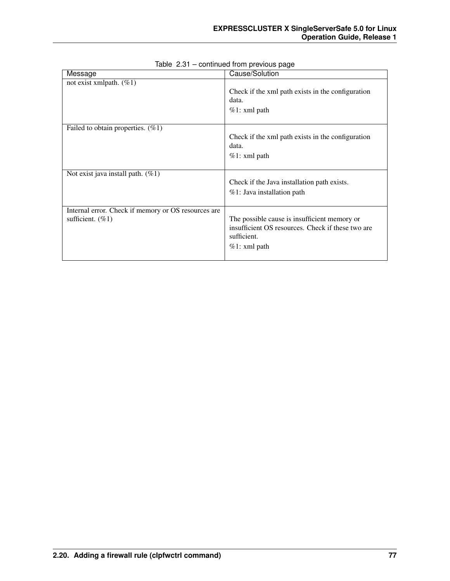| Message                                                                    | Cause/Solution                                                                                                                     |
|----------------------------------------------------------------------------|------------------------------------------------------------------------------------------------------------------------------------|
| not exist xmlpath. $(\%1)$                                                 | Check if the xml path exists in the configuration<br>data.<br>$%1:$ xml path                                                       |
| Failed to obtain properties. $(\%1)$                                       | Check if the xml path exists in the configuration<br>data.<br>$%1:$ xml path                                                       |
| Not exist java install path. $(\%1)$                                       | Check if the Java installation path exists.<br>%1: Java installation path                                                          |
| Internal error. Check if memory or OS resources are<br>sufficient. $(\%1)$ | The possible cause is insufficient memory or<br>insufficient OS resources. Check if these two are<br>sufficient.<br>$%1:$ xml path |

### Table 2.31 – continued from previous page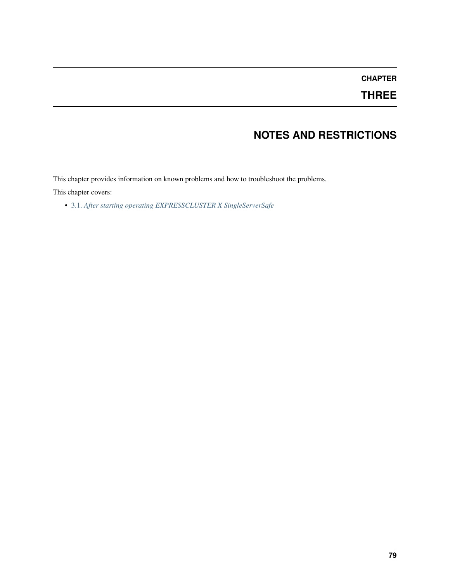# **CHAPTER**

# **THREE**

# **NOTES AND RESTRICTIONS**

This chapter provides information on known problems and how to troubleshoot the problems.

This chapter covers:

• [3.1.](#page-83-0) *[After starting operating EXPRESSCLUSTER X SingleServerSafe](#page-83-0)*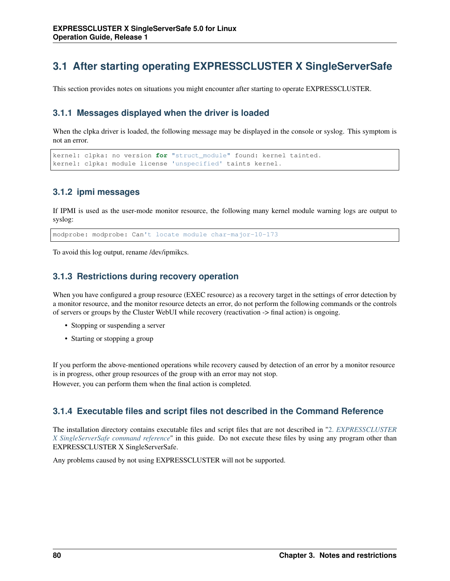# <span id="page-83-0"></span>**3.1 After starting operating EXPRESSCLUSTER X SingleServerSafe**

This section provides notes on situations you might encounter after starting to operate EXPRESSCLUSTER.

## **3.1.1 Messages displayed when the driver is loaded**

When the clpka driver is loaded, the following message may be displayed in the console or syslog. This symptom is not an error.

```
kernel: clpka: no version for "struct_module" found: kernel tainted.
kernel: clpka: module license 'unspecified' taints kernel.
```
## **3.1.2 ipmi messages**

If IPMI is used as the user-mode monitor resource, the following many kernel module warning logs are output to syslog:

modprobe: modprobe: Can't locate module char-major-10-173

To avoid this log output, rename /dev/ipmikcs.

## **3.1.3 Restrictions during recovery operation**

When you have configured a group resource (EXEC resource) as a recovery target in the settings of error detection by a monitor resource, and the monitor resource detects an error, do not perform the following commands or the controls of servers or groups by the Cluster WebUI while recovery (reactivation -> final action) is ongoing.

- Stopping or suspending a server
- Starting or stopping a group

If you perform the above-mentioned operations while recovery caused by detection of an error by a monitor resource is in progress, other group resources of the group with an error may not stop. However, you can perform them when the final action is completed.

## **3.1.4 Executable files and script files not described in the Command Reference**

The installation directory contains executable files and script files that are not described in ["2.](#page-10-0) *[EXPRESSCLUSTER](#page-10-0) [X SingleServerSafe command reference](#page-10-0)*" in this guide. Do not execute these files by using any program other than EXPRESSCLUSTER X SingleServerSafe.

Any problems caused by not using EXPRESSCLUSTER will not be supported.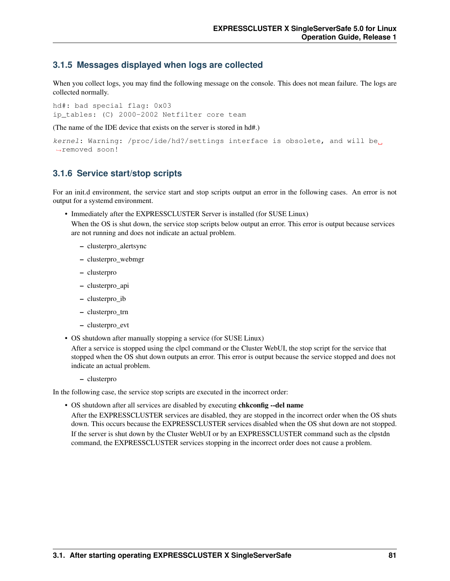### **3.1.5 Messages displayed when logs are collected**

When you collect logs, you may find the following message on the console. This does not mean failure. The logs are collected normally.

hd#: bad special flag: 0x03 ip tables: (C) 2000-2002 Netfilter core team

(The name of the IDE device that exists on the server is stored in hd#.)

```
kernel: Warning: /proc/ide/hd?/settings interface is obsolete, and will be
˓→removed soon!
```
### **3.1.6 Service start/stop scripts**

For an init.d environment, the service start and stop scripts output an error in the following cases. An error is not output for a systemd environment.

• Immediately after the EXPRESSCLUSTER Server is installed (for SUSE Linux)

When the OS is shut down, the service stop scripts below output an error. This error is output because services are not running and does not indicate an actual problem.

- clusterpro\_alertsync
- clusterpro\_webmgr
- clusterpro
- clusterpro\_api
- clusterpro\_ib
- clusterpro\_trn
- clusterpro\_evt
- OS shutdown after manually stopping a service (for SUSE Linux)

After a service is stopped using the clpcl command or the Cluster WebUI, the stop script for the service that stopped when the OS shut down outputs an error. This error is output because the service stopped and does not indicate an actual problem.

– clusterpro

In the following case, the service stop scripts are executed in the incorrect order:

• OS shutdown after all services are disabled by executing chkconfig --del name After the EXPRESSCLUSTER services are disabled, they are stopped in the incorrect order when the OS shuts down. This occurs because the EXPRESSCLUSTER services disabled when the OS shut down are not stopped. If the server is shut down by the Cluster WebUI or by an EXPRESSCLUSTER command such as the clpstdn command, the EXPRESSCLUSTER services stopping in the incorrect order does not cause a problem.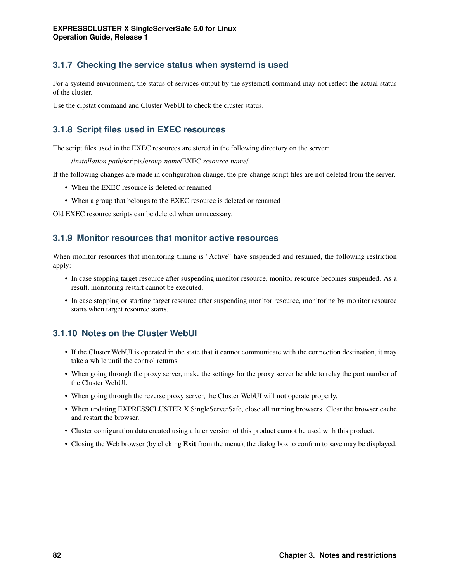# **3.1.7 Checking the service status when systemd is used**

For a systemd environment, the status of services output by the systemctl command may not reflect the actual status of the cluster.

Use the clpstat command and Cluster WebUI to check the cluster status.

# **3.1.8 Script files used in EXEC resources**

The script files used in the EXEC resources are stored in the following directory on the server:

/*installation path*/scripts/*group-name*/EXEC *resource-name*/

If the following changes are made in configuration change, the pre-change script files are not deleted from the server.

- When the EXEC resource is deleted or renamed
- When a group that belongs to the EXEC resource is deleted or renamed

Old EXEC resource scripts can be deleted when unnecessary.

## **3.1.9 Monitor resources that monitor active resources**

When monitor resources that monitoring timing is "Active" have suspended and resumed, the following restriction apply:

- In case stopping target resource after suspending monitor resource, monitor resource becomes suspended. As a result, monitoring restart cannot be executed.
- In case stopping or starting target resource after suspending monitor resource, monitoring by monitor resource starts when target resource starts.

## **3.1.10 Notes on the Cluster WebUI**

- If the Cluster WebUI is operated in the state that it cannot communicate with the connection destination, it may take a while until the control returns.
- When going through the proxy server, make the settings for the proxy server be able to relay the port number of the Cluster WebUI.
- When going through the reverse proxy server, the Cluster WebUI will not operate properly.
- When updating EXPRESSCLUSTER X SingleServerSafe, close all running browsers. Clear the browser cache and restart the browser.
- Cluster configuration data created using a later version of this product cannot be used with this product.
- Closing the Web browser (by clicking Exit from the menu), the dialog box to confirm to save may be displayed.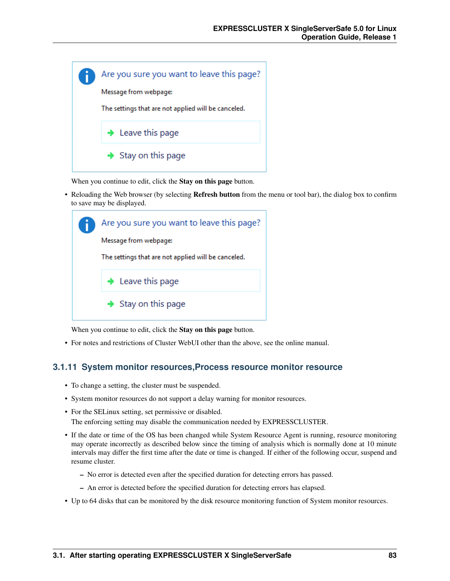

When you continue to edit, click the **Stay on this page** button.

• Reloading the Web browser (by selecting **Refresh button** from the menu or tool bar), the dialog box to confirm to save may be displayed.



When you continue to edit, click the **Stay on this page** button.

• For notes and restrictions of Cluster WebUI other than the above, see the online manual.

### **3.1.11 System monitor resources,Process resource monitor resource**

- To change a setting, the cluster must be suspended.
- System monitor resources do not support a delay warning for monitor resources.
- For the SELinux setting, set permissive or disabled. The enforcing setting may disable the communication needed by EXPRESSCLUSTER.
- If the date or time of the OS has been changed while System Resource Agent is running, resource monitoring may operate incorrectly as described below since the timing of analysis which is normally done at 10 minute intervals may differ the first time after the date or time is changed. If either of the following occur, suspend and resume cluster.
	- No error is detected even after the specified duration for detecting errors has passed.
	- An error is detected before the specified duration for detecting errors has elapsed.
- Up to 64 disks that can be monitored by the disk resource monitoring function of System monitor resources.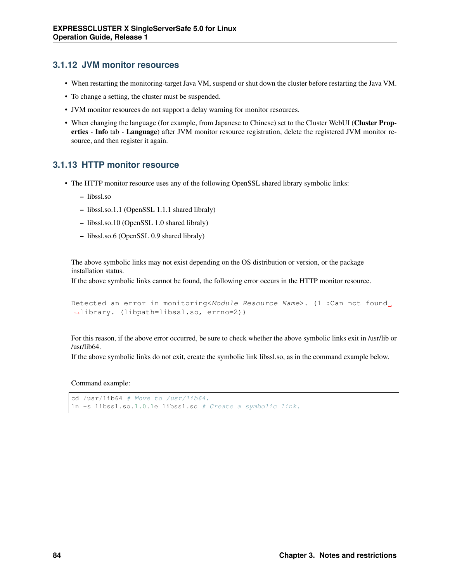## **3.1.12 JVM monitor resources**

- When restarting the monitoring-target Java VM, suspend or shut down the cluster before restarting the Java VM.
- To change a setting, the cluster must be suspended.
- JVM monitor resources do not support a delay warning for monitor resources.
- When changing the language (for example, from Japanese to Chinese) set to the Cluster WebUI (Cluster Properties - Info tab - Language) after JVM monitor resource registration, delete the registered JVM monitor resource, and then register it again.

## **3.1.13 HTTP monitor resource**

- The HTTP monitor resource uses any of the following OpenSSL shared library symbolic links:
	- libssl.so
	- libssl.so.1.1 (OpenSSL 1.1.1 shared libraly)
	- libssl.so.10 (OpenSSL 1.0 shared libraly)
	- libssl.so.6 (OpenSSL 0.9 shared libraly)

The above symbolic links may not exist depending on the OS distribution or version, or the package installation status.

If the above symbolic links cannot be found, the following error occurs in the HTTP monitor resource.

```
Detected an error in monitoring<Module Resource Name>. (1 :Can not found
˓→library. (libpath=libssl.so, errno=2))
```
For this reason, if the above error occurred, be sure to check whether the above symbolic links exit in /usr/lib or /usr/lib64.

If the above symbolic links do not exit, create the symbolic link libssl.so, as in the command example below.

Command example:

```
cd /usr/lib64 # Move to /usr/lib64.
ln -s libssl.so.1.0.1e libssl.so # Create a symbolic link.
```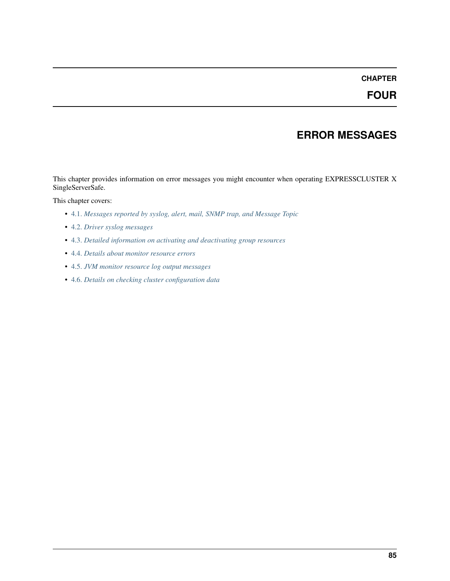## **CHAPTER**

**FOUR**

# **ERROR MESSAGES**

This chapter provides information on error messages you might encounter when operating EXPRESSCLUSTER X SingleServerSafe.

This chapter covers:

- [4.1.](#page-89-0) *[Messages reported by syslog, alert, mail, SNMP trap, and Message Topic](#page-89-0)*
- [4.2.](#page-150-0) *[Driver syslog messages](#page-150-0)*
- [4.3.](#page-156-0) *[Detailed information on activating and deactivating group resources](#page-156-0)*
- [4.4.](#page-158-0) *[Details about monitor resource errors](#page-158-0)*
- [4.5.](#page-171-0) *[JVM monitor resource log output messages](#page-171-0)*
- [4.6.](#page-185-0) *[Details on checking cluster configuration data](#page-185-0)*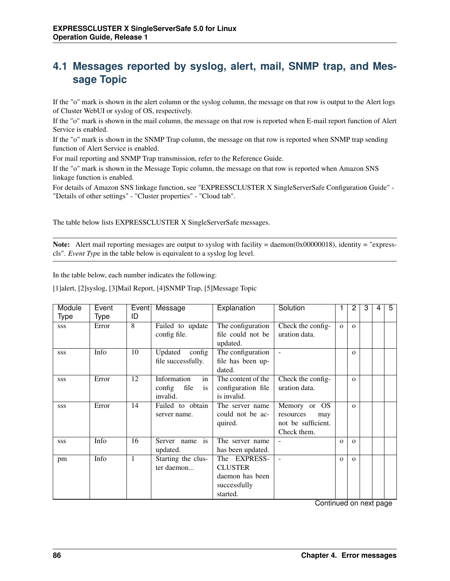# <span id="page-89-0"></span>**4.1 Messages reported by syslog, alert, mail, SNMP trap, and Message Topic**

If the "o" mark is shown in the alert column or the syslog column, the message on that row is output to the Alert logs of Cluster WebUI or syslog of OS, respectively.

If the "o" mark is shown in the mail column, the message on that row is reported when E-mail report function of Alert Service is enabled.

If the "o" mark is shown in the SNMP Trap column, the message on that row is reported when SNMP trap sending function of Alert Service is enabled.

For mail reporting and SNMP Trap transmission, refer to the Reference Guide.

If the "o" mark is shown in the Message Topic column, the message on that row is reported when Amazon SNS linkage function is enabled.

For details of Amazon SNS linkage function, see "EXPRESSCLUSTER X SingleServerSafe Configuration Guide" - "Details of other settings" - "Cluster properties" - "Cloud tab".

The table below lists EXPRESSCLUSTER X SingleServerSafe messages.

Note: Alert mail reporting messages are output to syslog with facility = daemon(0x00000018), identity = "expresscls". *Event Typ*e in the table below is equivalent to a syslog log level.

In the table below, each number indicates the following:

[1]alert, [2]syslog, [3]Mail Report, [4]SNMP Trap, [5]Message Topic

| Module     | Event       | Event | Message                     | Explanation            | Solution                 |          | 2        | 3 | 4 | 5 |
|------------|-------------|-------|-----------------------------|------------------------|--------------------------|----------|----------|---|---|---|
| Type       | <b>Type</b> | ID    |                             |                        |                          |          |          |   |   |   |
| SSS        | Error       | 8     | Failed to update            | The configuration      | Check the config-        | $\Omega$ | $\Omega$ |   |   |   |
|            |             |       | config file.                | file could not be      | uration data.            |          |          |   |   |   |
|            |             |       |                             | updated.               |                          |          |          |   |   |   |
| <b>SSS</b> | Info        | 10    | config<br>Updated           | The configuration      |                          |          | $\Omega$ |   |   |   |
|            |             |       | file successfully.          | file has been up-      |                          |          |          |   |   |   |
|            |             |       |                             | dated.                 |                          |          |          |   |   |   |
| <b>SSS</b> | Error       | 12    | Information<br>in           | The content of the     | Check the config-        |          | $\Omega$ |   |   |   |
|            |             |       | config<br>file<br><i>is</i> | configuration file     | uration data.            |          |          |   |   |   |
|            |             |       | invalid.                    | is invalid.            |                          |          |          |   |   |   |
| <b>SSS</b> | Error       | 14    | Failed to obtain            | The server name        | Memory or<br>OS.         |          | $\Omega$ |   |   |   |
|            |             |       | server name.                | could not be ac-       | resources<br>may         |          |          |   |   |   |
|            |             |       |                             | quired.                | not be sufficient.       |          |          |   |   |   |
|            |             |       |                             |                        | Check them.              |          |          |   |   |   |
| <b>SSS</b> | Info        | 16    | Server name is              | The server name        |                          | $\Omega$ | $\Omega$ |   |   |   |
|            |             |       | updated.                    | has been updated.      |                          |          |          |   |   |   |
| pm         | Info        | 1     | Starting the clus-          | <b>EXPRESS-</b><br>The | $\overline{\phantom{a}}$ | $\Omega$ | $\Omega$ |   |   |   |
|            |             |       | ter daemon                  | <b>CLUSTER</b>         |                          |          |          |   |   |   |
|            |             |       |                             | daemon has been        |                          |          |          |   |   |   |
|            |             |       |                             | successfully           |                          |          |          |   |   |   |
|            |             |       |                             | started.               |                          |          |          |   |   |   |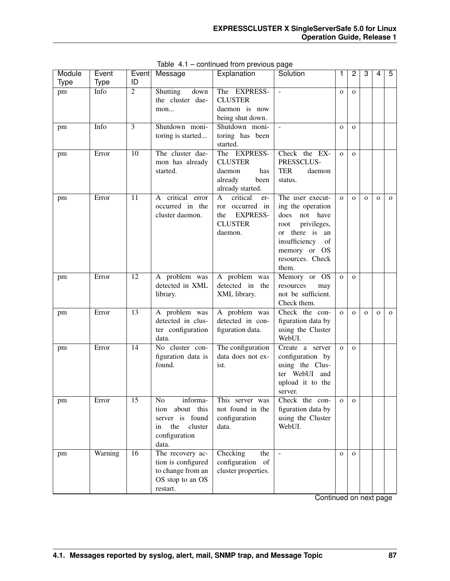| Module | Event   | Event           | Message              | Explanation            | Solution                 | 1            | 2              | 3            | 4            | 5            |
|--------|---------|-----------------|----------------------|------------------------|--------------------------|--------------|----------------|--------------|--------------|--------------|
| Type   | Type    | ID              |                      |                        |                          |              |                |              |              |              |
| pm     | Info    | $\overline{2}$  | Shutting<br>down     | The EXPRESS-           | $\overline{\phantom{a}}$ | $\mathbf{O}$ | $\mathbf{o}$   |              |              |              |
|        |         |                 | the cluster dae-     | <b>CLUSTER</b>         |                          |              |                |              |              |              |
|        |         |                 | mon                  | daemon is now          |                          |              |                |              |              |              |
|        |         |                 |                      | being shut down.       |                          |              |                |              |              |              |
| pm     | Info    | 3               | Shutdown moni-       | Shutdown moni-         | $\overline{\phantom{a}}$ | $\mathbf{O}$ | $\mathbf{O}$   |              |              |              |
|        |         |                 | toring is started    | toring has been        |                          |              |                |              |              |              |
|        |         |                 |                      | started.               |                          |              |                |              |              |              |
| pm     | Error   | 10              | The cluster dae-     | The EXPRESS-           | Check the EX-            | $\mathbf{O}$ | $\mathbf{O}$   |              |              |              |
|        |         |                 | mon has already      | <b>CLUSTER</b>         | PRESSCLUS-               |              |                |              |              |              |
|        |         |                 | started.             | daemon<br>has          | <b>TER</b><br>daemon     |              |                |              |              |              |
|        |         |                 |                      | already<br>been        | status.                  |              |                |              |              |              |
|        |         |                 |                      | already started.       |                          |              |                |              |              |              |
| pm     | Error   | 11              | critical error<br>A  | critical<br>A<br>er-   | The user execut-         | $\mathbf{o}$ | $\overline{O}$ | $\mathbf{o}$ | $\mathbf 0$  | $\mathbf{O}$ |
|        |         |                 | occurred in the      | occurred in<br>ror     | ing the operation        |              |                |              |              |              |
|        |         |                 | cluster daemon.      | <b>EXPRESS-</b><br>the | does<br>not have         |              |                |              |              |              |
|        |         |                 |                      | <b>CLUSTER</b>         | privileges,<br>root      |              |                |              |              |              |
|        |         |                 |                      | daemon.                | or there is<br>an        |              |                |              |              |              |
|        |         |                 |                      |                        | insufficiency<br>of      |              |                |              |              |              |
|        |         |                 |                      |                        | memory or OS             |              |                |              |              |              |
|        |         |                 |                      |                        | resources. Check         |              |                |              |              |              |
|        |         |                 |                      |                        | them.                    |              |                |              |              |              |
| pm     | Error   | $\overline{12}$ | A problem was        | A problem was          | Memory or OS             | $\mathbf{O}$ | $\mathbf{o}$   |              |              |              |
|        |         |                 | detected in XML      | detected in the        | resources<br>may         |              |                |              |              |              |
|        |         |                 | library.             | XML library.           | not be sufficient.       |              |                |              |              |              |
|        |         |                 |                      |                        | Check them.              |              |                |              |              |              |
| pm     | Error   | 13              | A problem was        | A problem was          | Check the con-           | $\mathbf{O}$ | $\mathbf{o}$   | $\mathbf O$  | $\mathbf{O}$ | $\mathbf{O}$ |
|        |         |                 | detected in clus-    | detected in con-       | figuration data by       |              |                |              |              |              |
|        |         |                 | ter configuration    | figuration data.       | using the Cluster        |              |                |              |              |              |
|        |         |                 | data.                |                        | WebUI.                   |              |                |              |              |              |
| pm     | Error   | 14              | No cluster con-      | The configuration      | Create a server          | $\mathbf{O}$ | $\mathbf{O}$   |              |              |              |
|        |         |                 | figuration data is   | data does not ex-      | configuration by         |              |                |              |              |              |
|        |         |                 | found.               | ist.                   | using the Clus-          |              |                |              |              |              |
|        |         |                 |                      |                        | ter WebUI and            |              |                |              |              |              |
|        |         |                 |                      |                        | upload it to the         |              |                |              |              |              |
|        |         |                 |                      |                        | server.                  |              |                |              |              |              |
| pm     | Error   | 15              | No<br>informa-       | This server was        | Check the con-           | $\mathbf 0$  | $\mathbf{O}$   |              |              |              |
|        |         |                 | about this<br>tion   | not found in the       | figuration data by       |              |                |              |              |              |
|        |         |                 | server is found      | configuration          | using the Cluster        |              |                |              |              |              |
|        |         |                 | the<br>cluster<br>in | data.                  | WebUI.                   |              |                |              |              |              |
|        |         |                 | configuration        |                        |                          |              |                |              |              |              |
|        |         |                 | data.                |                        |                          |              |                |              |              |              |
| pm     | Warning | 16              | The recovery ac-     | Checking<br>the        | $\overline{\phantom{a}}$ | $\mathbf{O}$ | $\mathbf{O}$   |              |              |              |
|        |         |                 | tion is configured   | configuration of       |                          |              |                |              |              |              |
|        |         |                 | to change from an    | cluster properties.    |                          |              |                |              |              |              |
|        |         |                 | OS stop to an OS     |                        |                          |              |                |              |              |              |
|        |         |                 | restart.             |                        |                          |              |                |              |              |              |

Table 4.1 – continued from previous page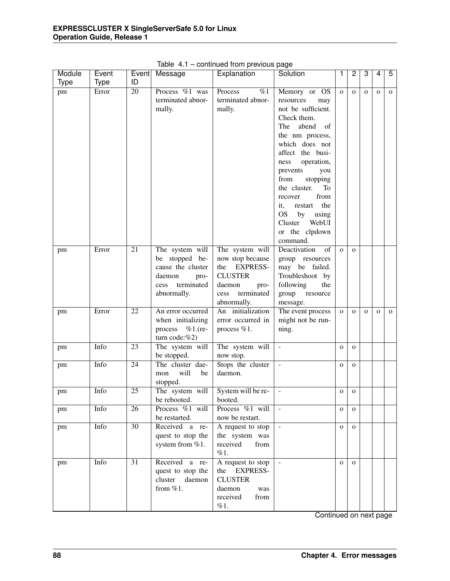| Explanation<br>5<br>Event<br>Solution<br>Message<br>ID<br><b>Type</b><br><b>Type</b><br>$\overline{20}$<br>Process %1 was<br>$\overline{\%1}$<br>Process<br>Memory or OS<br>Error<br>pm<br>$\mathbf{O}$<br>$\mathbf{o}$<br>$\mathbf{O}$<br>$\mathbf 0$<br>$\mathbf{O}$<br>terminated abnor-<br>terminated abnor-<br>resources<br>may<br>not be sufficient.<br>mally.<br>mally.<br>Check them.<br>abend<br>The<br>of<br>the nm process,<br>which does not<br>affect the busi-<br>operation,<br>ness<br>prevents<br>you<br>from<br>stopping<br>the cluster.<br>To<br>from<br>recover<br>the<br>it,<br>restart<br>OS by<br>using<br>Cluster<br>WebUI<br>or the clpdown<br>command.<br>The system will<br>21<br>The system will<br>Deactivation<br>of<br>Error<br>$\mathbf{O}$<br>pm<br>$\mathbf{O}$<br>be stopped be-<br>now stop because<br>group resources<br>cause the cluster<br><b>EXPRESS-</b><br>may be failed.<br>the<br><b>CLUSTER</b><br>Troubleshoot by<br>daemon<br>pro-<br>terminated<br>following<br>daemon<br>pro-<br>the<br>cess<br>terminated<br>abnormally.<br>group<br>cess<br>resource<br>abnormally.<br>message.<br>An initialization<br>22<br>The event process<br>Error<br>An error occurred<br>$\mathbf{O}$<br>$\mathbf{o}$<br>pm<br>$\mathbf{o}$<br>$\mathbf{O}$<br>$\mathbf{O}$<br>might not be run-<br>when initializing<br>error occurred in<br>process %1.(re-<br>process %1.<br>ning. |
|------------------------------------------------------------------------------------------------------------------------------------------------------------------------------------------------------------------------------------------------------------------------------------------------------------------------------------------------------------------------------------------------------------------------------------------------------------------------------------------------------------------------------------------------------------------------------------------------------------------------------------------------------------------------------------------------------------------------------------------------------------------------------------------------------------------------------------------------------------------------------------------------------------------------------------------------------------------------------------------------------------------------------------------------------------------------------------------------------------------------------------------------------------------------------------------------------------------------------------------------------------------------------------------------------------------------------------------------------------------------------------------------------------------|
|                                                                                                                                                                                                                                                                                                                                                                                                                                                                                                                                                                                                                                                                                                                                                                                                                                                                                                                                                                                                                                                                                                                                                                                                                                                                                                                                                                                                                  |
|                                                                                                                                                                                                                                                                                                                                                                                                                                                                                                                                                                                                                                                                                                                                                                                                                                                                                                                                                                                                                                                                                                                                                                                                                                                                                                                                                                                                                  |
|                                                                                                                                                                                                                                                                                                                                                                                                                                                                                                                                                                                                                                                                                                                                                                                                                                                                                                                                                                                                                                                                                                                                                                                                                                                                                                                                                                                                                  |
|                                                                                                                                                                                                                                                                                                                                                                                                                                                                                                                                                                                                                                                                                                                                                                                                                                                                                                                                                                                                                                                                                                                                                                                                                                                                                                                                                                                                                  |
|                                                                                                                                                                                                                                                                                                                                                                                                                                                                                                                                                                                                                                                                                                                                                                                                                                                                                                                                                                                                                                                                                                                                                                                                                                                                                                                                                                                                                  |
|                                                                                                                                                                                                                                                                                                                                                                                                                                                                                                                                                                                                                                                                                                                                                                                                                                                                                                                                                                                                                                                                                                                                                                                                                                                                                                                                                                                                                  |
|                                                                                                                                                                                                                                                                                                                                                                                                                                                                                                                                                                                                                                                                                                                                                                                                                                                                                                                                                                                                                                                                                                                                                                                                                                                                                                                                                                                                                  |
|                                                                                                                                                                                                                                                                                                                                                                                                                                                                                                                                                                                                                                                                                                                                                                                                                                                                                                                                                                                                                                                                                                                                                                                                                                                                                                                                                                                                                  |
|                                                                                                                                                                                                                                                                                                                                                                                                                                                                                                                                                                                                                                                                                                                                                                                                                                                                                                                                                                                                                                                                                                                                                                                                                                                                                                                                                                                                                  |
|                                                                                                                                                                                                                                                                                                                                                                                                                                                                                                                                                                                                                                                                                                                                                                                                                                                                                                                                                                                                                                                                                                                                                                                                                                                                                                                                                                                                                  |
|                                                                                                                                                                                                                                                                                                                                                                                                                                                                                                                                                                                                                                                                                                                                                                                                                                                                                                                                                                                                                                                                                                                                                                                                                                                                                                                                                                                                                  |
|                                                                                                                                                                                                                                                                                                                                                                                                                                                                                                                                                                                                                                                                                                                                                                                                                                                                                                                                                                                                                                                                                                                                                                                                                                                                                                                                                                                                                  |
|                                                                                                                                                                                                                                                                                                                                                                                                                                                                                                                                                                                                                                                                                                                                                                                                                                                                                                                                                                                                                                                                                                                                                                                                                                                                                                                                                                                                                  |
|                                                                                                                                                                                                                                                                                                                                                                                                                                                                                                                                                                                                                                                                                                                                                                                                                                                                                                                                                                                                                                                                                                                                                                                                                                                                                                                                                                                                                  |
|                                                                                                                                                                                                                                                                                                                                                                                                                                                                                                                                                                                                                                                                                                                                                                                                                                                                                                                                                                                                                                                                                                                                                                                                                                                                                                                                                                                                                  |
|                                                                                                                                                                                                                                                                                                                                                                                                                                                                                                                                                                                                                                                                                                                                                                                                                                                                                                                                                                                                                                                                                                                                                                                                                                                                                                                                                                                                                  |
|                                                                                                                                                                                                                                                                                                                                                                                                                                                                                                                                                                                                                                                                                                                                                                                                                                                                                                                                                                                                                                                                                                                                                                                                                                                                                                                                                                                                                  |
|                                                                                                                                                                                                                                                                                                                                                                                                                                                                                                                                                                                                                                                                                                                                                                                                                                                                                                                                                                                                                                                                                                                                                                                                                                                                                                                                                                                                                  |
|                                                                                                                                                                                                                                                                                                                                                                                                                                                                                                                                                                                                                                                                                                                                                                                                                                                                                                                                                                                                                                                                                                                                                                                                                                                                                                                                                                                                                  |
|                                                                                                                                                                                                                                                                                                                                                                                                                                                                                                                                                                                                                                                                                                                                                                                                                                                                                                                                                                                                                                                                                                                                                                                                                                                                                                                                                                                                                  |
|                                                                                                                                                                                                                                                                                                                                                                                                                                                                                                                                                                                                                                                                                                                                                                                                                                                                                                                                                                                                                                                                                                                                                                                                                                                                                                                                                                                                                  |
|                                                                                                                                                                                                                                                                                                                                                                                                                                                                                                                                                                                                                                                                                                                                                                                                                                                                                                                                                                                                                                                                                                                                                                                                                                                                                                                                                                                                                  |
|                                                                                                                                                                                                                                                                                                                                                                                                                                                                                                                                                                                                                                                                                                                                                                                                                                                                                                                                                                                                                                                                                                                                                                                                                                                                                                                                                                                                                  |
|                                                                                                                                                                                                                                                                                                                                                                                                                                                                                                                                                                                                                                                                                                                                                                                                                                                                                                                                                                                                                                                                                                                                                                                                                                                                                                                                                                                                                  |
|                                                                                                                                                                                                                                                                                                                                                                                                                                                                                                                                                                                                                                                                                                                                                                                                                                                                                                                                                                                                                                                                                                                                                                                                                                                                                                                                                                                                                  |
|                                                                                                                                                                                                                                                                                                                                                                                                                                                                                                                                                                                                                                                                                                                                                                                                                                                                                                                                                                                                                                                                                                                                                                                                                                                                                                                                                                                                                  |
|                                                                                                                                                                                                                                                                                                                                                                                                                                                                                                                                                                                                                                                                                                                                                                                                                                                                                                                                                                                                                                                                                                                                                                                                                                                                                                                                                                                                                  |
|                                                                                                                                                                                                                                                                                                                                                                                                                                                                                                                                                                                                                                                                                                                                                                                                                                                                                                                                                                                                                                                                                                                                                                                                                                                                                                                                                                                                                  |
|                                                                                                                                                                                                                                                                                                                                                                                                                                                                                                                                                                                                                                                                                                                                                                                                                                                                                                                                                                                                                                                                                                                                                                                                                                                                                                                                                                                                                  |
| turn code:%2)                                                                                                                                                                                                                                                                                                                                                                                                                                                                                                                                                                                                                                                                                                                                                                                                                                                                                                                                                                                                                                                                                                                                                                                                                                                                                                                                                                                                    |
| Info<br>$\overline{23}$<br>The system will<br>The system will<br>$\mathbb{Z}^2$<br>pm<br>$\mathbf 0$<br>$\mathbf{O}$                                                                                                                                                                                                                                                                                                                                                                                                                                                                                                                                                                                                                                                                                                                                                                                                                                                                                                                                                                                                                                                                                                                                                                                                                                                                                             |
| be stopped.<br>now stop.                                                                                                                                                                                                                                                                                                                                                                                                                                                                                                                                                                                                                                                                                                                                                                                                                                                                                                                                                                                                                                                                                                                                                                                                                                                                                                                                                                                         |
| Stops the cluster<br>Info<br>$\overline{24}$<br>The cluster dae-<br>$\mathcal{L}$<br>$\mathbf 0$<br>$\mathbf{O}$                                                                                                                                                                                                                                                                                                                                                                                                                                                                                                                                                                                                                                                                                                                                                                                                                                                                                                                                                                                                                                                                                                                                                                                                                                                                                                 |
| pm<br>will<br>be<br>daemon.<br>mon                                                                                                                                                                                                                                                                                                                                                                                                                                                                                                                                                                                                                                                                                                                                                                                                                                                                                                                                                                                                                                                                                                                                                                                                                                                                                                                                                                               |
| stopped.                                                                                                                                                                                                                                                                                                                                                                                                                                                                                                                                                                                                                                                                                                                                                                                                                                                                                                                                                                                                                                                                                                                                                                                                                                                                                                                                                                                                         |
| Info<br>$\overline{25}$<br>The system will<br>System will be re-<br>$\mathbf{r}$<br>pm<br>$\mathbf{O}$<br>$\mathbf{O}$                                                                                                                                                                                                                                                                                                                                                                                                                                                                                                                                                                                                                                                                                                                                                                                                                                                                                                                                                                                                                                                                                                                                                                                                                                                                                           |
| be rebooted.<br>booted.                                                                                                                                                                                                                                                                                                                                                                                                                                                                                                                                                                                                                                                                                                                                                                                                                                                                                                                                                                                                                                                                                                                                                                                                                                                                                                                                                                                          |
| Process %1 will<br>Process %1 will<br>Info<br>26<br>$\mathcal{L}$<br>$\mathbf{O}$<br>pm<br>$\mathbf{o}$                                                                                                                                                                                                                                                                                                                                                                                                                                                                                                                                                                                                                                                                                                                                                                                                                                                                                                                                                                                                                                                                                                                                                                                                                                                                                                          |
| be restarted.<br>now be restart.                                                                                                                                                                                                                                                                                                                                                                                                                                                                                                                                                                                                                                                                                                                                                                                                                                                                                                                                                                                                                                                                                                                                                                                                                                                                                                                                                                                 |
| Info<br>$\overline{30}$<br>Received a re-<br>A request to stop<br>pm<br>$\mathbf{O}$<br>$\mathbf{o}$                                                                                                                                                                                                                                                                                                                                                                                                                                                                                                                                                                                                                                                                                                                                                                                                                                                                                                                                                                                                                                                                                                                                                                                                                                                                                                             |
| quest to stop the<br>the system was                                                                                                                                                                                                                                                                                                                                                                                                                                                                                                                                                                                                                                                                                                                                                                                                                                                                                                                                                                                                                                                                                                                                                                                                                                                                                                                                                                              |
| system from %1.<br>received<br>from                                                                                                                                                                                                                                                                                                                                                                                                                                                                                                                                                                                                                                                                                                                                                                                                                                                                                                                                                                                                                                                                                                                                                                                                                                                                                                                                                                              |
| %1.                                                                                                                                                                                                                                                                                                                                                                                                                                                                                                                                                                                                                                                                                                                                                                                                                                                                                                                                                                                                                                                                                                                                                                                                                                                                                                                                                                                                              |
|                                                                                                                                                                                                                                                                                                                                                                                                                                                                                                                                                                                                                                                                                                                                                                                                                                                                                                                                                                                                                                                                                                                                                                                                                                                                                                                                                                                                                  |
|                                                                                                                                                                                                                                                                                                                                                                                                                                                                                                                                                                                                                                                                                                                                                                                                                                                                                                                                                                                                                                                                                                                                                                                                                                                                                                                                                                                                                  |
| $\overline{31}$<br>Received a re-<br>Info<br>A request to stop<br>pm<br>$\mathbf{O}$<br>$\Omega$                                                                                                                                                                                                                                                                                                                                                                                                                                                                                                                                                                                                                                                                                                                                                                                                                                                                                                                                                                                                                                                                                                                                                                                                                                                                                                                 |
| the EXPRESS-<br>quest to stop the                                                                                                                                                                                                                                                                                                                                                                                                                                                                                                                                                                                                                                                                                                                                                                                                                                                                                                                                                                                                                                                                                                                                                                                                                                                                                                                                                                                |
| <b>CLUSTER</b><br>cluster<br>daemon                                                                                                                                                                                                                                                                                                                                                                                                                                                                                                                                                                                                                                                                                                                                                                                                                                                                                                                                                                                                                                                                                                                                                                                                                                                                                                                                                                              |
| from $\%1$ .<br>daemon<br>was<br>received<br>from                                                                                                                                                                                                                                                                                                                                                                                                                                                                                                                                                                                                                                                                                                                                                                                                                                                                                                                                                                                                                                                                                                                                                                                                                                                                                                                                                                |

Table 4.1 – continued from previous page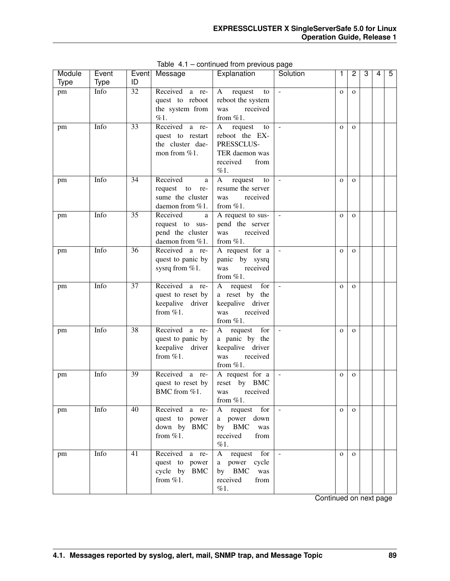| Module      | Event |                 | Event Message        | Explanation                    | Solution                 | 1            | 2            | 3 | 4 | 5 |
|-------------|-------|-----------------|----------------------|--------------------------------|--------------------------|--------------|--------------|---|---|---|
| <b>Type</b> | Type  | ID              |                      |                                |                          |              |              |   |   |   |
| pm          | Info  | $\overline{32}$ | Received<br>a re-    | request<br>A<br>to             | $\sim$                   | $\mathbf{O}$ | $\Omega$     |   |   |   |
|             |       |                 | quest to reboot      | reboot the system              |                          |              |              |   |   |   |
|             |       |                 | the system from      | received<br>was                |                          |              |              |   |   |   |
|             |       |                 | %1.                  | from $%1$ .                    |                          |              |              |   |   |   |
| pm          | Info  | 33              | Received<br>a re-    | request<br>A<br>to             | $\sim$                   | $\mathbf{O}$ | $\mathbf{O}$ |   |   |   |
|             |       |                 | quest to restart     | reboot the EX-                 |                          |              |              |   |   |   |
|             |       |                 | the cluster dae-     | PRESSCLUS-                     |                          |              |              |   |   |   |
|             |       |                 | mon from %1.         | TER daemon was                 |                          |              |              |   |   |   |
|             |       |                 |                      | received<br>from               |                          |              |              |   |   |   |
|             |       |                 |                      | %1.                            |                          |              |              |   |   |   |
| pm          | Info  | 34              | Received<br>a        | $\mathbf{A}$<br>request<br>to  | $\sim$                   | $\mathbf{O}$ | $\mathbf{O}$ |   |   |   |
|             |       |                 | request<br>to<br>re- | resume the server              |                          |              |              |   |   |   |
|             |       |                 | sume the cluster     | received<br>was                |                          |              |              |   |   |   |
|             |       |                 | daemon from %1.      | from $%1$ .                    |                          |              |              |   |   |   |
| pm          | Info  | 35              | Received<br>a        | A request to sus-              |                          | $\mathbf{O}$ | $\mathbf{O}$ |   |   |   |
|             |       |                 | request to sus-      | pend the server                |                          |              |              |   |   |   |
|             |       |                 | pend the cluster     | received<br>was                |                          |              |              |   |   |   |
|             |       |                 | daemon from %1.      | from $%1$ .                    |                          |              |              |   |   |   |
| pm          | Info  | 36              | Received a re-       | A request for a                |                          | $\mathbf{O}$ | $\mathbf{o}$ |   |   |   |
|             |       |                 | quest to panic by    | panic by sysrq                 |                          |              |              |   |   |   |
|             |       |                 | sysrq from %1.       | was<br>received                |                          |              |              |   |   |   |
|             |       |                 |                      | from $%1$ .                    |                          |              |              |   |   |   |
| pm          | Info  | 37              | Received a re-       | $\mathbf{A}$<br>request<br>for | $\blacksquare$           | $\mathbf{O}$ | $\mathbf{O}$ |   |   |   |
|             |       |                 | quest to reset by    | a reset by the                 |                          |              |              |   |   |   |
|             |       |                 | keepalive<br>driver  | keepalive driver               |                          |              |              |   |   |   |
|             |       |                 | from $%1$ .          | was<br>received                |                          |              |              |   |   |   |
|             |       |                 |                      | from $%1$ .                    |                          |              |              |   |   |   |
| pm          | Info  | 38              | Received a re-       | request<br>for<br>A            | $\blacksquare$           | $\mathbf{O}$ | $\mathbf{O}$ |   |   |   |
|             |       |                 | quest to panic by    | a panic by the                 |                          |              |              |   |   |   |
|             |       |                 | keepalive<br>driver  | keepalive driver               |                          |              |              |   |   |   |
|             |       |                 | from $%1$ .          | received<br>was                |                          |              |              |   |   |   |
|             |       |                 |                      | from %1.                       |                          |              |              |   |   |   |
| pm          | Info  | 39              | Received a re-       | A request for a                |                          | $\mathbf{O}$ | $\mathbf{O}$ |   |   |   |
|             |       |                 | quest to reset by    | reset by BMC                   |                          |              |              |   |   |   |
|             |       |                 | BMC from %1.         | received<br>was                |                          |              |              |   |   |   |
|             |       |                 |                      | from %1.                       |                          |              |              |   |   |   |
| pm          | Info  | 40              | Received<br>a re-    | for<br>A<br>request            | $\overline{\phantom{a}}$ | $\mathbf{O}$ | $\mathbf{O}$ |   |   |   |
|             |       |                 | quest to power       | a power down                   |                          |              |              |   |   |   |
|             |       |                 | down by BMC          | by BMC<br>was                  |                          |              |              |   |   |   |
|             |       |                 | from $\%1$ .         | received<br>from               |                          |              |              |   |   |   |
|             |       |                 |                      | %1.                            |                          |              |              |   |   |   |
| pm          | Info  | 41              | Received a re-       | A request for                  | $\blacksquare$           | $\mathbf{O}$ | $\mathbf{O}$ |   |   |   |
|             |       |                 | quest to power       | a power cycle                  |                          |              |              |   |   |   |
|             |       |                 | cycle by BMC         | by BMC<br>was                  |                          |              |              |   |   |   |
|             |       |                 | from $\%1$ .         | received<br>from               |                          |              |              |   |   |   |
|             |       |                 |                      | %1.                            |                          |              |              |   |   |   |

Table 4.1 – continued from previous page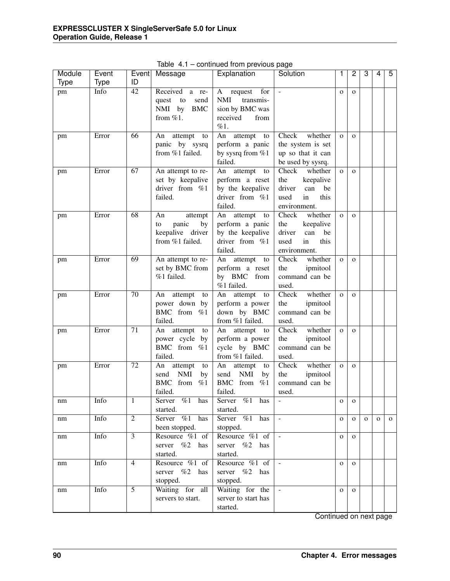| Module | Event       |                 | Event   Message                                                                        | Explanation                                                                                  | Solution                                                                                          | 1              | 2            | 3            | 4            | 5            |
|--------|-------------|-----------------|----------------------------------------------------------------------------------------|----------------------------------------------------------------------------------------------|---------------------------------------------------------------------------------------------------|----------------|--------------|--------------|--------------|--------------|
| Type   | <b>Type</b> | ID              |                                                                                        |                                                                                              |                                                                                                   |                |              |              |              |              |
| pm     | Info        | $\overline{42}$ | Received<br>a re-<br>to<br>quest<br>send<br>NMI by<br><b>BMC</b><br>from $%1$ .        | A<br>request<br>for<br><b>NMI</b><br>transmis-<br>sion by BMC was<br>received<br>from<br>%1. | $\overline{\phantom{a}}$                                                                          | $\mathbf{O}$   | $\mathbf{O}$ |              |              |              |
| pm     | Error       | 66              | attempt<br>An<br>to<br>panic by sysrq<br>from %1 failed.                               | An<br>attempt<br>to<br>perform a panic<br>by sysrq from %1<br>failed.                        | Check<br>whether<br>the system is set<br>up so that it can<br>be used by sysrq.                   | $\mathbf{O}$   | $\Omega$     |              |              |              |
| pm     | Error       | 67              | An attempt to re-<br>set by keepalive<br>driver from %1<br>failed.                     | An<br>attempt<br>to<br>perform a reset<br>by the keepalive<br>driver from %1<br>failed.      | whether<br>Check<br>the<br>keepalive<br>driver<br>can<br>be<br>this<br>used<br>in<br>environment. | $\Omega$       | $\mathbf{O}$ |              |              |              |
| pm     | Error       | 68              | An<br>attempt<br>panic<br>by<br>to<br>keepalive driver<br>from %1 failed.              | attempt<br>An<br>to<br>perform a panic<br>by the keepalive<br>driver from %1<br>failed.      | Check<br>whether<br>the<br>keepalive<br>driver<br>can<br>be<br>this<br>in<br>used<br>environment. | $\mathbf{o}$   | $\mathbf{o}$ |              |              |              |
| pm     | Error       | 69              | An attempt to re-<br>set by BMC from<br>%1 failed.                                     | attempt<br>An<br>to<br>perform a reset<br>by BMC from<br>%1 failed.                          | Check<br>whether<br>the<br>ipmitool<br>command can be<br>used.                                    | $\mathbf{o}$   | $\mathbf{O}$ |              |              |              |
| pm     | Error       | 70              | attempt<br>An<br>to<br>power down by<br>BMC from %1<br>failed.                         | An<br>attempt<br>to<br>perform a power<br>down by BMC<br>from %1 failed.                     | Check<br>whether<br>ipmitool<br>the<br>command can be<br>used.                                    | $\overline{O}$ | $\mathbf{O}$ |              |              |              |
| pm     | Error       | 71              | attempt<br>An<br>to<br>power cycle<br>by<br>BMC from %1<br>failed.                     | attempt<br>An<br>to<br>perform a power<br>cycle by BMC<br>from %1 failed.                    | Check<br>whether<br>the<br>ipmitool<br>command can be<br>used.                                    | $\mathbf{O}$   | $\mathbf{O}$ |              |              |              |
| pm     | Error       | 72              | An<br>attempt<br>to<br><b>NMI</b><br>send<br>by<br><b>BMC</b><br>from<br>%1<br>failed. | attempt<br>An<br>to<br>send<br><b>NMI</b><br>by<br>BMC from %1<br>failed.                    | Check<br>whether<br>the<br>ipmitool<br>command can be<br>used.                                    | $\mathbf{O}$   | $\mathbf{O}$ |              |              |              |
| nm     | Info        | 1               | Server %1 has<br>started.                                                              | Server $\%1$ has<br>started.                                                                 |                                                                                                   | 0              | $\mathbf{O}$ |              |              |              |
| nm     | Info        | $\overline{2}$  | Server $\frac{1}{2}$<br>has<br>been stopped.                                           | Server %1 has<br>stopped.                                                                    | $\omega$                                                                                          | $\mathbf{O}$   | $\mathbf{O}$ | $\mathbf{O}$ | $\mathbf{O}$ | $\mathbf{o}$ |
| nm     | Info        | $\overline{3}$  | Resource %1 of<br>server %2 has<br>started.                                            | Resource %1 of<br>server %2 has<br>started.                                                  | $\omega$                                                                                          | $\mathbf 0$    | $\mathbf{O}$ |              |              |              |
| nm     | Info        | $\overline{4}$  | Resource %1 of<br>server %2 has<br>stopped.                                            | Resource %1 of<br>server %2 has<br>stopped.                                                  | $\omega$                                                                                          | $\mathbf{O}$   | $\mathbf{O}$ |              |              |              |
| nm     | Info        | $\overline{5}$  | Waiting for all<br>servers to start.                                                   | Waiting for the<br>server to start has<br>started.                                           | $\omega$                                                                                          | $\mathbf{O}$   | $\mathbf{O}$ |              |              |              |

Table 4.1 – continued from previous page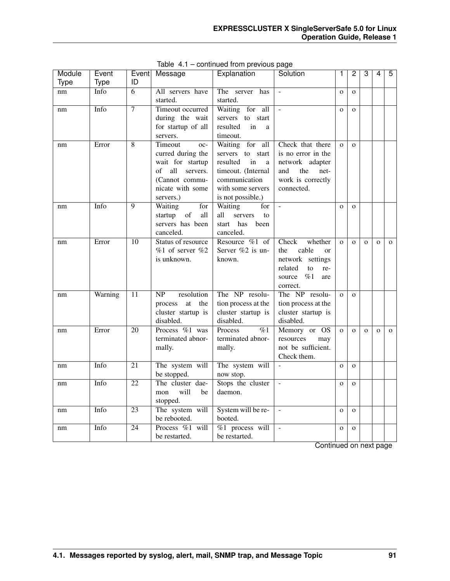| Module      | Event       |                 | Event Message                  | Explanation                    | Solution                 | 1            | 2            | 3            | 4            | 5            |
|-------------|-------------|-----------------|--------------------------------|--------------------------------|--------------------------|--------------|--------------|--------------|--------------|--------------|
| <b>Type</b> | <b>Type</b> | ID              |                                |                                |                          |              |              |              |              |              |
| nm          | Info        | 6               | All servers have               | The server<br>has              | $\overline{a}$           | $\mathbf O$  | $\mathbf{O}$ |              |              |              |
|             |             |                 | started.                       | started.                       |                          |              |              |              |              |              |
| nm          | Info        | $\overline{7}$  | Timeout occurred               | for all<br>Waiting             | L.                       | $\mathbf{O}$ | $\mathbf{O}$ |              |              |              |
|             |             |                 | during the wait                | servers to start               |                          |              |              |              |              |              |
|             |             |                 | for startup of all             | resulted<br>in<br>a            |                          |              |              |              |              |              |
|             |             |                 | servers.                       | timeout.                       |                          |              |              |              |              |              |
| nm          | Error       | 8               | Timeout<br>oc-                 | Waiting for<br>all             | Check that there         | $\mathbf{O}$ | $\Omega$     |              |              |              |
|             |             |                 | curred during the              | servers to start               | is no error in the       |              |              |              |              |              |
|             |             |                 | wait for startup               | resulted<br>in<br>$\mathbf{a}$ | network adapter          |              |              |              |              |              |
|             |             |                 | all<br>of<br>servers.          | timeout. (Internal             | and<br>the<br>net-       |              |              |              |              |              |
|             |             |                 | (Cannot commu-                 | communication                  | work is correctly        |              |              |              |              |              |
|             |             |                 | nicate with some               | with some servers              | connected.               |              |              |              |              |              |
|             |             |                 | servers.)                      | is not possible.)              |                          |              |              |              |              |              |
| nm          | Info        | 9               | Waiting<br>for                 | Waiting<br>for                 | $\overline{a}$           | $\Omega$     | $\Omega$     |              |              |              |
|             |             |                 | of<br>startup<br>all           | all<br>servers<br>to           |                          |              |              |              |              |              |
|             |             |                 | servers has been               | has been<br>start              |                          |              |              |              |              |              |
|             |             |                 | canceled.                      | canceled.                      |                          |              |              |              |              |              |
| nm          | Error       | 10              | Status of resource             | Resource $%1$ of               | Check<br>whether         | $\mathbf{O}$ | $\mathbf{O}$ | $\mathbf{o}$ | $\mathbf 0$  | $\mathbf{O}$ |
|             |             |                 | $%1$ of server $%2$            | Server %2 is un-               | cable<br>the<br>$\alpha$ |              |              |              |              |              |
|             |             |                 | is unknown.                    | known.                         | network settings         |              |              |              |              |              |
|             |             |                 |                                |                                | related<br>to<br>re-     |              |              |              |              |              |
|             |             |                 |                                |                                | $\%1$<br>source<br>are   |              |              |              |              |              |
|             |             |                 |                                |                                | correct.                 |              |              |              |              |              |
| nm          | Warning     | 11              | NP<br>resolution               | The NP resolu-                 | The NP resolu-           | $\mathbf{o}$ | $\mathbf{O}$ |              |              |              |
|             |             |                 | process<br>$\,$ at $\,$<br>the | tion process at the            | tion process at the      |              |              |              |              |              |
|             |             |                 | cluster startup is             | cluster startup is             | cluster startup is       |              |              |              |              |              |
|             |             |                 | disabled.                      | disabled.                      | disabled.                |              |              |              |              |              |
| nm          | Error       | $\overline{20}$ | Process %1 was                 | $\overline{\%1}$<br>Process    | Memory or OS             | $\mathbf{O}$ | $\mathbf{O}$ | $\mathbf{o}$ | $\mathbf{O}$ | $\mathbf{o}$ |
|             |             |                 | terminated abnor-              | terminated abnor-              | resources<br>may         |              |              |              |              |              |
|             |             |                 | mally.                         | mally.                         | not be sufficient.       |              |              |              |              |              |
|             |             |                 |                                |                                | Check them.              |              |              |              |              |              |
| nm          | Info        | $\overline{21}$ | The system will                | The system will                | $\overline{a}$           | $\mathbf{O}$ | $\mathbf{O}$ |              |              |              |
|             |             |                 | be stopped.                    | now stop.                      |                          |              |              |              |              |              |
| nm          | Info        | $\overline{22}$ | The cluster dae-               | Stops the cluster              | $\overline{a}$           | $\mathbf{O}$ | $\mathbf{O}$ |              |              |              |
|             |             |                 | will<br>be<br>mon              | daemon.                        |                          |              |              |              |              |              |
|             |             |                 | stopped.                       |                                |                          |              |              |              |              |              |
| nm          | Info        | $\overline{23}$ | The system will                | System will be re-             | $\overline{\phantom{a}}$ | $\mathbf{O}$ | $\Omega$     |              |              |              |
|             |             |                 | be rebooted.                   | booted.                        |                          |              |              |              |              |              |
| nm          | Info        | 24              | Process %1 will                | $%1$ process will              | $\overline{a}$           | $\mathbf{O}$ | $\mathbf{O}$ |              |              |              |
|             |             |                 | be restarted.                  | be restarted.                  |                          |              |              |              |              |              |

Table 4.1 – continued from previous page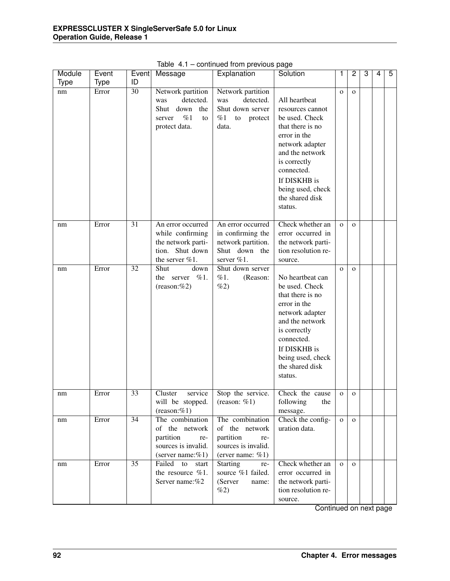| Module      | Event       | Event           | Message                                                                                             | Explanation                                                                                         | Solution                                                                                                                                                                                                                       | 1            | $\overline{c}$ | 3 | 4 | 5 |
|-------------|-------------|-----------------|-----------------------------------------------------------------------------------------------------|-----------------------------------------------------------------------------------------------------|--------------------------------------------------------------------------------------------------------------------------------------------------------------------------------------------------------------------------------|--------------|----------------|---|---|---|
| <b>Type</b> | <b>Type</b> | ID              |                                                                                                     |                                                                                                     |                                                                                                                                                                                                                                |              |                |   |   |   |
| nm          | Error       | $\overline{30}$ | Network partition<br>detected.<br>was<br>Shut<br>down<br>the<br>%1<br>server<br>to<br>protect data. | Network partition<br>detected.<br>was<br>Shut down server<br>$%1$ to protect<br>data.               | All heartbeat<br>resources cannot<br>be used. Check<br>that there is no<br>error in the<br>network adapter<br>and the network<br>is correctly<br>connected.<br>If DISKHB is<br>being used, check<br>the shared disk<br>status. | $\mathbf{O}$ | $\mathbf{O}$   |   |   |   |
| nm          | Error       | $\overline{31}$ | An error occurred<br>while confirming<br>the network parti-<br>tion. Shut down<br>the server %1.    | An error occurred<br>in confirming the<br>network partition.<br>Shut down the<br>server %1.         | Check whether an<br>error occurred in<br>the network parti-<br>tion resolution re-<br>source.                                                                                                                                  | $\mathbf{O}$ | $\mathbf{O}$   |   |   |   |
| nm          | Error       | 32              | Shut<br>down<br>%1.<br>the server<br>$(reason: \%2)$                                                | Shut down server<br>%1.<br>(Reason:<br>%2)                                                          | No heartbeat can<br>be used. Check<br>that there is no<br>error in the<br>network adapter<br>and the network<br>is correctly<br>connected.<br>If DISKHB is<br>being used, check<br>the shared disk<br>status.                  | $\mathbf{O}$ | $\mathbf{O}$   |   |   |   |
| nm          | Error       | 33              | Cluster<br>service<br>will be stopped.<br>$(reason: \%1)$                                           | Stop the service.<br>(reason: $%1$ )                                                                | Check the cause<br>following<br>the<br>message.                                                                                                                                                                                | $\mathbf{O}$ | $\mathbf{O}$   |   |   |   |
| nm          | Error       | 34              | The combination<br>of the network<br>partition<br>re-<br>sources is invalid.<br>(server name:%1)    | The combination<br>of the network<br>partition<br>re-<br>sources is invalid.<br>(erver name: $%1$ ) | Check the config-<br>uration data.                                                                                                                                                                                             | $\mathbf{o}$ | $\mathbf{O}$   |   |   |   |
| nm          | Error       | 35              | Failed to<br>start<br>the resource %1.<br>Server name:%2                                            | Starting<br>re-<br>source %1 failed.<br>(Server<br>name:<br>$\%2)$                                  | Check whether an<br>error occurred in<br>the network parti-<br>tion resolution re-<br>source.                                                                                                                                  | $\mathbf{O}$ | $\mathbf{o}$   |   |   |   |

Table 4.1 – continued from previous page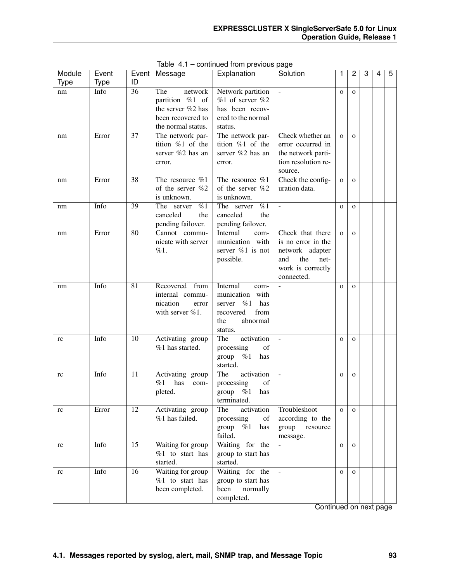| Module      | Event            | Event           | Message                        | Explanation                      | Solution                   | 1            | $\overline{2}$ | 3 | 4 | 5 |
|-------------|------------------|-----------------|--------------------------------|----------------------------------|----------------------------|--------------|----------------|---|---|---|
| <b>Type</b> | Type             | ID              |                                |                                  |                            |              |                |   |   |   |
| nm          | Inf <sub>0</sub> | 36              | The<br>network                 | Network partition                | $\overline{\phantom{a}}$   | $\mathbf{O}$ | $\mathbf{o}$   |   |   |   |
|             |                  |                 | partition %1 of                | $%1$ of server $%2$              |                            |              |                |   |   |   |
|             |                  |                 | the server %2 has              | has been recov-                  |                            |              |                |   |   |   |
|             |                  |                 | been recovered to              | ered to the normal               |                            |              |                |   |   |   |
|             |                  |                 | the normal status.             | status.                          |                            |              |                |   |   |   |
| nm          | Error            | $\overline{37}$ | The network par-               | The network par-                 | Check whether an           | $\mathbf{O}$ | $\mathbf{o}$   |   |   |   |
|             |                  |                 | tition %1 of the               | tition %1 of the                 | error occurred in          |              |                |   |   |   |
|             |                  |                 | server %2 has an               | server %2 has an                 | the network parti-         |              |                |   |   |   |
|             |                  |                 | error.                         | error.                           | tion resolution re-        |              |                |   |   |   |
|             |                  |                 |                                |                                  | source.                    |              |                |   |   |   |
| nm          | Error            | $\overline{38}$ | The resource $\%1$             | The resource %1                  | Check the config-          | $\mathbf{o}$ | $\mathbf{o}$   |   |   |   |
|             |                  |                 | of the server %2               | of the server %2                 | uration data.              |              |                |   |   |   |
|             |                  |                 | is unknown.                    | is unknown.                      |                            |              |                |   |   |   |
| nm          | Info             | 39              | $\overline{\%1}$<br>The server | The server<br>%1                 | $\blacksquare$             | $\mathbf{O}$ | $\mathbf{O}$   |   |   |   |
|             |                  |                 | canceled<br>the                | canceled<br>the                  |                            |              |                |   |   |   |
|             |                  |                 | pending failover.              | pending failover.                |                            |              |                |   |   |   |
| nm          | Error            | 80              | Cannot commu-                  | Internal<br>com-                 | Check that there           | $\mathbf{o}$ | $\Omega$       |   |   |   |
|             |                  |                 | nicate with server             | munication with                  | is no error in the         |              |                |   |   |   |
|             |                  |                 | %1.                            | server $\%1$ is not              | network adapter            |              |                |   |   |   |
|             |                  |                 |                                | possible.                        | and<br>the<br>net-         |              |                |   |   |   |
|             |                  |                 |                                |                                  | work is correctly          |              |                |   |   |   |
|             |                  |                 |                                |                                  | connected.                 |              |                |   |   |   |
| nm          | Info             | 81              | Recovered from                 | Internal<br>com-                 |                            | $\mathbf{O}$ | $\mathbf{O}$   |   |   |   |
|             |                  |                 | internal commu-                | with<br>munication               |                            |              |                |   |   |   |
|             |                  |                 | nication<br>error              | has<br>server<br>%1              |                            |              |                |   |   |   |
|             |                  |                 | with server %1.                | recovered<br>from                |                            |              |                |   |   |   |
|             |                  |                 |                                | abnormal<br>the                  |                            |              |                |   |   |   |
|             |                  |                 |                                | status.                          |                            |              |                |   |   |   |
| rc          | Info             | 10              | Activating group               | activation<br>The                | $\overline{\phantom{a}}$   | $\mathbf{O}$ | $\mathbf{O}$   |   |   |   |
|             |                  |                 | $%1$ has started.              | of<br>processing                 |                            |              |                |   |   |   |
|             |                  |                 |                                | $%1$ has<br>group                |                            |              |                |   |   |   |
|             |                  |                 |                                | started.                         |                            |              |                |   |   |   |
|             | Info             | 11              | Activating group               | activation<br>The                | ÷,                         | $\mathbf{O}$ | $\mathbf{o}$   |   |   |   |
| rc          |                  |                 | %1<br>has                      | of                               |                            |              |                |   |   |   |
|             |                  |                 | com-<br>pleted.                | processing<br>$%1$ has<br>group  |                            |              |                |   |   |   |
|             |                  |                 |                                |                                  |                            |              |                |   |   |   |
|             | Error            | 12              | Activating group               | terminated.<br>The<br>activation | Troubleshoot               | $\mathbf{O}$ | $\mathbf{o}$   |   |   |   |
| rc          |                  |                 | %1 has failed.                 | processing<br>of                 | according to the           |              |                |   |   |   |
|             |                  |                 |                                | %1                               |                            |              |                |   |   |   |
|             |                  |                 |                                | group<br>has<br>failed.          | group<br>resource          |              |                |   |   |   |
|             | Info             | $\overline{15}$ | Waiting for group              | Waiting for the                  | message.<br>$\overline{a}$ |              |                |   |   |   |
| rc          |                  |                 | %1 to start has                |                                  |                            | $\mathbf{O}$ | $\mathbf{O}$   |   |   |   |
|             |                  |                 |                                | group to start has               |                            |              |                |   |   |   |
|             |                  |                 | started.                       | started.                         |                            |              |                |   |   |   |
| rc          | Info             | 16              | Waiting for group              | Waiting for the                  | $\equiv$                   | $\mathbf{O}$ | $\Omega$       |   |   |   |
|             |                  |                 | %1 to start has                | group to start has               |                            |              |                |   |   |   |
|             |                  |                 | been completed.                | been<br>normally                 |                            |              |                |   |   |   |
|             |                  |                 |                                | completed.                       |                            |              |                |   |   |   |

Table 4.1 – continued from previous page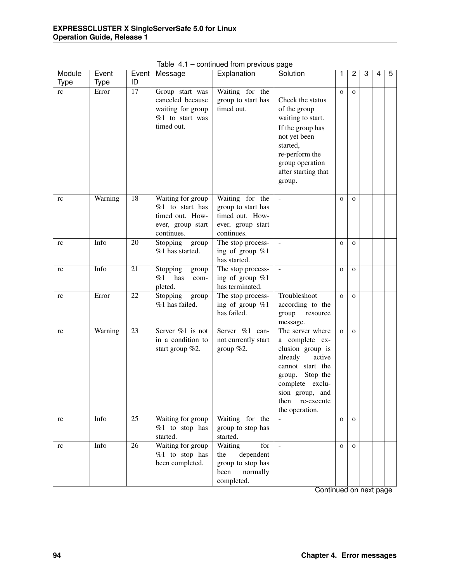| Module      | Event       | Event           | Message                                                                                    | Explanation                                                                                 | Solution                                                                                                                                                                                         | 1            | 2            | 3 | 4 | 5 |
|-------------|-------------|-----------------|--------------------------------------------------------------------------------------------|---------------------------------------------------------------------------------------------|--------------------------------------------------------------------------------------------------------------------------------------------------------------------------------------------------|--------------|--------------|---|---|---|
| <b>Type</b> | <b>Type</b> | ID              |                                                                                            |                                                                                             |                                                                                                                                                                                                  |              |              |   |   |   |
| rc          | Error       | $\overline{17}$ | Group start was<br>canceled because<br>waiting for group<br>%1 to start was<br>timed out.  | Waiting for the<br>group to start has<br>timed out.                                         | Check the status<br>of the group<br>waiting to start.<br>If the group has<br>not yet been<br>started,<br>re-perform the<br>group operation<br>after starting that<br>group.                      | $\mathbf{O}$ | $\mathbf{O}$ |   |   |   |
| rc          | Warning     | 18              | Waiting for group<br>%1 to start has<br>timed out. How-<br>ever, group start<br>continues. | Waiting for the<br>group to start has<br>timed out. How-<br>ever, group start<br>continues. |                                                                                                                                                                                                  | $\mathbf{O}$ | $\mathbf{O}$ |   |   |   |
| rc          | Info        | 20              | Stopping<br>group<br>$%1$ has started.                                                     | The stop process-<br>ing of group $%1$<br>has started.                                      |                                                                                                                                                                                                  | $\mathbf 0$  | $\mathbf{O}$ |   |   |   |
| rc          | Info        | 21              | Stopping<br>group<br>%1<br>has<br>com-<br>pleted.                                          | The stop process-<br>ing of group %1<br>has terminated.                                     |                                                                                                                                                                                                  | $\mathbf 0$  | $\mathbf{O}$ |   |   |   |
| rc          | Error       | 22              | Stopping<br>group<br>%1 has failed.                                                        | The stop process-<br>ing of group $%1$<br>has failed.                                       | Troubleshoot<br>according to the<br>group<br>resource<br>message.                                                                                                                                | $\mathbf{o}$ | $\mathbf{O}$ |   |   |   |
| rc          | Warning     | $\overline{23}$ | Server $\%1$ is not<br>in a condition to<br>start group $%2$ .                             | Server %1 can-<br>not currently start<br>group $%2$ .                                       | The server where<br>a complete ex-<br>clusion group is<br>already<br>active<br>cannot start the<br>group. Stop the<br>complete exclu-<br>sion group, and<br>then<br>re-execute<br>the operation. | $\mathbf{O}$ | $\mathbf{O}$ |   |   |   |
| rc          | Info        | $\overline{25}$ | Waiting for group<br>$%1$ to stop has<br>started.                                          | Waiting for the<br>group to stop has<br>started.                                            |                                                                                                                                                                                                  | $\mathbf{o}$ | $\mathbf{O}$ |   |   |   |
| rc          | Info        | 26              | Waiting for group<br>$%1$ to stop has<br>been completed.                                   | Waiting<br>for<br>dependent<br>the<br>group to stop has<br>been<br>normally<br>completed.   |                                                                                                                                                                                                  | $\mathbf{O}$ | $\mathbf{O}$ |   |   |   |

Table 4.1 – continued from previous page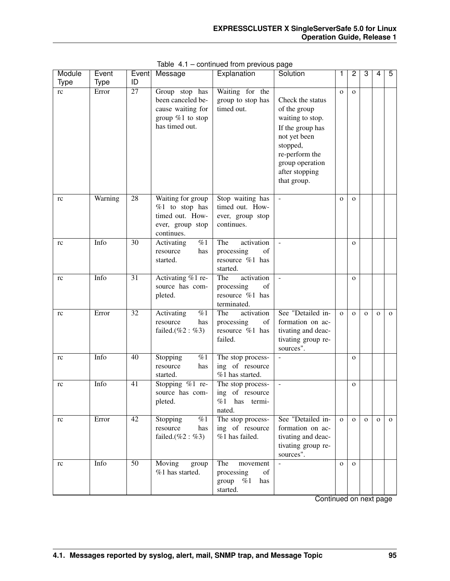| Module<br>Type | Event<br><b>Type</b> | Event<br>ID     | Message                                                                                          | Explanation                                                                                                                                                          | Solution                                                                                                                                                                   |              | 2            | 3            | 4            | 5            |
|----------------|----------------------|-----------------|--------------------------------------------------------------------------------------------------|----------------------------------------------------------------------------------------------------------------------------------------------------------------------|----------------------------------------------------------------------------------------------------------------------------------------------------------------------------|--------------|--------------|--------------|--------------|--------------|
| rc             | Error                | $\overline{27}$ | Group stop has<br>been canceled be-<br>cause waiting for<br>group $%1$ to stop<br>has timed out. | Waiting for the<br>group to stop has<br>timed out.                                                                                                                   | Check the status<br>of the group<br>waiting to stop.<br>If the group has<br>not yet been<br>stopped,<br>re-perform the<br>group operation<br>after stopping<br>that group. | $\mathbf{O}$ | $\mathbf{O}$ |              |              |              |
| rc             | Warning              | $\overline{28}$ | Waiting for group<br>$%1$ to stop has<br>timed out. How-<br>ever, group stop<br>continues.       | Stop waiting has<br>timed out. How-<br>ever, group stop<br>continues.                                                                                                | $\bar{\phantom{a}}$                                                                                                                                                        | $\mathbf{O}$ | $\mathbf{O}$ |              |              |              |
| rc             | Info                 | $\overline{30}$ | %1<br>Activating<br>resource<br>has<br>started.                                                  | The<br>activation<br>$% \left( \left( \mathcal{A},\mathcal{A}\right) \right) =\left( \mathcal{A},\mathcal{A}\right)$ of<br>processing<br>resource %1 has<br>started. |                                                                                                                                                                            |              | $\mathbf{O}$ |              |              |              |
| rc             | Info                 | $\overline{31}$ | Activating %1 re-<br>source has com-<br>pleted.                                                  | The<br>activation<br>of<br>processing<br>resource %1 has<br>terminated.                                                                                              |                                                                                                                                                                            |              | $\mathbf{O}$ |              |              |              |
| rc             | Error                | $\overline{32}$ | Activating<br>$\%1$<br>resource<br>has<br>failed. $(\%2 : \%3)$                                  | The<br>activation<br>processing<br>of<br>resource %1 has<br>failed.                                                                                                  | See "Detailed in-<br>formation on ac-<br>tivating and deac-<br>tivating group re-<br>sources".                                                                             | $\mathbf{o}$ | $\mathbf{O}$ | $\mathbf{O}$ | $\mathbf{O}$ | $\mathbf{O}$ |
| rc             | Info                 | 40              | Stopping<br>%1<br>resource<br>has<br>started.                                                    | The stop process-<br>ing of resource<br>%1 has started.                                                                                                              | $\overline{a}$                                                                                                                                                             |              | $\mathbf{O}$ |              |              |              |
| rc             | Info                 | 41              | Stopping %1 re-<br>source has com-<br>pleted.                                                    | The stop process-<br>ing of resource<br>$%1$ has<br>termi-<br>nated.                                                                                                 |                                                                                                                                                                            |              | $\mathbf{o}$ |              |              |              |
| rc             | Error                | $\overline{42}$ | Stopping<br>%1<br>resource<br>has<br>failed. $(\%2 : \%3)$                                       | The stop process-<br>ing of resource<br>%1 has failed.                                                                                                               | See "Detailed in-<br>formation on ac-<br>tivating and deac-<br>tivating group re-<br>sources".                                                                             | $\mathbf{o}$ | $\mathbf{o}$ | $\mathbf{O}$ | $\mathbf{o}$ | $\mathbf{o}$ |
| rc             | Info                 | $\overline{50}$ | Moving<br>group<br>%1 has started.                                                               | The<br>movement<br>of<br>processing<br>group<br>%1<br>has<br>started.                                                                                                |                                                                                                                                                                            | $\mathbf{O}$ | $\mathbf{o}$ |              |              |              |

Table 4.1 – continued from previous page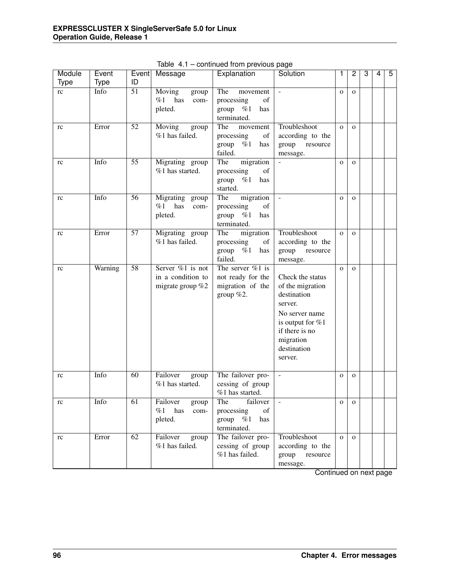| Module      | Event       | Event           | Message                                                      | Explanation                                                                                                                                                            | Solution                                                                                                                                                      | 1            | $\overline{2}$ | 3 | 4 | 5 |
|-------------|-------------|-----------------|--------------------------------------------------------------|------------------------------------------------------------------------------------------------------------------------------------------------------------------------|---------------------------------------------------------------------------------------------------------------------------------------------------------------|--------------|----------------|---|---|---|
| <b>Type</b> | <b>Type</b> | ID              |                                                              |                                                                                                                                                                        |                                                                                                                                                               |              |                |   |   |   |
| rc          | Info        | $\overline{51}$ | Moving<br>group<br>%1<br>has<br>com-<br>pleted.              | The<br>movement<br>of<br>processing<br>group<br>%1<br>has<br>terminated.                                                                                               | $\sim$                                                                                                                                                        | $\mathbf{O}$ | $\mathbf{O}$   |   |   |   |
| rc          | Error       | $\overline{52}$ | Moving<br>group<br>%1 has failed.                            | The<br>movement<br>processing<br>of<br>$\%1$<br>group<br>has<br>failed.                                                                                                | Troubleshoot<br>according to the<br>resource<br>group<br>message.                                                                                             | $\mathbf{O}$ | $\mathbf{O}$   |   |   |   |
| rc          | Info        | $\overline{55}$ | Migrating group<br>%1 has started.                           | The<br>migration<br>$% \left( \left( \mathcal{A},\mathcal{A}\right) \right) =\left( \mathcal{A},\mathcal{A}\right)$ of<br>processing<br>%1<br>has<br>group<br>started. |                                                                                                                                                               | $\mathbf{o}$ | $\mathbf{O}$   |   |   |   |
| rc          | Info        | 56              | Migrating group<br>%1<br>has<br>com-<br>pleted.              | migration<br>The<br>of<br>processing<br>group<br>%1<br>has<br>terminated.                                                                                              |                                                                                                                                                               | $\mathbf{O}$ | $\mathbf{O}$   |   |   |   |
| rc          | Error       | $\overline{57}$ | Migrating group<br>%1 has failed.                            | The<br>migration<br>processing<br>of<br>%1<br>group<br>has<br>failed.                                                                                                  | Troubleshoot<br>according to the<br>resource<br>group<br>message.                                                                                             | $\mathbf{O}$ | $\mathbf{O}$   |   |   |   |
| rc          | Warning     | $\overline{58}$ | Server $\%1$ is not<br>in a condition to<br>migrate group %2 | The server $%1$ is<br>not ready for the<br>migration of the<br>group $%2$ .                                                                                            | Check the status<br>of the migration<br>destination<br>server.<br>No server name<br>is output for %1<br>if there is no<br>migration<br>destination<br>server. | $\mathbf{o}$ | $\mathbf{O}$   |   |   |   |
| rc          | Info        | 60              | Failover<br>group<br>%1 has started.                         | The failover pro-<br>cessing of group<br>%1 has started.                                                                                                               | $\mathbf{r}$                                                                                                                                                  | $\mathbf{o}$ | $\mathbf 0$    |   |   |   |
| rc          | Info        | 61              | Failover<br>group<br>%1<br>has<br>com-<br>pleted.            | failover<br>The<br>of<br>processing<br>group<br>%1<br>has<br>terminated.                                                                                               |                                                                                                                                                               | $\mathbf{O}$ | $\mathbf 0$    |   |   |   |
| rc          | Error       | $\overline{62}$ | Failover<br>group<br>%1 has failed.                          | The failover pro-<br>cessing of group<br>$%1$ has failed.                                                                                                              | Troubleshoot<br>according to the<br>group<br>resource<br>message.                                                                                             | $\mathbf{O}$ | $\mathbf{O}$   |   |   |   |

Table 4.1 – continued from previous page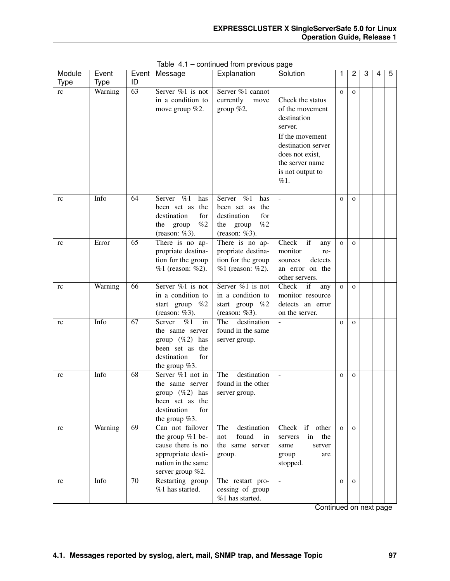| Module<br><b>Type</b> | Event<br><b>Type</b> | Event<br>ID     | Message                              | Explanation                         | Solution             | 1            | 2            | 3 | 4 | 5 |
|-----------------------|----------------------|-----------------|--------------------------------------|-------------------------------------|----------------------|--------------|--------------|---|---|---|
| rc                    | Warning              | $\overline{63}$ | Server $\%1$ is not                  | Server %1 cannot                    |                      | $\mathbf{O}$ | $\mathbf{O}$ |   |   |   |
|                       |                      |                 | in a condition to                    | currently<br>move                   | Check the status     |              |              |   |   |   |
|                       |                      |                 | move group $%2$ .                    | group $%2$ .                        | of the movement      |              |              |   |   |   |
|                       |                      |                 |                                      |                                     | destination          |              |              |   |   |   |
|                       |                      |                 |                                      |                                     | server.              |              |              |   |   |   |
|                       |                      |                 |                                      |                                     | If the movement      |              |              |   |   |   |
|                       |                      |                 |                                      |                                     | destination server   |              |              |   |   |   |
|                       |                      |                 |                                      |                                     | does not exist,      |              |              |   |   |   |
|                       |                      |                 |                                      |                                     | the server name      |              |              |   |   |   |
|                       |                      |                 |                                      |                                     | is not output to     |              |              |   |   |   |
|                       |                      |                 |                                      |                                     | %1.                  |              |              |   |   |   |
|                       | Info                 | 64              | Server %1<br>has                     | Server<br>%1<br>has                 |                      | $\mathbf{O}$ | $\mathbf{O}$ |   |   |   |
| rc                    |                      |                 | been set as the                      | been set as the                     |                      |              |              |   |   |   |
|                       |                      |                 | destination<br>for                   | destination<br>for                  |                      |              |              |   |   |   |
|                       |                      |                 | the group<br>%2                      | the group<br>%2                     |                      |              |              |   |   |   |
|                       |                      |                 | (reason: %3).                        | (reason: $%3$ ).                    |                      |              |              |   |   |   |
| rc                    | Error                | $\overline{65}$ | There is no ap-                      | There is no ap-                     | Check<br>if<br>any   | $\mathbf{O}$ | $\mathbf{O}$ |   |   |   |
|                       |                      |                 | propriate destina-                   | propriate destina-                  | monitor<br>re-       |              |              |   |   |   |
|                       |                      |                 | tion for the group                   | tion for the group                  | detects<br>sources   |              |              |   |   |   |
|                       |                      |                 | %1 (reason: %2).                     | %1 (reason: %2).                    | an error on the      |              |              |   |   |   |
|                       |                      |                 |                                      |                                     | other servers.       |              |              |   |   |   |
| rc                    | Warning              | 66              | Server $\%1$ is not                  | Server %1 is not                    | Check<br>if<br>any   | $\mathbf{O}$ | $\mathbf{O}$ |   |   |   |
|                       |                      |                 | in a condition to                    | in a condition to                   | monitor resource     |              |              |   |   |   |
|                       |                      |                 | start group $%2$                     | start group %2                      | detects an error     |              |              |   |   |   |
|                       |                      |                 | (reason: $%3$ ).                     | (reason: $%3$ ).                    | on the server.       |              |              |   |   |   |
| rc                    | Info                 | $\overline{67}$ | $\overline{\%1}$<br>Server<br>in     | The<br>destination                  |                      | $\mathbf{O}$ | $\mathbf{O}$ |   |   |   |
|                       |                      |                 | the same server                      | found in the same                   |                      |              |              |   |   |   |
|                       |                      |                 | group $(\%2)$ has<br>been set as the | server group.                       |                      |              |              |   |   |   |
|                       |                      |                 | for<br>destination                   |                                     |                      |              |              |   |   |   |
|                       |                      |                 | the group $%3$ .                     |                                     |                      |              |              |   |   |   |
| rc                    | Info                 | 68              | Server %1 not in                     | destination<br>The                  | $\overline{a}$       | $\mathbf{O}$ | $\mathbf{O}$ |   |   |   |
|                       |                      |                 | the same server                      | found in the other                  |                      |              |              |   |   |   |
|                       |                      |                 | group $(\%2)$ has                    | server group.                       |                      |              |              |   |   |   |
|                       |                      |                 | been set as the                      |                                     |                      |              |              |   |   |   |
|                       |                      |                 | for<br>destination                   |                                     |                      |              |              |   |   |   |
|                       |                      |                 | the group $%3$ .                     |                                     |                      |              |              |   |   |   |
| rc                    | Warning              | 69              | Can not failover                     | destination<br>The                  | Check<br>if other    | $\Omega$     | $\Omega$     |   |   |   |
|                       |                      |                 | the group $%1$ be-                   | found<br>not<br>in                  | in<br>the<br>servers |              |              |   |   |   |
|                       |                      |                 | cause there is no                    | the same server                     | same<br>server       |              |              |   |   |   |
|                       |                      |                 | appropriate desti-                   | group.                              | group<br>are         |              |              |   |   |   |
|                       |                      |                 | nation in the same                   |                                     | stopped.             |              |              |   |   |   |
|                       |                      |                 | server group %2.                     |                                     |                      |              |              |   |   |   |
| rc                    | Info                 | 70              | Restarting group                     | The restart pro-                    | $\sim$               | $\mathbf{O}$ | $\mathbf{O}$ |   |   |   |
|                       |                      |                 | %1 has started.                      | cessing of group<br>%1 has started. |                      |              |              |   |   |   |
|                       |                      |                 |                                      |                                     |                      |              |              |   |   |   |

Table 4.1 – continued from previous page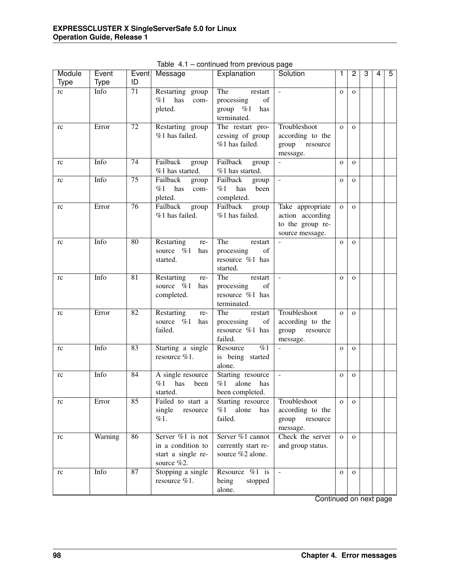| Module      | Event       | Event           | Message                               | Explanation                                                                                                                 | Solution                 | 1            | 2            | 3 | 4 | 5 |
|-------------|-------------|-----------------|---------------------------------------|-----------------------------------------------------------------------------------------------------------------------------|--------------------------|--------------|--------------|---|---|---|
| <b>Type</b> | <b>Type</b> | ID              |                                       |                                                                                                                             |                          |              |              |   |   |   |
| rc          | Info        | 71              | Restarting group<br>%1<br>has<br>com- | The<br>restart<br>of<br>processing                                                                                          |                          | $\mathbf{o}$ | $\mathbf{O}$ |   |   |   |
|             |             |                 | pleted.                               | group<br>%1<br>has                                                                                                          |                          |              |              |   |   |   |
|             |             |                 |                                       | terminated.                                                                                                                 |                          |              |              |   |   |   |
| rc          | Error       | 72              | Restarting group                      | The restart pro-                                                                                                            | Troubleshoot             | $\mathbf{O}$ | $\Omega$     |   |   |   |
|             |             |                 | %1 has failed.                        | cessing of group                                                                                                            | according to the         |              |              |   |   |   |
|             |             |                 |                                       | %1 has failed.                                                                                                              | group<br>resource        |              |              |   |   |   |
|             |             |                 |                                       |                                                                                                                             | message.                 |              |              |   |   |   |
| rc          | Info        | 74              | Failback<br>group                     | Failback<br>group                                                                                                           |                          | $\mathbf 0$  | $\mathbf{o}$ |   |   |   |
|             |             |                 | $%1$ has started.                     | %1 has started.                                                                                                             |                          |              |              |   |   |   |
| rc          | Info        | $\overline{75}$ | Failback<br>group                     | Failback<br>group                                                                                                           | $\blacksquare$           | $\mathbf 0$  | $\mathbf{O}$ |   |   |   |
|             |             |                 | %1<br>has<br>com-                     | %1<br>has<br>been                                                                                                           |                          |              |              |   |   |   |
|             |             |                 | pleted.                               | completed.                                                                                                                  |                          |              |              |   |   |   |
| rc          | Error       | 76              | Failback<br>group                     | Failback<br>group                                                                                                           | Take appropriate         | $\mathbf 0$  | $\mathbf{O}$ |   |   |   |
|             |             |                 | %1 has failed.                        | %1 has failed.                                                                                                              | action according         |              |              |   |   |   |
|             |             |                 |                                       |                                                                                                                             | to the group re-         |              |              |   |   |   |
|             |             |                 |                                       |                                                                                                                             | source message.          |              |              |   |   |   |
| rc          | Info        | 80              | Restarting<br>re-                     | The<br>restart                                                                                                              |                          | $\mathbf{O}$ | $\mathbf{O}$ |   |   |   |
|             |             |                 | source $\%1$<br>has                   | processing<br>of                                                                                                            |                          |              |              |   |   |   |
|             |             |                 | started.                              | resource %1 has                                                                                                             |                          |              |              |   |   |   |
|             |             |                 |                                       | started.                                                                                                                    |                          |              |              |   |   |   |
| rc          | Info        | 81              | Restarting<br>re-                     | The<br>restart                                                                                                              | $\overline{\phantom{a}}$ | $\mathbf{O}$ | $\mathbf{O}$ |   |   |   |
|             |             |                 | source %1<br>has                      | processing<br>of                                                                                                            |                          |              |              |   |   |   |
|             |             |                 | completed.                            | resource %1 has                                                                                                             |                          |              |              |   |   |   |
|             | Error       | 82              |                                       | terminated.<br>The                                                                                                          | Troubleshoot             |              |              |   |   |   |
| rc          |             |                 | Restarting<br>re-<br>source %1<br>has | restart<br>processing<br>$% \left( \left( \mathcal{A},\mathcal{A}\right) \right) =\left( \mathcal{A},\mathcal{A}\right)$ of | according to the         | $\mathbf{O}$ | $\mathbf{O}$ |   |   |   |
|             |             |                 | failed.                               | resource %1 has                                                                                                             | group<br>resource        |              |              |   |   |   |
|             |             |                 |                                       | failed.                                                                                                                     | message.                 |              |              |   |   |   |
| rc          | Info        | 83              | Starting a single                     | $\overline{\%1}$<br>Resource                                                                                                | $\overline{\phantom{a}}$ | $\mathbf{O}$ | $\mathbf{O}$ |   |   |   |
|             |             |                 | resource %1.                          | is being started                                                                                                            |                          |              |              |   |   |   |
|             |             |                 |                                       | alone.                                                                                                                      |                          |              |              |   |   |   |
| rc          | Info        | 84              | A single resource                     | Starting resource                                                                                                           | $\omega$                 | $\mathbf 0$  | $\mathbf 0$  |   |   |   |
|             |             |                 | %1<br>has<br>been                     | %1<br>alone<br>has                                                                                                          |                          |              |              |   |   |   |
|             |             |                 | started.                              | been completed.                                                                                                             |                          |              |              |   |   |   |
| rc          | Error       | 85              | Failed to start a                     | Starting resource                                                                                                           | Troubleshoot             | $\mathbf{o}$ | $\mathbf{O}$ |   |   |   |
|             |             |                 | single<br>resource                    | alone<br>%1<br>has                                                                                                          | according to the         |              |              |   |   |   |
|             |             |                 | %1.                                   | failed.                                                                                                                     | group<br>resource        |              |              |   |   |   |
|             |             |                 |                                       |                                                                                                                             | message.                 |              |              |   |   |   |
| rc          | Warning     | 86              | Server %1 is not                      | Server %1 cannot                                                                                                            | Check the server         | $\mathbf{O}$ | $\mathbf{O}$ |   |   |   |
|             |             |                 | in a condition to                     | currently start re-                                                                                                         | and group status.        |              |              |   |   |   |
|             |             |                 | start a single re-                    | source %2 alone.                                                                                                            |                          |              |              |   |   |   |
|             |             |                 | source %2.                            |                                                                                                                             |                          |              |              |   |   |   |
| rc          | Info        | $\overline{87}$ | Stopping a single                     | Resource $\%1$ is                                                                                                           | $\overline{a}$           | $\mathbf{O}$ | $\mathbf{o}$ |   |   |   |
|             |             |                 | resource %1.                          | being<br>stopped                                                                                                            |                          |              |              |   |   |   |
|             |             |                 |                                       | alone.                                                                                                                      |                          |              |              |   |   |   |

Table 4.1 – continued from previous page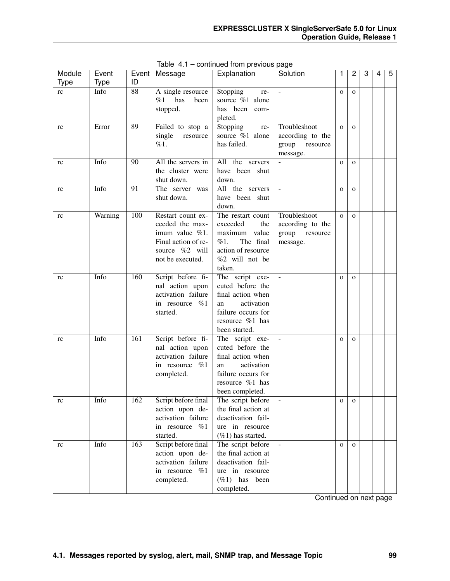| Module   | Event   |                 | Event Message       | Explanation          | Solution          | 1            | 2            | 3 | 4 | 5 |
|----------|---------|-----------------|---------------------|----------------------|-------------------|--------------|--------------|---|---|---|
| Type     | Type    | ID              |                     |                      |                   |              |              |   |   |   |
| rc       | Info    | $\overline{88}$ | A single resource   | Stopping<br>re-      |                   | $\mathbf{O}$ | $\Omega$     |   |   |   |
|          |         |                 | has<br>%1<br>been   | source %1 alone      |                   |              |              |   |   |   |
|          |         |                 | stopped.            | has been com-        |                   |              |              |   |   |   |
|          |         |                 |                     | pleted.              |                   |              |              |   |   |   |
| rc       | Error   | 89              | Failed to stop a    | Stopping<br>re-      | Troubleshoot      | $\mathbf{O}$ | $\Omega$     |   |   |   |
|          |         |                 | single<br>resource  | source %1 alone      | according to the  |              |              |   |   |   |
|          |         |                 | %1.                 | has failed.          | group<br>resource |              |              |   |   |   |
|          |         |                 |                     |                      | message.          |              |              |   |   |   |
| rc       | Info    | 90              | All the servers in  | All the servers      |                   | $\mathbf{O}$ | $\mathbf{O}$ |   |   |   |
|          |         |                 | the cluster were    | have been shut       |                   |              |              |   |   |   |
|          |         |                 | shut down.          | down.                |                   |              |              |   |   |   |
| rc       | Info    | 91              | The server was      | All the servers      | $\mathcal{L}$     | $\mathbf{O}$ | $\mathbf{O}$ |   |   |   |
|          |         |                 | shut down.          | have been shut       |                   |              |              |   |   |   |
|          |         |                 |                     | down.                |                   |              |              |   |   |   |
| rc       | Warning | 100             | Restart count ex-   | The restart count    | Troubleshoot      | $\mathbf{O}$ | $\mathbf{o}$ |   |   |   |
|          |         |                 | ceeded the max-     | exceeded<br>the      | according to the  |              |              |   |   |   |
|          |         |                 | imum value $\%1$ .  | maximum value        | group<br>resource |              |              |   |   |   |
|          |         |                 | Final action of re- | The final<br>%1.     | message.          |              |              |   |   |   |
|          |         |                 | source %2 will      | action of resource   |                   |              |              |   |   |   |
|          |         |                 | not be executed.    | %2 will not be       |                   |              |              |   |   |   |
|          |         |                 |                     |                      |                   |              |              |   |   |   |
|          |         | 160             |                     | taken.               |                   |              |              |   |   |   |
| rc       | Info    |                 | Script before fi-   | The script exe-      | ÷,                | $\mathbf{O}$ | $\mathbf{o}$ |   |   |   |
|          |         |                 | nal action upon     | cuted before the     |                   |              |              |   |   |   |
|          |         |                 | activation failure  | final action when    |                   |              |              |   |   |   |
|          |         |                 | in resource $%1$    | activation<br>an     |                   |              |              |   |   |   |
|          |         |                 | started.            | failure occurs for   |                   |              |              |   |   |   |
|          |         |                 |                     | resource %1 has      |                   |              |              |   |   |   |
|          |         |                 |                     | been started.        |                   |              |              |   |   |   |
| rc       | Info    | 161             | Script before fi-   | The script exe-      |                   | $\mathbf{O}$ | $\mathbf{o}$ |   |   |   |
|          |         |                 | nal action upon     | cuted before the     |                   |              |              |   |   |   |
|          |         |                 | activation failure  | final action when    |                   |              |              |   |   |   |
|          |         |                 | in resource $%1$    | activation<br>an     |                   |              |              |   |   |   |
|          |         |                 | completed.          | failure occurs for   |                   |              |              |   |   |   |
|          |         |                 |                     | resource %1 has      |                   |              |              |   |   |   |
|          |         |                 |                     | been completed.      |                   |              |              |   |   |   |
| $\rm rc$ | Info    | 162             | Script before final | The script before    |                   | $\mathbf{O}$ | $\mathbf O$  |   |   |   |
|          |         |                 | action upon de-     | the final action at  |                   |              |              |   |   |   |
|          |         |                 | activation failure  | deactivation fail-   |                   |              |              |   |   |   |
|          |         |                 | in resource $\%1$   | ure in resource      |                   |              |              |   |   |   |
|          |         |                 | started.            | $(\%1)$ has started. |                   |              |              |   |   |   |
| rc       | Info    | 163             | Script before final | The script before    | $\blacksquare$    | $\mathbf{O}$ | $\mathbf{O}$ |   |   |   |
|          |         |                 | action upon de-     | the final action at  |                   |              |              |   |   |   |
|          |         |                 | activation failure  | deactivation fail-   |                   |              |              |   |   |   |
|          |         |                 | in resource %1      | ure in resource      |                   |              |              |   |   |   |
|          |         |                 | completed.          | $(\%1)$ has<br>been  |                   |              |              |   |   |   |
|          |         |                 |                     | completed.           |                   |              |              |   |   |   |

Table 4.1 – continued from previous page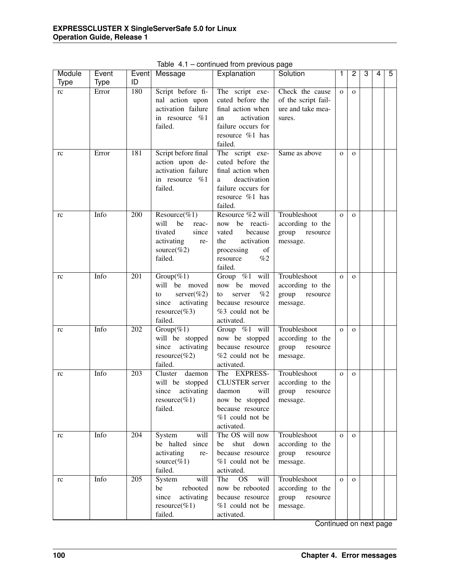| Module      | Event       | Event            | Message                                                                                                 | Explanation                                                                                                                                                                                                                  | Solution                                                              | 1            | $\overline{c}$ | 3 | 4 | 5 |
|-------------|-------------|------------------|---------------------------------------------------------------------------------------------------------|------------------------------------------------------------------------------------------------------------------------------------------------------------------------------------------------------------------------------|-----------------------------------------------------------------------|--------------|----------------|---|---|---|
| <b>Type</b> | <b>Type</b> | ID               |                                                                                                         |                                                                                                                                                                                                                              |                                                                       |              |                |   |   |   |
| rc          | Error       | 180              | Script before fi-<br>nal action upon<br>activation failure<br>in resource %1<br>failed.                 | The script exe-<br>cuted before the<br>final action when<br>activation<br>an<br>failure occurs for<br>resource %1 has<br>failed.                                                                                             | Check the cause<br>of the script fail-<br>ure and take mea-<br>sures. | $\mathbf{O}$ | $\mathbf{O}$   |   |   |   |
| rc          | Error       | 181              | Script before final<br>action upon de-<br>activation failure<br>in resource %1<br>failed.               | The script exe-<br>cuted before the<br>final action when<br>deactivation<br>a<br>failure occurs for<br>resource %1 has<br>failed.                                                                                            | Same as above                                                         | $\mathbf{O}$ | $\mathbf{O}$   |   |   |   |
| rc          | Info        | $\overline{200}$ | Resource(%1)<br>will<br>be<br>reac-<br>since<br>tivated<br>activating<br>re-<br>source(%2)<br>failed.   | Resource %2 will<br>now be reacti-<br>vated<br>because<br>activation<br>the<br>$% \left( \left( \mathcal{A},\mathcal{A}\right) \right) =\left( \mathcal{A},\mathcal{A}\right)$ of<br>processing<br>%2<br>resource<br>failed. | Troubleshoot<br>according to the<br>group<br>resource<br>message.     | $\Omega$     | $\Omega$       |   |   |   |
| rc          | Info        | 201              | $Group(\%1)$<br>will be moved<br>server $(\%2)$<br>to<br>since<br>activating<br>resource(%3)<br>failed. | Group %1 will<br>now be moved<br>%2<br>server<br>to<br>because resource<br>%3 could not be<br>activated.                                                                                                                     | Troubleshoot<br>according to the<br>group<br>resource<br>message.     | $\Omega$     | $\mathbf{O}$   |   |   |   |
| rc          | Info        | 202              | $Group(\%1)$<br>will be stopped<br>activating<br>since<br>resource(%2)<br>failed.                       | Group %1 will<br>now be stopped<br>because resource<br>%2 could not be<br>activated.                                                                                                                                         | Troubleshoot<br>according to the<br>group resource<br>message.        | $\Omega$     | $\mathbf{O}$   |   |   |   |
| rc          | Info        | 203              | Cluster<br>daemon<br>will be stopped<br>since<br>activating<br>resource(%1)<br>failed.                  | The EXPRESS-<br><b>CLUSTER</b> server<br>will<br>daemon<br>now be stopped<br>because resource<br>%1 could not be<br>activated.                                                                                               | Troubleshoot<br>according to the<br>group<br>resource<br>message.     | $\mathbf{O}$ | $\mathbf{O}$   |   |   |   |
| rc          | Info        | 204              | System<br>will<br>be halted<br>since<br>activating<br>re-<br>source(%1)<br>failed.                      | The OS will now<br>shut down<br>be<br>because resource<br>%1 could not be<br>activated.                                                                                                                                      | Troubleshoot<br>according to the<br>group<br>resource<br>message.     | $\mathbf{O}$ | $\mathbf{O}$   |   |   |   |
| rc          | Info        | 205              | will<br>System<br>rebooted<br>be<br>since<br>activating<br>resource(%1)<br>failed.                      | $\overline{OS}$<br>The<br>will<br>now be rebooted<br>because resource<br>%1 could not be<br>activated.                                                                                                                       | Troubleshoot<br>according to the<br>group resource<br>message.        | $\mathbf{O}$ | $\mathbf{O}$   |   |   |   |

Table 4.1 – continued from previous page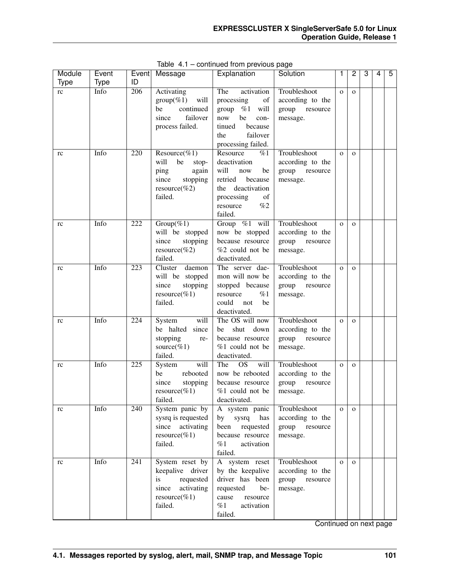| Module      | Event               | Event<br>ID      | Message                            | $P \cdot P \cdot P \cdot P$<br>Explanation | Solution                           | 1            | $\overline{c}$ | 3 | 4 | 5 |
|-------------|---------------------|------------------|------------------------------------|--------------------------------------------|------------------------------------|--------------|----------------|---|---|---|
| <b>Type</b> | <b>Type</b><br>Info | $\overline{206}$ |                                    | The<br>activation                          | Troubleshoot                       | $\mathbf{O}$ | $\mathbf{O}$   |   |   |   |
| rc          |                     |                  | Activating<br>$group(\%1)$<br>will | processing<br>of                           | according to the                   |              |                |   |   |   |
|             |                     |                  | continued<br>be                    | group $%1$ will                            | group resource                     |              |                |   |   |   |
|             |                     |                  | since<br>failover                  | now<br>be<br>con-                          | message.                           |              |                |   |   |   |
|             |                     |                  | process failed.                    | tinued<br>because                          |                                    |              |                |   |   |   |
|             |                     |                  |                                    | failover<br>the                            |                                    |              |                |   |   |   |
|             |                     |                  |                                    | processing failed.                         |                                    |              |                |   |   |   |
| rc          | Info                | 220              | Resource(%1)                       | Resource<br>%1                             | Troubleshoot                       | $\mathbf{O}$ | $\mathbf{O}$   |   |   |   |
|             |                     |                  | will<br>be<br>stop-                | deactivation                               | according to the                   |              |                |   |   |   |
|             |                     |                  | ping<br>again                      | will<br>now<br>be                          | group resource                     |              |                |   |   |   |
|             |                     |                  | since<br>stopping                  | retried<br>because                         | message.                           |              |                |   |   |   |
|             |                     |                  | resource(%2)                       | the deactivation                           |                                    |              |                |   |   |   |
|             |                     |                  | failed.                            | processing<br>of                           |                                    |              |                |   |   |   |
|             |                     |                  |                                    | %2<br>resource                             |                                    |              |                |   |   |   |
|             |                     |                  |                                    | failed.                                    |                                    |              |                |   |   |   |
| rc          | Info                | 222              | $Group(\%1)$                       | Group %1 will                              | Troubleshoot                       | $\mathbf{O}$ | $\mathbf{o}$   |   |   |   |
|             |                     |                  | will be stopped                    | now be stopped                             | according to the                   |              |                |   |   |   |
|             |                     |                  | since<br>stopping                  | because resource                           | group resource                     |              |                |   |   |   |
|             |                     |                  | $resource(\%2)$<br>failed.         | %2 could not be                            | message.                           |              |                |   |   |   |
|             | Info                | 223              | Cluster<br>daemon                  | deactivated.<br>The server dae-            | Troubleshoot                       |              |                |   |   |   |
| rc          |                     |                  | will be stopped                    | mon will now be                            |                                    | $\mathbf{o}$ | $\mathbf{o}$   |   |   |   |
|             |                     |                  | stopping<br>since                  | stopped because                            | according to the<br>group resource |              |                |   |   |   |
|             |                     |                  | resource(%1)                       | resource<br>%1                             | message.                           |              |                |   |   |   |
|             |                     |                  | failed.                            | could<br>be<br>not                         |                                    |              |                |   |   |   |
|             |                     |                  |                                    | deactivated.                               |                                    |              |                |   |   |   |
| rc          | Info                | 224              | System<br>will                     | The OS will now                            | Troubleshoot                       | $\mathbf{o}$ | $\mathbf{O}$   |   |   |   |
|             |                     |                  | be halted since                    | shut<br>down<br>be                         | according to the                   |              |                |   |   |   |
|             |                     |                  | stopping<br>re-                    | because resource                           | group resource                     |              |                |   |   |   |
|             |                     |                  | source(%1)                         | %1 could not be                            | message.                           |              |                |   |   |   |
|             |                     |                  | failed.                            | deactivated.                               |                                    |              |                |   |   |   |
| rc          | Info                | $\overline{225}$ | will<br>System                     | $\overline{OS}$<br>will<br>The             | Troubleshoot                       | $\mathbf{O}$ | $\mathbf{O}$   |   |   |   |
|             |                     |                  | rebooted<br>be                     | now be rebooted                            | according to the                   |              |                |   |   |   |
|             |                     |                  | since<br>stopping                  | because resource                           | group resource                     |              |                |   |   |   |
|             |                     |                  | $resource(\%1)$                    | %1 could not be                            | message.                           |              |                |   |   |   |
|             |                     |                  | failed.                            | deactivated.                               |                                    |              |                |   |   |   |
| rc          | Info                | 240              | System panic by                    | A system panic                             | Troubleshoot                       | $\mathbf{O}$ | $\Omega$       |   |   |   |
|             |                     |                  | sysrq is requested                 | by sysrq<br>has                            | according to the                   |              |                |   |   |   |
|             |                     |                  | activating<br>since                | been<br>requested                          | group resource                     |              |                |   |   |   |
|             |                     |                  | resource(%1)                       | because resource                           | message.                           |              |                |   |   |   |
|             |                     |                  | failed.                            | %1<br>activation                           |                                    |              |                |   |   |   |
|             | Info                | $\overline{241}$ | System reset by                    | failed.<br>A system reset                  | Troubleshoot                       | $\mathbf{O}$ | $\Omega$       |   |   |   |
| rc          |                     |                  | keepalive driver                   | by the keepalive                           | according to the                   |              |                |   |   |   |
|             |                     |                  | is<br>requested                    | driver has been                            | group resource                     |              |                |   |   |   |
|             |                     |                  | activating<br>since                | requested<br>be-                           | message.                           |              |                |   |   |   |
|             |                     |                  | $resource(\%1)$                    | cause<br>resource                          |                                    |              |                |   |   |   |
|             |                     |                  | failed.                            | %1<br>activation                           |                                    |              |                |   |   |   |
|             |                     |                  |                                    | failed.                                    |                                    |              |                |   |   |   |

Table 4.1 – continued from previous page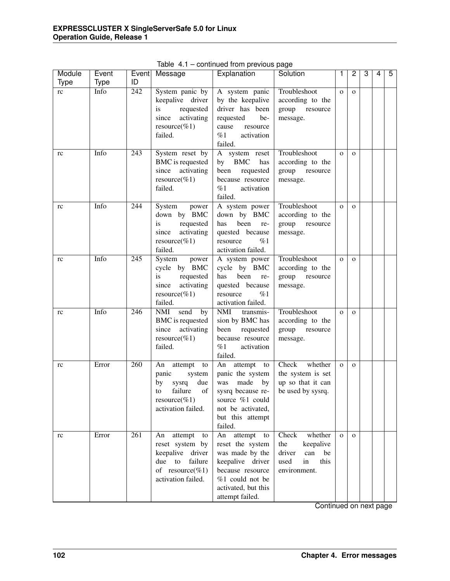| Module<br><b>Type</b> | Event<br><b>Type</b> | ID               | Event Message                                                                                                             | p.<br>Explanation                                                                                                                                            | Solution                                                                                          | $\mathbf{1}$   | $\overline{c}$ | 3 | 4 | 5 |
|-----------------------|----------------------|------------------|---------------------------------------------------------------------------------------------------------------------------|--------------------------------------------------------------------------------------------------------------------------------------------------------------|---------------------------------------------------------------------------------------------------|----------------|----------------|---|---|---|
| rc                    | Info                 | $\overline{242}$ | System panic by<br>keepalive driver<br>requested<br>is<br>activating<br>since<br>resource(%1)<br>failed.                  | A system panic<br>by the keepalive<br>driver has been<br>requested<br>be-<br>cause<br>resource<br>%1<br>activation<br>failed.                                | Troubleshoot<br>according to the<br>group resource<br>message.                                    | $\mathbf{O}$   | $\mathbf{O}$   |   |   |   |
| rc                    | Info                 | 243              | System reset by<br>BMC is requested<br>since<br>activating<br>resource(%1)<br>failed.                                     | A system reset<br>by BMC<br>has<br>been<br>requested<br>because resource<br>%1<br>activation<br>failed.                                                      | Troubleshoot<br>according to the<br>group resource<br>message.                                    | $\mathbf{O}$   | $\mathbf{o}$   |   |   |   |
| rc                    | Info                 | 244              | System<br>power<br>down by BMC<br>is<br>requested<br>since<br>activating<br>resource(%1)<br>failed.                       | A system power<br>down by BMC<br>has<br>been<br>re-<br>quested because<br>resource<br>%1<br>activation failed.                                               | Troubleshoot<br>according to the<br>group resource<br>message.                                    | $\mathbf{O}$   | $\mathbf{o}$   |   |   |   |
| rc                    | Info                 | 245              | System<br>power<br>cycle by BMC<br>is<br>requested<br>activating<br>since<br>resource(%1)<br>failed.                      | A system power<br>cycle by BMC<br>has<br>been<br>re-<br>quested because<br>%1<br>resource<br>activation failed.                                              | Troubleshoot<br>according to the<br>group resource<br>message.                                    | $\mathbf{o}$   | $\mathbf{o}$   |   |   |   |
| rc                    | Info                 | 246              | NMI<br>send<br>by<br>BMC is requested<br>since<br>activating<br>resource(%1)<br>failed.                                   | <b>NMI</b><br>transmis-<br>sion by BMC has<br>requested<br>been<br>because resource<br>%1<br>activation<br>failed.                                           | Troubleshoot<br>according to the<br>group resource<br>message.                                    | $\mathbf{O}$   | $\mathbf{O}$   |   |   |   |
| rc                    | Error                | $\overline{260}$ | attempt<br>An<br>to<br>panic<br>system<br>by<br>sysrq<br>due<br>failure<br>of<br>to<br>resource(%1)<br>activation failed. | An attempt<br>to<br>panic the system<br>made<br>by<br>was<br>sysrq because re-<br>source %1 could<br>not be activated,<br>but this attempt<br>failed.        | Check<br>whether<br>the system is set<br>up so that it can<br>be used by sysrq.                   | $\overline{O}$ | $\mathbf{O}$   |   |   |   |
| rc                    | Error                | $\overline{261}$ | attempt<br>An<br>to<br>reset system by<br>keepalive driver<br>due to<br>failure<br>of resource(%1)<br>activation failed.  | An attempt<br>to<br>reset the system<br>was made by the<br>keepalive driver<br>because resource<br>%1 could not be<br>activated, but this<br>attempt failed. | Check<br>whether<br>the<br>keepalive<br>driver<br>can<br>be<br>in<br>used<br>this<br>environment. | $\Omega$       | $\Omega$       |   |   |   |

Table 4.1 – continued from previous page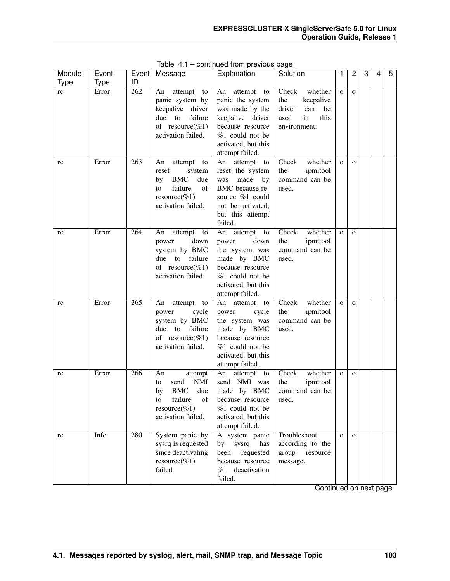| Module | Event       |     | Event Message                         | Explanation                           | Solution                          |              | 2            | 3 | 4 | 5 |
|--------|-------------|-----|---------------------------------------|---------------------------------------|-----------------------------------|--------------|--------------|---|---|---|
| Type   | <b>Type</b> | ID  |                                       |                                       |                                   |              |              |   |   |   |
| rc     | Error       | 262 | An attempt to                         | An attempt to                         | Check<br>whether                  | $\mathbf{O}$ | $\mathbf{O}$ |   |   |   |
|        |             |     | panic system by                       | panic the system                      | the<br>keepalive                  |              |              |   |   |   |
|        |             |     | keepalive driver<br>failure<br>due    | was made by the                       | driver<br>can<br>be<br>in<br>this |              |              |   |   |   |
|        |             |     | to<br>of resource(%1)                 | keepalive driver<br>because resource  | used<br>environment.              |              |              |   |   |   |
|        |             |     | activation failed.                    | %1 could not be                       |                                   |              |              |   |   |   |
|        |             |     |                                       | activated, but this                   |                                   |              |              |   |   |   |
|        |             |     |                                       | attempt failed.                       |                                   |              |              |   |   |   |
| rc     | Error       | 263 | attempt to<br>An                      | An attempt<br>to                      | Check<br>whether                  | $\mathbf{O}$ | $\mathbf{O}$ |   |   |   |
|        |             |     | system<br>reset                       | reset the system                      | ipmitool<br>the                   |              |              |   |   |   |
|        |             |     | <b>BMC</b><br>due<br>by               | made<br>by<br>was                     | command can be                    |              |              |   |   |   |
|        |             |     | failure<br>of<br>to                   | BMC because re-                       | used.                             |              |              |   |   |   |
|        |             |     | resource(%1)                          | source %1 could                       |                                   |              |              |   |   |   |
|        |             |     | activation failed.                    | not be activated,                     |                                   |              |              |   |   |   |
|        |             |     |                                       | but this attempt                      |                                   |              |              |   |   |   |
|        |             | 264 |                                       | failed.                               | whether                           |              |              |   |   |   |
| rc     | Error       |     | attempt to<br>An<br>down<br>power     | An attempt to<br>down<br>power        | Check<br>ipmitool<br>the          | $\mathbf{o}$ | $\mathbf{O}$ |   |   |   |
|        |             |     | system by BMC                         | the system was                        | command can be                    |              |              |   |   |   |
|        |             |     | due<br>to<br>failure                  | made by BMC                           | used.                             |              |              |   |   |   |
|        |             |     | of resource(%1)                       | because resource                      |                                   |              |              |   |   |   |
|        |             |     | activation failed.                    | $%1$ could not be                     |                                   |              |              |   |   |   |
|        |             |     |                                       | activated, but this                   |                                   |              |              |   |   |   |
|        |             |     |                                       | attempt failed.                       |                                   |              |              |   |   |   |
| rc     | Error       | 265 | attempt to<br>An                      | An attempt to                         | whether<br>Check                  | $\mathbf{O}$ | $\mathbf{O}$ |   |   |   |
|        |             |     | cycle<br>power                        | cycle<br>power                        | ipmitool<br>the                   |              |              |   |   |   |
|        |             |     | system by BMC                         | the system was                        | command can be                    |              |              |   |   |   |
|        |             |     | failure<br>to<br>due                  | made by BMC                           | used.                             |              |              |   |   |   |
|        |             |     | of resource(%1)<br>activation failed. | because resource<br>$%1$ could not be |                                   |              |              |   |   |   |
|        |             |     |                                       | activated, but this                   |                                   |              |              |   |   |   |
|        |             |     |                                       | attempt failed.                       |                                   |              |              |   |   |   |
| rc     | Error       | 266 | An<br>attempt                         | attempt<br>An<br>to                   | Check<br>whether                  | $\mathbf{o}$ | $\mathbf{O}$ |   |   |   |
|        |             |     | <b>NMI</b><br>send<br>to              | send NMI was                          | the<br>ipmitool                   |              |              |   |   |   |
|        |             |     | <b>BMC</b><br>due<br>by               | made by BMC                           | command can be                    |              |              |   |   |   |
|        |             |     | failure<br>οf<br>to                   | because resource                      | used.                             |              |              |   |   |   |
|        |             |     | resource(%1)                          | %1 could not be                       |                                   |              |              |   |   |   |
|        |             |     | activation failed.                    | activated, but this                   |                                   |              |              |   |   |   |
|        |             |     |                                       | attempt failed.                       |                                   |              |              |   |   |   |
| rc     | Info        | 280 | System panic by                       | A system panic                        | Troubleshoot                      | $\mathbf{O}$ | $\mathbf{O}$ |   |   |   |
|        |             |     | sysrq is requested                    | sysrq<br>by<br>has                    | according to the                  |              |              |   |   |   |
|        |             |     | since deactivating<br>$resource(\%1)$ | been<br>requested<br>because resource | group<br>resource<br>message.     |              |              |   |   |   |
|        |             |     | failed.                               | deactivation<br>%1                    |                                   |              |              |   |   |   |
|        |             |     |                                       | failed.                               |                                   |              |              |   |   |   |

Table 4.1 – continued from previous page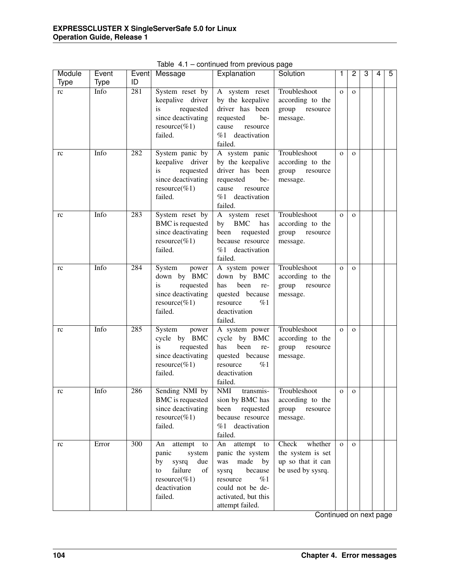| Module<br><b>Type</b> | Event<br><b>Type</b> | Event<br>ID      | Message                                                                                                                        | p.<br>Explanation                                                                                                                                                | Solution                                                                        | $\mathbf{1}$   | $\overline{c}$ | 3 | 4 | 5 |
|-----------------------|----------------------|------------------|--------------------------------------------------------------------------------------------------------------------------------|------------------------------------------------------------------------------------------------------------------------------------------------------------------|---------------------------------------------------------------------------------|----------------|----------------|---|---|---|
| rc                    | Info                 | 281              | System reset by<br>keepalive driver<br>requested<br>is<br>since deactivating<br>resource(%1)<br>failed.                        | A system reset<br>by the keepalive<br>driver has been<br>requested<br>be-<br>cause<br>resource<br>%1 deactivation<br>failed.                                     | Troubleshoot<br>according to the<br>group resource<br>message.                  | $\mathbf{O}$   | $\mathbf{O}$   |   |   |   |
| rc                    | Info                 | 282              | System panic by<br>keepalive driver<br>requested<br>is<br>since deactivating<br>resource(%1)<br>failed.                        | A system panic<br>by the keepalive<br>driver has been<br>requested<br>be-<br>cause<br>resource<br>%1 deactivation<br>failed.                                     | Troubleshoot<br>according to the<br>group resource<br>message.                  | $\mathbf{O}$   | $\mathbf{O}$   |   |   |   |
| rc                    | Info                 | 283              | System reset by<br>BMC is requested<br>since deactivating<br>resource(%1)<br>failed.                                           | A system reset<br>by BMC<br>has<br>been<br>requested<br>because resource<br>%1 deactivation<br>failed.                                                           | Troubleshoot<br>according to the<br>group resource<br>message.                  | $\mathbf{O}$   | $\mathbf{o}$   |   |   |   |
| rc                    | Info                 | 284              | System<br>power<br>down by BMC<br>is<br>requested<br>since deactivating<br>resource(%1)<br>failed.                             | A system power<br>down by BMC<br>has<br>been<br>re-<br>quested because<br>%1<br>resource<br>deactivation<br>failed.                                              | Troubleshoot<br>according to the<br>group resource<br>message.                  | $\mathbf{O}$   | $\mathbf{o}$   |   |   |   |
| rc                    | Info                 | 285              | System<br>power<br>cycle by BMC<br>is<br>requested<br>since deactivating<br>resource(%1)<br>failed.                            | A system power<br>cycle by BMC<br>has<br>been<br>re-<br>quested because<br>%1<br>resource<br>deactivation<br>failed.                                             | Troubleshoot<br>according to the<br>group resource<br>message.                  | $\mathbf{O}$   | $\mathbf{O}$   |   |   |   |
| rc                    | Info                 | 286              | Sending NMI by<br>BMC is requested<br>since deactivating<br>resource(%1)<br>failed.                                            | NMI<br>transmis-<br>sion by BMC has<br>requested<br>been<br>because resource<br>%1 deactivation<br>failed.                                                       | Troubleshoot<br>according to the<br>group<br>resource<br>message.               | $\mathbf 0$    | $\mathbf{O}$   |   |   |   |
| rc                    | Error                | $\overline{300}$ | attempt<br>An<br>to<br>panic<br>system<br>by<br>sysrq<br>due<br>failure<br>of<br>to<br>resource(%1)<br>deactivation<br>failed. | attempt<br>An<br>to<br>panic the system<br>made<br>was<br>by<br>because<br>sysrq<br>resource<br>%1<br>could not be de-<br>activated, but this<br>attempt failed. | Check<br>whether<br>the system is set<br>up so that it can<br>be used by sysrq. | $\overline{O}$ | $\Omega$       |   |   |   |

Table 4.1 – continued from previous page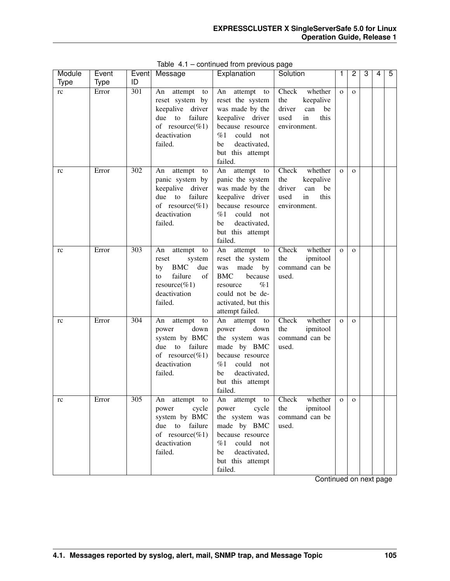| Module      | Event | Event            | Message                                | Explanation                              | Solution                             | 1            | 2            | 3 | 4 | 5 |
|-------------|-------|------------------|----------------------------------------|------------------------------------------|--------------------------------------|--------------|--------------|---|---|---|
| <b>Type</b> | Type  | ID               |                                        |                                          |                                      |              |              |   |   |   |
| rc          | Error | 301              | attempt<br>An<br>to<br>reset system by | An attempt<br>to<br>reset the system     | whether<br>Check<br>the<br>keepalive | $\mathbf{O}$ | $\Omega$     |   |   |   |
|             |       |                  | driver<br>keepalive                    | was made by the                          | driver<br>can<br>be                  |              |              |   |   |   |
|             |       |                  | failure<br>due<br>to                   | keepalive driver                         | used<br>in<br>this                   |              |              |   |   |   |
|             |       |                  | of resource(%1)                        | because resource                         | environment.                         |              |              |   |   |   |
|             |       |                  | deactivation                           | could<br>$\%1$<br>not                    |                                      |              |              |   |   |   |
|             |       |                  | failed.                                | deactivated,<br>be                       |                                      |              |              |   |   |   |
|             |       |                  |                                        | but this attempt                         |                                      |              |              |   |   |   |
|             | Error | $\overline{302}$ | attempt<br>An                          | failed.<br>An attempt                    | whether<br>Check                     | $\mathbf{O}$ | $\Omega$     |   |   |   |
| rc          |       |                  | to<br>panic system by                  | to<br>panic the system                   | the<br>keepalive                     |              |              |   |   |   |
|             |       |                  | driver<br>keepalive                    | was made by the                          | driver<br>can<br>be                  |              |              |   |   |   |
|             |       |                  | failure<br>due<br>to                   | keepalive driver                         | used<br>in<br>this                   |              |              |   |   |   |
|             |       |                  | of resource(%1)                        | because resource                         | environment.                         |              |              |   |   |   |
|             |       |                  | deactivation                           | $\%1$<br>could<br>not                    |                                      |              |              |   |   |   |
|             |       |                  | failed.                                | deactivated,<br>be                       |                                      |              |              |   |   |   |
|             |       |                  |                                        | but this attempt<br>failed.              |                                      |              |              |   |   |   |
| rc          | Error | 303              | attempt<br>An<br>to                    | An<br>attempt<br>to                      | Check<br>whether                     | $\mathbf{O}$ | $\Omega$     |   |   |   |
|             |       |                  | reset<br>system                        | reset the system                         | the<br>ipmitool                      |              |              |   |   |   |
|             |       |                  | <b>BMC</b><br>due<br>by                | made<br>by<br>was                        | command can be                       |              |              |   |   |   |
|             |       |                  | failure<br>of<br>to                    | <b>BMC</b><br>because                    | used.                                |              |              |   |   |   |
|             |       |                  | resource(%1)                           | %1<br>resource                           |                                      |              |              |   |   |   |
|             |       |                  | deactivation                           | could not be de-                         |                                      |              |              |   |   |   |
|             |       |                  | failed.                                | activated, but this<br>attempt failed.   |                                      |              |              |   |   |   |
| rc          | Error | 304              | attempt<br>An<br>to                    | An attempt to                            | Check<br>whether                     | $\mathbf{O}$ | $\Omega$     |   |   |   |
|             |       |                  | down<br>power                          | down<br>power                            | the<br>ipmitool                      |              |              |   |   |   |
|             |       |                  | system by BMC                          | the system was                           | command can be                       |              |              |   |   |   |
|             |       |                  | $\mathbf{t}$<br>failure<br>due         | made by BMC                              | used.                                |              |              |   |   |   |
|             |       |                  | of resource(%1)                        | because resource                         |                                      |              |              |   |   |   |
|             |       |                  | deactivation                           | %1<br>could<br>not                       |                                      |              |              |   |   |   |
|             |       |                  | failed.                                | deactivated,<br>be<br>but this attempt   |                                      |              |              |   |   |   |
|             |       |                  |                                        | failed.                                  |                                      |              |              |   |   |   |
| rc          | Error | 305              | An<br>attempt to                       | An attempt to                            | Check<br>whether                     | $\mathbf 0$  | $\mathbf{O}$ |   |   |   |
|             |       |                  | cycle<br>power                         | cycle<br>power                           | the<br>ipmitool                      |              |              |   |   |   |
|             |       |                  | system by BMC                          | the system was                           | command can be                       |              |              |   |   |   |
|             |       |                  | to<br>failure<br>due                   | made by BMC                              | used.                                |              |              |   |   |   |
|             |       |                  | of resource(%1)                        | because resource                         |                                      |              |              |   |   |   |
|             |       |                  | deactivation<br>failed.                | could<br>%1<br>not<br>deactivated,<br>be |                                      |              |              |   |   |   |
|             |       |                  |                                        | but this attempt                         |                                      |              |              |   |   |   |
|             |       |                  |                                        | failed.                                  |                                      |              |              |   |   |   |

Table 4.1 – continued from previous page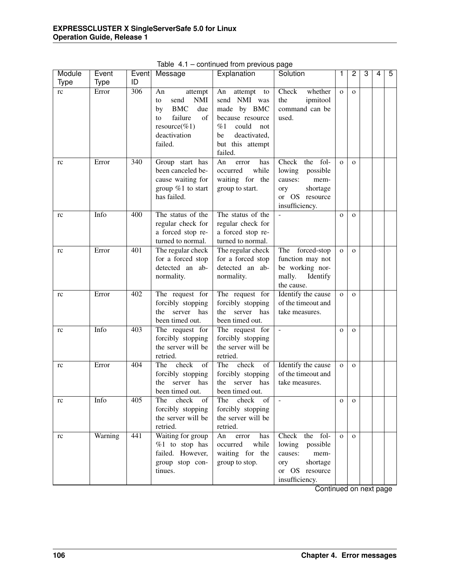| Module      | Event       | Event | Message                  | Explanation         | Solution                 | 1            | 2            | 3 | 4 | 5 |
|-------------|-------------|-------|--------------------------|---------------------|--------------------------|--------------|--------------|---|---|---|
| <b>Type</b> | <b>Type</b> | ID    |                          |                     |                          |              |              |   |   |   |
| rc          | Error       | 306   | An<br>attempt            | An<br>attempt<br>to | Check<br>whether         | $\mathbf{O}$ | $\mathbf{O}$ |   |   |   |
|             |             |       | send<br><b>NMI</b><br>to | send NMI was        | ipmitool<br>the          |              |              |   |   |   |
|             |             |       | <b>BMC</b><br>due<br>by  | made by BMC         | command can be           |              |              |   |   |   |
|             |             |       | failure<br>of<br>to      | because resource    | used.                    |              |              |   |   |   |
|             |             |       | resource(%1)             | could<br>%1<br>not  |                          |              |              |   |   |   |
|             |             |       | deactivation             | deactivated,<br>be  |                          |              |              |   |   |   |
|             |             |       | failed.                  | but this attempt    |                          |              |              |   |   |   |
|             |             |       |                          | failed.             |                          |              |              |   |   |   |
| rc          | Error       | 340   | Group start has          | An<br>error<br>has  | the fol-<br>Check        | $\mathbf{O}$ | $\mathbf{O}$ |   |   |   |
|             |             |       | been canceled be-        | occurred<br>while   | lowing<br>possible       |              |              |   |   |   |
|             |             |       | cause waiting for        | waiting for the     | causes:<br>mem-          |              |              |   |   |   |
|             |             |       | group $%1$ to start      | group to start.     | shortage<br>ory          |              |              |   |   |   |
|             |             |       | has failed.              |                     | or OS resource           |              |              |   |   |   |
|             |             |       |                          |                     | insufficiency.           |              |              |   |   |   |
| rc          | Info        | 400   | The status of the        | The status of the   | $\overline{\phantom{a}}$ | $\mathbf{O}$ | $\mathbf{O}$ |   |   |   |
|             |             |       | regular check for        | regular check for   |                          |              |              |   |   |   |
|             |             |       | a forced stop re-        | a forced stop re-   |                          |              |              |   |   |   |
|             |             |       | turned to normal.        | turned to normal.   |                          |              |              |   |   |   |
| rc          | Error       | 401   | The regular check        | The regular check   | The forced-stop          | $\mathbf{O}$ | $\mathbf{O}$ |   |   |   |
|             |             |       | for a forced stop        | for a forced stop   | function may not         |              |              |   |   |   |
|             |             |       | detected an ab-          | detected an ab-     | be working nor-          |              |              |   |   |   |
|             |             |       | normality.               | normality.          | mally.<br>Identify       |              |              |   |   |   |
|             |             |       |                          |                     | the cause.               |              |              |   |   |   |
| rc          | Error       | 402   | The request for          | The request for     | Identify the cause       | $\mathbf{O}$ | $\mathbf{o}$ |   |   |   |
|             |             |       | forcibly stopping        | forcibly stopping   | of the timeout and       |              |              |   |   |   |
|             |             |       | the server has           | server has<br>the   | take measures.           |              |              |   |   |   |
|             |             |       | been timed out.          | been timed out.     |                          |              |              |   |   |   |
| rc          | Info        | 403   | The request for          | The request for     |                          | $\mathbf{O}$ | $\mathbf{O}$ |   |   |   |
|             |             |       | forcibly stopping        | forcibly stopping   |                          |              |              |   |   |   |
|             |             |       | the server will be       | the server will be  |                          |              |              |   |   |   |
|             |             |       | retried.                 | retried.            |                          |              |              |   |   |   |
| rc          | Error       | 404   | The<br>check<br>of       | The check<br>of     | Identify the cause       | $\mathbf{O}$ | $\mathbf{O}$ |   |   |   |
|             |             |       | forcibly stopping        | forcibly stopping   | of the timeout and       |              |              |   |   |   |
|             |             |       | the<br>server<br>has     | server has<br>the   | take measures.           |              |              |   |   |   |
|             |             |       | been timed out.          | been timed out.     |                          |              |              |   |   |   |
| rc          | Info        | 405   | check<br>The<br>of       | check<br>The<br>of  |                          | $\mathbf 0$  | $\mathbf{o}$ |   |   |   |
|             |             |       | forcibly stopping        | forcibly stopping   |                          |              |              |   |   |   |
|             |             |       | the server will be       | the server will be  |                          |              |              |   |   |   |
|             |             |       | retried.                 | retried.            |                          |              |              |   |   |   |
| rc          | Warning     | 441   | Waiting for group        | An<br>error<br>has  | the fol-<br>Check        | $\mathbf{O}$ | $\Omega$     |   |   |   |
|             |             |       | $%1$ to stop has         | occurred<br>while   | lowing<br>possible       |              |              |   |   |   |
|             |             |       | failed. However,         | waiting for the     | causes:<br>mem-          |              |              |   |   |   |
|             |             |       | group stop con-          | group to stop.      | shortage<br>ory          |              |              |   |   |   |
|             |             |       | tinues.                  |                     | or OS resource           |              |              |   |   |   |
|             |             |       |                          |                     | insufficiency.           |              |              |   |   |   |
|             |             |       |                          |                     |                          |              |              |   |   |   |

Table 4.1 – continued from previous page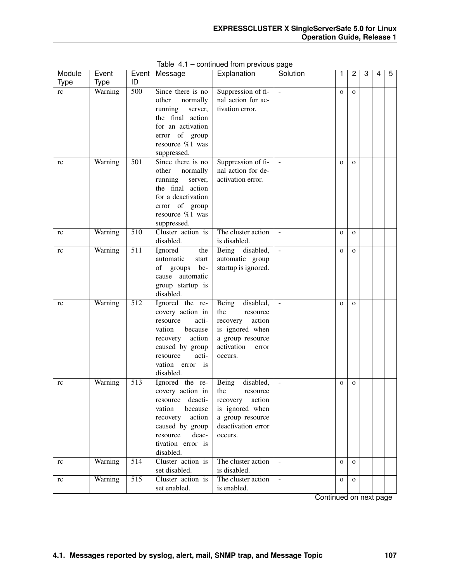| Module      | Event       |                  | Event Message       | Explanation         | Solution                 |              | 2            | 3 | 4 | 5 |
|-------------|-------------|------------------|---------------------|---------------------|--------------------------|--------------|--------------|---|---|---|
| <b>Type</b> | <b>Type</b> | ID               |                     |                     |                          |              |              |   |   |   |
| rc          | Warning     | $\overline{500}$ | Since there is no   | Suppression of fi-  | $\bar{\phantom{a}}$      | $\mathbf{O}$ | $\mathbf{O}$ |   |   |   |
|             |             |                  | other<br>normally   | nal action for ac-  |                          |              |              |   |   |   |
|             |             |                  | running<br>server,  | tivation error.     |                          |              |              |   |   |   |
|             |             |                  | the final action    |                     |                          |              |              |   |   |   |
|             |             |                  | for an activation   |                     |                          |              |              |   |   |   |
|             |             |                  | error of group      |                     |                          |              |              |   |   |   |
|             |             |                  | resource %1 was     |                     |                          |              |              |   |   |   |
|             |             |                  | suppressed.         |                     |                          |              |              |   |   |   |
| rc          | Warning     | 501              | Since there is no   | Suppression of fi-  |                          | $\mathbf{O}$ | $\mathbf{O}$ |   |   |   |
|             |             |                  | other<br>normally   | nal action for de-  |                          |              |              |   |   |   |
|             |             |                  | running<br>server,  | activation error.   |                          |              |              |   |   |   |
|             |             |                  | the final action    |                     |                          |              |              |   |   |   |
|             |             |                  | for a deactivation  |                     |                          |              |              |   |   |   |
|             |             |                  | error of group      |                     |                          |              |              |   |   |   |
|             |             |                  | resource %1 was     |                     |                          |              |              |   |   |   |
|             |             |                  | suppressed.         |                     |                          |              |              |   |   |   |
| rc          | Warning     | 510              | Cluster action is   | The cluster action  | $\overline{\phantom{a}}$ | $\mathbf{O}$ | $\mathbf{O}$ |   |   |   |
|             |             |                  | disabled.           | is disabled.        |                          |              |              |   |   |   |
| rc          | Warning     | $\overline{511}$ | Ignored<br>the      | Being disabled,     | $\mathbb{L}$             | $\mathbf{O}$ | $\mathbf{O}$ |   |   |   |
|             |             |                  | automatic<br>start  | automatic group     |                          |              |              |   |   |   |
|             |             |                  | of<br>be-<br>groups | startup is ignored. |                          |              |              |   |   |   |
|             |             |                  | cause automatic     |                     |                          |              |              |   |   |   |
|             |             |                  | group startup is    |                     |                          |              |              |   |   |   |
|             |             |                  | disabled.           |                     |                          |              |              |   |   |   |
| rc          | Warning     | 512              | Ignored the re-     | disabled,<br>Being  | $\bar{\phantom{a}}$      | $\mathbf{O}$ | $\mathbf{O}$ |   |   |   |
|             |             |                  | covery action in    | the<br>resource     |                          |              |              |   |   |   |
|             |             |                  | acti-<br>resource   | action<br>recovery  |                          |              |              |   |   |   |
|             |             |                  | vation<br>because   | is ignored when     |                          |              |              |   |   |   |
|             |             |                  | action<br>recovery  | a group resource    |                          |              |              |   |   |   |
|             |             |                  | caused by group     | activation<br>error |                          |              |              |   |   |   |
|             |             |                  | acti-<br>resource   | occurs.             |                          |              |              |   |   |   |
|             |             |                  | vation<br>error is  |                     |                          |              |              |   |   |   |
|             |             |                  | disabled.           |                     |                          |              |              |   |   |   |
| rc          | Warning     | 513              | Ignored the re-     | disabled,<br>Being  | $\blacksquare$           | $\mathbf{O}$ | $\mathbf{O}$ |   |   |   |
|             |             |                  | covery action in    | the<br>resource     |                          |              |              |   |   |   |
|             |             |                  | deacti-<br>resource | recovery<br>action  |                          |              |              |   |   |   |
|             |             |                  | vation<br>because   | is ignored when     |                          |              |              |   |   |   |
|             |             |                  | action<br>recovery  | a group resource    |                          |              |              |   |   |   |
|             |             |                  | caused by group     | deactivation error  |                          |              |              |   |   |   |
|             |             |                  | deac-<br>resource   | occurs.             |                          |              |              |   |   |   |
|             |             |                  | tivation error is   |                     |                          |              |              |   |   |   |
|             |             |                  | disabled.           |                     |                          |              |              |   |   |   |
| rc          | Warning     | $\overline{514}$ | Cluster action is   | The cluster action  | $\blacksquare$           | $\mathbf{O}$ | $\mathbf{O}$ |   |   |   |
|             |             |                  | set disabled.       | is disabled.        |                          |              |              |   |   |   |
| rc          | Warning     | $\overline{515}$ | Cluster action is   | The cluster action  | $\blacksquare$           | $\mathbf{O}$ | $\mathbf{O}$ |   |   |   |
|             |             |                  | set enabled.        | is enabled.         |                          |              |              |   |   |   |

Table 4.1 – continued from previous page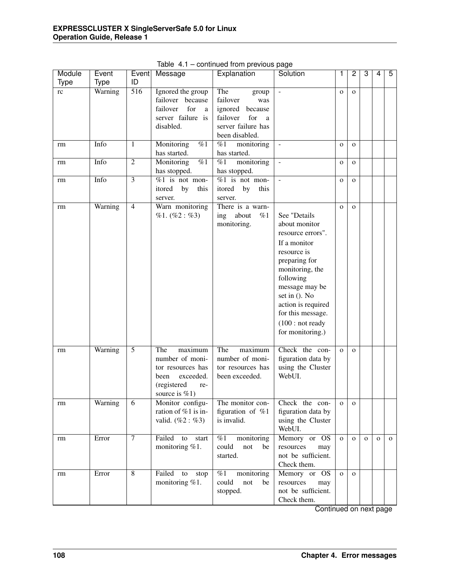| Module<br>Type | Event<br><b>Type</b> | Event<br>ID    | Message                                                                                                               | Explanation                                                                                                           | Solution                                                                                                                                                                                                                                                 | 1            | $\overline{2}$ | 3            | 4            | $\overline{5}$ |
|----------------|----------------------|----------------|-----------------------------------------------------------------------------------------------------------------------|-----------------------------------------------------------------------------------------------------------------------|----------------------------------------------------------------------------------------------------------------------------------------------------------------------------------------------------------------------------------------------------------|--------------|----------------|--------------|--------------|----------------|
| rc             | Warning              | 516            | Ignored the group<br>failover because<br>for<br>failover<br>a<br>server failure is<br>disabled.                       | The<br>group<br>failover<br>was<br>ignored<br>because<br>failover<br>for<br>a<br>server failure has<br>been disabled. | $\bar{\phantom{a}}$                                                                                                                                                                                                                                      | $\mathbf{O}$ | $\mathbf{o}$   |              |              |                |
| rm             | Info                 | 1              | %1<br>Monitoring<br>has started.                                                                                      | monitoring<br>%1<br>has started.                                                                                      | $\blacksquare$                                                                                                                                                                                                                                           | $\Omega$     | $\overline{O}$ |              |              |                |
| rm             | Info                 | $\overline{2}$ | Monitoring<br>$\overline{\%1}$<br>has stopped.                                                                        | %1<br>monitoring<br>has stopped.                                                                                      | $\bar{\phantom{a}}$                                                                                                                                                                                                                                      | $\mathbf 0$  | $\mathbf{O}$   |              |              |                |
| rm             | Info                 | $\overline{3}$ | $%1$ is not mon-<br>itored<br>by<br>this<br>server.                                                                   | $%1$ is not mon-<br>itored<br>by<br>this<br>server.                                                                   | $\blacksquare$                                                                                                                                                                                                                                           | $\mathbf{O}$ | $\mathbf{O}$   |              |              |                |
| rm             | Warning              | $\overline{4}$ | Warn monitoring<br>%1. (%2: %3)                                                                                       | There is a warn-<br>ing about<br>%1<br>monitoring.                                                                    | See "Details<br>about monitor<br>resource errors".<br>If a monitor<br>resource is<br>preparing for<br>monitoring, the<br>following<br>message may be<br>set in (). No<br>action is required<br>for this message.<br>(100: not ready)<br>for monitoring.) | $\mathbf{O}$ | $\Omega$       |              |              |                |
| rm             | Warning              | 5              | The<br>maximum<br>number of moni-<br>tor resources has<br>exceeded.<br>been<br>(registered<br>re-<br>source is $%1$ ) | The<br>maximum<br>number of moni-<br>tor resources has<br>been exceeded.                                              | Check the con-<br>figuration data by<br>using the Cluster<br>WebUI.                                                                                                                                                                                      | $\mathbf{O}$ | $\Omega$       |              |              |                |
| rm             | Warning              | 6              | Monitor configu-<br>ration of %1 is in-<br>valid. $(\%2 : \%3)$                                                       | The monitor con-<br>figuration of $%1$<br>is invalid.                                                                 | Check the con-<br>figuration data by<br>using the Cluster<br>WebUI.                                                                                                                                                                                      | $\mathbf{O}$ | $\mathbf{O}$   |              |              |                |
| rm             | Error                | $\overline{7}$ | Failed<br>to<br>start<br>monitoring %1.                                                                               | %1<br>monitoring<br>could<br>not<br>be<br>started.                                                                    | Memory or OS<br>resources<br>may<br>not be sufficient.<br>Check them.                                                                                                                                                                                    | $\mathbf{O}$ | $\mathbf{O}$   | $\mathbf{o}$ | $\mathbf{o}$ | $\mathbf 0$    |
| rm             | Error                | $\overline{8}$ | Failed<br>to<br>stop<br>monitoring %1.                                                                                | $\%1$<br>monitoring<br>could<br>not<br>be<br>stopped.                                                                 | Memory or OS<br>resources<br>may<br>not be sufficient.<br>Check them.                                                                                                                                                                                    | $\mathbf{O}$ | $\mathbf{O}$   |              |              |                |

Table 4.1 – continued from previous page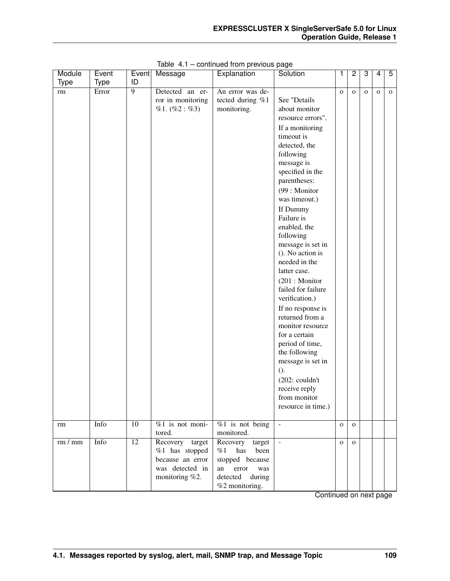| Module      | Event       | Event           | Message           | Explanation        | Solution                 | 1           | $\overline{2}$ | 3            | 4           | 5            |
|-------------|-------------|-----------------|-------------------|--------------------|--------------------------|-------------|----------------|--------------|-------------|--------------|
| <b>Type</b> | <b>Type</b> | ID              |                   |                    |                          |             |                |              |             |              |
| rm          | Error       | $\overline{9}$  | Detected an er-   | An error was de-   |                          | $\mathbf 0$ | $\mathbf{O}$   | $\mathbf{o}$ | $\mathbf 0$ | $\mathbf{O}$ |
|             |             |                 | ror in monitoring | tected during %1   | See "Details             |             |                |              |             |              |
|             |             |                 | %1. (%2: %3)      | monitoring.        | about monitor            |             |                |              |             |              |
|             |             |                 |                   |                    | resource errors".        |             |                |              |             |              |
|             |             |                 |                   |                    | If a monitoring          |             |                |              |             |              |
|             |             |                 |                   |                    | timeout is               |             |                |              |             |              |
|             |             |                 |                   |                    | detected, the            |             |                |              |             |              |
|             |             |                 |                   |                    | following                |             |                |              |             |              |
|             |             |                 |                   |                    | message is               |             |                |              |             |              |
|             |             |                 |                   |                    | specified in the         |             |                |              |             |              |
|             |             |                 |                   |                    | parentheses:             |             |                |              |             |              |
|             |             |                 |                   |                    | (99 : Monitor            |             |                |              |             |              |
|             |             |                 |                   |                    | was timeout.)            |             |                |              |             |              |
|             |             |                 |                   |                    | If Dummy                 |             |                |              |             |              |
|             |             |                 |                   |                    | Failure is               |             |                |              |             |              |
|             |             |                 |                   |                    | enabled, the             |             |                |              |             |              |
|             |             |                 |                   |                    | following                |             |                |              |             |              |
|             |             |                 |                   |                    | message is set in        |             |                |              |             |              |
|             |             |                 |                   |                    | (). No action is         |             |                |              |             |              |
|             |             |                 |                   |                    | needed in the            |             |                |              |             |              |
|             |             |                 |                   |                    | latter case.             |             |                |              |             |              |
|             |             |                 |                   |                    | (201 : Monitor           |             |                |              |             |              |
|             |             |                 |                   |                    | failed for failure       |             |                |              |             |              |
|             |             |                 |                   |                    | verification.)           |             |                |              |             |              |
|             |             |                 |                   |                    | If no response is        |             |                |              |             |              |
|             |             |                 |                   |                    | returned from a          |             |                |              |             |              |
|             |             |                 |                   |                    | monitor resource         |             |                |              |             |              |
|             |             |                 |                   |                    | for a certain            |             |                |              |             |              |
|             |             |                 |                   |                    | period of time,          |             |                |              |             |              |
|             |             |                 |                   |                    | the following            |             |                |              |             |              |
|             |             |                 |                   |                    | message is set in        |             |                |              |             |              |
|             |             |                 |                   |                    | $()$ .                   |             |                |              |             |              |
|             |             |                 |                   |                    | $(202: \text{couldn't})$ |             |                |              |             |              |
|             |             |                 |                   |                    | receive reply            |             |                |              |             |              |
|             |             |                 |                   |                    | from monitor             |             |                |              |             |              |
|             |             |                 |                   |                    | resource in time.)       |             |                |              |             |              |
| rm          | Info        | $\overline{10}$ | $%1$ is not moni- | $%1$ is not being  | $\Box$                   | $\mathbf 0$ | $\mathbf{O}$   |              |             |              |
|             |             |                 | tored.            | monitored.         |                          |             |                |              |             |              |
| rm / mm     | Info        | $\overline{12}$ | Recovery target   | Recovery<br>target | $\blacksquare$           | $\mathbf 0$ | $\mathbf{O}$   |              |             |              |
|             |             |                 | %1 has stopped    | %1<br>has<br>been  |                          |             |                |              |             |              |
|             |             |                 | because an error  | stopped because    |                          |             |                |              |             |              |
|             |             |                 | was detected in   | an<br>error<br>was |                          |             |                |              |             |              |
|             |             |                 | monitoring %2.    | detected<br>during |                          |             |                |              |             |              |
|             |             |                 |                   | %2 monitoring.     |                          |             |                |              |             |              |

|  |  | Table 4.1 - continued from previous page |  |  |  |
|--|--|------------------------------------------|--|--|--|
|--|--|------------------------------------------|--|--|--|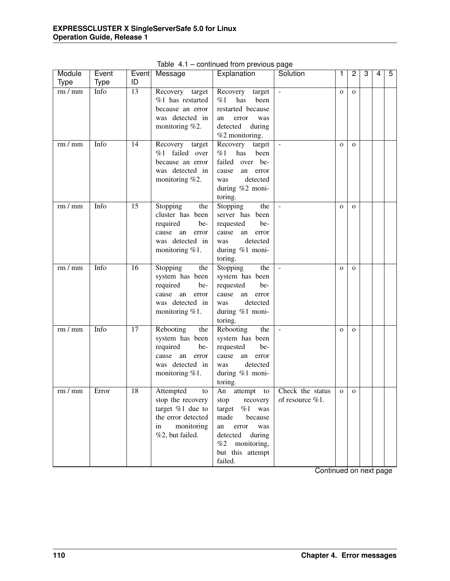| Module      | Event       |                 | Event Message        | Explanation          | Solution           | 1            | 2            | 3 | 4 | 5 |
|-------------|-------------|-----------------|----------------------|----------------------|--------------------|--------------|--------------|---|---|---|
| <b>Type</b> | <b>Type</b> | ID              |                      |                      |                    |              |              |   |   |   |
| rm/mm       | Info        | $\overline{13}$ | Recovery target      | Recovery<br>target   |                    | $\mathbf{O}$ | $\mathbf{O}$ |   |   |   |
|             |             |                 | $%1$ has restarted   | %1<br>has<br>been    |                    |              |              |   |   |   |
|             |             |                 | because an error     | restarted because    |                    |              |              |   |   |   |
|             |             |                 | was detected in      | an<br>error<br>was   |                    |              |              |   |   |   |
|             |             |                 | monitoring %2.       | detected<br>during   |                    |              |              |   |   |   |
|             |             |                 |                      | %2 monitoring.       |                    |              |              |   |   |   |
| rm/mm       | Info        | 14              | Recovery target      | Recovery<br>target   |                    | $\Omega$     | $\Omega$     |   |   |   |
|             |             |                 | %1 failed over       | %1<br>has<br>been    |                    |              |              |   |   |   |
|             |             |                 | because an error     | failed over be-      |                    |              |              |   |   |   |
|             |             |                 | was detected in      | cause<br>an<br>error |                    |              |              |   |   |   |
|             |             |                 | monitoring %2.       | detected<br>was      |                    |              |              |   |   |   |
|             |             |                 |                      | during %2 moni-      |                    |              |              |   |   |   |
|             |             |                 |                      | toring.              |                    |              |              |   |   |   |
| rm/mm       | Info        | 15              | Stopping<br>the      | Stopping<br>the      |                    | $\mathbf{O}$ | $\mathbf{O}$ |   |   |   |
|             |             |                 | cluster has been     | server has been      |                    |              |              |   |   |   |
|             |             |                 | required<br>be-      | requested<br>be-     |                    |              |              |   |   |   |
|             |             |                 | cause<br>an<br>error | cause<br>an<br>error |                    |              |              |   |   |   |
|             |             |                 | was detected in      | detected<br>was      |                    |              |              |   |   |   |
|             |             |                 | monitoring $%1$ .    | during %1 moni-      |                    |              |              |   |   |   |
|             |             |                 |                      | toring.              |                    |              |              |   |   |   |
| rm/mm       | Info        | 16              | Stopping<br>the      | Stopping<br>the      |                    | $\mathbf{O}$ | $\mathbf{O}$ |   |   |   |
|             |             |                 | system has been      | system has been      |                    |              |              |   |   |   |
|             |             |                 | required<br>be-      | requested<br>be-     |                    |              |              |   |   |   |
|             |             |                 | cause<br>an<br>error | cause<br>an<br>error |                    |              |              |   |   |   |
|             |             |                 | was detected in      | detected<br>was      |                    |              |              |   |   |   |
|             |             |                 | monitoring $%1$ .    | during %1 moni-      |                    |              |              |   |   |   |
|             |             |                 |                      | toring.              |                    |              |              |   |   |   |
| rm/mm       | Info        | $\overline{17}$ | Rebooting<br>the     | Rebooting<br>the     |                    | $\mathbf{O}$ | $\mathbf{O}$ |   |   |   |
|             |             |                 | system has been      | system has been      |                    |              |              |   |   |   |
|             |             |                 | required<br>be-      | requested<br>be-     |                    |              |              |   |   |   |
|             |             |                 | an<br>cause<br>error | cause<br>an<br>error |                    |              |              |   |   |   |
|             |             |                 | was detected in      | detected<br>was      |                    |              |              |   |   |   |
|             |             |                 | monitoring $%1$ .    | during %1 moni-      |                    |              |              |   |   |   |
|             |             |                 |                      | toring.              |                    |              |              |   |   |   |
| rm/mm       | Error       | 18              | Attempted<br>to      | An attempt<br>to     | Check the status   | $\mathbf{O}$ | $\mathbf{O}$ |   |   |   |
|             |             |                 | stop the recovery    | stop<br>recovery     | of resource $%1$ . |              |              |   |   |   |
|             |             |                 | target %1 due to     | %1<br>target<br>was  |                    |              |              |   |   |   |
|             |             |                 | the error detected   | made<br>because      |                    |              |              |   |   |   |
|             |             |                 | monitoring<br>in     | was<br>an<br>error   |                    |              |              |   |   |   |
|             |             |                 | %2, but failed.      | detected<br>during   |                    |              |              |   |   |   |
|             |             |                 |                      | %2<br>monitoring,    |                    |              |              |   |   |   |
|             |             |                 |                      | but this attempt     |                    |              |              |   |   |   |
|             |             |                 |                      | failed.              |                    |              |              |   |   |   |

Table 4.1 – continued from previous page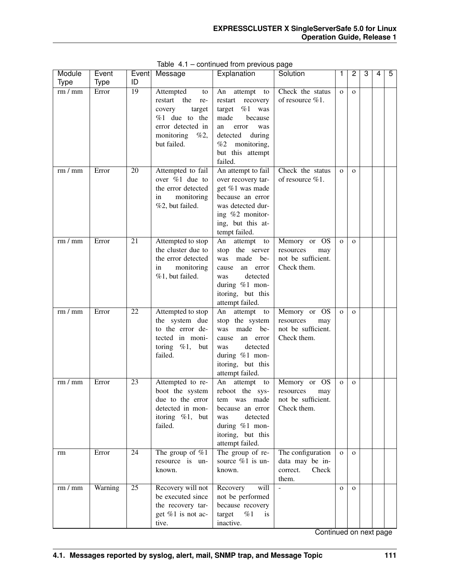| Module                   | Event       | Event           | Message                                                                                                                             | Explanation                                                                                                                                                                      | Solution                                                              | 1            | 2            | 3 | 4 | 5 |
|--------------------------|-------------|-----------------|-------------------------------------------------------------------------------------------------------------------------------------|----------------------------------------------------------------------------------------------------------------------------------------------------------------------------------|-----------------------------------------------------------------------|--------------|--------------|---|---|---|
| <b>Type</b>              | <b>Type</b> | ID              |                                                                                                                                     |                                                                                                                                                                                  |                                                                       |              |              |   |   |   |
| rm/mm                    | Error       | $\overline{19}$ | Attempted<br>to<br>restart the<br>re-<br>target<br>covery<br>%1 due to the<br>error detected in<br>monitoring<br>%2,<br>but failed. | An<br>attempt to<br>restart<br>recovery<br>$%1$ was<br>target<br>made<br>because<br>an<br>error<br>was<br>detected<br>during<br>%2<br>monitoring,<br>but this attempt<br>failed. | Check the status<br>of resource %1.                                   | $\mathbf{O}$ | $\mathbf{O}$ |   |   |   |
| rm/mm                    | Error       | 20              | Attempted to fail<br>over $\%1$ due to<br>the error detected<br>monitoring<br>in<br>%2, but failed.                                 | An attempt to fail<br>over recovery tar-<br>get %1 was made<br>because an error<br>was detected dur-<br>ing %2 monitor-<br>ing, but this at-<br>tempt failed.                    | Check the status<br>of resource $%1$ .                                | $\mathbf{O}$ | $\mathbf{O}$ |   |   |   |
| rm/mm                    | Error       | 21              | Attempted to stop<br>the cluster due to<br>the error detected<br>monitoring<br>in<br>%1, but failed.                                | attempt<br>An<br>to<br>the server<br>stop<br>made<br>be-<br>was<br>an error<br>cause<br>detected<br>was<br>during %1 mon-<br>itoring, but this<br>attempt failed.                | Memory or OS<br>resources<br>may<br>not be sufficient.<br>Check them. | $\mathbf{O}$ | $\mathbf{O}$ |   |   |   |
| rm/mm                    | Error       | 22              | Attempted to stop<br>the system due<br>to the error de-<br>tected in moni-<br>toring $\%1$ ,<br>but<br>failed.                      | attempt to<br>An<br>stop the system<br>made be-<br>was<br>an error<br>cause<br>detected<br>was<br>during %1 mon-<br>itoring, but this<br>attempt failed.                         | Memory or OS<br>resources<br>may<br>not be sufficient.<br>Check them. | $\mathbf{O}$ | $\mathbf{O}$ |   |   |   |
| rm/mm                    | Error       | 23              | Attempted to re-<br>boot the system<br>due to the error<br>detected in mon-<br>itoring $\%1$ , but<br>failed.                       | An<br>attempt<br>to<br>reboot the sys-<br>tem was made<br>because an error<br>detected<br>was<br>during $%1$ mon-<br>itoring, but this<br>attempt failed.                        | Memory or OS<br>resources<br>may<br>not be sufficient.<br>Check them. | $\mathbf 0$  | $\mathbf{O}$ |   |   |   |
| rm                       | Error       | 24              | The group of $\%1$<br>resource is un-<br>known.                                                                                     | The group of re-<br>source %1 is un-<br>known.                                                                                                                                   | The configuration<br>data may be in-<br>correct.<br>Check<br>them.    | $\mathbf{O}$ | $\mathbf{O}$ |   |   |   |
| $\overline{\rm rm}$ / mm | Warning     | $\overline{25}$ | Recovery will not<br>be executed since<br>the recovery tar-<br>get %1 is not ac-<br>tive.                                           | Recovery<br>will<br>not be performed<br>because recovery<br>target<br>%1<br>is<br>inactive.                                                                                      | $\overline{a}$                                                        | $\mathbf{O}$ | $\mathbf{o}$ |   |   |   |

Table 4.1 – continued from previous page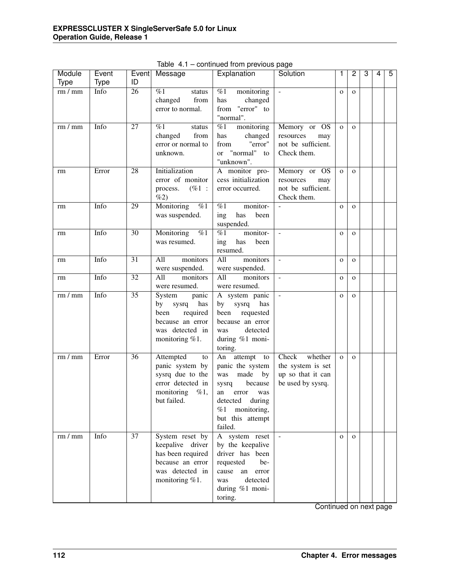| Module      | Event       | Event           | Message                                                                                                            | Explanation                                                                                                                                                                   | Solution                                                                        | 1            | 2            | 3 | 4 | 5 |
|-------------|-------------|-----------------|--------------------------------------------------------------------------------------------------------------------|-------------------------------------------------------------------------------------------------------------------------------------------------------------------------------|---------------------------------------------------------------------------------|--------------|--------------|---|---|---|
| <b>Type</b> | <b>Type</b> | ID              |                                                                                                                    |                                                                                                                                                                               |                                                                                 |              |              |   |   |   |
| rm/mm       | Info        | $\overline{26}$ | %1<br>status<br>changed<br>from<br>error to normal.                                                                | %1<br>monitoring<br>changed<br>has<br>from "error" to<br>"normal".                                                                                                            |                                                                                 | $\mathbf{O}$ | $\mathbf{O}$ |   |   |   |
| rm/mm       | Info        | 27              | %1<br>status<br>changed<br>from<br>error or normal to<br>unknown.                                                  | monitoring<br>%1<br>changed<br>has<br>"error"<br>from<br>"normal"<br><sub>or</sub><br>to<br>"unknown".                                                                        | Memory or OS<br>resources<br>may<br>not be sufficient.<br>Check them.           | $\mathbf{O}$ | $\mathbf{O}$ |   |   |   |
| rm          | Error       | 28              | Initialization<br>error of monitor<br>$(\%1:$<br>process.<br>%2)                                                   | A monitor pro-<br>cess initialization<br>error occurred.                                                                                                                      | Memory or OS<br>resources<br>may<br>not be sufficient.<br>Check them.           | $\mathbf{o}$ | $\mathbf{O}$ |   |   |   |
| rm          | Info        | 29              | Monitoring<br>$\%1$<br>was suspended.                                                                              | %1<br>monitor-<br>has<br>been<br>ing<br>suspended.                                                                                                                            |                                                                                 | $\mathbf{O}$ | $\mathbf{O}$ |   |   |   |
| rm          | Info        | 30              | Monitoring<br>%1<br>was resumed.                                                                                   | monitor-<br>%1<br>ing<br>has<br>been<br>resumed.                                                                                                                              | $\blacksquare$                                                                  | $\mathbf{O}$ | $\mathbf{O}$ |   |   |   |
| rm          | Info        | $\overline{31}$ | All<br>monitors<br>were suspended.                                                                                 | $\overline{All}$<br>monitors<br>were suspended.                                                                                                                               | $\blacksquare$                                                                  | $\mathbf{O}$ | $\mathbf{O}$ |   |   |   |
| rm          | Info        | $\overline{32}$ | All<br>monitors<br>were resumed.                                                                                   | $\overline{All}$<br>monitors<br>were resumed.                                                                                                                                 | $\mathcal{L}$                                                                   | $\mathbf{O}$ | $\mathbf{O}$ |   |   |   |
| rm/mm       | Info        | $\overline{35}$ | System<br>panic<br>has<br>by<br>sysrq<br>required<br>been<br>because an error<br>was detected in<br>monitoring %1. | A system panic<br>by<br>sysrq<br>has<br>been<br>requested<br>because an error<br>detected<br>was<br>during %1 moni-<br>toring.                                                | $\mathbb{L}$                                                                    | $\mathbf{O}$ | $\mathbf{O}$ |   |   |   |
| rm/mm       | Error       | 36              | Attempted<br>to<br>panic system by<br>sysrq due to the<br>error detected in<br>$\%1,$<br>monitoring<br>but failed. | An attempt<br>to<br>panic the system<br>made<br>was<br>by<br>because<br>sysrq<br>an<br>error<br>was<br>detected<br>during<br>monitoring,<br>%1<br>but this attempt<br>failed. | Check<br>whether<br>the system is set<br>up so that it can<br>be used by sysrq. | $\mathbf{o}$ | $\mathbf{O}$ |   |   |   |
| rm/mm       | Info        | $\overline{37}$ | System reset by<br>keepalive driver<br>has been required<br>because an error<br>was detected in<br>monitoring %1.  | A system reset<br>by the keepalive<br>driver has been<br>requested<br>be-<br>cause<br>an<br>error<br>detected<br>was<br>during %1 moni-<br>toring.                            | $\omega$                                                                        | $\mathbf{O}$ | $\mathbf{O}$ |   |   |   |

Table 4.1 – continued from previous page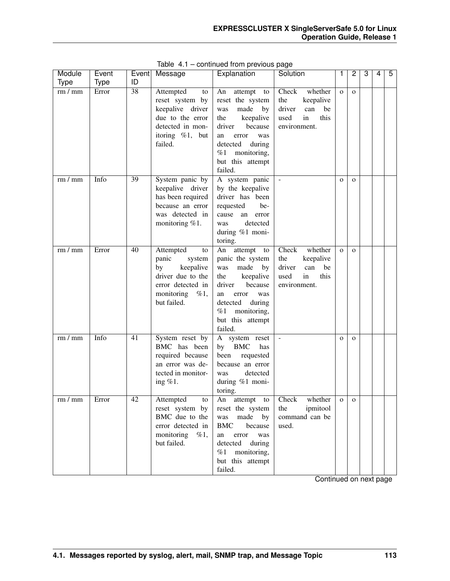| Module         | Event         | Event                 | Message                                                                                                                                             | Explanation                                                                                                                                                                                                          | Solution                                                                                          | 1                            | $\overline{c}$               | 3 | 4 | 5 |
|----------------|---------------|-----------------------|-----------------------------------------------------------------------------------------------------------------------------------------------------|----------------------------------------------------------------------------------------------------------------------------------------------------------------------------------------------------------------------|---------------------------------------------------------------------------------------------------|------------------------------|------------------------------|---|---|---|
| <b>Type</b>    | <b>Type</b>   | ID                    |                                                                                                                                                     |                                                                                                                                                                                                                      |                                                                                                   |                              |                              |   |   |   |
| rm/mm<br>rm/mm | Error<br>Info | $\overline{38}$<br>39 | Attempted<br>to<br>reset system by<br>keepalive driver<br>due to the error<br>detected in mon-<br>itoring $\%1$ , but<br>failed.<br>System panic by | An<br>attempt to<br>reset the system<br>made<br>was<br>by<br>keepalive<br>the<br>driver<br>because<br>an<br>error<br>was<br>detected<br>during<br>%1<br>monitoring,<br>but this attempt<br>failed.<br>A system panic | Check<br>whether<br>the<br>keepalive<br>driver<br>can<br>be<br>this<br>used<br>in<br>environment. | $\mathbf{O}$<br>$\mathbf{O}$ | $\mathbf{O}$<br>$\mathbf{O}$ |   |   |   |
|                |               |                       | keepalive driver<br>has been required<br>because an error<br>was detected in<br>monitoring %1.                                                      | by the keepalive<br>driver has been<br>requested<br>be-<br>cause<br>an error<br>detected<br>was<br>during %1 moni-<br>toring.                                                                                        |                                                                                                   |                              |                              |   |   |   |
| rm/mm          | Error         | 40                    | Attempted<br>to<br>panic<br>system<br>keepalive<br>by<br>driver due to the<br>error detected in<br>monitoring<br>%1,<br>but failed.                 | attempt<br>An<br>to<br>panic the system<br>made<br>was<br>by<br>keepalive<br>the<br>driver<br>because<br>an<br>error<br>was<br>detected<br>during<br>%1<br>monitoring,<br>but this attempt<br>failed.                | Check<br>whether<br>the<br>keepalive<br>driver<br>can<br>be<br>used<br>in<br>this<br>environment. | $\mathbf{O}$                 | $\mathbf{O}$                 |   |   |   |
| rm/mm          | Info          | 41                    | System reset by<br>BMC has been<br>required because<br>an error was de-<br>tected in monitor-<br>ing $\%1$ .                                        | A system reset<br><b>BMC</b><br>by<br>has<br>been<br>requested<br>because an error<br>detected<br>was<br>during %1 moni-<br>toring.                                                                                  |                                                                                                   | $\mathbf{O}$                 | $\mathbf{O}$                 |   |   |   |
| rm/mm          | Error         | 42                    | Attempted<br>to<br>reset system by<br>BMC due to the<br>error detected in<br>monitoring<br>$\%1,$<br>but failed.                                    | An<br>attempt<br>to<br>reset the system<br>made<br>by<br>was<br><b>BMC</b><br>because<br>was<br>an<br>error<br>detected<br>during<br>monitoring,<br>%1<br>but this attempt<br>failed.                                | Check<br>whether<br>ipmitool<br>the<br>command can be<br>used.                                    | $\mathbf 0$                  | $\mathbf{O}$                 |   |   |   |

Table 4.1 – continued from previous page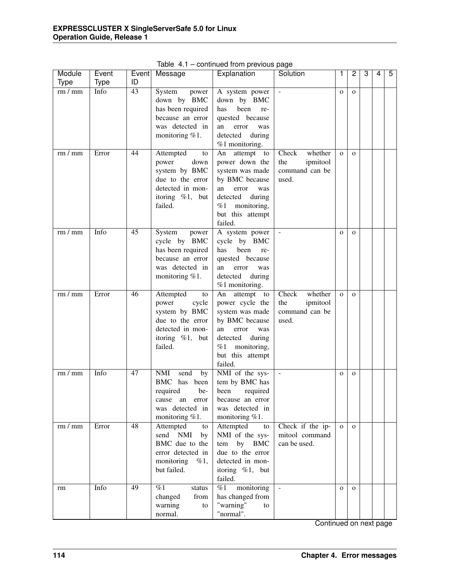| Module      | Event       | Event           | Message                                                                                                                      | Explanation                                                                                                                                                                                  | Solution                                                       | 1            | 2            | 3 | 4 | 5 |
|-------------|-------------|-----------------|------------------------------------------------------------------------------------------------------------------------------|----------------------------------------------------------------------------------------------------------------------------------------------------------------------------------------------|----------------------------------------------------------------|--------------|--------------|---|---|---|
| <b>Type</b> | <b>Type</b> | ID              |                                                                                                                              |                                                                                                                                                                                              |                                                                |              |              |   |   |   |
| rm/mm       | Info        | $\overline{43}$ | System<br>power<br>down by BMC<br>has been required<br>because an error<br>was detected in<br>monitoring %1.                 | A system power<br>down by BMC<br>been<br>has<br>re-<br>quested because<br>an<br>error<br>was<br>detected<br>during                                                                           |                                                                | $\mathbf{O}$ | $\mathbf{O}$ |   |   |   |
| rm/mm       | Error       | 44              | Attempted<br>to<br>power<br>down<br>system by BMC<br>due to the error<br>detected in mon-<br>itoring $\%1$ , but<br>failed.  | %1 monitoring.<br>attempt<br>An<br>to<br>power down the<br>system was made<br>by BMC because<br>an<br>error<br>was<br>detected<br>during<br>%1<br>monitoring,<br>but this attempt<br>failed. | Check<br>whether<br>the<br>ipmitool<br>command can be<br>used. | $\mathbf{O}$ | $\Omega$     |   |   |   |
| rm/mm       | Info        | 45              | System<br>power<br>cycle by BMC<br>has been required<br>because an error<br>was detected in<br>monitoring $%1$ .             | A system power<br>cycle by BMC<br>has<br>been<br>re-<br>quested because<br>an<br>error<br>was<br>detected<br>during<br>%1 monitoring.                                                        |                                                                | $\mathbf{O}$ | $\mathbf{O}$ |   |   |   |
| rm/mm       | Error       | 46              | Attempted<br>to<br>power<br>cycle<br>system by BMC<br>due to the error<br>detected in mon-<br>itoring $\%1$ , but<br>failed. | attempt<br>An<br>to<br>power cycle the<br>system was made<br>by BMC because<br>an<br>error<br>was<br>detected<br>during<br>%1<br>monitoring,<br>but this attempt<br>failed.                  | Check<br>whether<br>the<br>ipmitool<br>command can be<br>used. | $\mathbf{O}$ | $\Omega$     |   |   |   |
| rm/mm       | Info        | 47              | <b>NMI</b><br>send<br>by<br>BMC<br>has<br>been<br>required<br>be-<br>cause an error<br>was detected in<br>monitoring $%1$ .  | NMI of the sys-<br>tem by BMC has<br>been<br>required<br>because an error<br>was detected in<br>monitoring %1.                                                                               | $\blacksquare$                                                 | $\mathbf{O}$ | $\mathbf{O}$ |   |   |   |
| rm/mm       | Error       | 48              | Attempted<br>to<br>send NMI<br>by<br>BMC due to the<br>error detected in<br>monitoring<br>%1,<br>but failed.                 | Attempted<br>to<br>NMI of the sys-<br>by BMC<br>tem<br>due to the error<br>detected in mon-<br>itoring $\%1$ , but<br>failed.                                                                | Check if the ip-<br>mitool command<br>can be used.             | $\mathbf{O}$ | $\mathbf{O}$ |   |   |   |
| rm          | Info        | 49              | %1<br>status<br>changed<br>from<br>warning<br>to<br>normal.                                                                  | %1<br>monitoring<br>has changed from<br>"warning"<br>to<br>"normal".                                                                                                                         | $\bar{\phantom{a}}$                                            | $\mathbf{O}$ | $\mathbf{O}$ |   |   |   |

Table 4.1 – continued from previous page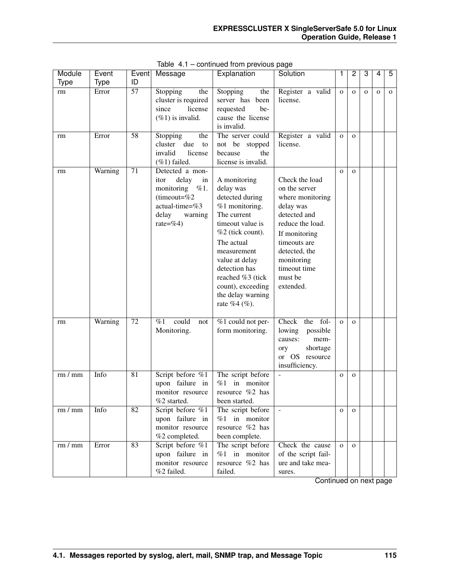| Module      | Event   | Event           | Message                            | Explanation                    | Solution                         | 1            | $\overline{2}$ | 3            | 4            | 5            |
|-------------|---------|-----------------|------------------------------------|--------------------------------|----------------------------------|--------------|----------------|--------------|--------------|--------------|
| <b>Type</b> | Type    | ID              |                                    |                                |                                  |              |                |              |              |              |
| rm          | Error   | $\overline{57}$ | Stopping<br>the                    | Stopping<br>the                | Register a valid                 | $\mathbf{o}$ | $\mathbf{o}$   | $\mathbf{o}$ | $\mathbf{o}$ | $\mathbf{O}$ |
|             |         |                 | cluster is required                | server has<br>been             | license.                         |              |                |              |              |              |
|             |         |                 | since<br>license                   | be-<br>requested               |                                  |              |                |              |              |              |
|             |         |                 | $(\%1)$ is invalid.                | cause the license              |                                  |              |                |              |              |              |
|             |         |                 |                                    | is invalid.                    |                                  |              |                |              |              |              |
| rm          | Error   | $\overline{58}$ | Stopping<br>the<br>due             | The server could               | Register a valid                 | $\mathbf{O}$ | $\mathbf{O}$   |              |              |              |
|             |         |                 | cluster<br>to<br>invalid           | not be stopped<br>the          | license.                         |              |                |              |              |              |
|             |         |                 | license                            | because<br>license is invalid. |                                  |              |                |              |              |              |
|             | Warning | $\overline{71}$ | $(\%1)$ failed.<br>Detected a mon- |                                |                                  |              |                |              |              |              |
| rm          |         |                 | delay<br>itor<br>in                | A monitoring                   | Check the load                   | $\mathbf{O}$ | $\mathbf{O}$   |              |              |              |
|             |         |                 | monitoring $\%1$ .                 | delay was                      | on the server                    |              |                |              |              |              |
|             |         |                 | (timeout= $%2$                     | detected during                | where monitoring                 |              |                |              |              |              |
|             |         |                 | actual-time=%3                     | %1 monitoring.                 | delay was                        |              |                |              |              |              |
|             |         |                 | delay<br>warning                   | The current                    | detected and                     |              |                |              |              |              |
|             |         |                 | rate=%4)                           | timeout value is               | reduce the load.                 |              |                |              |              |              |
|             |         |                 |                                    | %2 (tick count).               | If monitoring                    |              |                |              |              |              |
|             |         |                 |                                    | The actual                     | timeouts are                     |              |                |              |              |              |
|             |         |                 |                                    | measurement                    | detected, the                    |              |                |              |              |              |
|             |         |                 |                                    | value at delay                 | monitoring                       |              |                |              |              |              |
|             |         |                 |                                    | detection has                  | timeout time                     |              |                |              |              |              |
|             |         |                 |                                    | reached %3 (tick               | must be                          |              |                |              |              |              |
|             |         |                 |                                    | count), exceeding              | extended.                        |              |                |              |              |              |
|             |         |                 |                                    | the delay warning              |                                  |              |                |              |              |              |
|             |         |                 |                                    | rate %4 (%).                   |                                  |              |                |              |              |              |
|             |         |                 |                                    |                                |                                  |              |                |              |              |              |
| rm          | Warning | $\overline{72}$ | could<br>%1<br>not                 | %1 could not per-              | Check<br>fol-<br>the             | $\mathbf{o}$ | $\mathbf{O}$   |              |              |              |
|             |         |                 | Monitoring.                        | form monitoring.               | lowing<br>possible               |              |                |              |              |              |
|             |         |                 |                                    |                                | mem-<br>causes:                  |              |                |              |              |              |
|             |         |                 |                                    |                                | shortage<br>ory                  |              |                |              |              |              |
|             |         |                 |                                    |                                | or OS resource<br>insufficiency. |              |                |              |              |              |
| rm/mm       | Info    | $\overline{81}$ | Script before %1                   | The script before              | $\frac{1}{2}$                    | $\mathbf{O}$ | $\mathbf{O}$   |              |              |              |
|             |         |                 | upon failure in                    | %1<br>in monitor               |                                  |              |                |              |              |              |
|             |         |                 | monitor resource                   | resource %2 has                |                                  |              |                |              |              |              |
|             |         |                 | %2 started.                        | been started.                  |                                  |              |                |              |              |              |
| rm/mm       | Info    | $\overline{82}$ | Script before %1                   | The script before              | $\overline{\phantom{a}}$         | $\mathbf{O}$ | $\mathbf{O}$   |              |              |              |
|             |         |                 | upon failure in                    | $%1$ in monitor                |                                  |              |                |              |              |              |
|             |         |                 | monitor resource                   | resource $%2$ has              |                                  |              |                |              |              |              |
|             |         |                 | %2 completed.                      | been complete.                 |                                  |              |                |              |              |              |
| rm/mm       | Error   | 83              | Script before %1                   | The script before              | Check the cause                  | $\mathbf{o}$ | $\Omega$       |              |              |              |
|             |         |                 | upon failure in                    | $%1$ in monitor                | of the script fail-              |              |                |              |              |              |
|             |         |                 | monitor resource                   | resource %2 has                | ure and take mea-                |              |                |              |              |              |
|             |         |                 | %2 failed.                         | failed.                        | sures.                           |              |                |              |              |              |

Table 4.1 – continued from previous page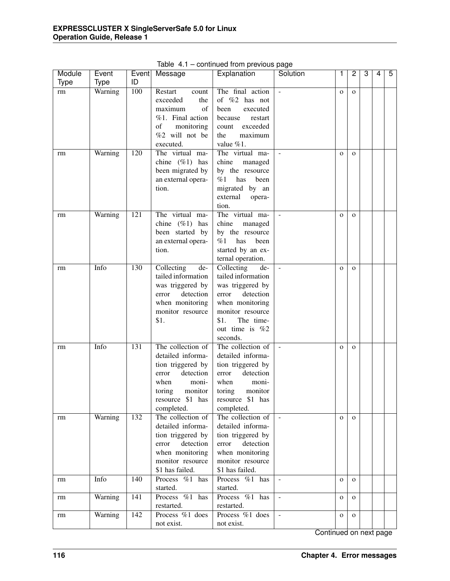| Module      | Event       | Event | Message            | Explanation        | Solution                 | 1            | 2            | 3 | 4 | 5 |
|-------------|-------------|-------|--------------------|--------------------|--------------------------|--------------|--------------|---|---|---|
| <b>Type</b> | <b>Type</b> | ID    |                    |                    |                          |              |              |   |   |   |
| rm          | Warning     | 100   | Restart<br>count   | The final action   |                          | $\mathbf{O}$ | $\mathbf{O}$ |   |   |   |
|             |             |       | exceeded<br>the    | of %2 has not      |                          |              |              |   |   |   |
|             |             |       | maximum<br>οf      | been<br>executed   |                          |              |              |   |   |   |
|             |             |       | %1. Final action   | because<br>restart |                          |              |              |   |   |   |
|             |             |       | of<br>monitoring   | exceeded<br>count  |                          |              |              |   |   |   |
|             |             |       | %2 will not be     | maximum<br>the     |                          |              |              |   |   |   |
|             |             |       | executed.          | value %1.          |                          |              |              |   |   |   |
| rm          | Warning     | 120   | The virtual ma-    | The virtual ma-    |                          | $\mathbf{O}$ | $\mathbf{O}$ |   |   |   |
|             |             |       | chine $(\%1)$ has  | chine<br>managed   |                          |              |              |   |   |   |
|             |             |       | been migrated by   | by the resource    |                          |              |              |   |   |   |
|             |             |       | an external opera- | %1<br>has<br>been  |                          |              |              |   |   |   |
|             |             |       | tion.              | migrated by an     |                          |              |              |   |   |   |
|             |             |       |                    | external<br>opera- |                          |              |              |   |   |   |
|             |             |       |                    | tion.              |                          |              |              |   |   |   |
| rm          | Warning     | 121   | The virtual ma-    | The virtual ma-    |                          | $\mathbf{O}$ | $\mathbf{O}$ |   |   |   |
|             |             |       | chine $(\%1)$ has  | chine<br>managed   |                          |              |              |   |   |   |
|             |             |       | been started by    | by the resource    |                          |              |              |   |   |   |
|             |             |       | an external opera- | %1<br>has<br>been  |                          |              |              |   |   |   |
|             |             |       | tion.              | started by an ex-  |                          |              |              |   |   |   |
|             |             |       |                    | ternal operation.  |                          |              |              |   |   |   |
| rm          | Info        | 130   | Collecting<br>de-  | Collecting<br>de-  |                          | $\mathbf{O}$ | $\mathbf{O}$ |   |   |   |
|             |             |       | tailed information | tailed information |                          |              |              |   |   |   |
|             |             |       | was triggered by   | was triggered by   |                          |              |              |   |   |   |
|             |             |       | detection<br>error | detection<br>error |                          |              |              |   |   |   |
|             |             |       | when monitoring    | when monitoring    |                          |              |              |   |   |   |
|             |             |       | monitor resource   | monitor resource   |                          |              |              |   |   |   |
|             |             |       | \$1.               | \$1.<br>The time-  |                          |              |              |   |   |   |
|             |             |       |                    | out time is $%2$   |                          |              |              |   |   |   |
|             |             |       |                    | seconds.           |                          |              |              |   |   |   |
| rm          | Info        | 131   | The collection of  | The collection of  | $\overline{\phantom{a}}$ | $\mathbf{O}$ | $\mathbf{O}$ |   |   |   |
|             |             |       | detailed informa-  | detailed informa-  |                          |              |              |   |   |   |
|             |             |       | tion triggered by  | tion triggered by  |                          |              |              |   |   |   |
|             |             |       | detection<br>error | detection<br>error |                          |              |              |   |   |   |
|             |             |       | when<br>moni-      | when<br>moni-      |                          |              |              |   |   |   |
|             |             |       | monitor<br>toring  | toring<br>monitor  |                          |              |              |   |   |   |
|             |             |       | resource \$1 has   | resource \$1 has   |                          |              |              |   |   |   |
|             |             |       | completed.         | completed.         |                          |              |              |   |   |   |
| rm          | Warning     | 132   | The collection of  | The collection of  | $\blacksquare$           | $\mathbf{O}$ | $\mathbf{o}$ |   |   |   |
|             |             |       | detailed informa-  | detailed informa-  |                          |              |              |   |   |   |
|             |             |       | tion triggered by  | tion triggered by  |                          |              |              |   |   |   |
|             |             |       | detection<br>error | detection<br>error |                          |              |              |   |   |   |
|             |             |       | when monitoring    | when monitoring    |                          |              |              |   |   |   |
|             |             |       | monitor resource   | monitor resource   |                          |              |              |   |   |   |
|             |             |       | \$1 has failed.    | \$1 has failed.    |                          |              |              |   |   |   |
| rm          | Info        | 140   | Process %1 has     | Process %1 has     | $\overline{\phantom{a}}$ | $\mathbf{O}$ | $\mathbf{o}$ |   |   |   |
|             |             |       | started.           | started.           |                          |              |              |   |   |   |
| rm          | Warning     | 141   | Process %1 has     | Process %1 has     | $\blacksquare$           | $\mathbf{O}$ | $\mathbf{o}$ |   |   |   |
|             |             |       | restarted.         | restarted.         |                          |              |              |   |   |   |
| rm          | Warning     | 142   | Process %1 does    | Process %1 does    | $\blacksquare$           | $\mathbf{O}$ | $\mathbf{o}$ |   |   |   |
|             |             |       | not exist.         | not exist.         |                          |              |              |   |   |   |

Table 4.1 – continued from previous page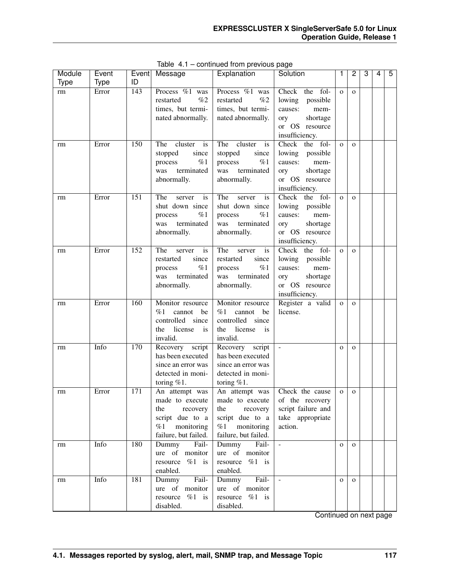| Module      | Event       | Event            | Message              | Explanation          | Solution           | 1            | 2              | 3 | 4 | 5 |
|-------------|-------------|------------------|----------------------|----------------------|--------------------|--------------|----------------|---|---|---|
| <b>Type</b> | <b>Type</b> | ID               |                      |                      |                    |              |                |   |   |   |
| rm          | Error       | $\overline{143}$ | Process %1 was       | Process %1 was       | Check the<br>fol-  | $\mathbf{O}$ | $\mathbf{O}$   |   |   |   |
|             |             |                  | %2<br>restarted      | %2<br>restarted      | lowing<br>possible |              |                |   |   |   |
|             |             |                  | times, but termi-    | times, but termi-    | causes:<br>mem-    |              |                |   |   |   |
|             |             |                  | nated abnormally.    | nated abnormally.    | shortage<br>ory    |              |                |   |   |   |
|             |             |                  |                      |                      | or OS resource     |              |                |   |   |   |
|             |             |                  |                      |                      | insufficiency.     |              |                |   |   |   |
| rm          | Error       | 150              | cluster<br>The<br>is | cluster<br>The<br>is | the fol-<br>Check  | $\mathbf{o}$ | $\mathbf{O}$   |   |   |   |
|             |             |                  | stopped<br>since     | stopped<br>since     | lowing<br>possible |              |                |   |   |   |
|             |             |                  | %1<br>process        | %1<br>process        | causes:<br>mem-    |              |                |   |   |   |
|             |             |                  | terminated<br>was    | terminated<br>was    | shortage<br>ory    |              |                |   |   |   |
|             |             |                  | abnormally.          | abnormally.          | or OS resource     |              |                |   |   |   |
|             |             |                  |                      |                      | insufficiency.     |              |                |   |   |   |
| rm          | Error       | 151              | The<br>is<br>server  | The<br>server<br>is  | the fol-<br>Check  | $\mathbf{o}$ | $\Omega$       |   |   |   |
|             |             |                  | shut down since      | shut down since      | lowing<br>possible |              |                |   |   |   |
|             |             |                  | %1<br>process        | %1<br>process        | causes:<br>mem-    |              |                |   |   |   |
|             |             |                  | terminated<br>was    | was<br>terminated    | shortage<br>ory    |              |                |   |   |   |
|             |             |                  | abnormally.          | abnormally.          | or OS resource     |              |                |   |   |   |
|             |             |                  |                      |                      | insufficiency.     |              |                |   |   |   |
| rm          | Error       | 152              | The<br>is<br>server  | The<br>is<br>server  | the fol-<br>Check  | $\mathbf{o}$ | $\Omega$       |   |   |   |
|             |             |                  | restarted<br>since   | restarted<br>since   | lowing<br>possible |              |                |   |   |   |
|             |             |                  | %1<br>process        | %1<br>process        | causes:<br>mem-    |              |                |   |   |   |
|             |             |                  | terminated<br>was    | was<br>terminated    | shortage<br>ory    |              |                |   |   |   |
|             |             |                  | abnormally.          | abnormally.          | or OS resource     |              |                |   |   |   |
|             |             |                  |                      |                      | insufficiency.     |              |                |   |   |   |
| rm          | Error       | 160              | Monitor resource     | Monitor resource     | Register a valid   | $\mathbf{O}$ | $\mathbf{O}$   |   |   |   |
|             |             |                  | %1<br>cannot<br>be   | %1<br>cannot<br>be   | license.           |              |                |   |   |   |
|             |             |                  | controlled since     | controlled since     |                    |              |                |   |   |   |
|             |             |                  | license<br>the<br>is | license<br>the<br>is |                    |              |                |   |   |   |
|             |             |                  | invalid.             | invalid.             |                    |              |                |   |   |   |
| rm          | Info        | 170              | Recovery script      | Recovery script      |                    | $\mathbf{O}$ | $\mathbf{O}$   |   |   |   |
|             |             |                  | has been executed    | has been executed    |                    |              |                |   |   |   |
|             |             |                  | since an error was   | since an error was   |                    |              |                |   |   |   |
|             |             |                  | detected in moni-    | detected in moni-    |                    |              |                |   |   |   |
|             |             |                  | toring $%1$ .        | toring $%1$ .        |                    |              |                |   |   |   |
| rm          | Error       | 171              | An attempt was       | An attempt was       | Check the cause    | $\mathbf O$  | $\overline{O}$ |   |   |   |
|             |             |                  | made to execute      | made to execute      | of the recovery    |              |                |   |   |   |
|             |             |                  | the<br>recovery      | the<br>recovery      | script failure and |              |                |   |   |   |
|             |             |                  | script due to a      | script due to a      | take appropriate   |              |                |   |   |   |
|             |             |                  | %1<br>monitoring     | %1<br>monitoring     | action.            |              |                |   |   |   |
|             |             |                  | failure, but failed. | failure, but failed. |                    |              |                |   |   |   |
| rm          | Info        | 180              | Dummy<br>Fail-       | Dummy<br>Fail-       | $\Box$             | $\mathbf{O}$ | $\mathbf{O}$   |   |   |   |
|             |             |                  | ure of monitor       | ure of monitor       |                    |              |                |   |   |   |
|             |             |                  | resource<br>$%1$ is  | $%1$ is<br>resource  |                    |              |                |   |   |   |
|             |             |                  | enabled.             | enabled.             |                    |              |                |   |   |   |
| rm          | Info        | 181              | Fail-<br>Dummy       | Dummy<br>Fail-       | $\blacksquare$     | $\mathbf 0$  | $\mathbf{O}$   |   |   |   |
|             |             |                  | ure of monitor       | ure of monitor       |                    |              |                |   |   |   |
|             |             |                  | $%1$ is<br>resource  | $%1$ is<br>resource  |                    |              |                |   |   |   |
|             |             |                  | disabled.            | disabled.            |                    |              |                |   |   |   |

Table 4.1 – continued from previous page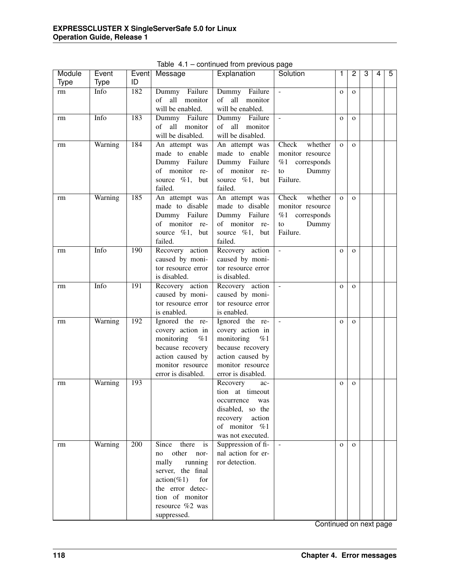| Module      | Event       |     | Event Message                        | Explanation                          | Solution            | 1            | 2            | 3 | 4 | $\overline{5}$ |
|-------------|-------------|-----|--------------------------------------|--------------------------------------|---------------------|--------------|--------------|---|---|----------------|
| <b>Type</b> | <b>Type</b> | ID  |                                      |                                      |                     |              |              |   |   |                |
| rm          | Info        | 182 | Dummy Failure                        | Dummy Failure                        |                     | $\mathbf{O}$ | $\mathbf{O}$ |   |   |                |
|             |             |     | all<br>monitor<br>of                 | of<br>all<br>monitor                 |                     |              |              |   |   |                |
|             |             |     | will be enabled.                     | will be enabled.                     |                     |              |              |   |   |                |
| rm          | Info        | 183 | Dummy Failure                        | Failure<br>Dummy                     | $\mathbb{L}$        | $\mathbf{O}$ | $\mathbf{O}$ |   |   |                |
|             |             |     | monitor<br>all<br>of                 | monitor<br>of<br>all                 |                     |              |              |   |   |                |
|             |             |     | will be disabled.                    | will be disabled.                    |                     |              |              |   |   |                |
| rm          | Warning     | 184 | An attempt was                       | An attempt was                       | Check<br>whether    | $\mathbf{o}$ | $\mathbf{O}$ |   |   |                |
|             |             |     | made to enable                       | made to enable                       | monitor resource    |              |              |   |   |                |
|             |             |     | Dummy Failure                        | Dummy Failure                        | %1 corresponds      |              |              |   |   |                |
|             |             |     | of monitor re-                       | of monitor re-                       | Dummy<br>to         |              |              |   |   |                |
|             |             |     | source $\%1$ ,<br>but                | source %1, but                       | Failure.            |              |              |   |   |                |
|             |             |     | failed.                              | failed.                              |                     |              |              |   |   |                |
| rm          | Warning     | 185 | An attempt was                       | An attempt was                       | Check<br>whether    | $\mathbf{o}$ | $\mathbf{O}$ |   |   |                |
|             |             |     | made to disable                      | made to disable                      | monitor resource    |              |              |   |   |                |
|             |             |     | Dummy Failure                        | Dummy Failure                        | %1 corresponds      |              |              |   |   |                |
|             |             |     | of monitor re-                       | of monitor re-                       | Dummy<br>to         |              |              |   |   |                |
|             |             |     | source $\%1$ ,<br>but                | source $\%1$ , but                   | Failure.            |              |              |   |   |                |
|             |             |     | failed.                              | failed.                              |                     |              |              |   |   |                |
| rm          | Info        | 190 | Recovery action                      | Recovery action                      | $\bar{\phantom{a}}$ | $\mathbf{O}$ | $\mathbf{O}$ |   |   |                |
|             |             |     | caused by moni-                      | caused by moni-                      |                     |              |              |   |   |                |
|             |             |     | tor resource error                   | tor resource error                   |                     |              |              |   |   |                |
|             |             |     | is disabled.                         | is disabled.                         |                     |              |              |   |   |                |
| rm          | Info        | 191 | Recovery action                      | Recovery action                      | $\equiv$            | $\mathbf{O}$ | $\mathbf{O}$ |   |   |                |
|             |             |     | caused by moni-                      | caused by moni-                      |                     |              |              |   |   |                |
|             |             |     | tor resource error                   | tor resource error                   |                     |              |              |   |   |                |
|             |             |     | is enabled.                          | is enabled.                          |                     |              |              |   |   |                |
| rm          | Warning     | 192 | Ignored the re-                      | Ignored the re-                      | $\blacksquare$      | $\mathbf{O}$ | $\mathbf{O}$ |   |   |                |
|             |             |     | covery action in                     | covery action in                     |                     |              |              |   |   |                |
|             |             |     | monitoring<br>%1                     | monitoring<br>%1                     |                     |              |              |   |   |                |
|             |             |     | because recovery                     | because recovery<br>action caused by |                     |              |              |   |   |                |
|             |             |     | action caused by<br>monitor resource | monitor resource                     |                     |              |              |   |   |                |
|             |             |     | error is disabled.                   | error is disabled.                   |                     |              |              |   |   |                |
|             | Warning     | 193 |                                      | Recovery<br>ac-                      |                     |              | $\mathbf{O}$ |   |   |                |
| rm          |             |     |                                      | tion at timeout                      |                     | $\mathbf{O}$ |              |   |   |                |
|             |             |     |                                      | occurrence<br>was                    |                     |              |              |   |   |                |
|             |             |     |                                      | disabled, so the                     |                     |              |              |   |   |                |
|             |             |     |                                      | recovery action                      |                     |              |              |   |   |                |
|             |             |     |                                      | of monitor %1                        |                     |              |              |   |   |                |
|             |             |     |                                      | was not executed.                    |                     |              |              |   |   |                |
| rm          | Warning     | 200 | Since<br>there<br>is                 | Suppression of fi-                   | $\omega$            | $\mathbf{O}$ | $\Omega$     |   |   |                |
|             |             |     | no other<br>nor-                     | nal action for er-                   |                     |              |              |   |   |                |
|             |             |     | running<br>mally                     | ror detection.                       |                     |              |              |   |   |                |
|             |             |     | server, the final                    |                                      |                     |              |              |   |   |                |
|             |             |     | $action(\%1)$<br>for                 |                                      |                     |              |              |   |   |                |
|             |             |     | the error detec-                     |                                      |                     |              |              |   |   |                |
|             |             |     | tion of monitor                      |                                      |                     |              |              |   |   |                |
|             |             |     | resource %2 was                      |                                      |                     |              |              |   |   |                |
|             |             |     | suppressed.                          |                                      |                     |              |              |   |   |                |

Table 4.1 – continued from previous page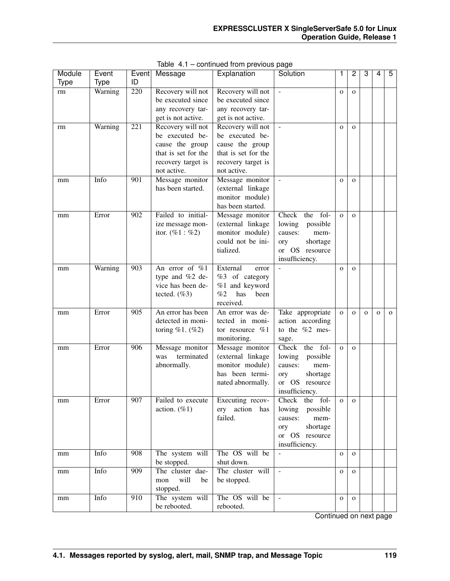| Module | Event   | Event | Message             | Explanation               | Solution                          | 1            | 2            | 3            | 4           | 5            |
|--------|---------|-------|---------------------|---------------------------|-----------------------------------|--------------|--------------|--------------|-------------|--------------|
| Type   | Type    | ID    |                     |                           |                                   |              |              |              |             |              |
| rm     | Warning | 220   | Recovery will not   | Recovery will not         | $\overline{\phantom{a}}$          | $\mathbf{O}$ | $\mathbf{O}$ |              |             |              |
|        |         |       | be executed since   | be executed since         |                                   |              |              |              |             |              |
|        |         |       | any recovery tar-   | any recovery tar-         |                                   |              |              |              |             |              |
|        |         |       | get is not active.  | get is not active.        |                                   |              |              |              |             |              |
| rm     | Warning | 221   | Recovery will not   | Recovery will not         | ÷,                                | $\Omega$     | $\mathbf{O}$ |              |             |              |
|        |         |       | be executed be-     | be executed be-           |                                   |              |              |              |             |              |
|        |         |       | cause the group     | cause the group           |                                   |              |              |              |             |              |
|        |         |       | that is set for the | that is set for the       |                                   |              |              |              |             |              |
|        |         |       | recovery target is  | recovery target is        |                                   |              |              |              |             |              |
|        |         |       | not active.         | not active.               |                                   |              |              |              |             |              |
| mm     | Info    | 901   | Message monitor     | Message monitor           | $\Box$                            | $\mathbf{o}$ | $\mathbf{O}$ |              |             |              |
|        |         |       | has been started.   | (external linkage         |                                   |              |              |              |             |              |
|        |         |       |                     | monitor module)           |                                   |              |              |              |             |              |
|        |         |       |                     | has been started.         |                                   |              |              |              |             |              |
| mm     | Error   | 902   | Failed to initial-  | Message monitor           | Check<br>fol-<br>the              | $\mathbf{o}$ | $\mathbf{O}$ |              |             |              |
|        |         |       | ize message mon-    | (external linkage         | lowing<br>possible                |              |              |              |             |              |
|        |         |       | itor. $(\%1 : \%2)$ | monitor module)           | causes:<br>mem-                   |              |              |              |             |              |
|        |         |       |                     | could not be ini-         | shortage<br>ory                   |              |              |              |             |              |
|        |         |       |                     | tialized.                 | or OS resource                    |              |              |              |             |              |
|        |         |       |                     |                           | insufficiency.                    |              |              |              |             |              |
| mm     | Warning | 903   | An error of $\%1$   | External<br>error         |                                   | $\mathbf{O}$ | $\mathbf{O}$ |              |             |              |
|        |         |       | type and %2 de-     | %3 of category            |                                   |              |              |              |             |              |
|        |         |       | vice has been de-   | %1 and keyword            |                                   |              |              |              |             |              |
|        |         |       | tected. $(\%3)$     | %2<br>has<br>been         |                                   |              |              |              |             |              |
|        |         |       |                     | received.                 |                                   |              |              |              |             |              |
| mm     | Error   | 905   | An error has been   | An error was de-          | Take appropriate                  | $\mathbf{O}$ | $\mathbf{o}$ | $\mathbf{O}$ | $\mathbf 0$ | $\mathbf{O}$ |
|        |         |       | detected in moni-   | tected in moni-           | action according                  |              |              |              |             |              |
|        |         |       | toring $%1.$ (%2)   | tor resource $%1$         | to the $%2$ mes-                  |              |              |              |             |              |
|        |         |       |                     | monitoring.               | sage.                             |              |              |              |             |              |
| mm     | Error   | 906   | Message monitor     | Message monitor           | Check<br>the fol-                 | $\mathbf{O}$ | $\mathbf{O}$ |              |             |              |
|        |         |       | terminated<br>was   | (external linkage         | lowing<br>possible                |              |              |              |             |              |
|        |         |       | abnormally.         | monitor module)           | causes:<br>mem-                   |              |              |              |             |              |
|        |         |       |                     | has been termi-           | shortage<br>ory                   |              |              |              |             |              |
|        |         |       |                     | nated abnormally.         | or OS<br>resource                 |              |              |              |             |              |
|        |         |       |                     |                           | insufficiency.                    |              |              |              |             |              |
| mm     | Error   | 907   | Failed to execute   | Executing recov-          | Check the fol-                    | $\mathbf{o}$ | $\mathbf{O}$ |              |             |              |
|        |         |       | action. $(\%1)$     | ery action has<br>failed. | lowing<br>possible                |              |              |              |             |              |
|        |         |       |                     |                           | causes:<br>mem-                   |              |              |              |             |              |
|        |         |       |                     |                           | shortage<br>ory<br>or OS resource |              |              |              |             |              |
|        |         |       |                     |                           | insufficiency.                    |              |              |              |             |              |
| mm     | Info    | 908   | The system will     | The OS will be            | ÷,                                | $\mathbf 0$  | $\mathbf{O}$ |              |             |              |
|        |         |       | be stopped.         | shut down.                |                                   |              |              |              |             |              |
| mm     | Info    | 909   | The cluster dae-    | The cluster will          | $\frac{1}{2}$                     | $\mathbf 0$  | $\mathbf{O}$ |              |             |              |
|        |         |       | will<br>mon<br>be   | be stopped.               |                                   |              |              |              |             |              |
|        |         |       | stopped.            |                           |                                   |              |              |              |             |              |
| mm     | Info    | 910   | The system will     | The OS will be            | $\overline{a}$                    | $\mathbf 0$  | $\mathbf{O}$ |              |             |              |
|        |         |       | be rebooted.        | rebooted.                 |                                   |              |              |              |             |              |
|        |         |       |                     |                           |                                   |              |              |              |             |              |

Table 4.1 – continued from previous page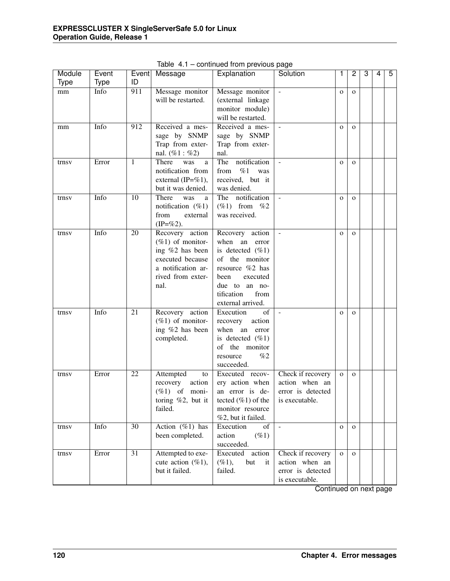| Module      | Event       |                 | Event Message                                | Explanation                      | Solution            | 1            | $\overline{c}$ | 3 | 4 | 5 |
|-------------|-------------|-----------------|----------------------------------------------|----------------------------------|---------------------|--------------|----------------|---|---|---|
| <b>Type</b> | <b>Type</b> | ID              |                                              |                                  |                     |              |                |   |   |   |
| mm          | Info        | 911             | Message monitor                              | Message monitor                  | $\mathcal{L}$       | $\mathbf{O}$ | $\mathbf{O}$   |   |   |   |
|             |             |                 | will be restarted.                           | (external linkage                |                     |              |                |   |   |   |
|             |             |                 |                                              | monitor module)                  |                     |              |                |   |   |   |
|             |             |                 |                                              | will be restarted.               |                     |              |                |   |   |   |
| mm          | Info        | 912             | Received a mes-                              | Received a mes-                  | $\equiv$            | $\mathbf{O}$ | $\mathbf{O}$   |   |   |   |
|             |             |                 | sage by SNMP                                 | sage by SNMP                     |                     |              |                |   |   |   |
|             |             |                 | Trap from exter-                             | Trap from exter-                 |                     |              |                |   |   |   |
|             |             |                 | nal. $(\%1 : \%2)$                           | nal.                             |                     |              |                |   |   |   |
| trnsv       | Error       | 1               | There<br>was<br>a<br>notification from       | notification<br>The<br>%1<br>was | $\bar{\phantom{a}}$ | $\mathbf{O}$ | $\mathbf{o}$   |   |   |   |
|             |             |                 |                                              | from<br>received, but it         |                     |              |                |   |   |   |
|             |             |                 | external (IP= $\%$ 1),<br>but it was denied. | was denied.                      |                     |              |                |   |   |   |
| trnsv       | Info        | 10              | There<br>was<br>a                            | The<br>notification              |                     | $\mathbf{O}$ | $\mathbf{O}$   |   |   |   |
|             |             |                 | notification $(\%1)$                         | $(\%1)$ from $\%2$               |                     |              |                |   |   |   |
|             |             |                 | from<br>external                             | was received.                    |                     |              |                |   |   |   |
|             |             |                 | $(IP = \% 2)$ .                              |                                  |                     |              |                |   |   |   |
| trnsv       | Info        | 20              | Recovery action                              | Recovery action                  |                     | $\mathbf{O}$ | $\mathbf{O}$   |   |   |   |
|             |             |                 | $(\%1)$ of monitor-                          | when an<br>error                 |                     |              |                |   |   |   |
|             |             |                 | ing %2 has been                              | is detected $(\%1)$              |                     |              |                |   |   |   |
|             |             |                 | executed because                             | of the monitor                   |                     |              |                |   |   |   |
|             |             |                 | a notification ar-                           | resource %2 has                  |                     |              |                |   |   |   |
|             |             |                 | rived from exter-                            | executed<br>been                 |                     |              |                |   |   |   |
|             |             |                 | nal.                                         | due to an no-                    |                     |              |                |   |   |   |
|             |             |                 |                                              | tification<br>from               |                     |              |                |   |   |   |
|             |             |                 |                                              | external arrived.                |                     |              |                |   |   |   |
| trnsv       | Info        | 21              | Recovery action                              | Execution<br>of                  | $\blacksquare$      | $\mathbf{O}$ | $\mathbf{O}$   |   |   |   |
|             |             |                 | $(\%1)$ of monitor-                          | recovery<br>action               |                     |              |                |   |   |   |
|             |             |                 | ing %2 has been                              | when an<br>error                 |                     |              |                |   |   |   |
|             |             |                 | completed.                                   | is detected $(\%1)$              |                     |              |                |   |   |   |
|             |             |                 |                                              | of the monitor<br>%2             |                     |              |                |   |   |   |
|             |             |                 |                                              | resource<br>succeeded.           |                     |              |                |   |   |   |
| trnsv       | Error       | 22              | Attempted<br>to                              | Executed recov-                  | Check if recovery   | $\mathbf{o}$ | $\mathbf{O}$   |   |   |   |
|             |             |                 | recovery<br>action                           | ery action when                  | action when an      |              |                |   |   |   |
|             |             |                 | $(\%1)$ of moni-                             | an error is de-                  | error is detected   |              |                |   |   |   |
|             |             |                 | toring $\%2$ , but it                        | tected $(\%1)$ of the            | is executable.      |              |                |   |   |   |
|             |             |                 | failed.                                      | monitor resource                 |                     |              |                |   |   |   |
|             |             |                 |                                              | %2, but it failed.               |                     |              |                |   |   |   |
| trnsv       | Info        | $\overline{30}$ | Action $(\%1)$ has                           | Execution<br>of                  | $\equiv$            | $\mathbf{O}$ | $\mathbf{O}$   |   |   |   |
|             |             |                 | been completed.                              | action<br>$( \% 1)$              |                     |              |                |   |   |   |
|             |             |                 |                                              | succeeded.                       |                     |              |                |   |   |   |
| trnsv       | Error       | $\overline{31}$ | Attempted to exe-                            | Executed<br>action               | Check if recovery   | $\mathbf{O}$ | $\mathbf{O}$   |   |   |   |
|             |             |                 | cute action $(\%1)$ ,                        | $(\%1),$<br>but<br>it            | action when an      |              |                |   |   |   |
|             |             |                 | but it failed.                               | failed.                          | error is detected   |              |                |   |   |   |
|             |             |                 |                                              |                                  | is executable.      |              |                |   |   |   |

Table 4.1 – continued from previous page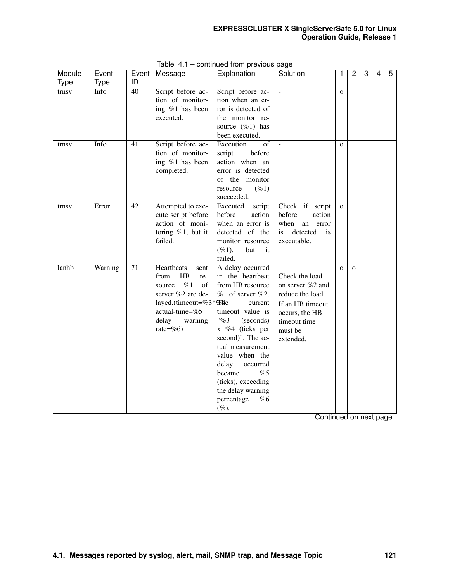| Module      | Event       |                 | Event Message                      | Explanation           | Solution             | 1            | 2            | 3 | 4 | 5 |
|-------------|-------------|-----------------|------------------------------------|-----------------------|----------------------|--------------|--------------|---|---|---|
| <b>Type</b> | <b>Type</b> | ID              |                                    |                       |                      |              |              |   |   |   |
| trnsv       | Info        | $\overline{40}$ | Script before ac-                  | Script before ac-     |                      | $\Omega$     |              |   |   |   |
|             |             |                 | tion of monitor-                   | tion when an er-      |                      |              |              |   |   |   |
|             |             |                 | ing %1 has been                    | ror is detected of    |                      |              |              |   |   |   |
|             |             |                 | executed.                          | the monitor re-       |                      |              |              |   |   |   |
|             |             |                 |                                    | source $(\%1)$ has    |                      |              |              |   |   |   |
|             |             |                 |                                    | been executed.        |                      |              |              |   |   |   |
| trnsv       | Info        | 41              | Script before ac-                  | Execution<br>of       | $\blacksquare$       | $\Omega$     |              |   |   |   |
|             |             |                 | tion of monitor-                   | script<br>before      |                      |              |              |   |   |   |
|             |             |                 | ing %1 has been                    | action when an        |                      |              |              |   |   |   |
|             |             |                 | completed.                         | error is detected     |                      |              |              |   |   |   |
|             |             |                 |                                    | of the monitor        |                      |              |              |   |   |   |
|             |             |                 |                                    | $(\%1)$<br>resource   |                      |              |              |   |   |   |
|             |             |                 |                                    | succeeded.            |                      |              |              |   |   |   |
| trnsv       | Error       | 42              | Attempted to exe-                  | Executed<br>script    | Check if script      | $\mathbf{o}$ |              |   |   |   |
|             |             |                 | cute script before                 | before<br>action      | before<br>action     |              |              |   |   |   |
|             |             |                 | action of moni-                    | when an error is      | when<br>an error     |              |              |   |   |   |
|             |             |                 | toring $%1$ , but it               | detected of the       | detected<br>is<br>is |              |              |   |   |   |
|             |             |                 | failed.                            | monitor resource      | executable.          |              |              |   |   |   |
|             |             |                 |                                    | $(\%1),$<br>but<br>it |                      |              |              |   |   |   |
|             |             |                 |                                    | failed.               |                      |              |              |   |   |   |
| lanhb       | Warning     | $\overline{71}$ | <b>Heartbeats</b><br>sent          | A delay occurred      |                      | $\mathbf{O}$ | $\mathbf{o}$ |   |   |   |
|             |             |                 | HB<br>from<br>re-                  | in the heartbeat      | Check the load       |              |              |   |   |   |
|             |             |                 | %1<br>source<br>οf                 | from HB resource      | on server %2 and     |              |              |   |   |   |
|             |             |                 | server %2 are de-                  | $%1$ of server $%2$ . | reduce the load.     |              |              |   |   |   |
|             |             |                 | layed.(timeout=%3 <sup>*</sup> %He | current               | If an HB timeout     |              |              |   |   |   |
|             |             |                 | actual-time=%5                     | timeout value is      | occurs, the HB       |              |              |   |   |   |
|             |             |                 | delay<br>warning                   | "%3"<br>(seconds)     | timeout time         |              |              |   |   |   |
|             |             |                 | rate=%6)                           | x %4 (ticks per       | must be              |              |              |   |   |   |
|             |             |                 |                                    | second)". The ac-     | extended.            |              |              |   |   |   |
|             |             |                 |                                    | tual measurement      |                      |              |              |   |   |   |
|             |             |                 |                                    | value when the        |                      |              |              |   |   |   |
|             |             |                 |                                    | delay<br>occurred     |                      |              |              |   |   |   |
|             |             |                 |                                    | became<br>%5          |                      |              |              |   |   |   |
|             |             |                 |                                    | (ticks), exceeding    |                      |              |              |   |   |   |
|             |             |                 |                                    | the delay warning     |                      |              |              |   |   |   |
|             |             |                 |                                    | percentage<br>%6      |                      |              |              |   |   |   |
|             |             |                 |                                    | $(\%).$               |                      |              |              |   |   |   |

Table 4.1 – continued from previous page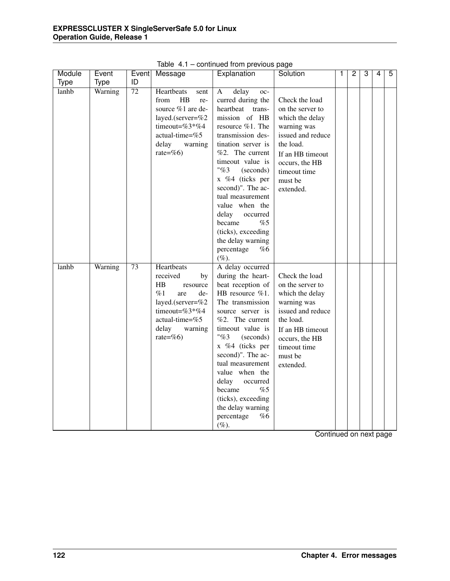| Module | Event       | Event           | Message                                                                                                                                                            | Explanation                                                                                                                                                                                                                                                                                                                                                                                            | Solution                                                                                                                                                                             | 1 | $\overline{2}$ | $\overline{3}$ | 4 | $\overline{5}$ |
|--------|-------------|-----------------|--------------------------------------------------------------------------------------------------------------------------------------------------------------------|--------------------------------------------------------------------------------------------------------------------------------------------------------------------------------------------------------------------------------------------------------------------------------------------------------------------------------------------------------------------------------------------------------|--------------------------------------------------------------------------------------------------------------------------------------------------------------------------------------|---|----------------|----------------|---|----------------|
| Type   | <b>Type</b> | ID              |                                                                                                                                                                    |                                                                                                                                                                                                                                                                                                                                                                                                        |                                                                                                                                                                                      |   |                |                |   |                |
| lanhb  | Warning     | $\overline{72}$ | Heartbeats<br>sent<br>H B<br>from<br>re-<br>source %1 are de-<br>layed.(server=%2<br>timeout=%3*%4<br>actual-time=%5<br>delay<br>warning<br>rate=%6)               | delay<br>A<br>oc-<br>curred during the<br>heartbeat<br>trans-<br>mission of HB<br>resource %1. The<br>transmission des-<br>tination server is<br>%2. The current<br>timeout value is<br>"%3"<br>(seconds)<br>x %4 (ticks per<br>second)". The ac-<br>tual measurement<br>value when the<br>delay<br>occurred<br>became<br>%5<br>(ticks), exceeding<br>the delay warning<br>percentage<br>%6<br>$(\%).$ | Check the load<br>on the server to<br>which the delay<br>warning was<br>issued and reduce<br>the load.<br>If an HB timeout<br>occurs, the HB<br>timeout time<br>must be<br>extended. |   |                |                |   |                |
| lanhb  | Warning     | $\overline{73}$ | Heartbeats<br>received<br>by<br>$_{\rm HB}$<br>resource<br>%1<br>de-<br>are<br>layed.(server=%2<br>timeout=%3*%4<br>actual-time=%5<br>delay<br>warning<br>rate=%6) | A delay occurred<br>during the heart-<br>beat reception of<br>HB resource %1.<br>The transmission<br>source server is<br>%2. The current<br>timeout value is<br>"%3"<br>(seconds)<br>x %4 (ticks per<br>second)". The ac-<br>tual measurement<br>value when the<br>delay<br>occurred<br>became<br>%5<br>(ticks), exceeding<br>the delay warning<br>percentage<br>%6<br>$(\%).$                         | Check the load<br>on the server to<br>which the delay<br>warning was<br>issued and reduce<br>the load.<br>If an HB timeout<br>occurs, the HB<br>timeout time<br>must be<br>extended. |   |                |                |   |                |

Table 4.1 – continued from previous page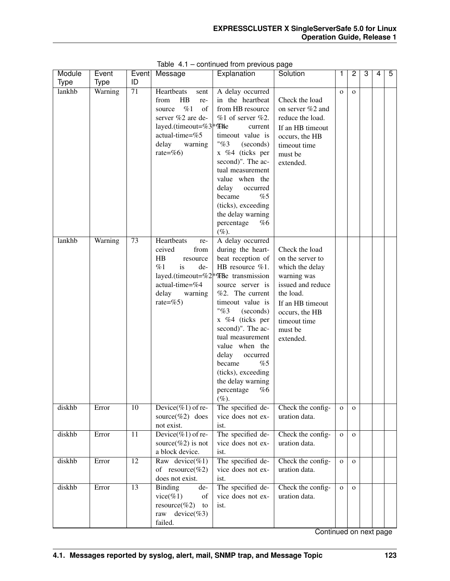| Module | Event   |                 | Event   Message                    | Explanation                                                  | Solution            | 1            | 2            | 3 | 4 | 5 |
|--------|---------|-----------------|------------------------------------|--------------------------------------------------------------|---------------------|--------------|--------------|---|---|---|
| Type   | Type    | ID              |                                    |                                                              |                     |              |              |   |   |   |
| lankhb | Warning | 71              | Heartbeats<br>sent                 | A delay occurred                                             |                     | $\Omega$     | $\mathbf{O}$ |   |   |   |
|        |         |                 | HB<br>from<br>re-                  | in the heartbeat                                             | Check the load      |              |              |   |   |   |
|        |         |                 | %1<br>of<br>source                 | from HB resource                                             | on server $\%2$ and |              |              |   |   |   |
|        |         |                 | server %2 are de-                  | $%1$ of server $%2$ .                                        | reduce the load.    |              |              |   |   |   |
|        |         |                 | layed.(timeout=%3 <sup>*</sup> %He | current                                                      | If an HB timeout    |              |              |   |   |   |
|        |         |                 | actual-time=%5<br>delay            | timeout value is<br>"%3                                      | occurs, the HB      |              |              |   |   |   |
|        |         |                 | warning<br>rate=%6)                | (seconds)<br>x %4 (ticks per                                 | timeout time        |              |              |   |   |   |
|        |         |                 |                                    | second)". The ac-                                            | must be             |              |              |   |   |   |
|        |         |                 |                                    | tual measurement                                             | extended.           |              |              |   |   |   |
|        |         |                 |                                    | value when the                                               |                     |              |              |   |   |   |
|        |         |                 |                                    | delay<br>occurred                                            |                     |              |              |   |   |   |
|        |         |                 |                                    | became<br>%5                                                 |                     |              |              |   |   |   |
|        |         |                 |                                    | (ticks), exceeding                                           |                     |              |              |   |   |   |
|        |         |                 |                                    | the delay warning                                            |                     |              |              |   |   |   |
|        |         |                 |                                    | percentage<br>%6                                             |                     |              |              |   |   |   |
|        |         |                 |                                    | $(\%).$                                                      |                     |              |              |   |   |   |
| lankhb | Warning | 73              | Heartbeats<br>re-                  | A delay occurred                                             |                     |              |              |   |   |   |
|        |         |                 | ceived<br>from                     | during the heart-                                            | Check the load      |              |              |   |   |   |
|        |         |                 | $_{\rm HB}$<br>resource            | beat reception of                                            | on the server to    |              |              |   |   |   |
|        |         |                 | %1<br>de-<br><i>is</i>             | HB resource $\%1$ .                                          | which the delay     |              |              |   |   |   |
|        |         |                 |                                    | layed.(timeout=%2 <sup>*</sup> $\mathcal{B}$ Be transmission | warning was         |              |              |   |   |   |
|        |         |                 | actual-time=%4                     | source server is                                             | issued and reduce   |              |              |   |   |   |
|        |         |                 | delay<br>warning                   | %2. The current                                              | the load.           |              |              |   |   |   |
|        |         |                 | rate=%5)                           | timeout value is                                             | If an HB timeout    |              |              |   |   |   |
|        |         |                 |                                    | "%3"<br>(seconds)                                            | occurs, the HB      |              |              |   |   |   |
|        |         |                 |                                    | x %4 (ticks per                                              | timeout time        |              |              |   |   |   |
|        |         |                 |                                    | second)". The ac-                                            | must be             |              |              |   |   |   |
|        |         |                 |                                    | tual measurement<br>value when the                           | extended.           |              |              |   |   |   |
|        |         |                 |                                    | delay<br>occurred                                            |                     |              |              |   |   |   |
|        |         |                 |                                    | %5<br>became                                                 |                     |              |              |   |   |   |
|        |         |                 |                                    | (ticks), exceeding                                           |                     |              |              |   |   |   |
|        |         |                 |                                    | the delay warning                                            |                     |              |              |   |   |   |
|        |         |                 |                                    | percentage<br>%6                                             |                     |              |              |   |   |   |
|        |         |                 |                                    | $(\%).$                                                      |                     |              |              |   |   |   |
| diskhb | Error   | 10              | Device(%1) of re-                  | The specified de-                                            | Check the config-   | $\mathbf{o}$ | $\mathbf{O}$ |   |   |   |
|        |         |                 | source(%2) does                    | vice does not ex-                                            | uration data.       |              |              |   |   |   |
|        |         |                 | not exist.                         | ist.                                                         |                     |              |              |   |   |   |
| diskhb | Error   | 11              | Device(%1) of re-                  | The specified de-                                            | Check the config-   | $\mathbf{o}$ | $\mathbf{O}$ |   |   |   |
|        |         |                 | source(%2) is not                  | vice does not ex-                                            | uration data.       |              |              |   |   |   |
|        |         |                 | a block device.                    | ist.                                                         |                     |              |              |   |   |   |
| diskhb | Error   | 12              | Raw device(%1)                     | The specified de-                                            | Check the config-   | $\mathbf{o}$ | $\mathbf{O}$ |   |   |   |
|        |         |                 | of resource(%2)                    | vice does not ex-                                            | uration data.       |              |              |   |   |   |
|        |         |                 | does not exist.                    | ist.                                                         |                     |              |              |   |   |   |
| diskhb | Error   | $\overline{13}$ | Binding<br>de-                     | The specified de-                                            | Check the config-   | $\mathbf 0$  | $\mathbf{O}$ |   |   |   |
|        |         |                 | vice(%1)<br>of                     | vice does not ex-                                            | uration data.       |              |              |   |   |   |
|        |         |                 | resource(%2)<br>to                 | ist.                                                         |                     |              |              |   |   |   |
|        |         |                 | raw<br>$device(\%3)$               |                                                              |                     |              |              |   |   |   |
|        |         |                 | failed.                            |                                                              |                     |              |              |   |   |   |

Table 4.1 – continued from previous page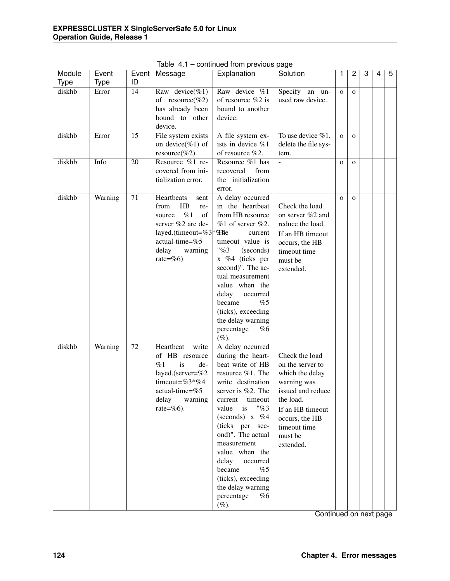| Module | Event   | Event | Message                                                                                                                                                                    | Explanation                                                                                                                                                                                                                                                                                                                                                                        | Solution                                                                                                                                                                             | 1            | $\overline{2}$ | 3 | 4 | 5 |
|--------|---------|-------|----------------------------------------------------------------------------------------------------------------------------------------------------------------------------|------------------------------------------------------------------------------------------------------------------------------------------------------------------------------------------------------------------------------------------------------------------------------------------------------------------------------------------------------------------------------------|--------------------------------------------------------------------------------------------------------------------------------------------------------------------------------------|--------------|----------------|---|---|---|
| Type   | Type    | ID    |                                                                                                                                                                            |                                                                                                                                                                                                                                                                                                                                                                                    |                                                                                                                                                                                      |              |                |   |   |   |
| diskhb | Error   | 14    | Raw device(%1)<br>of resource(%2)<br>has already been<br>bound to other<br>device.                                                                                         | Raw device %1<br>of resource %2 is<br>bound to another<br>device.                                                                                                                                                                                                                                                                                                                  | Specify an un-<br>used raw device.                                                                                                                                                   | $\mathbf{O}$ | $\mathbf{O}$   |   |   |   |
| diskhb | Error   | 15    | File system exists<br>on device(%1) of<br>resource(%2).                                                                                                                    | A file system ex-<br>ists in device %1<br>of resource %2.                                                                                                                                                                                                                                                                                                                          | To use device $\%1$ ,<br>delete the file sys-<br>tem.                                                                                                                                | $\mathbf{O}$ | $\mathbf{O}$   |   |   |   |
| diskhb | Info    | 20    | Resource %1 re-<br>covered from ini-<br>tialization error.                                                                                                                 | Resource %1 has<br>recovered<br>from<br>the initialization<br>error.                                                                                                                                                                                                                                                                                                               | $\overline{a}$                                                                                                                                                                       | $\mathbf{o}$ | $\mathbf{O}$   |   |   |   |
| diskhb | Warning | 71    | Heartbeats<br>sent<br>HB<br>from<br>re-<br>%1<br>of<br>source<br>server %2 are de-<br>layed.(timeout=%3 <sup>*</sup> %He<br>actual-time=%5<br>delay<br>warning<br>rate=%6) | A delay occurred<br>in the heartbeat<br>from HB resource<br>$%1$ of server $%2$ .<br>current<br>timeout value is<br>"%3"<br>(seconds)<br>x %4 (ticks per<br>second)". The ac-<br>tual measurement<br>value when the<br>delay<br>occurred<br>%5<br>became<br>(ticks), exceeding<br>the delay warning<br>percentage<br>%6<br>$(\%).$                                                 | Check the load<br>on server $\%2$ and<br>reduce the load.<br>If an HB timeout<br>occurs, the HB<br>timeout time<br>must be<br>extended.                                              | $\mathbf{O}$ | $\mathbf{O}$   |   |   |   |
| diskhb | Warning | 72    | Heartbeat<br>write<br>of HB resource<br>%1<br>is<br>de-<br>layed.(server=%2<br>timeout=%3*%4<br>actual-time=%5<br>delay<br>warning<br>rate= $%6$ ).                        | A delay occurred<br>during the heart-<br>beat write of HB<br>resource %1. The<br>write destination<br>server is %2. The<br>current<br>timeout<br>"%3"<br>is<br>value<br>(seconds) $x \%$ 4<br>(ticks per sec-<br>ond)". The actual<br>measurement<br>value when the<br>delay<br>occurred<br>became<br>%5<br>(ticks), exceeding<br>the delay warning<br>percentage<br>%6<br>$(\%).$ | Check the load<br>on the server to<br>which the delay<br>warning was<br>issued and reduce<br>the load.<br>If an HB timeout<br>occurs, the HB<br>timeout time<br>must be<br>extended. |              |                |   |   |   |

Table 4.1 – continued from previous page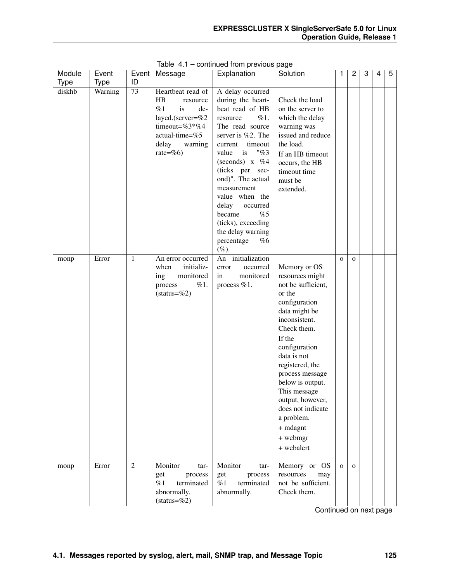| Module      | Event       |                 | Event Message                                                                                                                                     | Explanation                                                                                                                                                                                                                                                                                                                                                                    | Solution                                                                                                                                                                                                                                                                                                                                           |              | 2            | 3 | 4 | 5 |
|-------------|-------------|-----------------|---------------------------------------------------------------------------------------------------------------------------------------------------|--------------------------------------------------------------------------------------------------------------------------------------------------------------------------------------------------------------------------------------------------------------------------------------------------------------------------------------------------------------------------------|----------------------------------------------------------------------------------------------------------------------------------------------------------------------------------------------------------------------------------------------------------------------------------------------------------------------------------------------------|--------------|--------------|---|---|---|
| <b>Type</b> | <b>Type</b> | ID              |                                                                                                                                                   |                                                                                                                                                                                                                                                                                                                                                                                |                                                                                                                                                                                                                                                                                                                                                    |              |              |   |   |   |
| diskhb      | Warning     | $\overline{73}$ | Heartbeat read of<br>HB<br>resource<br>%1<br>de-<br>is<br>layed.(server=%2<br>timeout=%3*%4<br>$actual-time = %5$<br>delay<br>warning<br>rate=%6) | A delay occurred<br>during the heart-<br>beat read of HB<br>%1.<br>resource<br>The read source<br>server is %2. The<br>timeout<br>current<br>"%3"<br>value<br>is<br>(seconds) $x \%$ 4<br>(ticks per sec-<br>ond)". The actual<br>measurement<br>value when the<br>delay<br>occurred<br>became<br>%5<br>(ticks), exceeding<br>the delay warning<br>percentage<br>%6<br>$(\%).$ | Check the load<br>on the server to<br>which the delay<br>warning was<br>issued and reduce<br>the load.<br>If an HB timeout<br>occurs, the HB<br>timeout time<br>must be<br>extended.                                                                                                                                                               |              |              |   |   |   |
| monp        | Error       | 1               | An error occurred<br>initializ-<br>when<br>monitored<br>ing<br>%1.<br>process<br>$(status=\%2)$                                                   | An initialization<br>occurred<br>error<br>monitored<br>in<br>process %1.                                                                                                                                                                                                                                                                                                       | Memory or OS<br>resources might<br>not be sufficient,<br>or the<br>configuration<br>data might be<br>inconsistent.<br>Check them.<br>If the<br>configuration<br>data is not<br>registered, the<br>process message<br>below is output.<br>This message<br>output, however,<br>does not indicate<br>a problem.<br>+ mdagnt<br>+ webmgr<br>+ webalert | $\mathbf{O}$ | $\mathbf{O}$ |   |   |   |
| monp        | Error       | 2               | Monitor<br>tar-<br>get<br>process<br>%1<br>terminated<br>abnormally.<br>$(status = %2)$                                                           | Monitor<br>tar-<br>get<br>process<br>%1<br>terminated<br>abnormally.                                                                                                                                                                                                                                                                                                           | Memory or OS<br>resources<br>may<br>not be sufficient.<br>Check them.                                                                                                                                                                                                                                                                              | $\Omega$     | $\Omega$     |   |   |   |

Table 4.1 – continued from previous page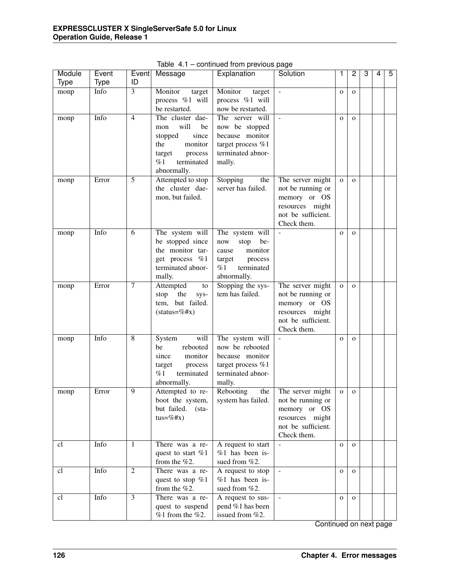| Module      | Event       | Event          | Message                               | Explanation                           | Solution                 | 1            | 2            | 3 | $\overline{4}$ | 5 |
|-------------|-------------|----------------|---------------------------------------|---------------------------------------|--------------------------|--------------|--------------|---|----------------|---|
| <b>Type</b> | <b>Type</b> | ID             |                                       |                                       |                          |              |              |   |                |   |
| monp        | Info        | 3              | Monitor<br>target                     | Monitor<br>target                     | $\overline{\phantom{a}}$ | $\mathbf{O}$ | $\mathbf{O}$ |   |                |   |
|             |             |                | process %1 will                       | process %1 will                       |                          |              |              |   |                |   |
|             |             |                | be restarted.                         | now be restarted.                     |                          |              |              |   |                |   |
| monp        | Info        | $\overline{4}$ | The cluster dae-                      | The server will                       | $\mathcal{L}$            | $\mathbf{O}$ | $\mathbf{O}$ |   |                |   |
|             |             |                | will<br>be<br>mon<br>stopped<br>since | now be stopped<br>because monitor     |                          |              |              |   |                |   |
|             |             |                | monitor<br>the                        | target process %1                     |                          |              |              |   |                |   |
|             |             |                | process<br>target                     | terminated abnor-                     |                          |              |              |   |                |   |
|             |             |                | %1<br>terminated                      | mally.                                |                          |              |              |   |                |   |
|             |             |                | abnormally.                           |                                       |                          |              |              |   |                |   |
| monp        | Error       | 5              | Attempted to stop                     | Stopping<br>the                       | The server might         | $\mathbf{O}$ | $\mathbf{o}$ |   |                |   |
|             |             |                | the cluster dae-                      | server has failed.                    | not be running or        |              |              |   |                |   |
|             |             |                | mon, but failed.                      |                                       | memory or OS             |              |              |   |                |   |
|             |             |                |                                       |                                       | resources might          |              |              |   |                |   |
|             |             |                |                                       |                                       | not be sufficient.       |              |              |   |                |   |
|             |             |                |                                       |                                       | Check them.              |              |              |   |                |   |
| monp        | Info        | 6              | The system will                       | The system will                       |                          | $\mathbf{O}$ | $\mathbf{O}$ |   |                |   |
|             |             |                | be stopped since<br>the monitor tar-  | be-<br>now<br>stop<br>monitor         |                          |              |              |   |                |   |
|             |             |                | get process %1                        | cause                                 |                          |              |              |   |                |   |
|             |             |                | terminated abnor-                     | process<br>target<br>%1<br>terminated |                          |              |              |   |                |   |
|             |             |                | mally.                                | abnormally.                           |                          |              |              |   |                |   |
| monp        | Error       | $\tau$         | Attempted<br>to                       | Stopping the sys-                     | The server might         | $\mathbf{o}$ | $\Omega$     |   |                |   |
|             |             |                | stop<br>the<br>sys-                   | tem has failed.                       | not be running or        |              |              |   |                |   |
|             |             |                | tem, but failed.                      |                                       | memory or OS             |              |              |   |                |   |
|             |             |                | $(status = %#x)$                      |                                       | resources might          |              |              |   |                |   |
|             |             |                |                                       |                                       | not be sufficient.       |              |              |   |                |   |
|             |             |                |                                       |                                       | Check them.              |              |              |   |                |   |
| monp        | Info        | 8              | will<br>System                        | The system will                       | $\frac{1}{2}$            | $\mathbf{O}$ | $\mathbf{O}$ |   |                |   |
|             |             |                | rebooted<br>be<br>monitor<br>since    | now be rebooted<br>because monitor    |                          |              |              |   |                |   |
|             |             |                | process<br>target                     | target process %1                     |                          |              |              |   |                |   |
|             |             |                | $\%1$<br>terminated                   | terminated abnor-                     |                          |              |              |   |                |   |
|             |             |                | abnormally.                           | mally.                                |                          |              |              |   |                |   |
| monp        | Error       | $\overline{9}$ | Attempted to re-                      | Rebooting<br>the                      | The server might         | $\mathbf O$  | $\mathbf{o}$ |   |                |   |
|             |             |                | boot the system,                      | system has failed.                    | not be running or        |              |              |   |                |   |
|             |             |                | but failed.<br>$(\text{sta}-$         |                                       | memory or OS             |              |              |   |                |   |
|             |             |                | $tus = \%#x)$                         |                                       | resources might          |              |              |   |                |   |
|             |             |                |                                       |                                       | not be sufficient.       |              |              |   |                |   |
|             |             |                |                                       |                                       | Check them.              |              |              |   |                |   |
| cl          | Info        | 1              | There was a re-                       | A request to start                    | $\mathbf{r}$             | $\mathbf{O}$ | $\mathbf{O}$ |   |                |   |
|             |             |                | quest to start %1<br>from the $%2$ .  | $%1$ has been is-<br>sued from %2.    |                          |              |              |   |                |   |
| cl          | Info        | $\overline{2}$ | There was a re-                       | A request to stop                     | $\mathbf{r}$             | $\mathbf{o}$ | $\mathbf{O}$ |   |                |   |
|             |             |                | quest to stop %1                      | $%1$ has been is-                     |                          |              |              |   |                |   |
|             |             |                | from the $%2$ .                       | sued from %2.                         |                          |              |              |   |                |   |
| cl          | Info        | $\overline{3}$ | There was a re-                       | A request to sus-                     | $\omega$                 | $\mathbf{O}$ | $\mathbf{o}$ |   |                |   |
|             |             |                | quest to suspend                      | pend %1 has been                      |                          |              |              |   |                |   |
|             |             |                | $%1$ from the $%2$ .                  | issued from %2.                       |                          |              |              |   |                |   |

Table 4.1 – continued from previous page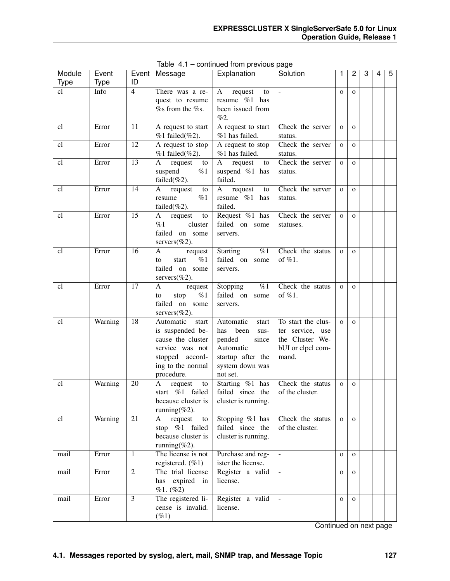| Module | Event   |                 | Event Message                          | Explanation                          | Solution                    | 1            | 2            | 3 | 4 | 5 |
|--------|---------|-----------------|----------------------------------------|--------------------------------------|-----------------------------|--------------|--------------|---|---|---|
| Type   | Type    | ID              |                                        |                                      |                             |              |              |   |   |   |
| cl     | Info    | $\overline{4}$  | There was a re-                        | request<br>A<br>to                   | $\mathcal{L}$               | $\mathbf{O}$ | $\mathbf{O}$ |   |   |   |
|        |         |                 | quest to resume                        | resume %1 has                        |                             |              |              |   |   |   |
|        |         |                 | % from the %s.                         | been issued from<br>%2.              |                             |              |              |   |   |   |
|        |         | 11              |                                        |                                      |                             |              |              |   |   |   |
| cl     | Error   |                 | A request to start<br>$%1$ failed(%2). | A request to start<br>%1 has failed. | Check the server            | $\mathbf{O}$ | $\mathbf{O}$ |   |   |   |
| cl     | Error   | $\overline{12}$ | A request to stop                      | A request to stop                    | status.<br>Check the server |              |              |   |   |   |
|        |         |                 | $%1$ failed(%2).                       | %1 has failed.                       | status.                     | $\mathbf 0$  | $\mathbf{o}$ |   |   |   |
| cl     | Error   | $\overline{13}$ | request<br>A<br>to                     | request<br>A<br>to                   | Check the server            | $\mathbf{o}$ | $\mathbf{O}$ |   |   |   |
|        |         |                 | %1<br>suspend                          | suspend %1 has                       | status.                     |              |              |   |   |   |
|        |         |                 | failed $(\%2)$ .                       | failed.                              |                             |              |              |   |   |   |
| cl     | Error   | 14              | request<br>А<br>to                     | request<br>A<br>to                   | Check the server            | $\mathbf{O}$ | $\Omega$     |   |   |   |
|        |         |                 | %1<br>resume                           | resume %1 has                        | status.                     |              |              |   |   |   |
|        |         |                 | failed $(\%2)$ .                       | failed.                              |                             |              |              |   |   |   |
| cl     | Error   | 15              | request<br>A<br>to                     | Request %1 has                       | Check the server            | $\mathbf{O}$ | $\Omega$     |   |   |   |
|        |         |                 | $\%1$<br>cluster                       | failed on some                       | statuses.                   |              |              |   |   |   |
|        |         |                 | failed on some                         | servers.                             |                             |              |              |   |   |   |
|        |         |                 | servers $(\%2)$ .                      |                                      |                             |              |              |   |   |   |
| cl     | Error   | 16              | A<br>request                           | %1<br><b>Starting</b>                | Check the status            | $\mathbf{o}$ | $\mathbf{O}$ |   |   |   |
|        |         |                 | %1<br>start<br>to                      | failed on some                       | of $%1$ .                   |              |              |   |   |   |
|        |         |                 | failed on some                         | servers.                             |                             |              |              |   |   |   |
|        |         |                 | servers $(\%2)$ .                      |                                      |                             |              |              |   |   |   |
| cl     | Error   | 17              | A<br>request                           | $\%1$<br>Stopping                    | Check the status            | $\mathbf{O}$ | $\mathbf{o}$ |   |   |   |
|        |         |                 | %1<br>stop<br>to                       | failed on some                       | of %1.                      |              |              |   |   |   |
|        |         |                 | failed on some                         | servers.                             |                             |              |              |   |   |   |
|        |         |                 | servers $(\%2)$ .                      |                                      |                             |              |              |   |   |   |
| cl     | Warning | 18              | Automatic<br>start                     | Automatic<br>start                   | To start the clus-          | $\mathbf{o}$ | $\mathbf{O}$ |   |   |   |
|        |         |                 | is suspended be-                       | been<br>has<br>sus-                  | ter service, use            |              |              |   |   |   |
|        |         |                 | cause the cluster                      | pended<br>since                      | the Cluster We-             |              |              |   |   |   |
|        |         |                 | service was not                        | Automatic                            | bUI or clpcl com-           |              |              |   |   |   |
|        |         |                 | stopped accord-                        | startup after the                    | mand.                       |              |              |   |   |   |
|        |         |                 | ing to the normal                      | system down was                      |                             |              |              |   |   |   |
|        |         |                 | procedure.                             | not set.                             |                             |              |              |   |   |   |
| cl     | Warning | 20              | A<br>request<br>${\rm to}$             | Starting %1 has                      | Check the status            | $\mathbf{o}$ | $\mathbf{o}$ |   |   |   |
|        |         |                 | start %1 failed                        | failed since the                     | of the cluster.             |              |              |   |   |   |
|        |         |                 | because cluster is                     | cluster is running.                  |                             |              |              |   |   |   |
|        |         |                 | running(%2).                           |                                      |                             |              |              |   |   |   |
| cl     | Warning | $\overline{21}$ | request<br>A<br>to                     | Stopping $%1$ has                    | Check the status            | $\mathbf{O}$ | $\mathbf{O}$ |   |   |   |
|        |         |                 | stop %1 failed                         | failed since the                     | of the cluster.             |              |              |   |   |   |
|        |         |                 | because cluster is                     | cluster is running.                  |                             |              |              |   |   |   |
|        |         |                 | running $(\%2)$ .                      |                                      |                             |              |              |   |   |   |
| mail   | Error   | 1               | The license is not                     | Purchase and reg-                    | $\mathcal{L}$               | $\mathbf{O}$ | $\mathbf{O}$ |   |   |   |
|        |         |                 | registered. $(\%1)$                    | ister the license.                   |                             |              |              |   |   |   |
| mail   | Error   | $\overline{2}$  | The trial license                      | Register a valid                     | $\omega$                    | $\mathbf{O}$ | $\mathbf{O}$ |   |   |   |
|        |         |                 | has expired in                         | license.                             |                             |              |              |   |   |   |
|        |         |                 | %1. (%2)                               |                                      |                             |              |              |   |   |   |
| mail   | Error   | $\overline{3}$  | The registered li-                     | Register a valid<br>license.         | $\mathcal{L}$               | $\mathbf{O}$ | $\mathbf{o}$ |   |   |   |
|        |         |                 | cense is invalid.                      |                                      |                             |              |              |   |   |   |
|        |         |                 | $(\%1)$                                |                                      |                             |              |              |   |   |   |

Table 4.1 – continued from previous page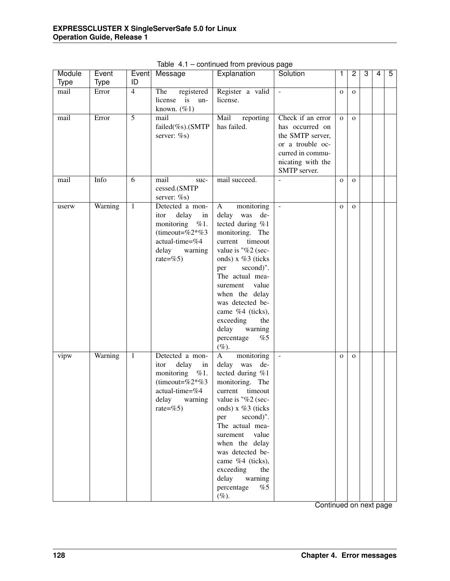| Module<br><b>Type</b> | Event<br><b>Type</b> | Event<br>ID    | Message                                                                                                                             | Explanation                                                                                                                                                                                                                                                                                                                                      | Solution                                                                                                                              | 1            | 2            | 3 | 4 | 5 |
|-----------------------|----------------------|----------------|-------------------------------------------------------------------------------------------------------------------------------------|--------------------------------------------------------------------------------------------------------------------------------------------------------------------------------------------------------------------------------------------------------------------------------------------------------------------------------------------------|---------------------------------------------------------------------------------------------------------------------------------------|--------------|--------------|---|---|---|
| mail                  | Error                | $\overline{4}$ | The<br>registered<br>license<br>is<br>un-<br>known. $(\%1)$                                                                         | Register a valid<br>license.                                                                                                                                                                                                                                                                                                                     | $\overline{\phantom{a}}$                                                                                                              | $\mathbf{O}$ | $\mathbf{O}$ |   |   |   |
| mail                  | Error                | $\overline{5}$ | mail<br>failed(%s).(SMTP<br>server: %s)                                                                                             | Mail<br>reporting<br>has failed.                                                                                                                                                                                                                                                                                                                 | Check if an error<br>has occurred on<br>the SMTP server,<br>or a trouble oc-<br>curred in commu-<br>nicating with the<br>SMTP server. | $\mathbf{O}$ | $\Omega$     |   |   |   |
| mail                  | Info                 | 6              | mail<br>suc-<br>cessed.(SMTP<br>server: %s)                                                                                         | mail succeed.                                                                                                                                                                                                                                                                                                                                    |                                                                                                                                       | $\mathbf{O}$ | $\mathbf{O}$ |   |   |   |
| userw                 | Warning              | $\mathbf{1}$   | Detected a mon-<br>delay<br>in<br>itor<br>monitoring<br>%1.<br>(timeout=%2*%3)<br>actual-time=%4<br>delay<br>warning<br>rate=%5)    | monitoring<br>$\mathbf{A}$<br>delay was de-<br>tected during %1<br>monitoring. The<br>current<br>timeout<br>value is "%2 (sec-<br>onds) x %3 (ticks<br>second)".<br>per<br>The actual mea-<br>value<br>surement<br>when the delay<br>was detected be-<br>came %4 (ticks),<br>exceeding<br>the<br>delay<br>warning<br>percentage<br>%5<br>$(\%).$ | $\omega$                                                                                                                              | $\mathbf{O}$ | $\mathbf{O}$ |   |   |   |
| vipw                  | Warning              | $\mathbf{1}$   | Detected a mon-<br>delay<br>itor<br>in<br>monitoring<br>%1.<br>(timeout=%2 $*$ %3<br>actual-time=%4<br>delay<br>warning<br>rate=%5) | monitoring<br>A<br>delay was<br>de-<br>tected during %1<br>monitoring. The<br>timeout<br>current<br>value is "%2 (sec-<br>onds) x %3 (ticks<br>second)".<br>per<br>The actual mea-<br>value<br>surement<br>when the delay<br>was detected be-<br>came %4 (ticks),<br>exceeding<br>the<br>delay<br>warning<br>percentage<br>%5<br>$(\%).$         | $\equiv$                                                                                                                              | $\mathbf{O}$ | $\mathbf{O}$ |   |   |   |

Table 4.1 – continued from previous page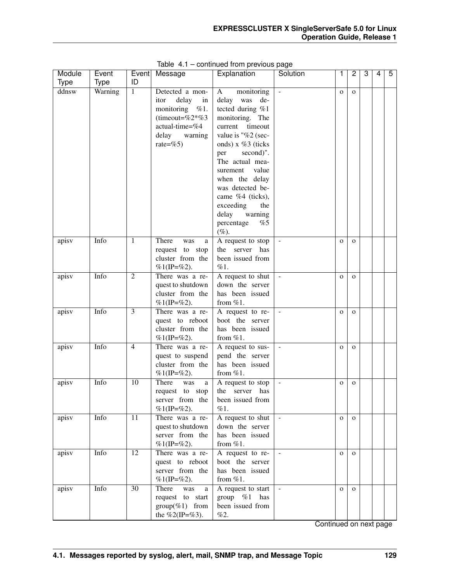| Module      | Event       |                | Event Message       | Explanation          | Solution            | 1            | 2            | 3 | 4 | $\overline{5}$ |
|-------------|-------------|----------------|---------------------|----------------------|---------------------|--------------|--------------|---|---|----------------|
| <b>Type</b> | <b>Type</b> | ID             |                     |                      |                     |              |              |   |   |                |
| ddnsw       | Warning     | 1              | Detected a mon-     | monitoring<br>A      | $\blacksquare$      | $\mathbf{O}$ | $\mathbf{O}$ |   |   |                |
|             |             |                | delay<br>itor<br>in | delay<br>was<br>de-  |                     |              |              |   |   |                |
|             |             |                | monitoring $\%1$ .  | tected during %1     |                     |              |              |   |   |                |
|             |             |                | (timeout=%2*%3)     | monitoring. The      |                     |              |              |   |   |                |
|             |             |                | actual-time=%4      | timeout<br>current   |                     |              |              |   |   |                |
|             |             |                | warning<br>delay    | value is "%2 (sec-   |                     |              |              |   |   |                |
|             |             |                | rate=%5)            | onds) $x \%3$ (ticks |                     |              |              |   |   |                |
|             |             |                |                     | second)".<br>per     |                     |              |              |   |   |                |
|             |             |                |                     | The actual mea-      |                     |              |              |   |   |                |
|             |             |                |                     | value<br>surement    |                     |              |              |   |   |                |
|             |             |                |                     | when the delay       |                     |              |              |   |   |                |
|             |             |                |                     | was detected be-     |                     |              |              |   |   |                |
|             |             |                |                     | came %4 (ticks),     |                     |              |              |   |   |                |
|             |             |                |                     | exceeding<br>the     |                     |              |              |   |   |                |
|             |             |                |                     | delay<br>warning     |                     |              |              |   |   |                |
|             |             |                |                     | percentage<br>%5     |                     |              |              |   |   |                |
|             |             |                |                     | $(\%).$              |                     |              |              |   |   |                |
| apisv       | Info        | 1              | There<br>was<br>a   | A request to stop    |                     | $\mathbf{O}$ | $\mathbf{O}$ |   |   |                |
|             |             |                | request to stop     | server<br>the<br>has |                     |              |              |   |   |                |
|             |             |                | cluster from the    | been issued from     |                     |              |              |   |   |                |
|             |             |                | $%1$ (IP=%2).       | $\%1.$               |                     |              |              |   |   |                |
| apisv       | Info        | $\overline{2}$ | There was a re-     | A request to shut    |                     | $\mathbf{O}$ | $\mathbf{o}$ |   |   |                |
|             |             |                | quest to shutdown   | down the server      |                     |              |              |   |   |                |
|             |             |                | cluster from the    | has been issued      |                     |              |              |   |   |                |
|             |             |                | $%1$ (IP=%2).       | from $%1$ .          |                     |              |              |   |   |                |
| apisv       | Info        | 3              | There was a re-     | A request to re-     |                     | $\mathbf{O}$ | $\mathbf{O}$ |   |   |                |
|             |             |                | quest to reboot     | boot the server      |                     |              |              |   |   |                |
|             |             |                | cluster from the    | has been issued      |                     |              |              |   |   |                |
|             |             |                | $%1$ (IP=%2).       | from $%1$ .          |                     |              |              |   |   |                |
| apisv       | Info        | $\overline{4}$ | There was a re-     | A request to sus-    |                     | $\mathbf{o}$ | $\mathbf{O}$ |   |   |                |
|             |             |                | quest to suspend    | pend the server      |                     |              |              |   |   |                |
|             |             |                | cluster from the    | has been issued      |                     |              |              |   |   |                |
|             |             |                | %1(IP=%2).          | from $%1$ .          |                     |              |              |   |   |                |
| apisv       | Info        | 10             | There<br>was<br>a   | A request to stop    | $\bar{\phantom{a}}$ | $\mathbf{O}$ | $\mathbf{O}$ |   |   |                |
|             |             |                | request to stop     | the server has       |                     |              |              |   |   |                |
|             |             |                | server from the     | been issued from     |                     |              |              |   |   |                |
|             |             |                | $%1$ (IP=%2).       | $\%1$ .              |                     |              |              |   |   |                |
| apisv       | Info        | 11             | There was a re-     | A request to shut    | $\blacksquare$      | $\mathbf 0$  | $\mathbf{O}$ |   |   |                |
|             |             |                | quest to shutdown   | down the server      |                     |              |              |   |   |                |
|             |             |                | server from the     | has been issued      |                     |              |              |   |   |                |
|             |             |                | $%1$ (IP=%2).       | from $%1$ .          |                     |              |              |   |   |                |
| apisv       | Info        | 12             | There was a re-     | A request to re-     | $\blacksquare$      | $\mathbf{o}$ | $\mathbf{O}$ |   |   |                |
|             |             |                | quest to reboot     | boot the server      |                     |              |              |   |   |                |
|             |             |                | server from the     | has been issued      |                     |              |              |   |   |                |
|             |             |                | $%1$ (IP=%2).       | from $\%1$ .         |                     |              |              |   |   |                |
| apisv       | Info        | 30             | There<br>was<br>a   | A request to start   | $\mathbf{r}$        | $\mathbf{o}$ | $\mathbf{O}$ |   |   |                |
|             |             |                | request to start    | group $\%1$<br>has   |                     |              |              |   |   |                |
|             |             |                | $group(\%1)$ from   | been issued from     |                     |              |              |   |   |                |
|             |             |                | the %2(IP=%3).      | %2.                  |                     |              |              |   |   |                |

Table 4.1 – continued from previous page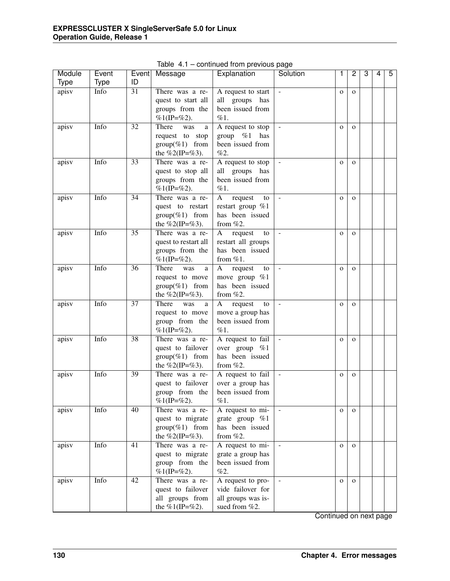| Module<br><b>Type</b> | Event<br><b>Type</b> | ID              | Event Message                                                               | Explanation                                                                        | Solution                 | 1            | $\overline{2}$ | 3 | 4 | 5 |
|-----------------------|----------------------|-----------------|-----------------------------------------------------------------------------|------------------------------------------------------------------------------------|--------------------------|--------------|----------------|---|---|---|
| apisv                 | Info                 | $\overline{31}$ | There was a re-<br>quest to start all<br>groups from the<br>$%1$ (IP=%2).   | A request to start<br>all groups has<br>been issued from<br>%1.                    |                          | $\mathbf 0$  | $\mathbf{O}$   |   |   |   |
| apisv                 | Info                 | 32              | There<br>was<br>a<br>request to stop<br>$group(\%1)$ from<br>the %2(IP=%3). | A request to stop<br>group $\%1$ has<br>been issued from<br>%2.                    | $\overline{\phantom{a}}$ | $\mathbf{O}$ | $\mathbf{O}$   |   |   |   |
| apisv                 | Info                 | 33              | There was a re-<br>quest to stop all<br>groups from the<br>$%1$ (IP=%2).    | A request to stop<br>all groups has<br>been issued from<br>%1.                     | $\overline{\phantom{a}}$ | $\mathbf{O}$ | $\mathbf{O}$   |   |   |   |
| apisv                 | Info                 | 34              | There was a re-<br>quest to restart<br>$group(\%1)$ from<br>the %2(IP=%3).  | $\mathbf{A}$<br>request<br>to<br>restart group %1<br>has been issued<br>from $%2.$ | $\overline{\phantom{a}}$ | $\mathbf{O}$ | $\mathbf{O}$   |   |   |   |
| apisv                 | Info                 | 35              | There was a re-<br>quest to restart all<br>groups from the<br>$%1$ (IP=%2). | request<br>A<br>to<br>restart all groups<br>has been issued<br>from $%1$ .         | $\equiv$                 | $\mathbf{O}$ | $\mathbf{O}$   |   |   |   |
| apisv                 | Info                 | 36              | There<br>was<br>a<br>request to move<br>$group(\%1)$ from<br>the %2(IP=%3). | $\mathbf{A}$<br>request<br>to<br>move group $%1$<br>has been issued<br>from $%2.$  | $\omega$                 | $\mathbf O$  | $\mathbf{O}$   |   |   |   |
| apisv                 | Info                 | 37              | There<br>was<br>a<br>request to move<br>group from the<br>$%1$ (IP=%2).     | request<br>A<br>to<br>move a group has<br>been issued from<br>$\%1.$               | $\mathcal{L}$            | $\mathbf{O}$ | $\mathbf{O}$   |   |   |   |
| apisv                 | Info                 | 38              | There was a re-<br>quest to failover<br>$group(\%1)$ from<br>the %2(IP=%3). | A request to fail<br>over group %1<br>has been issued<br>from $%2$ .               | $\omega$                 | $\mathbf 0$  | $\mathbf{O}$   |   |   |   |
| apisv                 | Info                 | $\overline{39}$ | There was a re-<br>quest to failover<br>group from the<br>%1(IP=%2).        | A request to fail<br>over a group has<br>been issued from<br>%1.                   | $\bar{\phantom{a}}$      | $\mathbf{O}$ | $\mathbf{O}$   |   |   |   |
| apisv                 | Info                 | 40              | There was a re-<br>quest to migrate<br>$group(\%1)$ from<br>the %2(IP=%3).  | A request to mi-<br>grate group %1<br>has been issued<br>from $%2$ .               |                          | $\mathbf{O}$ | $\mathbf{O}$   |   |   |   |
| apisv                 | Info                 | $\overline{41}$ | There was a re-<br>quest to migrate<br>group from the<br>$%1$ (IP=%2).      | A request to mi-<br>grate a group has<br>been issued from<br>%2.                   |                          | $\mathbf{O}$ | $\mathbf{O}$   |   |   |   |
| apisv                 | Info                 | 42              | There was a re-<br>quest to failover<br>all groups from<br>the %1(IP=%2).   | A request to pro-<br>vide failover for<br>all groups was is-<br>sued from %2.      |                          | $\mathbf{O}$ | $\mathbf{o}$   |   |   |   |

Table 4.1 – continued from previous page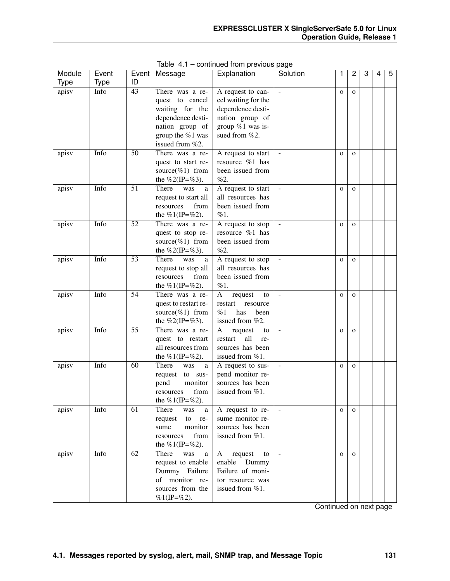| Module             | Event       | Event           | Message                           | Explanation                           | Solution            | 1            | $\overline{2}$ | 3 | 4 | 5 |
|--------------------|-------------|-----------------|-----------------------------------|---------------------------------------|---------------------|--------------|----------------|---|---|---|
| <b>Type</b>        | <b>Type</b> | ID              |                                   |                                       |                     |              |                |   |   |   |
| apisv              | Info        | 43              | There was a re-                   | A request to can-                     |                     | $\mathbf{o}$ | $\mathbf{O}$   |   |   |   |
|                    |             |                 | quest to cancel                   | cel waiting for the                   |                     |              |                |   |   |   |
|                    |             |                 | waiting for the                   | dependence desti-                     |                     |              |                |   |   |   |
|                    |             |                 | dependence desti-                 | nation group of                       |                     |              |                |   |   |   |
|                    |             |                 | nation group of                   | group %1 was is-                      |                     |              |                |   |   |   |
|                    |             |                 | group the %1 was                  | sued from %2.                         |                     |              |                |   |   |   |
|                    |             |                 | issued from %2.                   |                                       |                     |              |                |   |   |   |
| apisv              | Info        | 50              | There was a re-                   | A request to start                    | $\blacksquare$      | $\mathbf{O}$ | $\mathbf{O}$   |   |   |   |
|                    |             |                 | quest to start re-                | resource %1 has<br>been issued from   |                     |              |                |   |   |   |
|                    |             |                 | source(%1) from<br>the %2(IP=%3). | %2.                                   |                     |              |                |   |   |   |
| apisv              | Info        | $\overline{51}$ | There<br>was<br>a                 | A request to start                    | $\Box$              | $\mathbf{O}$ | $\mathbf{O}$   |   |   |   |
|                    |             |                 | request to start all              | all resources has                     |                     |              |                |   |   |   |
|                    |             |                 | from<br>resources                 | been issued from                      |                     |              |                |   |   |   |
|                    |             |                 | the %1(IP=%2).                    | $\%1$ .                               |                     |              |                |   |   |   |
| apisv              | Info        | 52              | There was a re-                   | A request to stop                     | $\bar{\phantom{a}}$ | $\mathbf{O}$ | $\mathbf{O}$   |   |   |   |
|                    |             |                 | quest to stop re-                 | resource %1 has                       |                     |              |                |   |   |   |
|                    |             |                 | source(%1) from                   | been issued from                      |                     |              |                |   |   |   |
|                    |             |                 | the %2(IP=%3).                    | %2.                                   |                     |              |                |   |   |   |
| apisv              | Info        | $\overline{53}$ | There<br>was<br>a                 | A request to stop                     | $\Box$              | $\mathbf{O}$ | $\mathbf{O}$   |   |   |   |
|                    |             |                 | request to stop all               | all resources has                     |                     |              |                |   |   |   |
|                    |             |                 | from<br>resources                 | been issued from                      |                     |              |                |   |   |   |
|                    |             |                 | the %1(IP=%2).                    | $\%1.$                                |                     |              |                |   |   |   |
| apisv              | Info        | 54              | There was a re-                   | request<br>A<br>to                    | $\blacksquare$      | $\mathbf{O}$ | $\mathbf{O}$   |   |   |   |
|                    |             |                 | quest to restart re-              | restart<br>resource                   |                     |              |                |   |   |   |
|                    |             |                 | source(%1) from                   | %1<br>has<br>been                     |                     |              |                |   |   |   |
| apisv              | Info        | $\overline{55}$ | the %2(IP=%3).<br>There was a re- | issued from %2.<br>request<br>A<br>to | $\Box$              | $\mathbf{O}$ | $\mathbf{O}$   |   |   |   |
|                    |             |                 | quest to restart                  | all<br>restart<br>re-                 |                     |              |                |   |   |   |
|                    |             |                 | all resources from                | sources has been                      |                     |              |                |   |   |   |
|                    |             |                 | the %1(IP=%2).                    | issued from %1.                       |                     |              |                |   |   |   |
| $apis\overline{v}$ | Info        | 60              | There<br>was<br>a                 | A request to sus-                     | $\equiv$            | $\mathbf{O}$ | $\mathbf{O}$   |   |   |   |
|                    |             |                 | request to sus-                   | pend monitor re-                      |                     |              |                |   |   |   |
|                    |             |                 | monitor<br>pend                   | sources has been                      |                     |              |                |   |   |   |
|                    |             |                 | from<br>resources                 | issued from %1.                       |                     |              |                |   |   |   |
|                    |             |                 | the %1(IP=%2).                    |                                       |                     |              |                |   |   |   |
| apisv              | Info        | $\overline{61}$ | There<br>was<br>a                 | A request to re-                      | $\equiv$            | $\mathbf{O}$ | $\mathbf{O}$   |   |   |   |
|                    |             |                 | to<br>request<br>re-              | sume monitor re-                      |                     |              |                |   |   |   |
|                    |             |                 | monitor<br>sume                   | sources has been                      |                     |              |                |   |   |   |
|                    |             |                 | from<br>resources                 | issued from %1.                       |                     |              |                |   |   |   |
|                    |             |                 | the %1(IP=%2).                    |                                       |                     |              |                |   |   |   |
| apisv              | Info        | $\overline{62}$ | There<br>was<br>a                 | request<br>A<br>to                    | $\mathbb{Z}^2$      | $\mathbf{o}$ | $\mathbf{O}$   |   |   |   |
|                    |             |                 | request to enable                 | enable Dummy                          |                     |              |                |   |   |   |
|                    |             |                 | Dummy Failure                     | Failure of moni-                      |                     |              |                |   |   |   |
|                    |             |                 | of monitor re-                    | tor resource was                      |                     |              |                |   |   |   |
|                    |             |                 | sources from the                  | issued from %1.                       |                     |              |                |   |   |   |
|                    |             |                 | $%1$ (IP=%2).                     |                                       |                     |              |                |   |   |   |

Table 4.1 – continued from previous page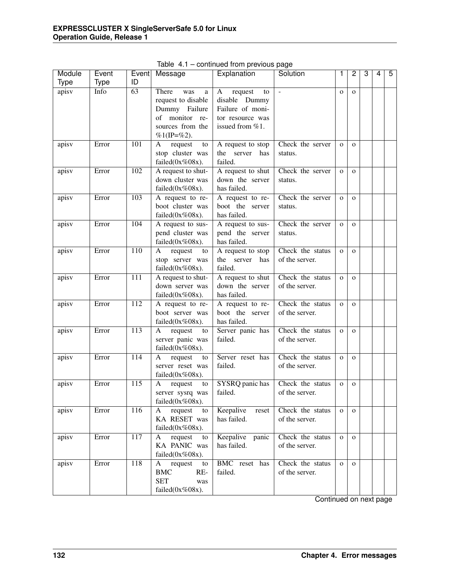| Module      | Event |                  | Event Message        | Explanation        | Solution         | 1            | 2            | 3 | 4 | 5 |
|-------------|-------|------------------|----------------------|--------------------|------------------|--------------|--------------|---|---|---|
| <b>Type</b> | Type  | ID               |                      |                    |                  |              |              |   |   |   |
| apisv       | Info  | $\overline{63}$  | There<br>was<br>a    | request<br>A<br>to | $\mathcal{L}$    | $\mathbf{O}$ | $\mathbf{O}$ |   |   |   |
|             |       |                  | request to disable   | disable Dummy      |                  |              |              |   |   |   |
|             |       |                  | Dummy Failure        | Failure of moni-   |                  |              |              |   |   |   |
|             |       |                  | of monitor re-       | tor resource was   |                  |              |              |   |   |   |
|             |       |                  | sources from the     | issued from %1.    |                  |              |              |   |   |   |
|             |       |                  | $%1$ (IP=%2).        |                    |                  |              |              |   |   |   |
| apisv       | Error | 101              | request<br>A<br>to   | A request to stop  | Check the server | $\mathbf{O}$ | $\mathbf{O}$ |   |   |   |
|             |       |                  | stop cluster was     | the server<br>has  | status.          |              |              |   |   |   |
|             |       |                  | failed $(0x\%08x)$ . | failed.            |                  |              |              |   |   |   |
| apisv       | Error | 102              | A request to shut-   | A request to shut  | Check the server | $\mathbf{O}$ | $\mathbf{O}$ |   |   |   |
|             |       |                  | down cluster was     | down the server    | status.          |              |              |   |   |   |
|             |       |                  | failed $(0x\%08x)$ . | has failed.        |                  |              |              |   |   |   |
| apisv       | Error | 103              | A request to re-     | A request to re-   | Check the server | $\mathbf 0$  | $\mathbf{O}$ |   |   |   |
|             |       |                  | boot cluster was     | boot the server    | status.          |              |              |   |   |   |
|             |       |                  | failed $(0x\%08x)$ . | has failed.        |                  |              |              |   |   |   |
| apisv       | Error | 104              | A request to sus-    | A request to sus-  | Check the server | $\mathbf{o}$ | $\mathbf{O}$ |   |   |   |
|             |       |                  | pend cluster was     | pend the server    | status.          |              |              |   |   |   |
|             |       |                  | failed $(0x\%08x)$ . | has failed.        |                  |              |              |   |   |   |
| apisv       | Error | 110              | request<br>A<br>to   | A request to stop  | Check the status | $\mathbf{o}$ | $\mathbf{o}$ |   |   |   |
|             |       |                  | stop server was      | the server<br>has  | of the server.   |              |              |   |   |   |
|             |       |                  | failed $(0x\%08x)$ . | failed.            |                  |              |              |   |   |   |
| apisv       | Error | 111              | A request to shut-   | A request to shut  | Check the status | $\mathbf 0$  | $\mathbf{o}$ |   |   |   |
|             |       |                  | down server was      | down the server    | of the server.   |              |              |   |   |   |
|             |       |                  | failed $(0x\%08x)$ . | has failed.        |                  |              |              |   |   |   |
| apisv       | Error | 112              | A request to re-     | A request to re-   | Check the status | $\mathbf{o}$ | $\mathbf{O}$ |   |   |   |
|             |       |                  | boot server was      | boot the server    | of the server.   |              |              |   |   |   |
|             |       |                  | failed $(0x\%08x)$ . | has failed.        |                  |              |              |   |   |   |
| apisv       | Error | $\overline{113}$ | request<br>A<br>to   | Server panic has   | Check the status | $\mathbf 0$  | $\mathbf{O}$ |   |   |   |
|             |       |                  | server panic was     | failed.            | of the server.   |              |              |   |   |   |
|             |       |                  | failed $(0x\%08x)$ . |                    |                  |              |              |   |   |   |
| apisv       | Error | 114              | request<br>A<br>to   | Server reset has   | Check the status | $\mathbf{O}$ | $\mathbf{O}$ |   |   |   |
|             |       |                  | server reset was     | failed.            | of the server.   |              |              |   |   |   |
|             |       |                  | failed $(0x\%08x)$ . |                    |                  |              |              |   |   |   |
| apisv       | Error | 115              | A<br>request<br>to   | SYSRQ panic has    | Check the status | $\mathbf{o}$ | $\mathbf{O}$ |   |   |   |
|             |       |                  | server sysrq was     | failed.            | of the server.   |              |              |   |   |   |
|             |       |                  | failed $(0x\%08x)$ . |                    |                  |              |              |   |   |   |
| apisv       | Error | 116              | request<br>A<br>to   | Keepalive<br>reset | Check the status | $\mathbf 0$  | $\mathbf{O}$ |   |   |   |
|             |       |                  | KA RESET was         | has failed.        | of the server.   |              |              |   |   |   |
|             |       |                  | failed $(0x\%08x)$ . |                    |                  |              |              |   |   |   |
| apisv       | Error | 117              | request<br>A<br>to   | Keepalive panic    | Check the status | $\mathbf 0$  | $\mathbf{O}$ |   |   |   |
|             |       |                  | KA PANIC was         | has failed.        | of the server.   |              |              |   |   |   |
|             |       |                  | failed $(0x\%08x)$ . |                    |                  |              |              |   |   |   |
| apisv       | Error | 118              | request<br>A<br>to   | BMC reset has      | Check the status | $\mathbf{o}$ | $\mathbf{O}$ |   |   |   |
|             |       |                  | <b>BMC</b><br>RE-    | failed.            | of the server.   |              |              |   |   |   |
|             |       |                  | <b>SET</b><br>was    |                    |                  |              |              |   |   |   |
|             |       |                  | failed $(0x\%08x)$ . |                    |                  |              |              |   |   |   |

Table 4.1 – continued from previous page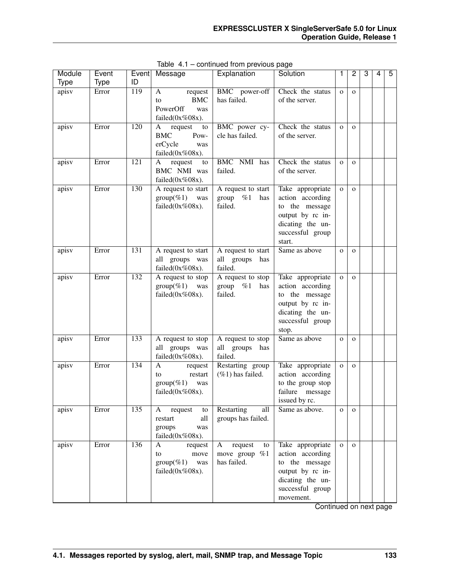| Module<br><b>Type</b> | Event<br><b>Type</b> | Event<br>ID | Message                                                                            | Explanation                                         | Solution                                                                                                                        | 1            | 2            | 3 | 4 | 5 |
|-----------------------|----------------------|-------------|------------------------------------------------------------------------------------|-----------------------------------------------------|---------------------------------------------------------------------------------------------------------------------------------|--------------|--------------|---|---|---|
| apisv                 | Error                | 119         | request<br>A<br><b>BMC</b><br>to<br>PowerOff<br>was<br>failed $(0x\%08x)$ .        | BMC power-off<br>has failed.                        | Check the status<br>of the server.                                                                                              | $\mathbf 0$  | $\mathbf{O}$ |   |   |   |
| apisv                 | Error                | 120         | request<br>A<br>to<br><b>BMC</b><br>Pow-<br>erCycle<br>was<br>failed $(0x\%08x)$ . | BMC power cy-<br>cle has failed.                    | Check the status<br>of the server.                                                                                              | $\mathbf{O}$ | $\mathbf{O}$ |   |   |   |
| apisv                 | Error                | 121         | request<br>to<br>A<br>BMC NMI was<br>failed $(0x\%08x)$ .                          | BMC NMI has<br>failed.                              | Check the status<br>of the server.                                                                                              | $\mathbf{O}$ | $\mathbf{O}$ |   |   |   |
| apisv                 | Error                | 130         | A request to start<br>$group(\%1)$<br>was<br>failed $(0x\%08x)$ .                  | A request to start<br>group $\%1$<br>has<br>failed. | Take appropriate<br>action according<br>to the message<br>output by rc in-<br>dicating the un-<br>successful group<br>start.    | $\mathbf{O}$ | $\mathbf{O}$ |   |   |   |
| apisv                 | Error                | 131         | A request to start<br>all groups was<br>failed $(0x\%08x)$ .                       | A request to start<br>all groups<br>has<br>failed.  | Same as above                                                                                                                   | $\mathbf{O}$ | $\mathbf{O}$ |   |   |   |
| apisv                 | Error                | 132         | A request to stop<br>$group(\%1)$<br>was<br>failed $(0x\%08x)$ .                   | A request to stop<br>group<br>%1<br>has<br>failed.  | Take appropriate<br>action according<br>to the message<br>output by rc in-<br>dicating the un-<br>successful group<br>stop.     | $\mathbf 0$  | $\mathbf{O}$ |   |   |   |
| apisv                 | Error                | 133         | A request to stop<br>all groups was<br>failed $(0x\%08x)$ .                        | A request to stop<br>all groups<br>has<br>failed.   | Same as above                                                                                                                   | $\mathbf{O}$ | $\mathbf{O}$ |   |   |   |
| apisv                 | Error                | 134         | A<br>request<br>restart<br>to<br>$group(\%1)$<br>was<br>failed $(0x\%08x)$ .       | Restarting group<br>$(\%1)$ has failed.             | Take appropriate<br>action according<br>to the group stop<br>failure message<br>issued by rc.                                   | $\mathbf 0$  | $\mathbf{O}$ |   |   |   |
| apisv                 | Error                | 135         | A<br>request<br>to<br>all<br>restart<br>groups<br>was<br>failed $(0x\%08x)$ .      | Restarting<br>all<br>groups has failed.             | Same as above.                                                                                                                  | $\mathbf{O}$ | $\mathbf{O}$ |   |   |   |
| apisv                 | Error                | 136         | A<br>request<br>move<br>to<br>$group(\%1)$<br>was<br>failed $(0x\%08x)$ .          | request<br>A<br>to<br>move group %1<br>has failed.  | Take appropriate<br>action according<br>to the message<br>output by rc in-<br>dicating the un-<br>successful group<br>movement. | $\mathbf{O}$ | $\mathbf{O}$ |   |   |   |

Table 4.1 – continued from previous page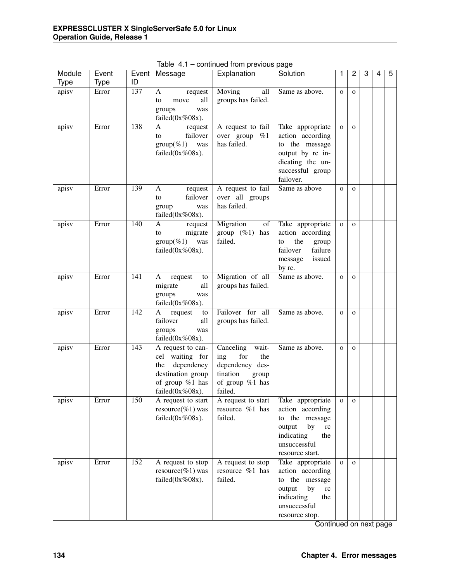| Module<br><b>Type</b> | Event<br><b>Type</b> | Event<br>ID      | Message                                                                                                                | Explanation                                                                                                | Solution                                                                                                                             | 1            | $\overline{c}$ | 3 | 4 | 5 |
|-----------------------|----------------------|------------------|------------------------------------------------------------------------------------------------------------------------|------------------------------------------------------------------------------------------------------------|--------------------------------------------------------------------------------------------------------------------------------------|--------------|----------------|---|---|---|
| apisv                 | Error                | 137              | A<br>request<br>all<br>to<br>move<br>groups<br>was<br>failed $(0x\%08x)$ .                                             | Moving<br>all<br>groups has failed.                                                                        | Same as above.                                                                                                                       | $\mathbf{o}$ | $\mathbf{O}$   |   |   |   |
| apisv                 | Error                | 138              | A<br>request<br>failover<br>to<br>$group(\%1)$ was<br>failed $(0x\%08x)$ .                                             | A request to fail<br>over group %1<br>has failed.                                                          | Take appropriate<br>action according<br>to the message<br>output by rc in-<br>dicating the un-<br>successful group<br>failover.      | $\mathbf{O}$ | $\mathbf{O}$   |   |   |   |
| apisv                 | Error                | 139              | $\mathbf{A}$<br>request<br>failover<br>to<br>group<br>was<br>failed $(0x\%08x)$ .                                      | A request to fail<br>over all groups<br>has failed.                                                        | Same as above                                                                                                                        | $\mathbf{O}$ | $\mathbf{O}$   |   |   |   |
| apisv                 | Error                | 140              | A<br>request<br>migrate<br>to<br>$group(\%1)$ was<br>failed $(0x\%08x)$ .                                              | Migration<br>of<br>group $(\%1)$ has<br>failed.                                                            | Take appropriate<br>action according<br>the<br>to<br>group<br>failover<br>failure<br>issued<br>message<br>by rc.                     | $\mathbf{O}$ | $\mathbf{O}$   |   |   |   |
| apisv                 | Error                | 141              | request<br>A<br>to<br>migrate<br>all<br>groups<br>was<br>failed $(0x\%08x)$ .                                          | Migration of all<br>groups has failed.                                                                     | Same as above.                                                                                                                       | $\mathbf{o}$ | $\mathbf{O}$   |   |   |   |
| apisv                 | Error                | $\overline{142}$ | A request<br>to<br>failover<br>all<br>groups<br>was<br>failed $(0x\%08x)$ .                                            | Failover for all<br>groups has failed.                                                                     | Same as above.                                                                                                                       | $\mathbf{O}$ | $\mathbf{O}$   |   |   |   |
| apisv                 | Error                | $\overline{143}$ | A request to can-<br>cel waiting for<br>the dependency<br>destination group<br>of group %1 has<br>failed $(0x\%08x)$ . | Canceling wait-<br>for<br>ing<br>the<br>dependency des-<br>tination<br>group<br>of group %1 has<br>failed. | Same as above.                                                                                                                       | $\mathbf{o}$ | $\mathbf{O}$   |   |   |   |
| apisv                 | Error                | 150              | A request to start<br>resource(%1) was<br>failed $(0x\%08x)$ .                                                         | A request to start<br>resource %1 has<br>failed.                                                           | Take appropriate<br>action according<br>to the message<br>output<br>by<br>rc<br>indicating<br>the<br>unsuccessful<br>resource start. | $\mathbf 0$  | $\mathbf{o}$   |   |   |   |
| apisv                 | Error                | 152              | A request to stop<br>resource(%1) was<br>failed $(0x\%08x)$ .                                                          | A request to stop<br>resource %1 has<br>failed.                                                            | Take appropriate<br>action according<br>to the message<br>output<br>by<br>rc<br>indicating<br>the<br>unsuccessful<br>resource stop.  | $\mathbf{O}$ | $\Omega$       |   |   |   |

Table 4.1 – continued from previous page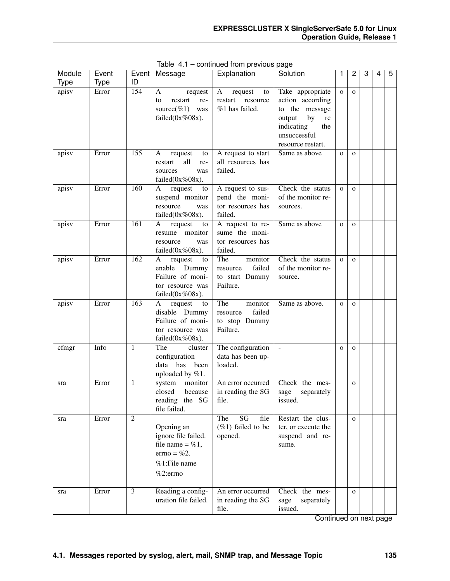| Module<br><b>Type</b> | Event<br><b>Type</b> | ID             | Event Message                                                                                                  | Explanation                                                         | Solution                                                                                                                                     | 1            | $\overline{c}$ | 3 | $\overline{4}$ | 5 |
|-----------------------|----------------------|----------------|----------------------------------------------------------------------------------------------------------------|---------------------------------------------------------------------|----------------------------------------------------------------------------------------------------------------------------------------------|--------------|----------------|---|----------------|---|
| apisv                 | Error                | 154            | $\mathbf{A}$<br>request<br>restart<br>re-<br>to<br>source(%1)<br>was<br>failed $(0x\%08x)$ .                   | $\mathbf{A}$<br>request<br>to<br>restart resource<br>%1 has failed. | Take appropriate<br>action according<br>to the message<br>by<br>output<br>$\rm rc$<br>indicating<br>the<br>unsuccessful<br>resource restart. | $\mathbf{o}$ | $\Omega$       |   |                |   |
| apisv                 | Error                | 155            | A<br>request<br>to<br>all<br>restart<br>re-<br>sources<br>was<br>failed $(0x\%08x)$ .                          | A request to start<br>all resources has<br>failed.                  | Same as above                                                                                                                                | $\mathbf{o}$ | $\Omega$       |   |                |   |
| apisv                 | Error                | 160            | request<br>A<br>to<br>suspend monitor<br>resource<br>was<br>failed $(0x\%08x)$ .                               | A request to sus-<br>pend the moni-<br>tor resources has<br>failed. | Check the status<br>of the monitor re-<br>sources.                                                                                           | $\mathbf{O}$ | $\Omega$       |   |                |   |
| apisv                 | Error                | 161            | A<br>request<br>to<br>resume monitor<br>resource<br>was<br>failed $(0x\%08x)$ .                                | A request to re-<br>sume the moni-<br>tor resources has<br>failed.  | Same as above                                                                                                                                | $\mathbf{O}$ | $\Omega$       |   |                |   |
| apisv                 | Error                | 162            | request<br>A<br>to<br>enable Dummy<br>Failure of moni-<br>tor resource was<br>failed $(0x\%08x)$ .             | The<br>monitor<br>failed<br>resource<br>to start Dummy<br>Failure.  | Check the status<br>of the monitor re-<br>source.                                                                                            | $\mathbf{o}$ | $\Omega$       |   |                |   |
| apisv                 | Error                | 163            | request<br>A<br>to<br>disable Dummy<br>Failure of moni-<br>tor resource was<br>failed $(0x\%08x)$ .            | The<br>monitor<br>failed<br>resource<br>to stop Dummy<br>Failure.   | Same as above.                                                                                                                               | $\mathbf{O}$ | $\Omega$       |   |                |   |
| cfmgr                 | Info                 | 1              | The<br>cluster<br>configuration<br>data has been<br>uploaded by $%1$ .                                         | The configuration<br>data has been up-<br>loaded.                   | $\equiv$                                                                                                                                     | $\mathbf{O}$ | $\Omega$       |   |                |   |
| sra                   | Error                | 1              | system<br>monitor<br>closed<br>because<br>reading the SG<br>file failed.                                       | An error occurred<br>in reading the SG<br>file.                     | Check the mes-<br>separately<br>sage<br>issued.                                                                                              |              | $\overline{O}$ |   |                |   |
| sra                   | Error                | $\overline{2}$ | Opening an<br>ignore file failed.<br>file name = $\%$ 1,<br>$\text{errno} = \% 2.$<br>%1:File name<br>%2:errno | SG<br>file<br>The<br>$(\%1)$ failed to be<br>opened.                | Restart the clus-<br>ter, or execute the<br>suspend and re-<br>sume.                                                                         |              | $\Omega$       |   |                |   |
| sra                   | Error                | 3              | Reading a config-<br>uration file failed.                                                                      | An error occurred<br>in reading the SG<br>file.                     | Check the mes-<br>separately<br>sage<br>issued.                                                                                              |              | $\Omega$       |   |                |   |

Table 4.1 – continued from previous page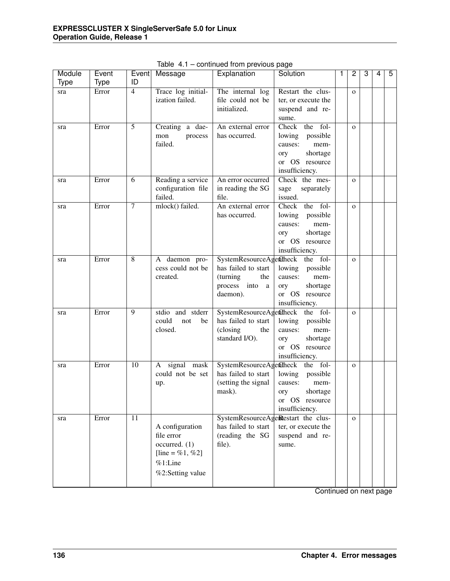| Module      | Event       | Event           | Message                                                                                          | Explanation                                                          | Solution                                                                                                                         | $\overline{1}$ | 2            | 3 | 4 | 5 |
|-------------|-------------|-----------------|--------------------------------------------------------------------------------------------------|----------------------------------------------------------------------|----------------------------------------------------------------------------------------------------------------------------------|----------------|--------------|---|---|---|
| <b>Type</b> | <b>Type</b> | ID              |                                                                                                  |                                                                      |                                                                                                                                  |                |              |   |   |   |
| sra         | Error       | $\overline{4}$  | Trace log initial-<br>ization failed.                                                            | The internal log<br>file could not be<br>initialized.                | Restart the clus-<br>ter, or execute the<br>suspend and re-<br>sume.                                                             |                | $\mathbf{O}$ |   |   |   |
| sra         | Error       | $\overline{5}$  | Creating a dae-<br>mon<br>process<br>failed.                                                     | An external error<br>has occurred.                                   | Check the fol-<br>lowing possible<br>causes:<br>mem-<br>shortage<br>ory<br>or OS resource<br>insufficiency.                      |                | $\mathbf{o}$ |   |   |   |
| sra         | Error       | 6               | Reading a service<br>configuration file<br>failed.                                               | An error occurred<br>in reading the SG<br>file.                      | Check the mes-<br>sage<br>separately<br>issued.                                                                                  |                | $\mathbf{o}$ |   |   |   |
| sra         | Error       | $\tau$          | mlock() failed.                                                                                  | An external error<br>has occurred.                                   | Check the fol-<br>lowing possible<br>causes:<br>mem-<br>shortage<br>ory<br>or OS resource<br>insufficiency.                      |                | $\mathbf{O}$ |   |   |   |
| sra         | Error       | 8               | A daemon pro-<br>cess could not be<br>created.                                                   | has failed to start<br>(turning<br>the<br>process into a<br>daemon). | SystemResourceAgentheck the fol-<br>lowing<br>possible<br>causes:<br>mem-<br>ory<br>shortage<br>or OS resource<br>insufficiency. |                | $\mathbf{O}$ |   |   |   |
| sra         | Error       | 9               | stdio and stderr<br>could<br>not<br>be<br>closed.                                                | has failed to start<br>(closing<br>the<br>standard I/O).             | SystemResourceAgentheck the fol-<br>lowing possible<br>causes:<br>mem-<br>ory<br>shortage<br>or OS resource<br>insufficiency.    |                | $\mathbf{O}$ |   |   |   |
| sra         | Error       | 10              | A signal mask<br>could not be set<br>up.                                                         | has failed to start<br>(setting the signal<br>mask).                 | SystemResourceAgentheck the fol-<br>lowing<br>possible<br>causes:<br>mem-<br>shortage<br>ory<br>or OS resource<br>insufficiency. |                | $\mathbf{O}$ |   |   |   |
| sra         | Error       | $\overline{11}$ | A configuration<br>file error<br>occurred. (1)<br>[line = %1, %2]<br>%1:Line<br>%2:Setting value | has failed to start<br>(reading the SG<br>file).                     | SystemResourceAgeRestart the clus-<br>ter, or execute the<br>suspend and re-<br>sume.                                            |                | $\mathbf{O}$ |   |   |   |

Table 4.1 – continued from previous page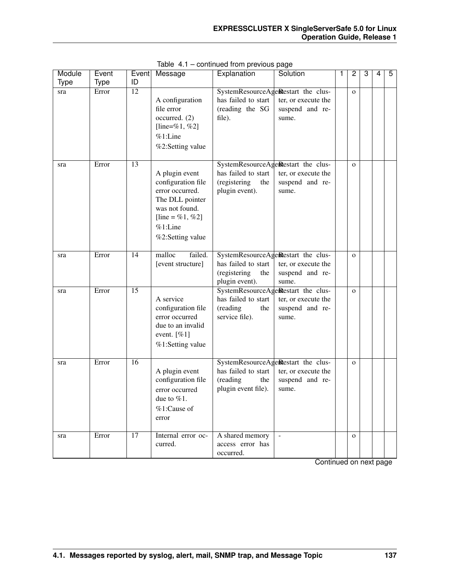| Module<br><b>Type</b> | Event<br><b>Type</b> | Event<br>ID     | Message                                                                                                                                           | Explanation                                                   | Solution                                                                              | 2            | 3 | 4 | 5 |
|-----------------------|----------------------|-----------------|---------------------------------------------------------------------------------------------------------------------------------------------------|---------------------------------------------------------------|---------------------------------------------------------------------------------------|--------------|---|---|---|
| sra                   | Error                | $\overline{12}$ | A configuration<br>file error<br>occurred. (2)<br>[line=%1, %2]<br>%1:Line<br>%2:Setting value                                                    | has failed to start<br>(reading the SG<br>file).              | SystemResourceAgeRestart the clus-<br>ter, or execute the<br>suspend and re-<br>sume. | $\mathbf{O}$ |   |   |   |
| sra                   | Error                | 13              | A plugin event<br>configuration file<br>error occurred.<br>The DLL pointer<br>was not found.<br>[line = %1, %2]<br>$%1$ :Line<br>%2:Setting value | has failed to start<br>(registering<br>the<br>plugin event).  | SystemResourceAgeRestart the clus-<br>ter, or execute the<br>suspend and re-<br>sume. | $\mathbf{O}$ |   |   |   |
| sra                   | Error                | 14              | malloc<br>failed.<br>[event structure]                                                                                                            | has failed to start<br>(registering<br>the<br>plugin event).  | SystemResourceAgeRestart the clus-<br>ter, or execute the<br>suspend and re-<br>sume. | $\mathbf{O}$ |   |   |   |
| sra                   | Error                | $\overline{15}$ | A service<br>configuration file<br>error occurred<br>due to an invalid<br>event. $[%1]$<br>%1:Setting value                                       | has failed to start<br>(reading<br>the<br>service file).      | SystemResourceAgeRestart the clus-<br>ter, or execute the<br>suspend and re-<br>sume. | $\mathbf{o}$ |   |   |   |
| sra                   | Error                | 16              | A plugin event<br>configuration file<br>error occurred<br>due to $\%1$ .<br>$%1$ :Cause of<br>error                                               | has failed to start<br>(reading<br>the<br>plugin event file). | SystemResourceAgeRestart the clus-<br>ter, or execute the<br>suspend and re-<br>sume. | $\mathbf{O}$ |   |   |   |
| sra                   | Error                | $\overline{17}$ | Internal error oc-<br>curred.                                                                                                                     | A shared memory<br>access error has<br>occurred.              | $\omega$                                                                              | $\mathbf{O}$ |   |   |   |

Table 4.1 – continued from previous page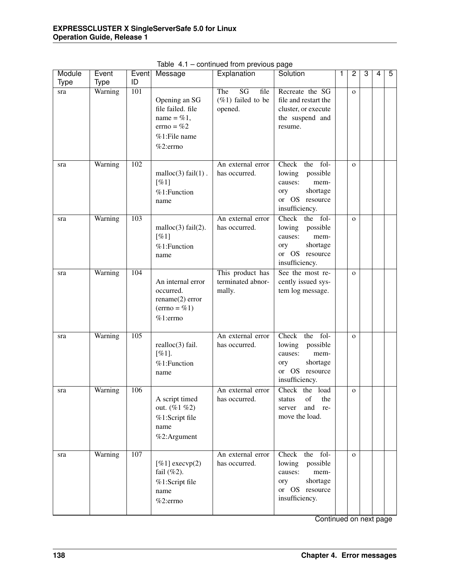| Module      | Event       | Event            | Message                                                                                                     | committed in only provided page<br>Explanation                           | Solution                                                                                                          | 1 | 2            | 3 | $\overline{4}$ | 5 |
|-------------|-------------|------------------|-------------------------------------------------------------------------------------------------------------|--------------------------------------------------------------------------|-------------------------------------------------------------------------------------------------------------------|---|--------------|---|----------------|---|
| <b>Type</b> | <b>Type</b> | ID               |                                                                                                             |                                                                          |                                                                                                                   |   |              |   |                |   |
| sra         | Warning     | 101              | Opening an SG<br>file failed. file<br>name = $\%$ 1,<br>$\text{errno} = \%2$<br>%1:File name<br>$%2:$ errno | $\overline{\text{SG}}$<br>The<br>file<br>$(\%1)$ failed to be<br>opened. | Recreate the SG<br>file and restart the<br>cluster, or execute<br>the suspend and<br>resume.                      |   | $\mathbf{o}$ |   |                |   |
| sra         | Warning     | 102              | malloc $(3)$ fail $(1)$ .<br>[%1]<br>%1:Function<br>name                                                    | An external error<br>has occurred.                                       | Check<br>the fol-<br>lowing<br>possible<br>mem-<br>causes:<br>shortage<br>ory<br>or OS resource<br>insufficiency. |   | $\mathbf{O}$ |   |                |   |
| sra         | Warning     | $\overline{103}$ | malloc $(3)$ fail $(2)$ .<br>[%1]<br>%1:Function<br>name                                                    | An external error<br>has occurred.                                       | the fol-<br>Check<br>lowing<br>possible<br>causes:<br>mem-<br>shortage<br>ory<br>or OS resource<br>insufficiency. |   | $\mathbf{O}$ |   |                |   |
| sra         | Warning     | 104              | An internal error<br>occurred.<br>rename(2) error<br>$(\text{errno} = \% 1)$<br>%1:errno                    | This product has<br>terminated abnor-<br>mally.                          | See the most re-<br>cently issued sys-<br>tem log message.                                                        |   | $\mathbf{O}$ |   |                |   |
| sra         | Warning     | $\overline{105}$ | $realloc(3)$ fail.<br>[%1].<br>%1:Function<br>name                                                          | An external error<br>has occurred.                                       | the fol-<br>Check<br>lowing<br>possible<br>causes:<br>mem-<br>shortage<br>ory<br>or OS resource<br>insufficiency. |   | $\mathbf{O}$ |   |                |   |
| sra         | Warning     | 106              | A script timed<br>out. (%1 %2)<br>%1:Script file<br>name<br>%2:Argument                                     | An external error<br>has occurred.                                       | Check the load<br>of<br>status<br>the<br>and<br>re-<br>server<br>move the load.                                   |   | $\mathbf{o}$ |   |                |   |
| sra         | Warning     | 107              | [ $%1$ ] execvp(2)<br>fail $(\%2)$ .<br>%1:Script file<br>name<br>%2:errno                                  | An external error<br>has occurred.                                       | the fol-<br>Check<br>lowing<br>possible<br>causes:<br>mem-<br>shortage<br>ory<br>or OS resource<br>insufficiency. |   | $\mathbf{O}$ |   |                |   |

Table 4.1 – continued from previous page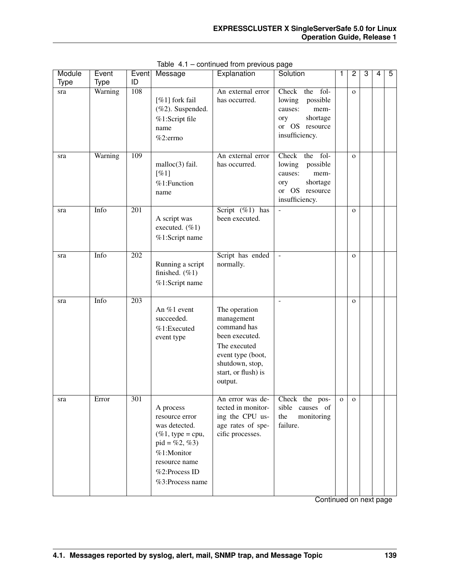| Module | Event       | Event            | Message                                                                                                                                                                    | Explanation                                                                                                                                            | Solution                                                                                                          | 1            | 2              | 3 | 4 | 5 |
|--------|-------------|------------------|----------------------------------------------------------------------------------------------------------------------------------------------------------------------------|--------------------------------------------------------------------------------------------------------------------------------------------------------|-------------------------------------------------------------------------------------------------------------------|--------------|----------------|---|---|---|
| Type   | <b>Type</b> | ID               |                                                                                                                                                                            |                                                                                                                                                        |                                                                                                                   |              |                |   |   |   |
| sra    | Warning     | 108              | [%1] fork fail<br>(%2). Suspended.<br>%1:Script file<br>name<br>%2:errno                                                                                                   | An external error<br>has occurred.                                                                                                                     | the fol-<br>Check<br>lowing<br>possible<br>causes:<br>mem-<br>shortage<br>ory<br>or OS resource<br>insufficiency. |              | $\overline{O}$ |   |   |   |
| sra    | Warning     | 109              | malloc(3) fail.<br>[%1]<br>%1:Function<br>name                                                                                                                             | An external error<br>has occurred.                                                                                                                     | the fol-<br>Check<br>lowing<br>possible<br>causes:<br>mem-<br>ory<br>shortage<br>or OS resource<br>insufficiency. |              | $\mathbf{o}$   |   |   |   |
| sra    | Info        | $\overline{201}$ | A script was<br>executed. (%1)<br>%1:Script name                                                                                                                           | Script $(\%1)$ has<br>been executed.                                                                                                                   | $\Box$                                                                                                            |              | $\mathbf{o}$   |   |   |   |
| sra    | Info        | $\overline{202}$ | Running a script<br>finished. $(\%1)$<br>%1:Script name                                                                                                                    | Script has ended<br>normally.                                                                                                                          | $\bar{\mathcal{L}}$                                                                                               |              | $\mathbf{o}$   |   |   |   |
| sra    | Info        | $\overline{203}$ | An %1 event<br>succeeded.<br>%1:Executed<br>event type                                                                                                                     | The operation<br>management<br>command has<br>been executed.<br>The executed<br>event type (boot,<br>shutdown, stop,<br>start, or flush) is<br>output. | $\overline{\phantom{a}}$                                                                                          |              | $\mathbf{O}$   |   |   |   |
| sra    | Error       | 301              | A process<br>resource error<br>was detected.<br>$(\%1, \text{ type} = \text{cpu},$<br>$pid = \%2, \%3)$<br>%1:Monitor<br>resource name<br>%2:Process ID<br>%3:Process name | An error was de-<br>tected in monitor-<br>ing the CPU us-<br>age rates of spe-<br>cific processes.                                                     | Check the pos-<br>sible<br>causes of<br>the<br>monitoring<br>failure.                                             | $\mathbf{O}$ | $\mathbf{O}$   |   |   |   |

Table 4.1 – continued from previous page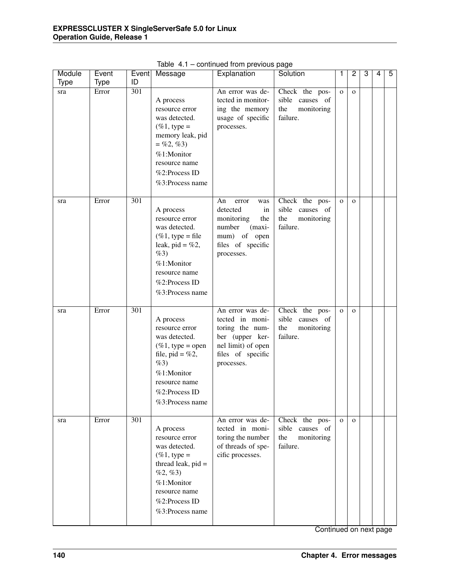| Module      | Event       | Event            | Message                                                                                                                                                                               | Explanation                                                                                                                        | Solution                                                           | 1            | $\overline{c}$ | 3 | $\overline{4}$ | 5 |
|-------------|-------------|------------------|---------------------------------------------------------------------------------------------------------------------------------------------------------------------------------------|------------------------------------------------------------------------------------------------------------------------------------|--------------------------------------------------------------------|--------------|----------------|---|----------------|---|
| <b>Type</b> | <b>Type</b> | ID               |                                                                                                                                                                                       |                                                                                                                                    |                                                                    |              |                |   |                |   |
| sra         | Error       | 301              | A process<br>resource error<br>was detected.<br>$(\%1, \text{type} =$<br>memory leak, pid<br>$=$ %2, %3)<br>%1:Monitor<br>resource name<br>%2:Process ID<br>%3:Process name           | An error was de-<br>tected in monitor-<br>ing the memory<br>usage of specific<br>processes.                                        | Check the pos-<br>sible causes of<br>the<br>monitoring<br>failure. | $\mathbf{O}$ | $\mathbf{O}$   |   |                |   |
| sra         | Error       | 301              | A process<br>resource error<br>was detected.<br>$(\%1, \text{type} = \text{file})$<br>leak, pid = $%2$ ,<br>$\%3)$<br>%1:Monitor<br>resource name<br>%2:Process ID<br>%3:Process name | An<br>error<br>was<br>detected<br>in<br>monitoring<br>the<br>number<br>(maxi-<br>mum) of open<br>files of specific<br>processes.   | Check the pos-<br>sible causes of<br>the<br>monitoring<br>failure. | $\mathbf{O}$ | $\mathbf{O}$   |   |                |   |
| sra         | Error       | 301              | A process<br>resource error<br>was detected.<br>$(\%1, \text{ type} = \text{open})$<br>file, pid = $%2$ ,<br>%3)<br>%1:Monitor<br>resource name<br>%2:Process ID<br>%3:Process name   | An error was de-<br>tected in moni-<br>toring the num-<br>ber (upper ker-<br>nel limit) of open<br>files of specific<br>processes. | Check the pos-<br>sible causes of<br>the<br>monitoring<br>failure. | $\mathbf{o}$ | $\mathbf{O}$   |   |                |   |
| sra         | Error       | $\overline{301}$ | A process<br>resource error<br>was detected.<br>$(\%1, \text{ type} =$<br>thread leak, $pid =$<br>$%2, \%3)$<br>%1:Monitor<br>resource name<br>%2:Process ID<br>%3:Process name       | An error was de-<br>tected in moni-<br>toring the number<br>of threads of spe-<br>cific processes.                                 | Check the pos-<br>sible causes of<br>the<br>monitoring<br>failure. | $\mathbf{O}$ | $\mathbf{O}$   |   |                |   |

Table 4.1 – continued from previous page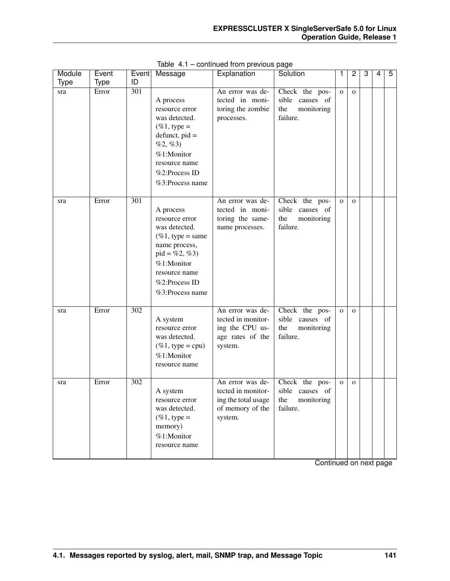| Module | Event       |     | Event Message                                                                                                                                                                                | Explanation                                                                                  | Solution                                                           | $\mathbf{1}$ | 2            | 3 | 4 | 5 |
|--------|-------------|-----|----------------------------------------------------------------------------------------------------------------------------------------------------------------------------------------------|----------------------------------------------------------------------------------------------|--------------------------------------------------------------------|--------------|--------------|---|---|---|
| Type   | <b>Type</b> | ID  |                                                                                                                                                                                              |                                                                                              |                                                                    |              |              |   |   |   |
| sra    | Error       | 301 | A process<br>resource error<br>was detected.<br>$(\%1, \text{type} =$<br>$defunct, pid =$<br>$%2, \%3)$<br>%1:Monitor<br>resource name<br>%2:Process ID<br>%3:Process name                   | An error was de-<br>tected in moni-<br>toring the zombie<br>processes.                       | Check the pos-<br>sible causes of<br>the<br>monitoring<br>failure. | $\mathbf 0$  | $\mathbf{o}$ |   |   |   |
| sra    | Error       | 301 | A process<br>resource error<br>was detected.<br>$(\%1, \text{ type} = \text{same})$<br>name process,<br>$pid = \%2, \%3)$<br>%1:Monitor<br>resource name<br>%2:Process ID<br>%3:Process name | An error was de-<br>tected in moni-<br>toring the same-<br>name processes.                   | Check the pos-<br>sible causes of<br>the<br>monitoring<br>failure. | $\mathbf{O}$ | $\mathbf{O}$ |   |   |   |
| sra    | Error       | 302 | A system<br>resource error<br>was detected.<br>$(\%1, \text{ type} = \text{cpu})$<br>%1:Monitor<br>resource name                                                                             | An error was de-<br>tected in monitor-<br>ing the CPU us-<br>age rates of the<br>system.     | Check the pos-<br>sible causes of<br>the<br>monitoring<br>failure. | $\mathbf{O}$ | $\mathbf{o}$ |   |   |   |
| sra    | Error       | 302 | A system<br>resource error<br>was detected.<br>$(\%1, \text{type} =$<br>memory)<br>%1:Monitor<br>resource name                                                                               | An error was de-<br>tected in monitor-<br>ing the total usage<br>of memory of the<br>system. | Check the pos-<br>sible causes of<br>the<br>monitoring<br>failure. | $\mathbf{O}$ | $\mathbf{o}$ |   |   |   |

Table 4.1 – continued from previous page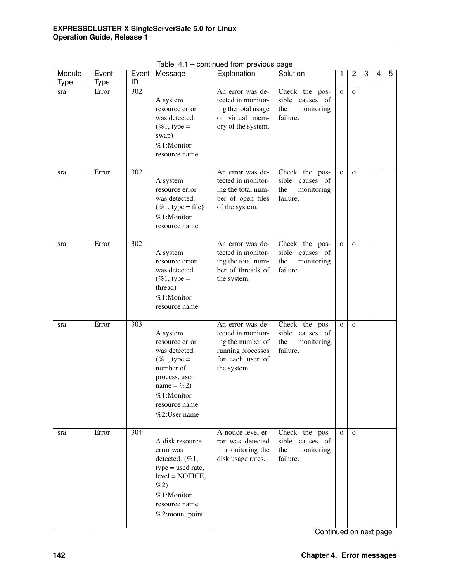| Module<br><b>Type</b> | Event<br><b>Type</b> | Event<br>ID      | Message                                                                                                                                                     | Explanation                                                                                                         | Solution                                                              | 1            | 2            | 3 | 4 | 5 |
|-----------------------|----------------------|------------------|-------------------------------------------------------------------------------------------------------------------------------------------------------------|---------------------------------------------------------------------------------------------------------------------|-----------------------------------------------------------------------|--------------|--------------|---|---|---|
| sra                   | Error                | $\overline{302}$ | A system<br>resource error<br>was detected.<br>$(\%1, \text{ type} =$<br>swap)<br>%1:Monitor<br>resource name                                               | An error was de-<br>tected in monitor-<br>ing the total usage<br>of virtual mem-<br>ory of the system.              | Check the pos-<br>sible causes of<br>the<br>monitoring<br>failure.    | $\mathbf{O}$ | $\mathbf{o}$ |   |   |   |
| sra                   | Error                | $\overline{302}$ | A system<br>resource error<br>was detected.<br>$(\%1, \text{ type} = \text{file})$<br>%1:Monitor<br>resource name                                           | An error was de-<br>tected in monitor-<br>ing the total num-<br>ber of open files<br>of the system.                 | Check the pos-<br>sible causes of<br>the<br>monitoring<br>failure.    | $\mathbf{O}$ | $\mathbf{O}$ |   |   |   |
| sra                   | Error                | $\overline{302}$ | A system<br>resource error<br>was detected.<br>$(\%1, \text{type} =$<br>thread)<br>%1:Monitor<br>resource name                                              | An error was de-<br>tected in monitor-<br>ing the total num-<br>ber of threads of<br>the system.                    | Check the pos-<br>sible<br>causes of<br>the<br>monitoring<br>failure. | $\mathbf{O}$ | $\mathbf{o}$ |   |   |   |
| sra                   | Error                | $\overline{303}$ | A system<br>resource error<br>was detected.<br>$(\%1, type =$<br>number of<br>process, user<br>name = $%2$ )<br>%1:Monitor<br>resource name<br>%2:User name | An error was de-<br>tected in monitor-<br>ing the number of<br>running processes<br>for each user of<br>the system. | Check the pos-<br>sible<br>causes of<br>the<br>monitoring<br>failure. | $\mathbf{O}$ | $\mathbf{o}$ |   |   |   |
| sra                   | Error                | $\overline{304}$ | A disk resource<br>error was<br>detected. (%1,<br>$type = used rate,$<br>$level = NOTICE,$<br>%2)<br>%1:Monitor<br>resource name<br>%2:mount point          | A notice level er-<br>ror was detected<br>in monitoring the<br>disk usage rates.                                    | Check the pos-<br>sible causes of<br>the<br>monitoring<br>failure.    | $\mathbf{O}$ | $\mathbf{o}$ |   |   |   |

Table 4.1 – continued from previous page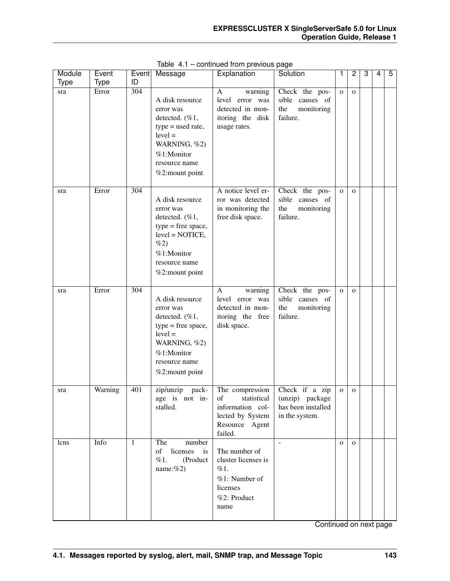| Module      | Event       | Event | Message                                                                                                                                              | Explanation                                                                                               | Solution                                                                  | 1              | $\overline{c}$ | 3 | 4 | 5 |
|-------------|-------------|-------|------------------------------------------------------------------------------------------------------------------------------------------------------|-----------------------------------------------------------------------------------------------------------|---------------------------------------------------------------------------|----------------|----------------|---|---|---|
| <b>Type</b> | <b>Type</b> | ID    |                                                                                                                                                      |                                                                                                           |                                                                           |                |                |   |   |   |
| sra         | Error       | 304   | A disk resource<br>error was<br>detected. (%1,<br>$type = used rate,$<br>$level =$<br>WARNING, %2)<br>%1:Monitor<br>resource name<br>%2:mount point  | A<br>warning<br>level error was<br>detected in mon-<br>itoring the disk<br>usage rates.                   | Check the pos-<br>sible causes of<br>the<br>monitoring<br>failure.        | $\mathbf{O}$   | $\mathbf{O}$   |   |   |   |
| sra         | Error       | 304   | A disk resource<br>error was<br>detected. (%1,<br>$type = free space,$<br>$level = NOTICE$ ,<br>%2)<br>%1:Monitor<br>resource name<br>%2:mount point | A notice level er-<br>ror was detected<br>in monitoring the<br>free disk space.                           | Check the pos-<br>sible<br>causes of<br>the<br>monitoring<br>failure.     | $\mathbf{o}$   | $\mathbf{O}$   |   |   |   |
| sra         | Error       | 304   | A disk resource<br>error was<br>detected. (%1,<br>$type = free space,$<br>$level =$<br>WARNING, %2)<br>%1:Monitor<br>resource name<br>%2:mount point | $\mathbf{A}$<br>warning<br>level error was<br>detected in mon-<br>itoring the free<br>disk space.         | Check the pos-<br>sible causes of<br>the<br>monitoring<br>failure.        | $\overline{O}$ | $\mathbf{O}$   |   |   |   |
| sra         | Warning     | 401   | zip/unzip<br>pack-<br>age is not in-<br>stalled.                                                                                                     | The compression<br>of<br>statistical<br>information col-<br>lected by System<br>Resource Agent<br>failed. | Check if a zip<br>(unzip) package<br>has been installed<br>in the system. | $\mathbf{O}$   | $\mathbf{O}$   |   |   |   |
| lcns        | Info        | 1     | The<br>number<br>of<br>licenses<br>is<br>%1.<br>(Product<br>name: $%2)$                                                                              | The number of<br>cluster licenses is<br>%1.<br>%1: Number of<br>licenses<br>%2: Product<br>name           | $\blacksquare$                                                            | $\mathbf{O}$   | $\mathbf{o}$   |   |   |   |

Table 4.1 – continued from previous page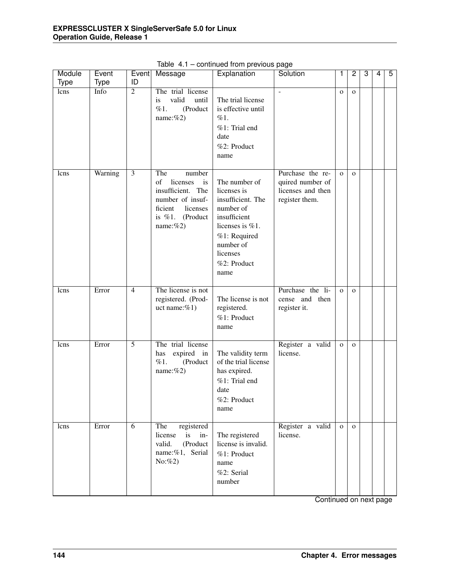| Module      | Event       | Event          | Message                                                                                                                                     | Explanation                                                                                                                                                       | Solution                                                                    | 1            | $\overline{c}$ | 3 | 4 | 5 |
|-------------|-------------|----------------|---------------------------------------------------------------------------------------------------------------------------------------------|-------------------------------------------------------------------------------------------------------------------------------------------------------------------|-----------------------------------------------------------------------------|--------------|----------------|---|---|---|
| <b>Type</b> | <b>Type</b> | ID             |                                                                                                                                             |                                                                                                                                                                   |                                                                             |              |                |   |   |   |
| lcns        | Info        | $\overline{2}$ | The trial license<br>valid<br>is<br>until<br>(Product<br>%1.<br>name: $%2)$                                                                 | The trial license<br>is effective until<br>%1.<br>%1: Trial end<br>date<br>%2: Product<br>name                                                                    | $\overline{a}$                                                              | $\mathbf{O}$ | $\mathbf{O}$   |   |   |   |
| lcns        | Warning     | 3              | The<br>number<br>of<br>licenses<br>is<br>insufficient. The<br>number of insuf-<br>ficient<br>licenses<br>is $\%1$ .<br>(Product<br>name:%2) | The number of<br>licenses is<br>insufficient. The<br>number of<br>insufficient<br>licenses is %1.<br>%1: Required<br>number of<br>licenses<br>%2: Product<br>name | Purchase the re-<br>quired number of<br>licenses and then<br>register them. | $\Omega$     | $\Omega$       |   |   |   |
| lcns        | Error       | $\overline{4}$ | The license is not<br>registered. (Prod-<br>uct name: $%1$ )                                                                                | The license is not<br>registered.<br>%1: Product<br>name                                                                                                          | Purchase the li-<br>cense and then<br>register it.                          | $\Omega$     | $\mathbf{O}$   |   |   |   |
| lcns        | Error       | $\overline{5}$ | The trial license<br>has<br>expired in<br>%1.<br>(Product<br>name: $%2)$                                                                    | The validity term<br>of the trial license<br>has expired.<br>%1: Trial end<br>date<br>%2: Product<br>name                                                         | Register a valid<br>license.                                                | $\mathbf{o}$ | $\mathbf{O}$   |   |   |   |
| lcns        | Error       | 6              | The<br>registered<br>license<br>is<br>$in-$<br>valid.<br>(Product<br>name:%1, Serial<br>$No: \%2)$                                          | The registered<br>license is invalid.<br>%1: Product<br>name<br>%2: Serial<br>number                                                                              | Register a valid<br>license.                                                | $\mathbf{O}$ | $\mathbf{O}$   |   |   |   |

Table 4.1 – continued from previous page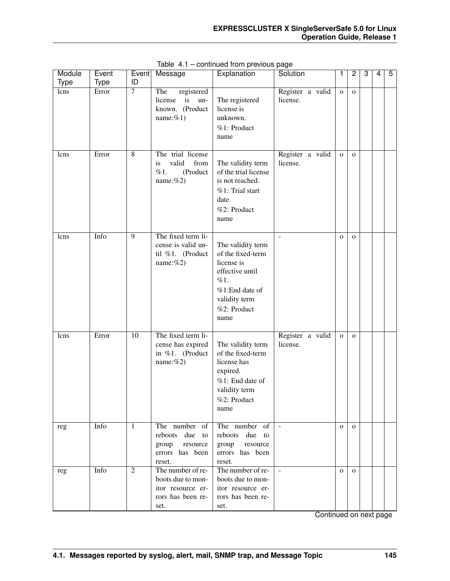| Module      | Event | Event           | Message                                                                                  | Explanation                                                                                                                              | Solution                     | 1            | $\overline{c}$ | 3 | 4 | 5 |
|-------------|-------|-----------------|------------------------------------------------------------------------------------------|------------------------------------------------------------------------------------------------------------------------------------------|------------------------------|--------------|----------------|---|---|---|
| <b>Type</b> | Type  | ID              |                                                                                          |                                                                                                                                          |                              |              |                |   |   |   |
| lcns        | Error | $\overline{7}$  | The<br>registered<br>is<br>license<br>un-<br>known. (Product<br>name: $%1$ )             | The registered<br>license is<br>unknown.<br>%1: Product<br>name                                                                          | Register a valid<br>license. | $\mathbf 0$  | $\mathbf{O}$   |   |   |   |
| lcns        | Error | 8               | The trial license<br>valid<br>from<br>is<br>(Product<br>%1.<br>name:%2)                  | The validity term<br>of the trial license<br>is not reached.<br>%1: Trial start<br>date<br>%2: Product<br>name                           | Register a valid<br>license. | $\mathbf O$  | $\mathbf{O}$   |   |   |   |
| lcns        | Info  | $\overline{9}$  | The fixed term li-<br>cense is valid un-<br>til %1. (Product<br>name: $%2)$              | The validity term<br>of the fixed-term<br>license is<br>effective until<br>%1.<br>%1:End date of<br>validity term<br>%2: Product<br>name |                              | $\mathbf{O}$ | $\mathbf{O}$   |   |   |   |
| lcns        | Error | $\overline{10}$ | The fixed term li-<br>cense has expired<br>in %1. (Product<br>name: $%2)$                | The validity term<br>of the fixed-term<br>license has<br>expired.<br>%1: End date of<br>validity term<br>%2: Product<br>name             | Register a valid<br>license. | $\mathbf{O}$ | $\Omega$       |   |   |   |
| reg         | Info  | 1               | The number of<br>reboots due<br>to<br>group<br>resource<br>errors has been<br>reset.     | The number of<br>due<br>reboots<br>to<br>group<br>resource<br>errors has been<br>reset.                                                  | $\equiv$                     | $\Omega$     | $\mathbf{o}$   |   |   |   |
| reg         | Info  | $\overline{2}$  | The number of re-<br>boots due to mon-<br>itor resource er-<br>rors has been re-<br>set. | The number of re-<br>boots due to mon-<br>itor resource er-<br>rors has been re-<br>set.                                                 | $\blacksquare$               | $\mathbf{O}$ | $\mathbf{o}$   |   |   |   |

Table 4.1 – continued from previous page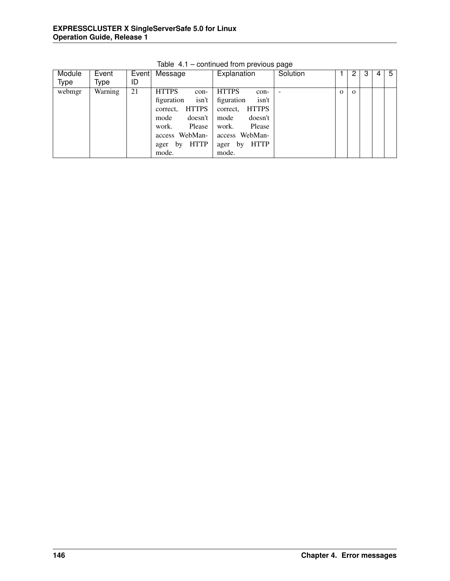| Module | Event   |    | Event Message             | Explanation               | Solution                 |          | 2        | 3 | 4 | 5 |
|--------|---------|----|---------------------------|---------------------------|--------------------------|----------|----------|---|---|---|
| Type   | Type    | ID |                           |                           |                          |          |          |   |   |   |
| webmgr | Warning | 21 | <b>HTTPS</b><br>con-      | <b>HTTPS</b><br>con-      | $\overline{\phantom{a}}$ | $\Omega$ | $\Omega$ |   |   |   |
|        |         |    | isn't<br>figuration       | isn't<br>figuration       |                          |          |          |   |   |   |
|        |         |    | <b>HTTPS</b><br>correct.  | <b>HTTPS</b><br>correct.  |                          |          |          |   |   |   |
|        |         |    | doesn't<br>mode           | mode<br>doesn't           |                          |          |          |   |   |   |
|        |         |    | Please<br>work.           | Please<br>work.           |                          |          |          |   |   |   |
|        |         |    | WebMan-<br>access         | access WebMan-            |                          |          |          |   |   |   |
|        |         |    | <b>HTTP</b><br>by<br>ager | <b>HTTP</b><br>by<br>ager |                          |          |          |   |   |   |
|        |         |    | mode.                     | mode.                     |                          |          |          |   |   |   |

Table 4.1 – continued from previous page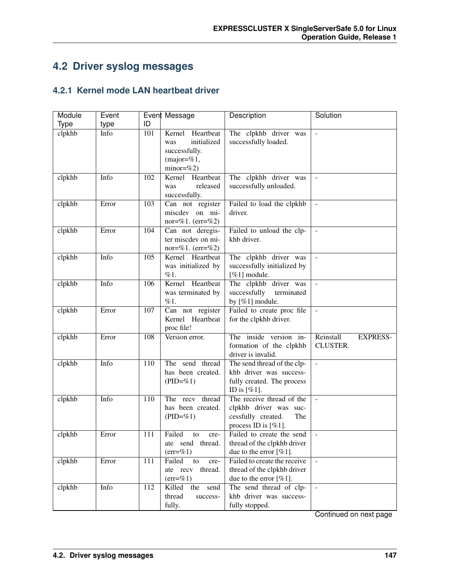# **4.2 Driver syslog messages**

## **4.2.1 Kernel mode LAN heartbeat driver**

| Module      | Event |     | Event Message                                                                              | Description                                                                                             | Solution                                 |
|-------------|-------|-----|--------------------------------------------------------------------------------------------|---------------------------------------------------------------------------------------------------------|------------------------------------------|
| <b>Type</b> | type  | ID  |                                                                                            |                                                                                                         |                                          |
| clpkhb      | Info  | 101 | Heartbeat<br>Kernel<br>initialized<br>was<br>successfully.<br>$(major=%1,$<br>$minor=$ %2) | The clpkhb driver was<br>successfully loaded.                                                           | $\frac{1}{2}$                            |
| clpkhb      | Info  | 102 | Kernel<br>Heartbeat<br>released<br>was<br>successfully.                                    | The clpkhb driver was<br>successfully unloaded.                                                         |                                          |
| clpkhb      | Error | 103 | Can not register<br>miscdev on mi-<br>nor=%1. $(err=%2)$                                   | Failed to load the clpkhb<br>driver.                                                                    | $\bar{\phantom{a}}$                      |
| clpkhb      | Error | 104 | Can not deregis-<br>ter miscdev on mi-<br>nor=%1. $(err=%2)$                               | Failed to unload the clp-<br>khb driver.                                                                | $\bar{\phantom{a}}$                      |
| clpkhb      | Info  | 105 | Kernel Heartbeat<br>was initialized by<br>%1.                                              | The clpkhb driver was<br>successfully initialized by<br>[%1] module.                                    | $\Box$                                   |
| clpkhb      | Info  | 106 | Kernel Heartbeat<br>was terminated by<br>%1.                                               | The clpkhb driver was<br>successfully<br>terminated<br>by [%1] module.                                  | $\overline{\phantom{a}}$                 |
| clpkhb      | Error | 107 | Can not register<br>Kernel Heartbeat<br>proc file!                                         | Failed to create proc file<br>for the clpkhb driver.                                                    | $\omega$                                 |
| clpkhb      | Error | 108 | Version error.                                                                             | The inside version in-<br>formation of the clpkhb<br>driver is invalid.                                 | Reinstall<br><b>EXPRESS-</b><br>CLUSTER. |
| clpkhb      | Info  | 110 | The send thread<br>has been created.<br>$(PID=\%1)$                                        | The send thread of the clp-<br>khb driver was success-<br>fully created. The process<br>ID is $[\%1]$ . | $\Box$                                   |
| clpkhb      | Info  | 110 | The recv<br>thread<br>has been created.<br>$(PID=\%1)$                                     | The receive thread of the<br>clpkhb driver was suc-<br>cessfully created.<br>The<br>process ID is [%1]. | $\overline{\phantom{a}}$                 |
| clpkhb      | Error | 111 | Failed<br>to<br>cre-<br>ate send thread.<br>$(err = % 1)$                                  | Failed to create the send<br>thread of the clpkhb driver<br>due to the error $[%1]$ .                   | $\overline{\phantom{a}}$                 |
| clpkhb      | Error | 111 | Failed<br>to<br>cre-<br>ate recv thread.<br>$(err = % 1)$                                  | Failed to create the receive<br>thread of the clpkhb driver<br>due to the error $[\%1]$ .               | $\omega$                                 |
| clpkhb      | Info  | 112 | Killed<br>the<br>send<br>thread<br>success-<br>fully.                                      | The send thread of clp-<br>khb driver was success-<br>fully stopped.                                    | $\mathbb{L}$                             |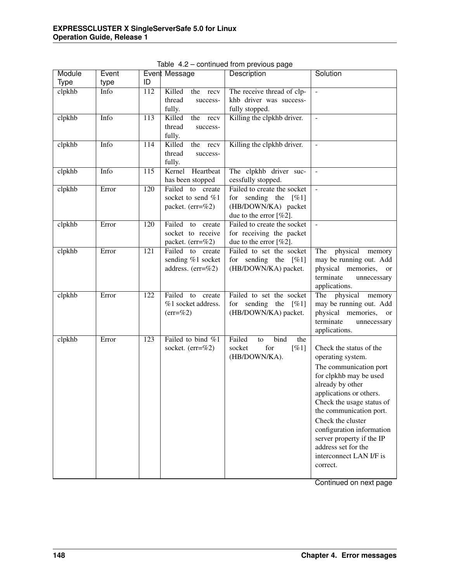| Module | Event |     | Event Message                                                   | Description                                                                                                 | Solution                                                                                                                                                                                                                                                                                                                                             |
|--------|-------|-----|-----------------------------------------------------------------|-------------------------------------------------------------------------------------------------------------|------------------------------------------------------------------------------------------------------------------------------------------------------------------------------------------------------------------------------------------------------------------------------------------------------------------------------------------------------|
| Type   | type  | ID  |                                                                 |                                                                                                             |                                                                                                                                                                                                                                                                                                                                                      |
| clpkhb | Info  | 112 | Killed<br>the<br>recv<br>thread<br>success-<br>fully.           | The receive thread of clp-<br>khb driver was success-<br>fully stopped.                                     | $\frac{1}{2}$                                                                                                                                                                                                                                                                                                                                        |
| clpkhb | Info  | 113 | Killed<br>the recv<br>thread<br>success-<br>fully.              | Killing the clpkhb driver.                                                                                  | $\overline{\phantom{a}}$                                                                                                                                                                                                                                                                                                                             |
| clpkhb | Info  | 114 | Killed<br>the<br>recv<br>thread<br>success-<br>fully.           | Killing the clpkhb driver.                                                                                  | $\bar{\phantom{a}}$                                                                                                                                                                                                                                                                                                                                  |
| clpkhb | Info  | 115 | Kernel<br>Heartbeat<br>has been stopped                         | The clpkhb driver suc-<br>cessfully stopped.                                                                | $\equiv$                                                                                                                                                                                                                                                                                                                                             |
| clpkhb | Error | 120 | Failed to create<br>socket to send %1<br>packet. (err=%2)       | Failed to create the socket<br>for sending the $[\%1]$<br>(HB/DOWN/KA) packet<br>due to the error $[\%2]$ . | $\equiv$                                                                                                                                                                                                                                                                                                                                             |
| clpkhb | Error | 120 | Failed<br>to<br>create<br>socket to receive<br>packet. (err=%2) | Failed to create the socket<br>for receiving the packet<br>due to the error $[%2]$ .                        | $\mathbb{L}$                                                                                                                                                                                                                                                                                                                                         |
| clpkhb | Error | 121 | Failed to create<br>sending %1 socket<br>address. (err=%2)      | Failed to set the socket<br>for sending the $[\%1]$<br>(HB/DOWN/KA) packet.                                 | physical<br>The<br>memory<br>may be running out. Add<br>physical memories, or<br>terminate<br>unnecessary<br>applications.                                                                                                                                                                                                                           |
| clpkhb | Error | 122 | Failed<br>to<br>create<br>%1 socket address.<br>$(err=\%2)$     | Failed to set the socket<br>for sending the $[\%1]$<br>(HB/DOWN/KA) packet.                                 | The physical<br>memory<br>may be running out. Add<br>physical memories, or<br>terminate<br>unnecessary<br>applications.                                                                                                                                                                                                                              |
| clpkhb | Error | 123 | Failed to bind %1<br>socket. $(err=%2)$                         | Failed<br>bind<br>the<br>to<br>for<br>[%1]<br>socket<br>(HB/DOWN/KA).                                       | Check the status of the<br>operating system.<br>The communication port<br>for clpkhb may be used<br>already by other<br>applications or others.<br>Check the usage status of<br>the communication port.<br>Check the cluster<br>configuration information<br>server property if the IP<br>address set for the<br>interconnect LAN I/F is<br>correct. |

Table 4.2 – continued from previous page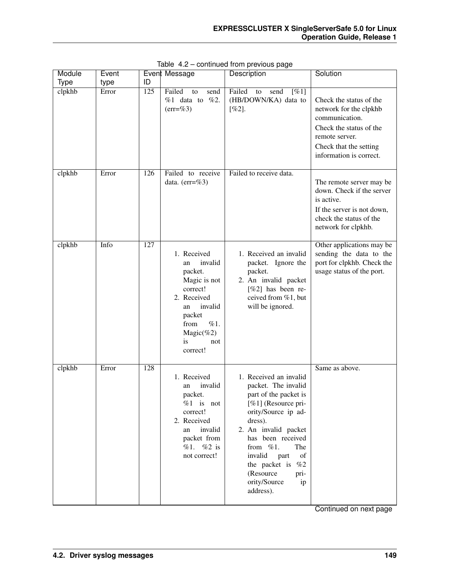| Module      | Event |                  | Event Message                                                                                                                                                                     | יטייו<br>Description                                                                                                                                                                                                                                                                                        | Solution                                                                                                                                                              |
|-------------|-------|------------------|-----------------------------------------------------------------------------------------------------------------------------------------------------------------------------------|-------------------------------------------------------------------------------------------------------------------------------------------------------------------------------------------------------------------------------------------------------------------------------------------------------------|-----------------------------------------------------------------------------------------------------------------------------------------------------------------------|
| <b>Type</b> | type  | ID               |                                                                                                                                                                                   |                                                                                                                                                                                                                                                                                                             |                                                                                                                                                                       |
| clpkhb      | Error | $\overline{125}$ | Failed<br>to<br>send<br>$%1$ data to<br>%2.<br>$(err = %3)$                                                                                                                       | Failed<br>[%1]<br>send<br>to<br>(HB/DOWN/KA) data to<br>[%2].                                                                                                                                                                                                                                               | Check the status of the<br>network for the clpkhb<br>communication.<br>Check the status of the<br>remote server.<br>Check that the setting<br>information is correct. |
| clpkhb      | Error | 126              | Failed to receive<br>data. $(err = %3)$                                                                                                                                           | Failed to receive data.                                                                                                                                                                                                                                                                                     | The remote server may be<br>down. Check if the server<br>is active.<br>If the server is not down,<br>check the status of the<br>network for clpkhb.                   |
| clpkhb      | Info  | 127              | 1. Received<br>invalid<br>an<br>packet.<br>Magic is not<br>correct!<br>2. Received<br>invalid<br>an<br>packet<br>from<br>$\%1$ .<br>Magic $(\%2)$<br><i>is</i><br>not<br>correct! | 1. Received an invalid<br>packet. Ignore the<br>packet.<br>2. An invalid packet<br>[%2] has been re-<br>ceived from %1, but<br>will be ignored.                                                                                                                                                             | Other applications may be<br>sending the data to the<br>port for clpkhb. Check the<br>usage status of the port.                                                       |
| clpkhb      | Error | 128              | 1. Received<br>invalid<br>an<br>packet.<br>$%1$ is not<br>correct!<br>2. Received<br>invalid<br>an<br>packet from<br>$%1.$ %2 is<br>not correct!                                  | 1. Received an invalid<br>packet. The invalid<br>part of the packet is<br>[%1] (Resource pri-<br>ority/Source ip ad-<br>dress).<br>2. An invalid packet<br>has been received<br>from $\%1$ .<br>The<br>invalid<br>part<br>of<br>the packet is<br>%2<br>(Resource<br>pri-<br>ority/Source<br>ip<br>address). | Same as above.                                                                                                                                                        |

Table 4.2 – continued from previous page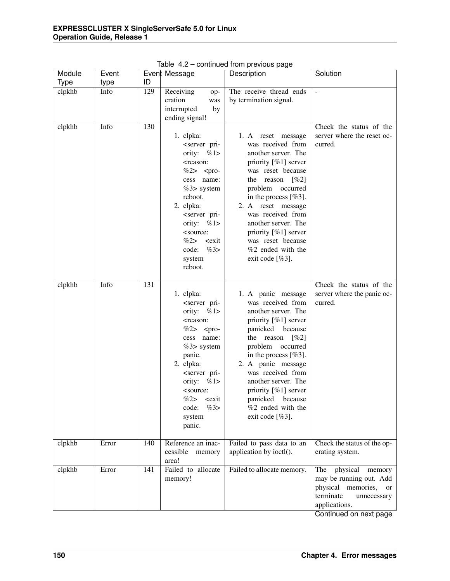| Module      | Event |     | Event Message                                                                                                                                                                                                                                                                                                                                                           | Description                                                                                                                                                                                                                                                                                                                                 | Solution                                                                                                                      |
|-------------|-------|-----|-------------------------------------------------------------------------------------------------------------------------------------------------------------------------------------------------------------------------------------------------------------------------------------------------------------------------------------------------------------------------|---------------------------------------------------------------------------------------------------------------------------------------------------------------------------------------------------------------------------------------------------------------------------------------------------------------------------------------------|-------------------------------------------------------------------------------------------------------------------------------|
| <b>Type</b> | type  | ID  |                                                                                                                                                                                                                                                                                                                                                                         |                                                                                                                                                                                                                                                                                                                                             |                                                                                                                               |
| clpkhb      | Info  | 129 | Receiving<br>op-<br>eration<br>was<br>interrupted<br>by<br>ending signal!                                                                                                                                                                                                                                                                                               | The receive thread ends<br>by termination signal.                                                                                                                                                                                                                                                                                           |                                                                                                                               |
| clpkhb      | Info  | 130 | 1. clpka:<br><server pri-<br="">ority: <math>\%1&gt;</math><br/><reason:<br>%2&gt; <pro-<br>cess name:<br/><math>%3&gt;</math> system<br/>reboot.<br/>2. clpka:<br/><server pri-<br="">ority: <math>\%1&gt;</math><br/><source:<br>%2&gt;<br/><math>&lt;</math>exit<br/>%3&gt;<br/>code:<br/>system<br/>reboot.</source:<br></server></pro-<br></reason:<br></server>   | 1. A reset message<br>was received from<br>another server. The<br>priority [%1] server<br>was reset because<br>the reason $[\%2]$<br>problem occurred<br>in the process $[%3]$ .<br>2. A reset message<br>was received from<br>another server. The<br>priority [%1] server<br>was reset because<br>%2 ended with the<br>exit code $[%3]$ .  | Check the status of the<br>server where the reset oc-<br>curred.                                                              |
| clpkhb      | Info  | 131 | 1. clpka:<br><server pri-<br="">ority: <math>\%1&gt;</math><br/><reason:<br><math>%2&gt;</math> <pro-<br>cess name:<br/><math>%3&gt;</math> system<br/>panic.<br/>2. clpka:<br/><server pri-<br="">ority: <math>\%1&gt;</math><br/><source:<br>%2&gt;<br/><i>cexit</i><br/>%3&gt;<br/>code:<br/>system<br/>panic.</source:<br></server></pro-<br></reason:<br></server> | 1. A panic message<br>was received from<br>another server. The<br>priority [%1] server<br>panicked because<br>$[\%2]$<br>the reason<br>problem occurred<br>in the process $[%3]$ .<br>2. A panic message<br>was received from<br>another server. The<br>priority [%1] server<br>panicked<br>because<br>%2 ended with the<br>exit code [%3]. | Check the status of the<br>server where the panic oc-<br>curred.                                                              |
| clpkhb      | Error | 140 | Reference an inac-<br>cessible<br>memory<br>area!                                                                                                                                                                                                                                                                                                                       | Failed to pass data to an<br>application by ioctl().                                                                                                                                                                                                                                                                                        | Check the status of the op-<br>erating system.                                                                                |
| clpkhb      | Error | 141 | Failed to allocate<br>memory!                                                                                                                                                                                                                                                                                                                                           | Failed to allocate memory.                                                                                                                                                                                                                                                                                                                  | physical<br>The<br>memory<br>may be running out. Add<br>physical memories,<br>or<br>terminate<br>unnecessary<br>applications. |

Table 4.2 – continued from previous page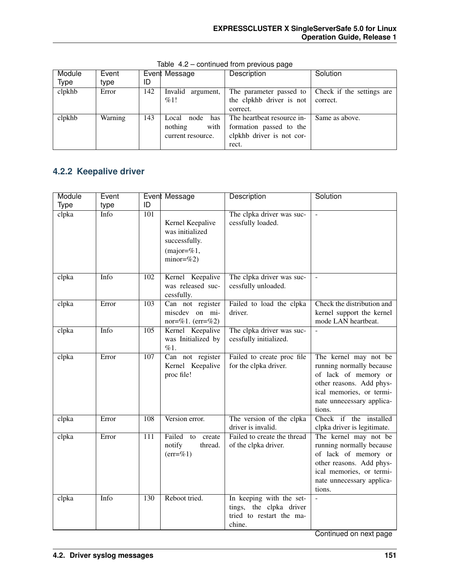| Module | Event   |     | Event Message        | Description                | Solution                  |
|--------|---------|-----|----------------------|----------------------------|---------------------------|
| Type   | type    | ID  |                      |                            |                           |
| clpkhb | Error   | 142 | Invalid<br>argument, | The parameter passed to    | Check if the settings are |
|        |         |     | %1!                  | the clpkhb driver is not   | correct.                  |
|        |         |     |                      | correct.                   |                           |
| clpkhb | Warning | 143 | node<br>has<br>Local | The heartbeat resource in- | Same as above.            |
|        |         |     | with<br>nothing      | formation passed to the    |                           |
|        |         |     | current resource.    | clpkhb driver is not cor-  |                           |
|        |         |     |                      | rect.                      |                           |

Table 4.2 – continued from previous page

## **4.2.2 Keepalive driver**

| Module      | Event |                  | Event Message                                                                          | Description                                                                               | Solution                                                                                                                                                                 |
|-------------|-------|------------------|----------------------------------------------------------------------------------------|-------------------------------------------------------------------------------------------|--------------------------------------------------------------------------------------------------------------------------------------------------------------------------|
| <b>Type</b> | type  | ID               |                                                                                        |                                                                                           |                                                                                                                                                                          |
| clpka       | Info  | 101              | Kernel Keepalive<br>was initialized<br>successfully.<br>$(major=\%1,$<br>$minor = \%2$ | The clpka driver was suc-<br>cessfully loaded.                                            | $\overline{a}$                                                                                                                                                           |
| clpka       | Info  | 102              | Kernel Keepalive<br>was released suc-<br>cessfully.                                    | The clpka driver was suc-<br>cessfully unloaded.                                          |                                                                                                                                                                          |
| clpka       | Error | 103              | Can not register<br>miscdev on mi-<br>nor=%1. $(err=%2)$                               | Failed to load the clpka<br>driver.                                                       | Check the distribution and<br>kernel support the kernel<br>mode LAN heartbeat.                                                                                           |
| clpka       | Info  | $\overline{105}$ | Kernel Keepalive<br>was Initialized by<br>$\%1.$                                       | The clpka driver was suc-<br>cessfully initialized.                                       |                                                                                                                                                                          |
| clpka       | Error | 107              | $\overline{\text{Can not}}$ register<br>Kernel Keepalive<br>proc file!                 | Failed to create proc file<br>for the clpka driver.                                       | The kernel may not be<br>running normally because<br>of lack of memory or<br>other reasons. Add phys-<br>ical memories, or termi-<br>nate unnecessary applica-<br>tions. |
| clpka       | Error | 108              | Version error.                                                                         | The version of the clpka<br>driver is invalid.                                            | Check if the installed<br>clpka driver is legitimate.                                                                                                                    |
| clpka       | Error | 111              | Failed<br>to<br>create<br>notify<br>thread.<br>$(err = % 1)$                           | Failed to create the thread<br>of the clpka driver.                                       | The kernel may not be<br>running normally because<br>of lack of memory or<br>other reasons. Add phys-<br>ical memories, or termi-<br>nate unnecessary applica-<br>tions. |
| clpka       | Info  | 130              | Reboot tried.                                                                          | In keeping with the set-<br>tings, the clpka driver<br>tried to restart the ma-<br>chine. | $\overline{a}$                                                                                                                                                           |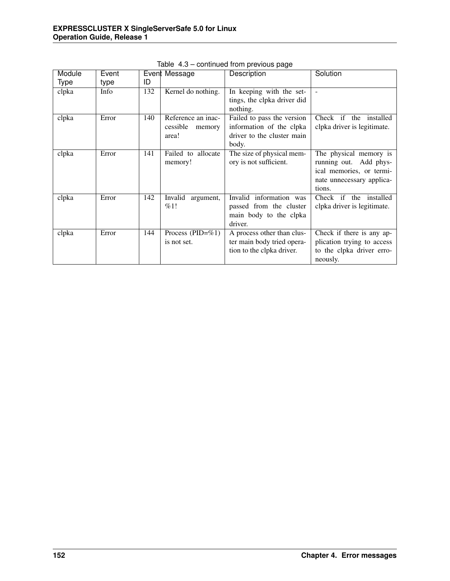| Module      | Event |     | Event Message         | Description                 | Solution                    |
|-------------|-------|-----|-----------------------|-----------------------------|-----------------------------|
| <b>Type</b> | type  | ID  |                       |                             |                             |
| clpka       | Info  | 132 | Kernel do nothing.    | In keeping with the set-    |                             |
|             |       |     |                       | tings, the clpka driver did |                             |
|             |       |     |                       | nothing.                    |                             |
| clpka       | Error | 140 | Reference an inac-    | Failed to pass the version  | Check if the installed      |
|             |       |     | cessible<br>memory    | information of the clpka    | clpka driver is legitimate. |
|             |       |     | area!                 | driver to the cluster main  |                             |
|             |       |     |                       | body.                       |                             |
| clpka       | Error | 141 | Failed to allocate    | The size of physical mem-   | The physical memory is      |
|             |       |     | memory!               | ory is not sufficient.      | running out. Add phys-      |
|             |       |     |                       |                             | ical memories, or termi-    |
|             |       |     |                       |                             | nate unnecessary applica-   |
|             |       |     |                       |                             | tions.                      |
| clpka       | Error | 142 | Invalid<br>argument,  | Invalid information was     | Check if the installed      |
|             |       |     | %1!                   | passed from the cluster     | clpka driver is legitimate. |
|             |       |     |                       | main body to the clpka      |                             |
|             |       |     |                       | driver.                     |                             |
| clpka       | Error | 144 | Process (PID= $\%$ 1) | A process other than clus-  | Check if there is any ap-   |
|             |       |     | is not set.           | ter main body tried opera-  | plication trying to access  |
|             |       |     |                       | tion to the clpka driver.   | to the clpka driver erro-   |
|             |       |     |                       |                             | neously.                    |

Table 4.3 – continued from previous page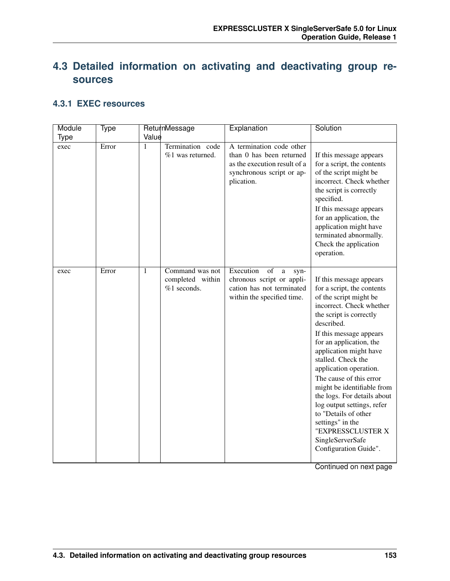# **4.3 Detailed information on activating and deactivating group resources**

#### **4.3.1 EXEC resources**

| Module      | Type  |              | ReturnMessage                                        | Explanation                                                                                                                     | Solution                                                                                                                                                                                                                                                                                                                                                                                                                                                                                                                 |
|-------------|-------|--------------|------------------------------------------------------|---------------------------------------------------------------------------------------------------------------------------------|--------------------------------------------------------------------------------------------------------------------------------------------------------------------------------------------------------------------------------------------------------------------------------------------------------------------------------------------------------------------------------------------------------------------------------------------------------------------------------------------------------------------------|
| <b>Type</b> |       | Value        |                                                      |                                                                                                                                 |                                                                                                                                                                                                                                                                                                                                                                                                                                                                                                                          |
| exec        | Error | $\mathbf{1}$ | Termination code<br>%1 was returned.                 | A termination code other<br>than 0 has been returned<br>as the execution result of a<br>synchronous script or ap-<br>plication. | If this message appears<br>for a script, the contents<br>of the script might be<br>incorrect. Check whether<br>the script is correctly<br>specified.<br>If this message appears<br>for an application, the<br>application might have<br>terminated abnormally.<br>Check the application<br>operation.                                                                                                                                                                                                                    |
| exec        | Error | $\mathbf{1}$ | Command was not<br>completed within<br>$%1$ seconds. | Execution<br>of<br>$\mathbf{a}$<br>syn-<br>chronous script or appli-<br>cation has not terminated<br>within the specified time. | If this message appears<br>for a script, the contents<br>of the script might be<br>incorrect. Check whether<br>the script is correctly<br>described.<br>If this message appears<br>for an application, the<br>application might have<br>stalled. Check the<br>application operation.<br>The cause of this error<br>might be identifiable from<br>the logs. For details about<br>log output settings, refer<br>to "Details of other<br>settings" in the<br>"EXPRESSCLUSTER X<br>SingleServerSafe<br>Configuration Guide". |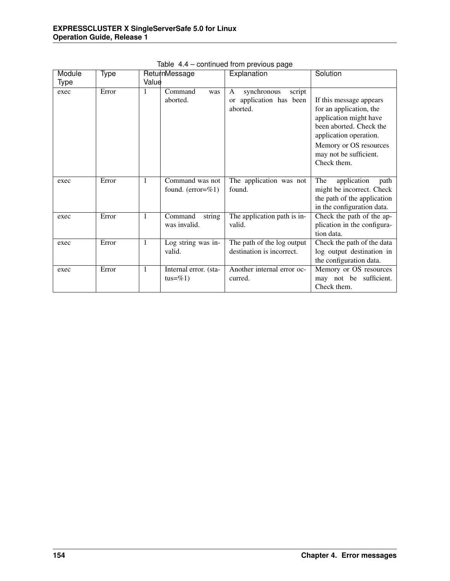| Module | Type  |              | ReturnMessage                     | Explanation                           | Solution                                          |
|--------|-------|--------------|-----------------------------------|---------------------------------------|---------------------------------------------------|
| Type   |       | Value        |                                   |                                       |                                                   |
| exec   | Error | 1            | Command<br>was                    | synchronous<br>script<br>A            |                                                   |
|        |       |              | aborted.                          | or application has been               | If this message appears                           |
|        |       |              |                                   | aborted.                              | for an application, the                           |
|        |       |              |                                   |                                       | application might have                            |
|        |       |              |                                   |                                       | been aborted. Check the<br>application operation. |
|        |       |              |                                   |                                       | Memory or OS resources                            |
|        |       |              |                                   |                                       | may not be sufficient.                            |
|        |       |              |                                   |                                       | Check them.                                       |
|        |       |              |                                   |                                       |                                                   |
| exec   | Error | 1            | Command was not                   | The application was not               | The<br>application<br>path                        |
|        |       |              | found. $(error=%1)$               | found.                                | might be incorrect. Check                         |
|        |       |              |                                   |                                       | the path of the application                       |
|        |       |              |                                   |                                       | in the configuration data.                        |
| exec   | Error | $\mathbf{1}$ | Command<br>string<br>was invalid. | The application path is in-<br>valid. | Check the path of the ap-                         |
|        |       |              |                                   |                                       | plication in the configura-<br>tion data.         |
| exec   | Error | $\mathbf{1}$ | Log string was in-                | The path of the log output            | Check the path of the data                        |
|        |       |              | valid.                            | destination is incorrect.             | log output destination in                         |
|        |       |              |                                   |                                       | the configuration data.                           |
| exec   | Error | $\mathbf{1}$ | Internal error. (sta-             | Another internal error oc-            | Memory or OS resources                            |
|        |       |              | tus=%1)                           | curred.                               | may not be sufficient.                            |
|        |       |              |                                   |                                       | Check them.                                       |

Table 4.4 – continued from previous page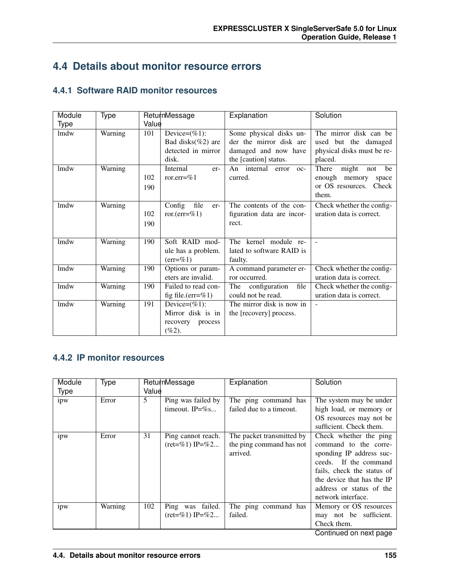## **4.4 Details about monitor resource errors**

#### **4.4.1 Software RAID monitor resources**

| Module      | Type    |       | ReturnMessage             | Explanation                                | Solution                    |
|-------------|---------|-------|---------------------------|--------------------------------------------|-----------------------------|
| <b>Type</b> |         | Value |                           |                                            |                             |
| lmdw        | Warning | 101   | Device= $(\%1)$ :         | Some physical disks un-                    | The mirror disk can be      |
|             |         |       | Bad disks $(\%2)$ are     | der the mirror disk are                    | used but the damaged        |
|             |         |       | detected in mirror        | damaged and now have                       | physical disks must be re-  |
|             |         |       | disk.                     | the [caution] status.                      | placed.                     |
| lmdw        | Warning |       | Internal<br>er-           | $\overline{An}$ internal<br>error<br>$OC-$ | There<br>might<br>not<br>be |
|             |         | 102   | ror.err=%1                | curred.                                    | enough<br>memory<br>space   |
|             |         | 190   |                           |                                            | or OS resources.<br>Check   |
|             |         |       |                           |                                            | them.                       |
| lmdw        | Warning |       | Config<br>file<br>er-     | The contents of the con-                   | Check whether the config-   |
|             |         | 102   | ror. $(\text{err}=\%1)$   | figuration data are incor-                 | uration data is correct.    |
|             |         | 190   |                           | rect.                                      |                             |
|             |         |       |                           |                                            |                             |
| lmdw        | Warning | 190   | Soft RAID mod-            | The kernel module re-                      |                             |
|             |         |       | ule has a problem.        | lated to software RAID is                  |                             |
|             |         |       | $(\text{err}=\%1)$        | faulty.                                    |                             |
| lmdw        | Warning | 190   | Options or param-         | A command parameter er-                    | Check whether the config-   |
|             |         |       | eters are invalid.        | ror occurred.                              | uration data is correct.    |
| lmdw        | Warning | 190   | Failed to read con-       | The<br>configuration<br>file               | Check whether the config-   |
|             |         |       | fig file.( $err = \% 1$ ) | could not be read.                         | uration data is correct.    |
| lmdw        | Warning | 191   | Device= $(\%1)$ :         | The mirror disk is now in                  |                             |
|             |         |       | Mirror disk is in         | the [recovery] process.                    |                             |
|             |         |       | recovery<br>process       |                                            |                             |
|             |         |       | $(\%2).$                  |                                            |                             |

#### **4.4.2 IP monitor resources**

| Module | Type    |       | ReturnMessage        | Explanation               | Solution                   |
|--------|---------|-------|----------------------|---------------------------|----------------------------|
| Type   |         | Value |                      |                           |                            |
| ipw    | Error   | 5     | Ping was failed by   | The ping command has      | The system may be under    |
|        |         |       | timeout. $IP = \%$ s | failed due to a timeout.  | high load, or memory or    |
|        |         |       |                      |                           | OS resources may not be    |
|        |         |       |                      |                           | sufficient. Check them.    |
| ipw    | Error   | 31    | Ping cannot reach.   | The packet transmitted by | Check whether the ping     |
|        |         |       | $ret = \%1$ IP=%2    | the ping command has not  | command to the corre-      |
|        |         |       |                      | arrived.                  | sponding IP address suc-   |
|        |         |       |                      |                           | ceeds. If the command      |
|        |         |       |                      |                           | fails, check the status of |
|        |         |       |                      |                           | the device that has the IP |
|        |         |       |                      |                           | address or status of the   |
|        |         |       |                      |                           | network interface.         |
| ipw    | Warning | 102   | Ping was failed.     | The ping command has      | Memory or OS resources     |
|        |         |       | $ret = \%1$ IP=%2    | failed.                   | may not be sufficient.     |
|        |         |       |                      |                           | Check them.                |
|        |         |       |                      |                           | Continued on next nage     |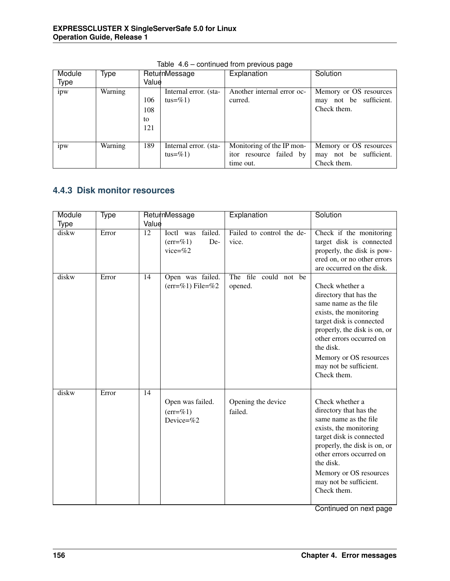| Module | Type    |       | ReturnMessage         | Explanation                | Solution               |
|--------|---------|-------|-----------------------|----------------------------|------------------------|
| Type   |         | Value |                       |                            |                        |
| ipw    | Warning |       | Internal error. (sta- | Another internal error oc- | Memory or OS resources |
|        |         | 106   | tus=%1)               | curred.                    | may not be sufficient. |
|        |         | 108   |                       |                            | Check them.            |
|        |         | to    |                       |                            |                        |
|        |         | 121   |                       |                            |                        |
|        |         |       |                       |                            |                        |
| ipw    | Warning | 189   | Internal error. (sta- | Monitoring of the IP mon-  | Memory or OS resources |
|        |         |       | tus= $\%$ 1)          | itor resource failed by    | may not be sufficient. |
|        |         |       |                       | time out.                  | Check them.            |

Table 4.6 – continued from previous page

#### **4.4.3 Disk monitor resources**

| Module      | Type  | ReturnMessage                                                                        | Explanation                        | Solution                                                                                                                                                                                                                                                             |
|-------------|-------|--------------------------------------------------------------------------------------|------------------------------------|----------------------------------------------------------------------------------------------------------------------------------------------------------------------------------------------------------------------------------------------------------------------|
| <b>Type</b> |       | Value                                                                                |                                    |                                                                                                                                                                                                                                                                      |
| diskw       | Error | $\overline{12}$<br>failed.<br>Ioctl was<br>De-<br>$(\text{err}=\%)$ 1)<br>vice= $%2$ | Failed to control the de-<br>vice. | Check if the monitoring<br>target disk is connected<br>properly, the disk is pow-<br>ered on, or no other errors<br>are occurred on the disk.                                                                                                                        |
| diskw       | Error | 14<br>Open was failed.<br>$(err=%1)$ File=%2                                         | The file could not be<br>opened.   | Check whether a<br>directory that has the<br>same name as the file<br>exists, the monitoring<br>target disk is connected<br>properly, the disk is on, or<br>other errors occurred on<br>the disk.<br>Memory or OS resources<br>may not be sufficient.<br>Check them. |
| diskw       | Error | 14<br>Open was failed.<br>$(err=\%1)$<br>Device= $\%2$                               | Opening the device<br>failed.      | Check whether a<br>directory that has the<br>same name as the file<br>exists, the monitoring<br>target disk is connected<br>properly, the disk is on, or<br>other errors occurred on<br>the disk.<br>Memory or OS resources<br>may not be sufficient.<br>Check them. |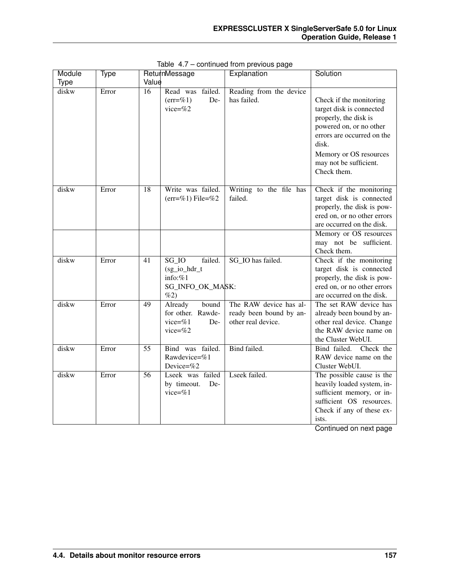| Module      | Type  |                 | ReturnMessage                                                               | Explanation                                                             | Solution                                                                                                                                                                                                          |
|-------------|-------|-----------------|-----------------------------------------------------------------------------|-------------------------------------------------------------------------|-------------------------------------------------------------------------------------------------------------------------------------------------------------------------------------------------------------------|
| <b>Type</b> |       | Value           |                                                                             |                                                                         |                                                                                                                                                                                                                   |
| diskw       | Error | $\overline{16}$ | Read was failed.<br>$(err=%1)$<br>De-<br>vice= $%2$                         | Reading from the device<br>has failed.                                  | Check if the monitoring<br>target disk is connected<br>properly, the disk is<br>powered on, or no other<br>errors are occurred on the<br>disk.<br>Memory or OS resources<br>may not be sufficient.<br>Check them. |
| diskw       | Error | 18              | Write was failed.<br>$(err=\%1)$ File=%2                                    | Writing to the file has<br>failed.                                      | Check if the monitoring<br>target disk is connected<br>properly, the disk is pow-<br>ered on, or no other errors<br>are occurred on the disk.<br>Memory or OS resources                                           |
|             |       |                 |                                                                             |                                                                         | may not be sufficient.<br>Check them.                                                                                                                                                                             |
| diskw       | Error | $\overline{41}$ | $SG_IO$<br>failed.<br>(sg_io_hdr_t<br>info: $%1$<br>SG_INFO_OK_MASK:<br>%2) | SG_IO has failed.                                                       | Check if the monitoring<br>target disk is connected<br>properly, the disk is pow-<br>ered on, or no other errors<br>are occurred on the disk.                                                                     |
| diskw       | Error | 49              | Already<br>bound<br>for other. Rawde-<br>vice= $%1$<br>De-<br>vice= $\%2$   | The RAW device has al-<br>ready been bound by an-<br>other real device. | The set RAW device has<br>already been bound by an-<br>other real device. Change<br>the RAW device name on<br>the Cluster WebUI.                                                                                  |
| diskw       | Error | $\overline{55}$ | Bind was failed.<br>Rawdevice=%1<br>Device= $\%2$                           | Bind failed.                                                            | Bind failed.<br>Check the<br>RAW device name on the<br>Cluster WebUI.                                                                                                                                             |
| diskw       | Error | 56              | Lseek was failed<br>by timeout.<br>De-<br>vice= $%1$                        | Lseek failed.                                                           | The possible cause is the<br>heavily loaded system, in-<br>sufficient memory, or in-<br>sufficient OS resources.<br>Check if any of these ex-<br>ists.                                                            |

Table 4.7 – continued from previous page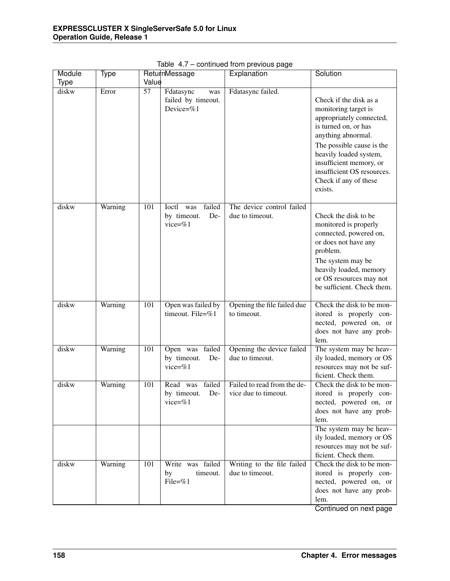| Module      | Type    | ReturnMessage |                                                                   | . .<br>Explanation                                  | Solution                                                                                                                                                                                                                                                                     |
|-------------|---------|---------------|-------------------------------------------------------------------|-----------------------------------------------------|------------------------------------------------------------------------------------------------------------------------------------------------------------------------------------------------------------------------------------------------------------------------------|
| <b>Type</b> |         | Value         |                                                                   |                                                     |                                                                                                                                                                                                                                                                              |
| diskw       | Error   | 57            | Fdatasync<br>was<br>failed by timeout.<br>Device=%1               | Fdatasync failed.                                   | Check if the disk as a<br>monitoring target is<br>appropriately connected,<br>is turned on, or has<br>anything abnormal.<br>The possible cause is the<br>heavily loaded system,<br>insufficient memory, or<br>insufficient OS resources.<br>Check if any of these<br>exists. |
| diskw       | Warning | 101           | failed<br><b>Ioctl</b><br>was<br>by timeout.<br>De-<br>vice= $%1$ | The device control failed<br>due to timeout.        | Check the disk to be<br>monitored is properly<br>connected, powered on,<br>or does not have any<br>problem.<br>The system may be<br>heavily loaded, memory<br>or OS resources may not<br>be sufficient. Check them.                                                          |
| diskw       | Warning | 101           | Open was failed by<br>timeout. File=%1                            | Opening the file failed due<br>to timeout.          | Check the disk to be mon-<br>itored is properly con-<br>nected, powered on, or<br>does not have any prob-<br>lem.                                                                                                                                                            |
| diskw       | Warning | 101           | Open was failed<br>by timeout.<br>De-<br>vice=%1                  | Opening the device failed<br>due to timeout.        | The system may be heav-<br>ily loaded, memory or OS<br>resources may not be suf-<br>ficient. Check them.                                                                                                                                                                     |
| diskw       | Warning | 101           | failed<br>Read<br>was<br>by timeout.<br>De-<br>vice=%1            | Failed to read from the de-<br>vice due to timeout. | Check the disk to be mon-<br>itored is properly con-<br>nected, powered on, or<br>does not have any prob-<br>lem.<br>The system may be heav-<br>ily loaded, memory or OS<br>resources may not be suf-<br>ficient. Check them.                                                |
| diskw       | Warning | 101<br>by     | Write was failed<br>timeout.<br>File=%1                           | Writing to the file failed<br>due to timeout.       | Check the disk to be mon-<br>itored is properly con-<br>nected, powered on, or<br>does not have any prob-<br>lem.                                                                                                                                                            |

Table 4.7 – continued from previous page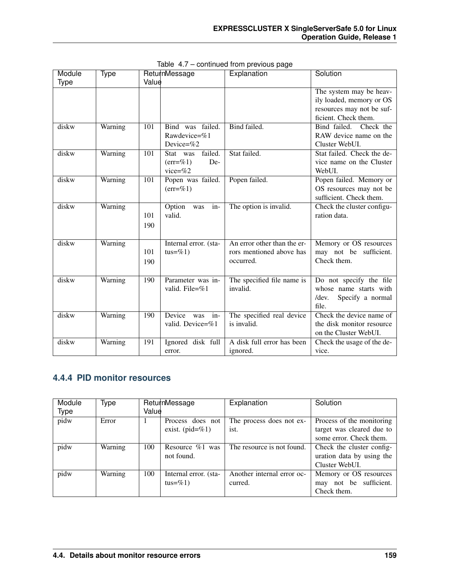| Module      | Type    |       | ReturnMessage                       | Explanation                            | Solution                                          |
|-------------|---------|-------|-------------------------------------|----------------------------------------|---------------------------------------------------|
| <b>Type</b> |         | Value |                                     |                                        |                                                   |
|             |         |       |                                     |                                        | The system may be heav-                           |
|             |         |       |                                     |                                        | ily loaded, memory or OS                          |
|             |         |       |                                     |                                        | resources may not be suf-                         |
|             |         |       |                                     |                                        | ficient. Check them.                              |
| diskw       | Warning | 101   | Bind was failed.                    | Bind failed.                           | Bind failed.<br>Check the                         |
|             |         |       | Rawdevice=%1                        |                                        | RAW device name on the                            |
|             |         |       | Device=%2                           |                                        | Cluster WebUI.                                    |
| diskw       | Warning | 101   | failed.<br>Stat was                 | Stat failed.                           | Stat failed. Check the de-                        |
|             |         |       | De-<br>$(\text{err} = \% 1)$        |                                        | vice name on the Cluster                          |
|             |         |       | vice= $%2$                          |                                        | WebUI.                                            |
| diskw       | Warning | 101   | Popen was failed.                   | Popen failed.                          | Popen failed. Memory or                           |
|             |         |       | $(err=\%1)$                         |                                        | OS resources may not be                           |
|             |         |       |                                     |                                        | sufficient. Check them.                           |
| diskw       | Warning |       | Option<br>in-<br>was                | The option is invalid.                 | Check the cluster configu-                        |
|             |         | 101   | valid.                              |                                        | ration data.                                      |
|             |         | 190   |                                     |                                        |                                                   |
|             |         |       |                                     |                                        |                                                   |
| diskw       | Warning |       | Internal error. (sta-               | An error other than the er-            | Memory or OS resources                            |
|             |         | 101   | $tus = \% 1)$                       | rors mentioned above has               | may not be sufficient.                            |
|             |         | 190   |                                     | occurred.                              | Check them.                                       |
| diskw       |         | 190   |                                     |                                        |                                                   |
|             | Warning |       | Parameter was in-<br>valid. File=%1 | The specified file name is<br>invalid. | Do not specify the file<br>whose name starts with |
|             |         |       |                                     |                                        | Specify a normal<br>$/$ dev.                      |
|             |         |       |                                     |                                        | file.                                             |
| diskw       | Warning | 190   | Device<br>was<br>$in-$              | The specified real device              | Check the device name of                          |
|             |         |       | valid. Device=%1                    | is invalid.                            | the disk monitor resource                         |
|             |         |       |                                     |                                        | on the Cluster WebUI.                             |
| diskw       | Warning | 191   | Ignored disk full                   | A disk full error has been             | Check the usage of the de-                        |
|             |         |       | error.                              | ignored.                               | vice.                                             |

Table 4.7 – continued from previous page

## **4.4.4 PID monitor resources**

| Module      | Type    |       | ReturnMessage         | Explanation                | Solution                  |
|-------------|---------|-------|-----------------------|----------------------------|---------------------------|
| <b>Type</b> |         | Value |                       |                            |                           |
| pidw        | Error   |       | Process does not      | The process does not ex-   | Process of the monitoring |
|             |         |       | exist. $(pid = \% 1)$ | ist.                       | target was cleared due to |
|             |         |       |                       |                            | some error. Check them.   |
| pidw        | Warning | 100   | Resource $\%1$ was    | The resource is not found. | Check the cluster config- |
|             |         |       | not found.            |                            | uration data by using the |
|             |         |       |                       |                            | Cluster WebUL             |
| pidw        | Warning | 100   | Internal error. (sta- | Another internal error oc- | Memory or OS resources    |
|             |         |       | tus= $\%$ 1)          | curred.                    | may not be sufficient.    |
|             |         |       |                       |                            | Check them.               |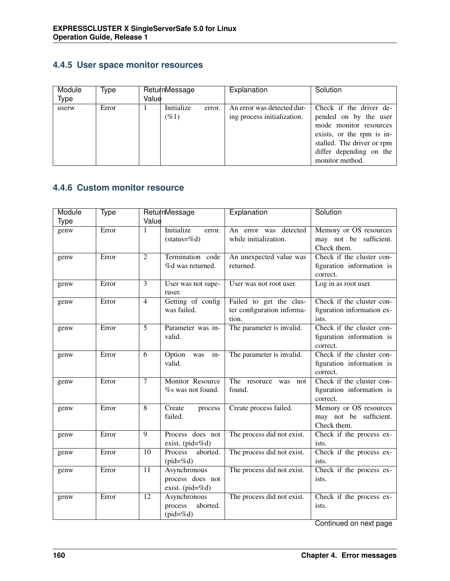#### **4.4.5 User space monitor resources**

| Module<br>Type | Type  | Value | ReturnMessage           |        | Explanation                                               | Solution                                                                                                                                                                            |
|----------------|-------|-------|-------------------------|--------|-----------------------------------------------------------|-------------------------------------------------------------------------------------------------------------------------------------------------------------------------------------|
| userw          | Error |       | Initialize<br>$( \% 1)$ | error. | An error was detected dur-<br>ing process initialization. | Check if the driver de-<br>pended on by the user<br>mode monitor resources<br>exists, or the rpm is in-<br>stalled. The driver or rpm<br>differ depending on the<br>monitor method. |

#### **4.4.6 Custom monitor resource**

| Module | Type  |                | ReturnMessage               | Explanation                | Solution                   |
|--------|-------|----------------|-----------------------------|----------------------------|----------------------------|
| Type   |       | Value          |                             |                            |                            |
| genw   | Error | 1              | <i>Initialize</i><br>error. | An error was detected      | Memory or OS resources     |
|        |       |                | $(status = %d)$             | while initialization.      | may not be sufficient.     |
|        |       |                |                             |                            | Check them.                |
| genw   | Error | 2              | Termination code            | An unexpected value was    | Check if the cluster con-  |
|        |       |                | %d was returned.            | returned.                  | figuration information is  |
|        |       |                |                             |                            | correct.                   |
| genw   | Error | 3              | User was not supe-          | User was not root user.    | Log in as root user.       |
|        |       |                | ruser.                      |                            |                            |
| genw   | Error | $\overline{4}$ | Getting of config           | Failed to get the clus-    | Check if the cluster con-  |
|        |       |                | was failed.                 | ter configuration informa- | figuration information ex- |
|        |       |                |                             | tion.                      | ists.                      |
| genw   | Error | 5              | Parameter was in-           | The parameter is invalid.  | Check if the cluster con-  |
|        |       |                | valid.                      |                            | figuration information is  |
|        |       |                |                             |                            | correct.                   |
| genw   | Error | 6              | Option<br>in-<br>was        | The parameter is invalid.  | Check if the cluster con-  |
|        |       |                | valid.                      |                            | figuration information is  |
|        |       |                |                             |                            | correct.                   |
| genw   | Error | $\tau$         | Monitor Resource            | The resoruce was<br>not    | Check if the cluster con-  |
|        |       |                | % was not found.            | found.                     | figuration information is  |
|        |       |                |                             |                            | correct.                   |
| genw   | Error | $\overline{8}$ | Create<br>process           | Create process failed.     | Memory or OS resources     |
|        |       |                | failed.                     |                            | may not be sufficient.     |
|        |       |                |                             |                            | Check them.                |
| genw   | Error | 9              | Process does not            | The process did not exist. | Check if the process ex-   |
|        |       |                | exist. (pid=%d)             |                            | ists.                      |
| genw   | Error | 10             | Process<br>aborted.         | The process did not exist. | Check if the process ex-   |
|        |       |                | $(pid = \%d)$               |                            | ists.                      |
| genw   | Error | 11             | Asynchronous                | The process did not exist. | Check if the process ex-   |
|        |       |                | process does not            |                            | ists.                      |
|        |       |                | exist. (pid=%d)             |                            |                            |
| genw   | Error | 12             | Asynchronous                | The process did not exist. | Check if the process ex-   |
|        |       |                | aborted.<br>process         |                            | ists.                      |
|        |       |                | $(pid = \%d)$               |                            |                            |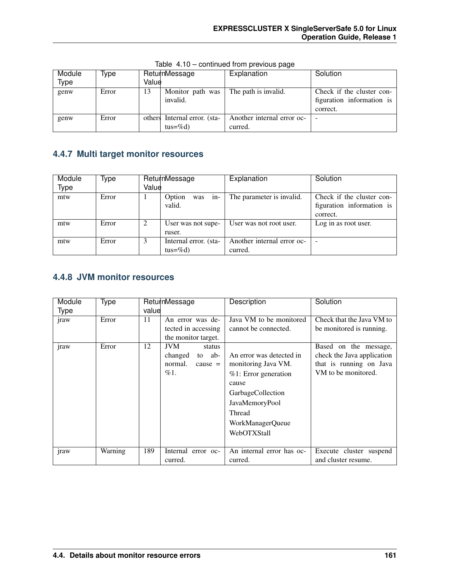| Module | Type  |       | ReturnMessage                | Explanation                | Solution                  |
|--------|-------|-------|------------------------------|----------------------------|---------------------------|
| Type   |       | Value |                              |                            |                           |
| genw   | Error | 13    | Monitor path was             | The path is invalid.       | Check if the cluster con- |
|        |       |       | invalid.                     |                            | figuration information is |
|        |       |       |                              |                            | correct.                  |
| genw   | Error |       | others Internal error. (sta- | Another internal error oc- |                           |
|        |       |       | tus=%d)                      | curred.                    |                           |

Table 4.10 – continued from previous page

#### **4.4.7 Multi target monitor resources**

| Module      | Type  |       | ReturnMessage          | Explanation                | Solution                  |
|-------------|-------|-------|------------------------|----------------------------|---------------------------|
| <b>Type</b> |       | Value |                        |                            |                           |
| mtw         | Error |       | Option<br>$in-$<br>was | The parameter is invalid.  | Check if the cluster con- |
|             |       |       | valid.                 |                            | figuration information is |
|             |       |       |                        |                            | correct.                  |
| mtw         | Error |       | User was not supe-     | User was not root user.    | Log in as root user.      |
|             |       |       | ruser.                 |                            |                           |
| mtw         | Error | 3     | Internal error. (sta-  | Another internal error oc- | $\overline{\phantom{a}}$  |
|             |       |       | $tus = \%d$            | curred.                    |                           |

### **4.4.8 JVM monitor resources**

| Module      | Type    |       | ReturnMessage         | Description               | Solution                   |
|-------------|---------|-------|-----------------------|---------------------------|----------------------------|
| <b>Type</b> |         | value |                       |                           |                            |
| jraw        | Error   | 11    | An error was de-      | Java VM to be monitored   | Check that the Java VM to  |
|             |         |       | tected in accessing   | cannot be connected.      | be monitored is running.   |
|             |         |       | the monitor target.   |                           |                            |
| jraw        | Error   | 12    | <b>JVM</b><br>status  |                           | Based on the message,      |
|             |         |       | changed<br>ab-<br>to  | An error was detected in  | check the Java application |
|             |         |       | normal.<br>$cause =$  | monitoring Java VM.       | that is running on Java    |
|             |         |       | %1.                   | $%1$ : Error generation   | VM to be monitored.        |
|             |         |       |                       | cause                     |                            |
|             |         |       |                       | GarbageCollection         |                            |
|             |         |       |                       | JavaMemoryPool            |                            |
|             |         |       |                       | Thread                    |                            |
|             |         |       |                       | WorkManagerQueue          |                            |
|             |         |       |                       | WebOTXStall               |                            |
|             |         |       |                       |                           |                            |
| jraw        | Warning | 189   | Internal<br>error oc- | An internal error has oc- | Execute cluster suspend    |
|             |         |       | curred.               | curred.                   | and cluster resume.        |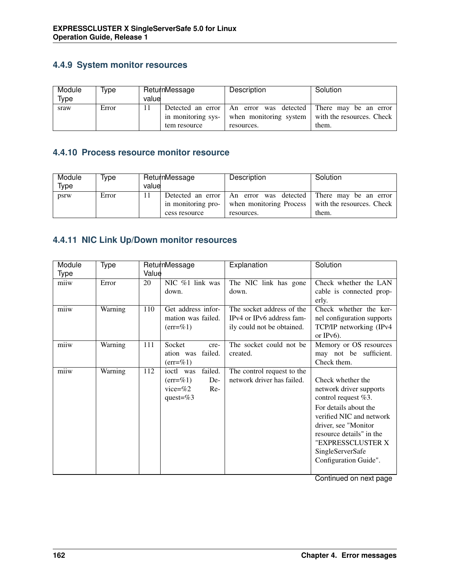#### **4.4.9 System monitor resources**

| Module | Type  |       | ReturnMessage      | Description                                 | Solution                                                 |
|--------|-------|-------|--------------------|---------------------------------------------|----------------------------------------------------------|
| Type   |       | value |                    |                                             |                                                          |
| sraw   | Error |       | Detected an error  | An error was detected There may be an error |                                                          |
|        |       |       | in monitoring sys- |                                             | when monitoring system $\vert$ with the resources. Check |
|        |       |       | tem resource       | resources.                                  | them.                                                    |

#### **4.4.10 Process resource monitor resource**

| Module | Type  |       | ReturnMessage                             | Description                                 | Solution                                            |
|--------|-------|-------|-------------------------------------------|---------------------------------------------|-----------------------------------------------------|
| Type   |       | value |                                           |                                             |                                                     |
| psrw   | Error |       | Detected an error  <br>in monitoring pro- | An error was detected There may be an error | when monitoring Process   with the resources. Check |
|        |       |       | cess resource                             | resources.                                  | them.                                               |

### **4.4.11 NIC Link Up/Down monitor resources**

| Module | <b>Type</b> |       | ReturnMessage                 | Explanation                | Solution                   |
|--------|-------------|-------|-------------------------------|----------------------------|----------------------------|
| Type   |             | Value |                               |                            |                            |
| miiw   | Error       | 20    | NIC %1 link was               | The NIC link has gone      | Check whether the LAN      |
|        |             |       | down.                         | down.                      | cable is connected prop-   |
|        |             |       |                               |                            | erly.                      |
| miiw   | Warning     | 110   | Get address infor-            | The socket address of the  | Check whether the ker-     |
|        |             |       | mation was failed.            | IPv4 or IPv6 address fam-  | nel configuration supports |
|        |             |       | $(\text{err}=\%)$ 1)          | ily could not be obtained. | TCP/IP networking (IPv4    |
|        |             |       |                               |                            | or $IPv6$ ).               |
| miiw   | Warning     | 111   | Socket<br>cre-                | The socket could not be    | Memory or OS resources     |
|        |             |       | failed.<br>ation was          | created.                   | may not be sufficient.     |
|        |             |       | $(\text{err} = \%) 1)$        |                            | Check them.                |
| miiw   | Warning     | 112   | failed.<br>ioctl was          | The control request to the |                            |
|        |             |       | $(\text{err} = \%) 1)$<br>De- | network driver has failed. | Check whether the          |
|        |             |       | vice= $\%2$<br>$Re-$          |                            | network driver supports    |
|        |             |       | quest= $%3$                   |                            | control request $%3$ .     |
|        |             |       |                               |                            | For details about the      |
|        |             |       |                               |                            | verified NIC and network   |
|        |             |       |                               |                            | driver, see "Monitor       |
|        |             |       |                               |                            | resource details" in the   |
|        |             |       |                               |                            | "EXPRESSCLUSTER X          |
|        |             |       |                               |                            | SingleServerSafe           |
|        |             |       |                               |                            | Configuration Guide".      |
|        |             |       |                               |                            |                            |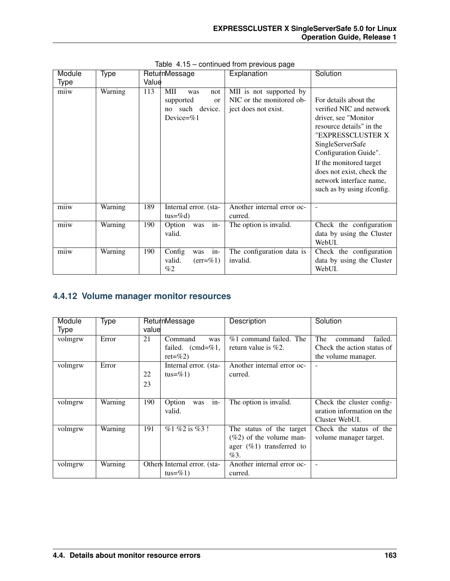| Module | Type    | ReturnMessage                |                        | Explanation                | Solution                    |
|--------|---------|------------------------------|------------------------|----------------------------|-----------------------------|
| Type   |         | Value                        |                        |                            |                             |
| miiw   | Warning | 113<br>MII<br>was            | not                    | MII is not supported by    |                             |
|        |         | supported                    | <sub>or</sub>          | NIC or the monitored ob-   | For details about the       |
|        |         | no such device.              |                        | ject does not exist.       | verified NIC and network    |
|        |         | Device= $\%1$                |                        |                            | driver, see "Monitor"       |
|        |         |                              |                        |                            | resource details" in the    |
|        |         |                              |                        |                            | "EXPRESSCLUSTER X           |
|        |         |                              |                        |                            | SingleServerSafe            |
|        |         |                              |                        |                            | Configuration Guide".       |
|        |         |                              |                        |                            | If the monitored target     |
|        |         |                              |                        |                            | does not exist, check the   |
|        |         |                              |                        |                            | network interface name,     |
|        |         |                              |                        |                            | such as by using if config. |
|        |         |                              |                        |                            |                             |
| miiw   | Warning | 189<br>Internal error. (sta- |                        | Another internal error oc- |                             |
|        |         | $tus = \%d$                  |                        | curred.                    |                             |
| miiw   | Warning | 190<br>Option<br>was         | $in-$                  | The option is invalid.     | Check the configuration     |
|        |         | valid.                       |                        |                            | data by using the Cluster   |
|        |         |                              |                        |                            | WebUI.                      |
| miiw   | Warning | 190<br>Config<br>was         | $in-$                  | The configuration data is  | Check the configuration     |
|        |         | valid.                       | $(\text{err} = \%)$ 1) | invalid.                   | data by using the Cluster   |
|        |         | %2                           |                        |                            | WebUI.                      |

Table 4.15 – continued from previous page

### **4.4.12 Volume manager monitor resources**

| Module  | <b>Type</b> |       | ReturnMessage                | Description                 | Solution                   |
|---------|-------------|-------|------------------------------|-----------------------------|----------------------------|
| Type    |             | value |                              |                             |                            |
| volmgrw | Error       | 21    | Command<br>was               | $%1$ command failed. The    | The<br>failed.<br>command  |
|         |             |       | failed. $(cmd=%1,$           | return value is $\%2$ .     | Check the action status of |
|         |             |       | $ret = \%2$                  |                             | the volume manager.        |
| volmgrw | Error       |       | Internal error. (sta-        | Another internal error oc-  |                            |
|         |             | 22    | tus=%1)                      | curred.                     |                            |
|         |             | 23    |                              |                             |                            |
|         |             |       |                              |                             |                            |
| volmgrw | Warning     | 190   | $in-$<br>Option<br>was       | The option is invalid.      | Check the cluster config-  |
|         |             |       | valid.                       |                             | uration information on the |
|         |             |       |                              |                             | Cluster WebUI.             |
| volmgrw | Warning     | 191   | $\%1\%2$ is $\%3$ !          | The status of the target    | Check the status of the    |
|         |             |       |                              | $(\%2)$ of the volume man-  | volume manager target.     |
|         |             |       |                              | ager $(\%1)$ transferred to |                            |
|         |             |       |                              | %3.                         |                            |
| volmgrw | Warning     |       | Others Internal error. (sta- | Another internal error oc-  |                            |
|         |             |       | tus=%1)                      | curred.                     |                            |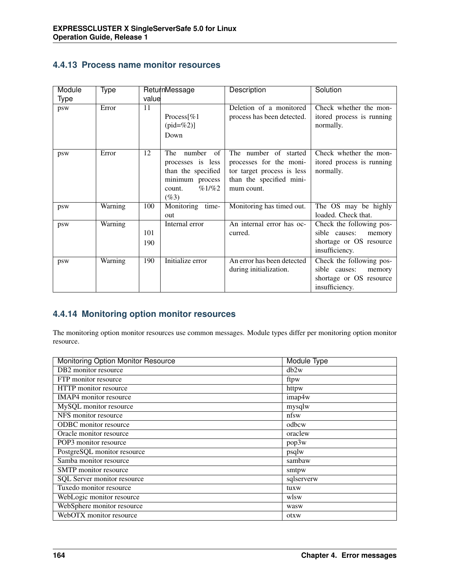| 4.4.13 Process name monitor resources |  |
|---------------------------------------|--|
|---------------------------------------|--|

| Module | Type    |       | ReturnMessage       | Description                | Solution                  |
|--------|---------|-------|---------------------|----------------------------|---------------------------|
| Type   |         | value |                     |                            |                           |
| psw    | Error   | 11    |                     | Deletion of a monitored    | Check whether the mon-    |
|        |         |       | Process[%1          | process has been detected. | itored process is running |
|        |         |       | $(pid = %2)$ ]      |                            | normally.                 |
|        |         |       | Down                |                            |                           |
|        |         |       |                     |                            |                           |
| psw    | Error   | 12    | number<br>The<br>of | The number of started      | Check whether the mon-    |
|        |         |       | processes is less   | processes for the moni-    | itored process is running |
|        |         |       | than the specified  | tor target process is less | normally.                 |
|        |         |       | minimum process     | than the specified mini-   |                           |
|        |         |       | %1/%2<br>count.     | mum count.                 |                           |
|        |         |       | $(\%3)$             |                            |                           |
| psw    | Warning | 100   | Monitoring time-    | Monitoring has timed out.  | The OS may be highly      |
|        |         |       | out                 |                            | loaded. Check that.       |
| psw    | Warning |       | Internal error      | An internal error has oc-  | Check the following pos-  |
|        |         | 101   |                     | curred.                    | sible causes:<br>memory   |
|        |         | 190   |                     |                            | shortage or OS resource   |
|        |         |       |                     |                            | insufficiency.            |
| psw    | Warning | 190   | Initialize error    | An error has been detected | Check the following pos-  |
|        |         |       |                     | during initialization.     | sible causes:<br>memory   |
|        |         |       |                     |                            | shortage or OS resource   |
|        |         |       |                     |                            | insufficiency.            |

#### **4.4.14 Monitoring option monitor resources**

The monitoring option monitor resources use common messages. Module types differ per monitoring option monitor resource.

| <b>Monitoring Option Monitor Resource</b> | <b>Module Type</b> |
|-------------------------------------------|--------------------|
| DB2 monitor resource                      | db2w               |
| FTP monitor resource                      | ftpw               |
| HTTP monitor resource                     | httpw              |
| IMAP4 monitor resource                    | imap4w             |
| MySQL monitor resource                    | mysqlw             |
| NFS monitor resource                      | nfsw               |
| ODBC monitor resource                     | odbcw              |
| Oracle monitor resource                   | oraclew            |
| POP3 monitor resource                     | pop3w              |
| PostgreSQL monitor resource               | psqlw              |
| Samba monitor resource                    | sambaw             |
| SMTP monitor resource                     | smtpw              |
| SQL Server monitor resource               | sqlserverw         |
| Tuxedo monitor resource                   | tuxw               |
| WebLogic monitor resource                 | wlsw               |
| WebSphere monitor resource                | wasw               |
| WebOTX monitor resource                   | otxw               |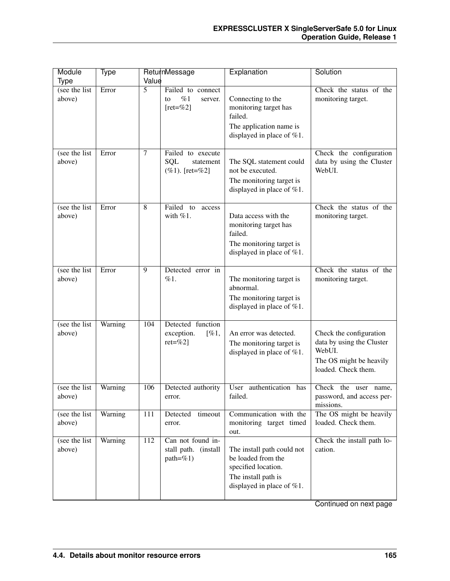| Module                                      | Type    |                | ReturnMessage                                               | Explanation                                                                                                                    | Solution                                                                                                         |
|---------------------------------------------|---------|----------------|-------------------------------------------------------------|--------------------------------------------------------------------------------------------------------------------------------|------------------------------------------------------------------------------------------------------------------|
| Type                                        |         | Value          |                                                             |                                                                                                                                |                                                                                                                  |
| (see the $\overline{\text{list}}$<br>above) | Error   | $\overline{5}$ | Failed to connect<br>%1<br>to<br>server.<br>$[ret = \% 2]$  | Connecting to the<br>monitoring target has<br>failed.<br>The application name is<br>displayed in place of $%1$ .               | Check the status of the<br>monitoring target.                                                                    |
| (see the list<br>above)                     | Error   | 7              | Failed to execute<br>SQL<br>statement<br>$(\%1)$ . [ret=%2] | The SQL statement could<br>not be executed.<br>The monitoring target is<br>displayed in place of $%1$ .                        | Check the configuration<br>data by using the Cluster<br>WebUI.                                                   |
| (see the list<br>above)                     | Error   | 8              | Failed to<br>access<br>with $%1$ .                          | Data access with the<br>monitoring target has<br>failed.<br>The monitoring target is<br>displayed in place of $%1$ .           | Check the status of the<br>monitoring target.                                                                    |
| (see the list<br>above)                     | Error   | 9              | Detected error in<br>%1.                                    | The monitoring target is<br>abnormal.<br>The monitoring target is<br>displayed in place of $%1$ .                              | Check the status of the<br>monitoring target.                                                                    |
| (see the list<br>above)                     | Warning | 104            | Detected function<br>exception.<br>$[\%1,$<br>$ret = \%2$ ] | An error was detected.<br>The monitoring target is<br>displayed in place of $%1$ .                                             | Check the configuration<br>data by using the Cluster<br>WebUI.<br>The OS might be heavily<br>loaded. Check them. |
| (see the list)<br>above)                    | Warning | 106            | Detected authority<br>error.                                | User authentication has<br>failed.                                                                                             | Check the user name,<br>password, and access per-<br>missions.                                                   |
| (see the list)<br>above)                    | Warning | 111            | Detected timeout<br>error.                                  | Communication with the<br>monitoring target timed<br>out.                                                                      | The OS might be heavily<br>loaded. Check them.                                                                   |
| (see the list<br>above)                     | Warning | 112            | Can not found in-<br>stall path. (install<br>$path = \% 1)$ | The install path could not<br>be loaded from the<br>specified location.<br>The install path is<br>displayed in place of $%1$ . | Check the install path lo-<br>cation.                                                                            |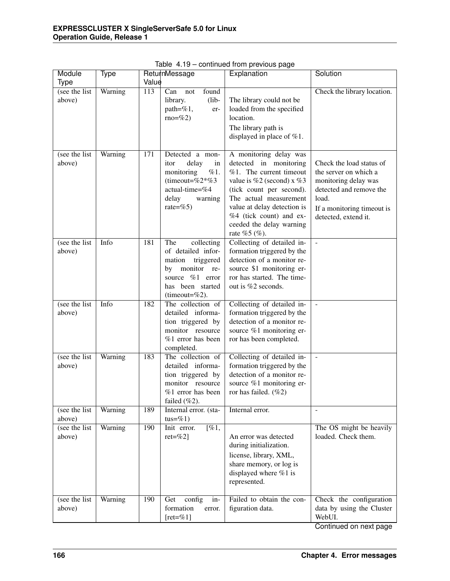| Module                   | Type    |       | ReturnMessage                                                                                                                                      | Explanation                                                                                                                                                                                                                                                              | Solution                                                                                                                                                            |
|--------------------------|---------|-------|----------------------------------------------------------------------------------------------------------------------------------------------------|--------------------------------------------------------------------------------------------------------------------------------------------------------------------------------------------------------------------------------------------------------------------------|---------------------------------------------------------------------------------------------------------------------------------------------------------------------|
| <b>Type</b>              |         | Value |                                                                                                                                                    |                                                                                                                                                                                                                                                                          |                                                                                                                                                                     |
| (see the list<br>above)  | Warning | 113   | found<br>Can<br>not<br>library.<br>$(lib-$<br>path=%1,<br>er-<br>$rno=%2$ )                                                                        | The library could not be<br>loaded from the specified<br>location.<br>The library path is<br>displayed in place of $%1$ .                                                                                                                                                | Check the library location.                                                                                                                                         |
| (see the list)<br>above) | Warning | 171   | Detected a mon-<br>delay<br>in<br>itor<br>%1.<br>monitoring<br>(timeout=%2*%3)<br>actual-time=%4<br>delay<br>warning<br>rate=%5)                   | A monitoring delay was<br>detected in monitoring<br>%1. The current timeout<br>value is $%2$ (second) x $%3$<br>(tick count per second).<br>The actual measurement<br>value at delay detection is<br>%4 (tick count) and ex-<br>ceeded the delay warning<br>rate %5 (%). | Check the load status of<br>the server on which a<br>monitoring delay was<br>detected and remove the<br>load.<br>If a monitoring timeout is<br>detected, extend it. |
| (see the list)<br>above) | Info    | 181   | The<br>collecting<br>of detailed infor-<br>triggered<br>mation<br>monitor<br>by<br>re-<br>source %1 error<br>has been started<br>(timeout= $%2$ ). | Collecting of detailed in-<br>formation triggered by the<br>detection of a monitor re-<br>source \$1 monitoring er-<br>ror has started. The time-<br>out is %2 seconds.                                                                                                  | $\equiv$                                                                                                                                                            |
| (see the list<br>above)  | Info    | 182   | The collection of<br>detailed informa-<br>tion triggered by<br>monitor resource<br>%1 error has been<br>completed.                                 | Collecting of detailed in-<br>formation triggered by the<br>detection of a monitor re-<br>source %1 monitoring er-<br>ror has been completed.                                                                                                                            | $\mathbb{L}$                                                                                                                                                        |
| (see the list<br>above)  | Warning | 183   | The collection of<br>detailed informa-<br>tion triggered by<br>monitor resource<br>%1 error has been<br>failed $(\%2)$ .                           | Collecting of detailed in-<br>formation triggered by the<br>detection of a monitor re-<br>source %1 monitoring er-<br>ror has failed. $(\%2)$                                                                                                                            | $\equiv$                                                                                                                                                            |
| (see the list)<br>above) | Warning | 189   | Internal error. (sta-<br>tus= $\%1$ )                                                                                                              | Internal error.                                                                                                                                                                                                                                                          | $\sim$                                                                                                                                                              |
| (see the list)<br>above) | Warning | 190   | Init error.<br>$[\%1,$<br>$ret = \%2$                                                                                                              | An error was detected<br>during initialization.<br>license, library, XML,<br>share memory, or log is<br>displayed where $%1$ is<br>represented.                                                                                                                          | The OS might be heavily<br>loaded. Check them.                                                                                                                      |
| (see the list<br>above)  | Warning | 190   | $\overline{\text{config}}$<br>Get<br>in-<br>formation<br>error.<br>$[ret = \% 1]$                                                                  | Failed to obtain the con-<br>figuration data.                                                                                                                                                                                                                            | Check the configuration<br>data by using the Cluster<br>WebUI.                                                                                                      |

Table 4.19 – continued from previous page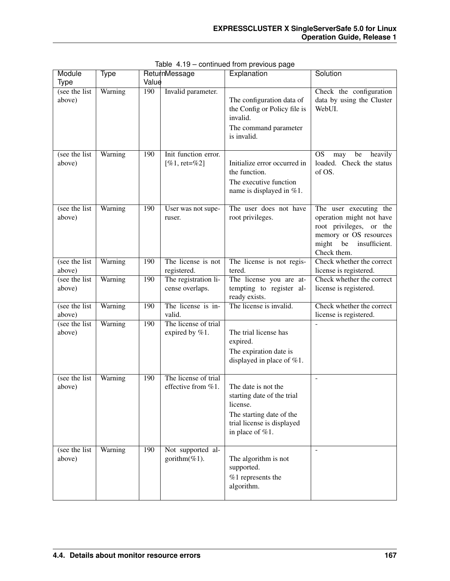| Module                   | Type    |       | ReturnMessage                              | Explanation                                                                                                                                | Solution                                                                                                                                            |
|--------------------------|---------|-------|--------------------------------------------|--------------------------------------------------------------------------------------------------------------------------------------------|-----------------------------------------------------------------------------------------------------------------------------------------------------|
| <b>Type</b>              |         | Value |                                            |                                                                                                                                            |                                                                                                                                                     |
| (see the list)<br>above) | Warning | 190   | Invalid parameter.                         | The configuration data of<br>the Config or Policy file is<br>invalid.<br>The command parameter<br>is invalid.                              | Check the configuration<br>data by using the Cluster<br>WebUI.                                                                                      |
| (see the list)<br>above) | Warning | 190   | Init function error.<br>[%1, ret=%2]       | Initialize error occurred in<br>the function.<br>The executive function<br>name is displayed in %1.                                        | <b>OS</b><br>may<br>be<br>heavily<br>loaded. Check the status<br>of OS.                                                                             |
| (see the list<br>above)  | Warning | 190   | User was not supe-<br>ruser.               | The user does not have<br>root privileges.                                                                                                 | The user executing the<br>operation might not have<br>root privileges, or the<br>memory or OS resources<br>might be<br>insufficient.<br>Check them. |
| (see the list)<br>above) | Warning | 190   | The license is not<br>registered.          | The license is not regis-<br>tered.                                                                                                        | Check whether the correct<br>license is registered.                                                                                                 |
| (see the list)<br>above) | Warning | 190   | The registration li-<br>cense overlaps.    | The license you are at-<br>tempting to register al-<br>ready exists.                                                                       | Check whether the correct<br>license is registered.                                                                                                 |
| (see the list<br>above)  | Warning | 190   | The license is in-<br>valid.               | The license is invalid.                                                                                                                    | Check whether the correct<br>license is registered.                                                                                                 |
| (see the list)<br>above) | Warning | 190   | The license of trial<br>expired by %1.     | The trial license has<br>expired.<br>The expiration date is<br>displayed in place of $%1$ .                                                |                                                                                                                                                     |
| (see the list<br>above)  | Warning | 190   | The license of trial<br>effective from %1. | The date is not the<br>starting date of the trial<br>license.<br>The starting date of the<br>trial license is displayed<br>in place of %1. | $\overline{\phantom{a}}$                                                                                                                            |
| (see the list<br>above)  | Warning | 190   | Not supported al-<br>gorithm $(\%1)$ .     | The algorithm is not<br>supported.<br>$%1$ represents the<br>algorithm.                                                                    | $\blacksquare$                                                                                                                                      |

Table 4.19 – continued from previous page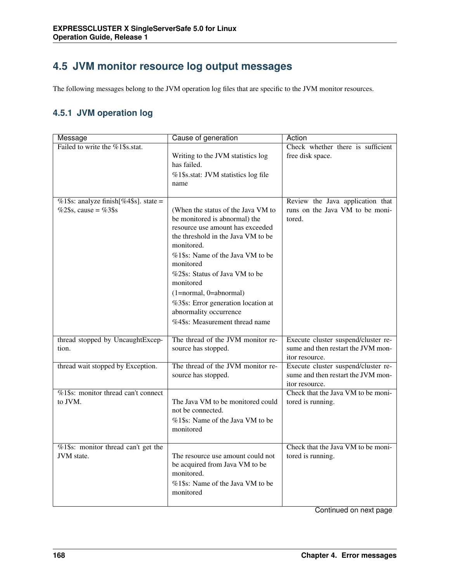# **4.5 JVM monitor resource log output messages**

The following messages belong to the JVM operation log files that are specific to the JVM monitor resources.

#### **4.5.1 JVM operation log**

| Message                               | Cause of generation                                                 | Action                                                |
|---------------------------------------|---------------------------------------------------------------------|-------------------------------------------------------|
| Failed to write the %1\$s.stat.       | Writing to the JVM statistics log                                   | Check whether there is sufficient<br>free disk space. |
|                                       | has failed.                                                         |                                                       |
|                                       | %1\$s.stat: JVM statistics log file                                 |                                                       |
|                                       | name                                                                |                                                       |
| %1\$s: analyze finish[%4\$s]. state = |                                                                     | Review the Java application that                      |
| %2\$s, cause = %3\$s                  | (When the status of the Java VM to<br>be monitored is abnormal) the | runs on the Java VM to be moni-<br>tored.             |
|                                       | resource use amount has exceeded                                    |                                                       |
|                                       | the threshold in the Java VM to be<br>monitored.                    |                                                       |
|                                       | %1\$s: Name of the Java VM to be<br>monitored                       |                                                       |
|                                       | %2\$s: Status of Java VM to be<br>monitored                         |                                                       |
|                                       | (1=normal, 0=abnormal)                                              |                                                       |
|                                       | %3\$s: Error generation location at                                 |                                                       |
|                                       | abnormality occurrence<br>%4\$s: Measurement thread name            |                                                       |
|                                       |                                                                     |                                                       |
| thread stopped by UncaughtExcep-      | The thread of the JVM monitor re-                                   | Execute cluster suspend/cluster re-                   |
| tion.                                 | source has stopped.                                                 | sume and then restart the JVM mon-<br>itor resource.  |
| thread wait stopped by Exception.     | The thread of the JVM monitor re-                                   | Execute cluster suspend/cluster re-                   |
|                                       | source has stopped.                                                 | sume and then restart the JVM mon-<br>itor resource.  |
| %1\$s: monitor thread can't connect   | The Java VM to be monitored could                                   | Check that the Java VM to be moni-                    |
| to JVM.                               | not be connected.                                                   | tored is running.                                     |
|                                       | %1\$s: Name of the Java VM to be                                    |                                                       |
|                                       | monitored                                                           |                                                       |
| %1\$s: monitor thread can't get the   |                                                                     | Check that the Java VM to be moni-                    |
| JVM state.                            | The resource use amount could not<br>be acquired from Java VM to be | tored is running.                                     |
|                                       | monitored.                                                          |                                                       |
|                                       | %1\$s: Name of the Java VM to be<br>monitored                       |                                                       |
|                                       |                                                                     |                                                       |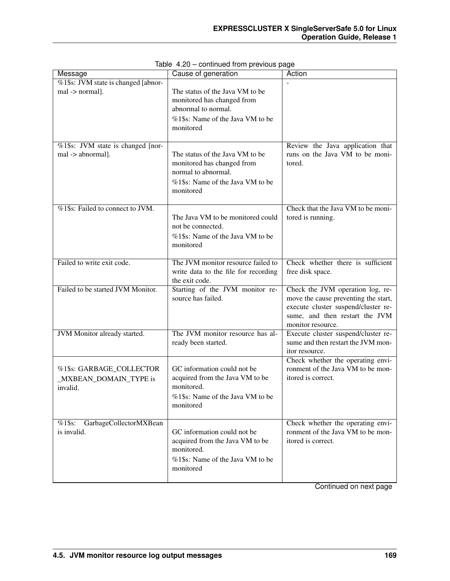| Message                                                        | Cause of generation                                                                                                                   | Action                                                                                                                                                                 |
|----------------------------------------------------------------|---------------------------------------------------------------------------------------------------------------------------------------|------------------------------------------------------------------------------------------------------------------------------------------------------------------------|
| %1\$s: JVM state is changed [abnor-<br>mal -> normal].         | The status of the Java VM to be<br>monitored has changed from<br>abnormal to normal.<br>%1\$s: Name of the Java VM to be<br>monitored |                                                                                                                                                                        |
| %1\$s: JVM state is changed [nor-<br>mal -> abnormal].         | The status of the Java VM to be<br>monitored has changed from<br>normal to abnormal.<br>%1\$s: Name of the Java VM to be<br>monitored | Review the Java application that<br>runs on the Java VM to be moni-<br>tored.                                                                                          |
| %1\$s: Failed to connect to JVM.                               | The Java VM to be monitored could<br>not be connected.<br>%1\$s: Name of the Java VM to be<br>monitored                               | Check that the Java VM to be moni-<br>tored is running.                                                                                                                |
| Failed to write exit code.                                     | The JVM monitor resource failed to<br>write data to the file for recording<br>the exit code.                                          | Check whether there is sufficient<br>free disk space.                                                                                                                  |
| Failed to be started JVM Monitor.                              | Starting of the JVM monitor re-<br>source has failed.                                                                                 | Check the JVM operation log, re-<br>move the cause preventing the start,<br>execute cluster suspend/cluster re-<br>sume, and then restart the JVM<br>monitor resource. |
| JVM Monitor already started.                                   | The JVM monitor resource has al-<br>ready been started.                                                                               | Execute cluster suspend/cluster re-<br>sume and then restart the JVM mon-<br>itor resource.                                                                            |
| %1\$s: GARBAGE_COLLECTOR<br>_MXBEAN_DOMAIN_TYPE is<br>invalid. | GC information could not be<br>acquired from the Java VM to be<br>monitored.<br>%1\$s: Name of the Java VM to be<br>monitored         | Check whether the operating envi-<br>ronment of the Java VM to be mon-<br>itored is correct.                                                                           |
| GarbageCollectorMXBean<br>$%1$ \$s:<br>is invalid.             | GC information could not be<br>acquired from the Java VM to be<br>monitored.<br>%1\$s: Name of the Java VM to be<br>monitored         | Check whether the operating envi-<br>ronment of the Java VM to be mon-<br>itored is correct.                                                                           |

Table 4.20 – continued from previous page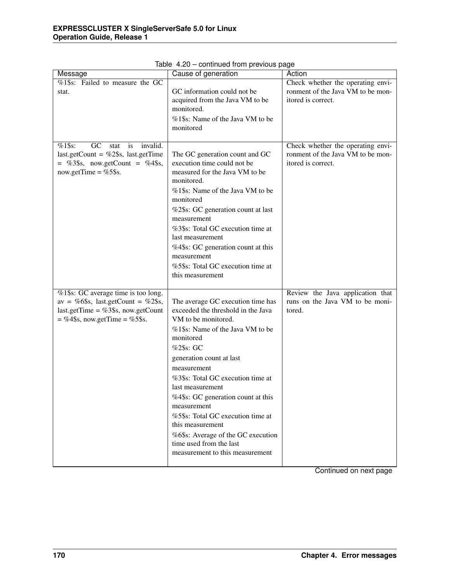| Message                                                                                                                                                         | Cause of generation                                                                                                                                                                                                                                                                                                                                                                                                                                                                | Action                                                                                       |
|-----------------------------------------------------------------------------------------------------------------------------------------------------------------|------------------------------------------------------------------------------------------------------------------------------------------------------------------------------------------------------------------------------------------------------------------------------------------------------------------------------------------------------------------------------------------------------------------------------------------------------------------------------------|----------------------------------------------------------------------------------------------|
| %1\$s: Failed to measure the GC<br>stat.                                                                                                                        | GC information could not be<br>acquired from the Java VM to be<br>monitored.<br>%1\$s: Name of the Java VM to be<br>monitored                                                                                                                                                                                                                                                                                                                                                      | Check whether the operating envi-<br>ronment of the Java VM to be mon-<br>itored is correct. |
| $\overline{GC}$<br>$%1$ \$s:<br>stat<br>is<br>invalid.<br>last.getCount = $\%2\$ s, last.getTime<br>$=$ %3\$s, now.getCount = %4\$s,<br>now.getTime = $%5$ \$s. | The GC generation count and GC<br>execution time could not be<br>measured for the Java VM to be<br>monitored.<br>%1\$s: Name of the Java VM to be<br>monitored<br>%2\$s: GC generation count at last<br>measurement<br>%3\$s: Total GC execution time at<br>last measurement<br>%4\$s: GC generation count at this<br>measurement<br>%5\$s: Total GC execution time at<br>this measurement                                                                                         | Check whether the operating envi-<br>ronment of the Java VM to be mon-<br>itored is correct. |
| %1\$s: GC average time is too long.<br>av = %6\$s, last.getCount = %2\$s,<br>last.getTime = $%3\$ s, now.getCount<br>$=$ %4\$s, now.getTime = %5\$s.            | The average GC execution time has<br>exceeded the threshold in the Java<br>VM to be monitored.<br>%1\$s: Name of the Java VM to be<br>monitored<br>%2\$s: GC<br>generation count at last<br>measurement<br>%3\$s: Total GC execution time at<br>last measurement<br>%4\$s: GC generation count at this<br>measurement<br>%5\$s: Total GC execution time at<br>this measurement<br>%6\$s: Average of the GC execution<br>time used from the last<br>measurement to this measurement | Review the Java application that<br>runs on the Java VM to be moni-<br>tored.                |

Table 4.20 – continued from previous page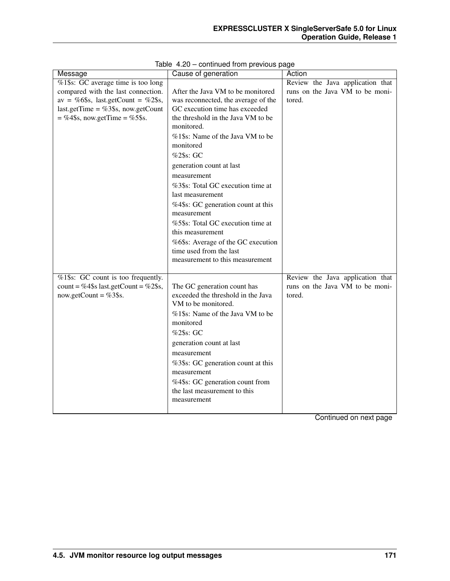| Message                               | Cause of generation                 | Action                           |
|---------------------------------------|-------------------------------------|----------------------------------|
| %1\$s: GC average time is too long    |                                     | Review the Java application that |
| compared with the last connection.    | After the Java VM to be monitored   | runs on the Java VM to be moni-  |
| av = %6\$s, last.getCount = %2\$s,    | was reconnected, the average of the | tored.                           |
| last.getTime = $%3$ \$s, now.getCount | GC execution time has exceeded      |                                  |
| $=$ %4\$s, now.getTime = %5\$s.       | the threshold in the Java VM to be  |                                  |
|                                       | monitored.                          |                                  |
|                                       | %1\$s: Name of the Java VM to be    |                                  |
|                                       | monitored                           |                                  |
|                                       | %2\$s: GC                           |                                  |
|                                       | generation count at last            |                                  |
|                                       | measurement                         |                                  |
|                                       | %3\$s: Total GC execution time at   |                                  |
|                                       | last measurement                    |                                  |
|                                       | %4\$s: GC generation count at this  |                                  |
|                                       | measurement                         |                                  |
|                                       | %5\$s: Total GC execution time at   |                                  |
|                                       | this measurement                    |                                  |
|                                       | %6\$s: Average of the GC execution  |                                  |
|                                       | time used from the last             |                                  |
|                                       | measurement to this measurement     |                                  |
|                                       |                                     |                                  |
| %1\$s: GC count is too frequently.    |                                     | Review the Java application that |
| count = %4\$s last.getCount = %2\$s,  | The GC generation count has         | runs on the Java VM to be moni-  |
| now.getCount = $%3\$ s.               | exceeded the threshold in the Java  | tored.                           |
|                                       | VM to be monitored.                 |                                  |
|                                       | %1\$s: Name of the Java VM to be    |                                  |
|                                       | monitored                           |                                  |
|                                       | %2\$s: GC                           |                                  |
|                                       | generation count at last            |                                  |
|                                       | measurement                         |                                  |
|                                       | %3\$s: GC generation count at this  |                                  |
|                                       | measurement                         |                                  |
|                                       | %4\$s: GC generation count from     |                                  |
|                                       | the last measurement to this        |                                  |
|                                       | measurement                         |                                  |
|                                       |                                     |                                  |

Table 4.20 – continued from previous page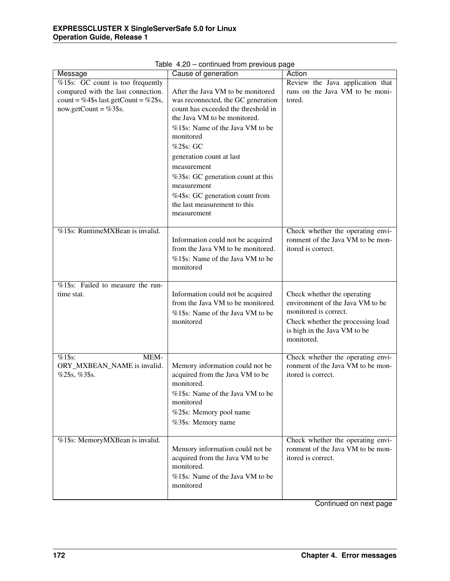| Message                              | Cause of generation                           | Action                            |
|--------------------------------------|-----------------------------------------------|-----------------------------------|
| %1\$s: GC count is too frequently    |                                               | Review the Java application that  |
| compared with the last connection.   | After the Java VM to be monitored             | runs on the Java VM to be moni-   |
| count = %4\$s last.getCount = %2\$s, | was reconnected, the GC generation            | tored.                            |
| now.getCount = $%3\$ s.              | count has exceeded the threshold in           |                                   |
|                                      | the Java VM to be monitored.                  |                                   |
|                                      | %1\$s: Name of the Java VM to be              |                                   |
|                                      | monitored                                     |                                   |
|                                      | %2\$s: GC                                     |                                   |
|                                      | generation count at last                      |                                   |
|                                      | measurement                                   |                                   |
|                                      |                                               |                                   |
|                                      | %3\$s: GC generation count at this            |                                   |
|                                      | measurement                                   |                                   |
|                                      | %4\$s: GC generation count from               |                                   |
|                                      | the last measurement to this                  |                                   |
|                                      | measurement                                   |                                   |
| %1\$s: RuntimeMXBean is invalid.     |                                               | Check whether the operating envi- |
|                                      | Information could not be acquired             | ronment of the Java VM to be mon- |
|                                      | from the Java VM to be monitored.             | itored is correct.                |
|                                      | %1\$s: Name of the Java VM to be              |                                   |
|                                      | monitored                                     |                                   |
|                                      |                                               |                                   |
| %1\$s: Failed to measure the run-    |                                               |                                   |
| time stat.                           | Information could not be acquired             | Check whether the operating       |
|                                      | from the Java VM to be monitored.             | environment of the Java VM to be  |
|                                      | %1\$s: Name of the Java VM to be              | monitored is correct.             |
|                                      | monitored                                     | Check whether the processing load |
|                                      |                                               | is high in the Java VM to be      |
|                                      |                                               | monitored.                        |
|                                      |                                               |                                   |
| $%1$ \$s:<br>MEM-                    |                                               | Check whether the operating envi- |
| ORY_MXBEAN_NAME is invalid.          | Memory information could not be               | ronment of the Java VM to be mon- |
| %2\$s, %3\$s.                        | acquired from the Java VM to be               | itored is correct.                |
|                                      | monitored.                                    |                                   |
|                                      | %1\$s: Name of the Java VM to be              |                                   |
|                                      | monitored                                     |                                   |
|                                      | %2\$s: Memory pool name                       |                                   |
|                                      | %3\$s: Memory name                            |                                   |
|                                      |                                               |                                   |
| %1\$s: MemoryMXBean is invalid.      |                                               | Check whether the operating envi- |
|                                      | Memory information could not be               | ronment of the Java VM to be mon- |
|                                      | acquired from the Java VM to be<br>monitored. | itored is correct.                |
|                                      |                                               |                                   |
|                                      | %1\$s: Name of the Java VM to be<br>monitored |                                   |
|                                      |                                               |                                   |
|                                      |                                               |                                   |

Table 4.20 – continued from previous page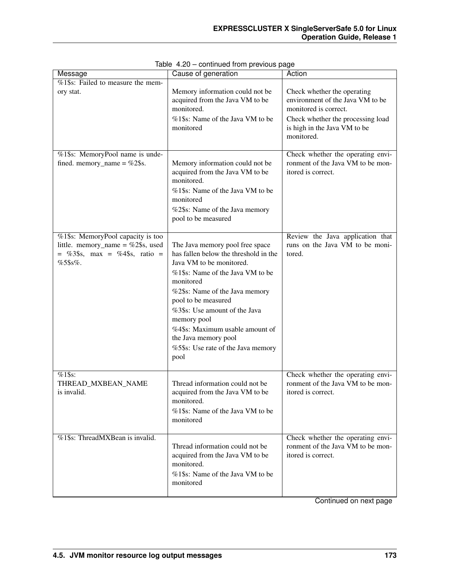| Message                                                                                                                   | Cause of generation                                                                                                                                                                                                                                                                                                                                                     | Action                                                                                                                                                                      |
|---------------------------------------------------------------------------------------------------------------------------|-------------------------------------------------------------------------------------------------------------------------------------------------------------------------------------------------------------------------------------------------------------------------------------------------------------------------------------------------------------------------|-----------------------------------------------------------------------------------------------------------------------------------------------------------------------------|
| $\sqrt{\frac{6}{21}}$ Failed to measure the mem-<br>ory stat.                                                             | Memory information could not be<br>acquired from the Java VM to be<br>monitored.<br>%1\$s: Name of the Java VM to be<br>monitored                                                                                                                                                                                                                                       | Check whether the operating<br>environment of the Java VM to be<br>monitored is correct.<br>Check whether the processing load<br>is high in the Java VM to be<br>monitored. |
| %1\$s: MemoryPool name is unde-<br>fined. memory_name = $%2$ \$s.                                                         | Memory information could not be<br>acquired from the Java VM to be<br>monitored.<br>%1\$s: Name of the Java VM to be<br>monitored<br>%2\$s: Name of the Java memory<br>pool to be measured                                                                                                                                                                              | Check whether the operating envi-<br>ronment of the Java VM to be mon-<br>itored is correct.                                                                                |
| %1\$s: MemoryPool capacity is too<br>little. memory_name = $\%2\$ \$s, used<br>$=$ %3\$s, max = %4\$s, ratio =<br>%5\$s%. | The Java memory pool free space<br>has fallen below the threshold in the<br>Java VM to be monitored.<br>%1\$s: Name of the Java VM to be<br>monitored<br>%2\$s: Name of the Java memory<br>pool to be measured<br>%3\$s: Use amount of the Java<br>memory pool<br>%4\$s: Maximum usable amount of<br>the Java memory pool<br>%5\$s: Use rate of the Java memory<br>pool | Review the Java application that<br>runs on the Java VM to be moni-<br>tored.                                                                                               |
| $%1$ \$s:<br>THREAD_MXBEAN_NAME<br>is invalid.                                                                            | Thread information could not be<br>acquired from the Java VM to be<br>monitored.<br>%1\$s: Name of the Java VM to be<br>monitored                                                                                                                                                                                                                                       | Check whether the operating envi-<br>ronment of the Java VM to be mon-<br>itored is correct.                                                                                |
| %1\$s: ThreadMXBean is invalid.                                                                                           | Thread information could not be<br>acquired from the Java VM to be<br>monitored.<br>%1\$s: Name of the Java VM to be<br>monitored                                                                                                                                                                                                                                       | Check whether the operating envi-<br>ronment of the Java VM to be mon-<br>itored is correct.                                                                                |

Table 4.20 – continued from previous page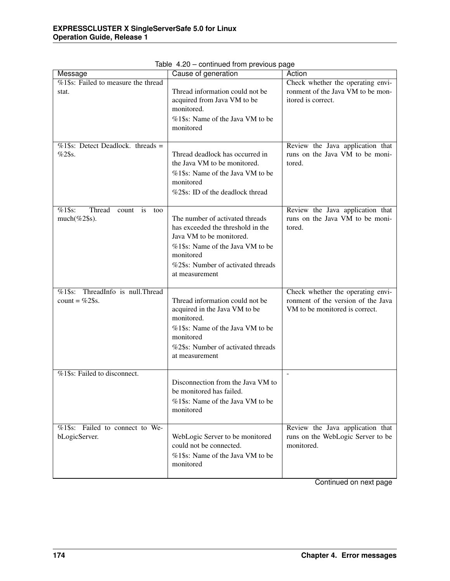| Message                                                             | Cause of generation                                                                                                                                                                                       | Action                                                                                                    |
|---------------------------------------------------------------------|-----------------------------------------------------------------------------------------------------------------------------------------------------------------------------------------------------------|-----------------------------------------------------------------------------------------------------------|
| $\sqrt{\frac{6}{21}}$ \$s: Failed to measure the thread<br>stat.    | Thread information could not be<br>acquired from Java VM to be                                                                                                                                            | Check whether the operating envi-<br>ronment of the Java VM to be mon-<br>itored is correct.              |
|                                                                     | monitored.<br>%1\$s: Name of the Java VM to be<br>monitored                                                                                                                                               |                                                                                                           |
| $%1\$ s: Detect Deadlock. threads =<br>$%2$ \$s.                    | Thread deadlock has occurred in<br>the Java VM to be monitored.<br>%1\$s: Name of the Java VM to be<br>monitored<br>%2\$s: ID of the deadlock thread                                                      | Review the Java application that<br>runs on the Java VM to be moni-<br>tored.                             |
| $%1$ \$s:<br>Thread<br>count<br><i>is</i><br>too<br>$much(\%2\$ s). | The number of activated threads<br>has exceeded the threshold in the<br>Java VM to be monitored.<br>%1\$s: Name of the Java VM to be<br>monitored<br>%2\$s: Number of activated threads<br>at measurement | Review the Java application that<br>runs on the Java VM to be moni-<br>tored.                             |
| ThreadInfo is null.Thread<br>$%1\$ s:<br>count = $%2\$ s.           | Thread information could not be<br>acquired in the Java VM to be<br>monitored.<br>%1\$s: Name of the Java VM to be<br>monitored<br>%2\$s: Number of activated threads<br>at measurement                   | Check whether the operating envi-<br>ronment of the version of the Java<br>VM to be monitored is correct. |
| %1\$s: Failed to disconnect.                                        | Disconnection from the Java VM to<br>be monitored has failed.<br>%1\$s: Name of the Java VM to be<br>monitored                                                                                            | $\overline{\phantom{a}}$                                                                                  |
| %1\$s: Failed to connect to We-<br>bLogicServer.                    | WebLogic Server to be monitored<br>could not be connected.<br>%1\$s: Name of the Java VM to be<br>monitored                                                                                               | Review the Java application that<br>runs on the WebLogic Server to be<br>monitored.                       |

Table 4.20 – continued from previous page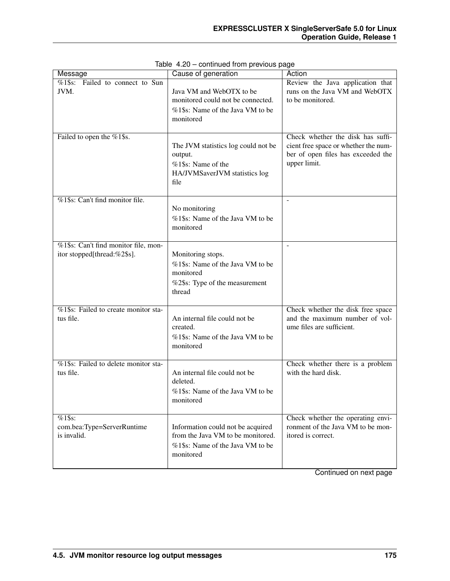| Message                                                             | Cause of generation                                                                                                     | Action                                                                                                                          |
|---------------------------------------------------------------------|-------------------------------------------------------------------------------------------------------------------------|---------------------------------------------------------------------------------------------------------------------------------|
| $\sqrt{\%1\$ s: Failed to connect to Sun<br>JVM.                    | Java VM and WebOTX to be<br>monitored could not be connected.<br>%1\$s: Name of the Java VM to be<br>monitored          | Review the Java application that<br>runs on the Java VM and WebOTX<br>to be monitored.                                          |
| Failed to open the %1\$s.                                           | The JVM statistics log could not be<br>output.<br>%1\$s: Name of the<br>HA/JVMSaverJVM statistics log<br>file           | Check whether the disk has suffi-<br>cient free space or whether the num-<br>ber of open files has exceeded the<br>upper limit. |
| %1\$s: Can't find monitor file.                                     | No monitoring<br>%1\$s: Name of the Java VM to be<br>monitored                                                          | $\overline{\phantom{a}}$                                                                                                        |
| %1\$s: Can't find monitor file, mon-<br>itor stopped[thread:%2\$s]. | Monitoring stops.<br>%1\$s: Name of the Java VM to be<br>monitored<br>%2\$s: Type of the measurement<br>thread          | $\overline{\phantom{a}}$                                                                                                        |
| %1\$s: Failed to create monitor sta-<br>tus file.                   | An internal file could not be<br>created.<br>%1\$s: Name of the Java VM to be<br>monitored                              | Check whether the disk free space<br>and the maximum number of vol-<br>ume files are sufficient.                                |
| %1\$s: Failed to delete monitor sta-<br>tus file.                   | An internal file could not be<br>deleted.<br>%1\$s: Name of the Java VM to be<br>monitored                              | Check whether there is a problem<br>with the hard disk.                                                                         |
| $%1$ \$s:<br>com.bea:Type=ServerRuntime<br>is invalid.              | Information could not be acquired<br>from the Java VM to be monitored.<br>%1\$s: Name of the Java VM to be<br>monitored | Check whether the operating envi-<br>ronment of the Java VM to be mon-<br>itored is correct.                                    |

Table 4.20 – continued from previous page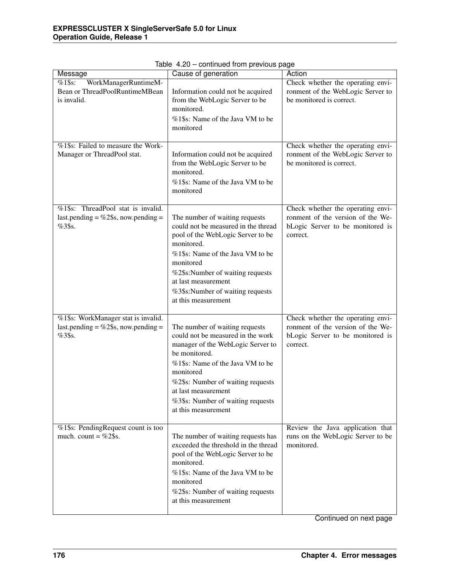| rable +.20 continued non-previous page                                                  |                                                                                                                                                                                                                                                                                                    |                                                                                                                        |  |
|-----------------------------------------------------------------------------------------|----------------------------------------------------------------------------------------------------------------------------------------------------------------------------------------------------------------------------------------------------------------------------------------------------|------------------------------------------------------------------------------------------------------------------------|--|
| Message                                                                                 | Cause of generation                                                                                                                                                                                                                                                                                | Action                                                                                                                 |  |
| $%1$ \$s:<br>WorkManagerRuntimeM-<br>Bean or ThreadPoolRuntimeMBean<br>is invalid.      | Information could not be acquired<br>from the WebLogic Server to be<br>monitored.<br>%1\$s: Name of the Java VM to be<br>monitored                                                                                                                                                                 | Check whether the operating envi-<br>ronment of the WebLogic Server to<br>be monitored is correct.                     |  |
| %1\$s: Failed to measure the Work-<br>Manager or ThreadPool stat.                       | Information could not be acquired<br>from the WebLogic Server to be<br>monitored.<br>%1\$s: Name of the Java VM to be<br>monitored                                                                                                                                                                 | Check whether the operating envi-<br>ronment of the WebLogic Server to<br>be monitored is correct.                     |  |
| %1\$s: ThreadPool stat is invalid.<br>last.pending = $\%2\$ s, now.pending =<br>%3\$s.  | The number of waiting requests<br>could not be measured in the thread<br>pool of the WebLogic Server to be<br>monitored.<br>%1\$s: Name of the Java VM to be<br>monitored<br>%2\$s:Number of waiting requests<br>at last measurement<br>%3\$s:Number of waiting requests<br>at this measurement    | Check whether the operating envi-<br>ronment of the version of the We-<br>bLogic Server to be monitored is<br>correct. |  |
| %1\$s: WorkManager stat is invalid.<br>last.pending = $\%2\$ s, now.pending =<br>%3\$s. | The number of waiting requests<br>could not be measured in the work<br>manager of the WebLogic Server to<br>be monitored.<br>%1\$s: Name of the Java VM to be<br>monitored<br>%2\$s: Number of waiting requests<br>at last measurement<br>%3\$s: Number of waiting requests<br>at this measurement | Check whether the operating envi-<br>ronment of the version of the We-<br>bLogic Server to be monitored is<br>correct. |  |
| %1\$s: PendingRequest count is too<br>much. count = $%2\$ s.                            | The number of waiting requests has<br>exceeded the threshold in the thread<br>pool of the WebLogic Server to be<br>monitored.<br>%1\$s: Name of the Java VM to be<br>monitored<br>%2\$s: Number of waiting requests<br>at this measurement                                                         | Review the Java application that<br>runs on the WebLogic Server to be<br>monitored.                                    |  |

Table 4.20 – continued from previous page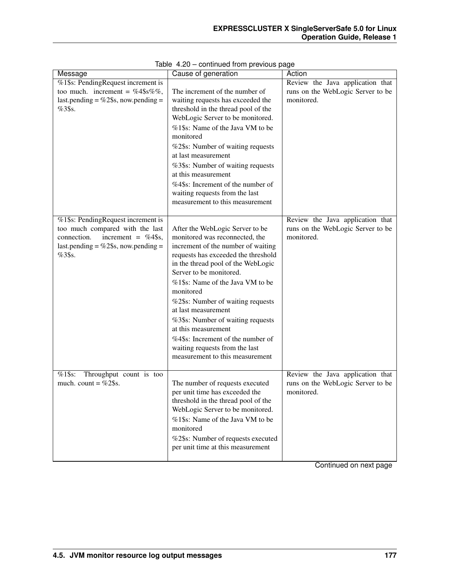| Message                                                         | Cause of generation                 | Action                                                                |
|-----------------------------------------------------------------|-------------------------------------|-----------------------------------------------------------------------|
| %1\$s: PendingRequest increment is                              |                                     | Review the Java application that                                      |
| too much. increment = $%4\$ s%,                                 | The increment of the number of      | runs on the WebLogic Server to be                                     |
| last.pending = $\%$ 2\$s, now.pending =                         | waiting requests has exceeded the   | monitored.                                                            |
| $%3$ \$s.                                                       | threshold in the thread pool of the |                                                                       |
|                                                                 | WebLogic Server to be monitored.    |                                                                       |
|                                                                 | %1\$s: Name of the Java VM to be    |                                                                       |
|                                                                 | monitored                           |                                                                       |
|                                                                 | %2\$s: Number of waiting requests   |                                                                       |
|                                                                 | at last measurement                 |                                                                       |
|                                                                 | %3\$s: Number of waiting requests   |                                                                       |
|                                                                 | at this measurement                 |                                                                       |
|                                                                 | %4\$s: Increment of the number of   |                                                                       |
|                                                                 | waiting requests from the last      |                                                                       |
|                                                                 | measurement to this measurement     |                                                                       |
|                                                                 |                                     |                                                                       |
| %1\$s: PendingRequest increment is                              |                                     | Review the Java application that                                      |
| too much compared with the last                                 | After the WebLogic Server to be     | runs on the WebLogic Server to be                                     |
| connection.<br>increment = $%4\$ s,                             | monitored was reconnected, the      | monitored.                                                            |
| last.pending = $\%$ 2\$s, now.pending =                         | increment of the number of waiting  |                                                                       |
| %3\$s.                                                          | requests has exceeded the threshold |                                                                       |
|                                                                 | in the thread pool of the WebLogic  |                                                                       |
|                                                                 | Server to be monitored.             |                                                                       |
|                                                                 | %1\$s: Name of the Java VM to be    |                                                                       |
|                                                                 | monitored                           |                                                                       |
|                                                                 | %2\$s: Number of waiting requests   |                                                                       |
|                                                                 | at last measurement                 |                                                                       |
|                                                                 | %3\$s: Number of waiting requests   |                                                                       |
|                                                                 | at this measurement                 |                                                                       |
|                                                                 | %4\$s: Increment of the number of   |                                                                       |
|                                                                 | waiting requests from the last      |                                                                       |
|                                                                 | measurement to this measurement     |                                                                       |
|                                                                 |                                     |                                                                       |
| $%1$ \$s:<br>Throughput count is too<br>much. count = $\%2\$ s. | The number of requests executed     | Review the Java application that<br>runs on the WebLogic Server to be |
|                                                                 | per unit time has exceeded the      | monitored.                                                            |
|                                                                 | threshold in the thread pool of the |                                                                       |
|                                                                 | WebLogic Server to be monitored.    |                                                                       |
|                                                                 | %1\$s: Name of the Java VM to be    |                                                                       |
|                                                                 | monitored                           |                                                                       |
|                                                                 | %2\$s: Number of requests executed  |                                                                       |
|                                                                 | per unit time at this measurement   |                                                                       |
|                                                                 |                                     |                                                                       |
|                                                                 |                                     |                                                                       |

|  |  | Table 4.20 - continued from previous page |  |  |  |
|--|--|-------------------------------------------|--|--|--|
|--|--|-------------------------------------------|--|--|--|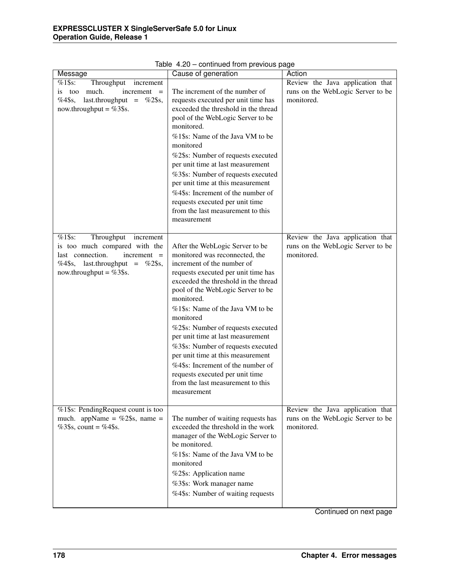| Message                                  | Cause of generation                                                     | Action                            |
|------------------------------------------|-------------------------------------------------------------------------|-----------------------------------|
| $%1$ \$s:<br>Throughput<br>increment     |                                                                         | Review the Java application that  |
| much.<br>$increment =$<br>is too         | The increment of the number of                                          | runs on the WebLogic Server to be |
| $%4\$ s,<br>last.throughput = $\%2\$ §s, | requests executed per unit time has                                     | monitored.                        |
| now.throughput = $%3\$ s.                | exceeded the threshold in the thread                                    |                                   |
|                                          | pool of the WebLogic Server to be                                       |                                   |
|                                          | monitored.                                                              |                                   |
|                                          | %1\$s: Name of the Java VM to be                                        |                                   |
|                                          | monitored                                                               |                                   |
|                                          | %2\$s: Number of requests executed                                      |                                   |
|                                          | per unit time at last measurement                                       |                                   |
|                                          | %3\$s: Number of requests executed                                      |                                   |
|                                          | per unit time at this measurement                                       |                                   |
|                                          | %4\$s: Increment of the number of                                       |                                   |
|                                          | requests executed per unit time                                         |                                   |
|                                          | from the last measurement to this                                       |                                   |
|                                          | measurement                                                             |                                   |
| $%1$ \$s:<br>Throughput increment        |                                                                         | Review the Java application that  |
| is too much compared with the            | After the WebLogic Server to be                                         | runs on the WebLogic Server to be |
| last connection.<br>$increment =$        | monitored was reconnected, the                                          | monitored.                        |
| %4\$s, last.throughput = %2\$s,          | increment of the number of                                              |                                   |
| now.throughput = $%3\$ s.                | requests executed per unit time has                                     |                                   |
|                                          | exceeded the threshold in the thread                                    |                                   |
|                                          | pool of the WebLogic Server to be                                       |                                   |
|                                          | monitored.                                                              |                                   |
|                                          | %1\$s: Name of the Java VM to be<br>monitored                           |                                   |
|                                          |                                                                         |                                   |
|                                          | %2\$s: Number of requests executed<br>per unit time at last measurement |                                   |
|                                          |                                                                         |                                   |
|                                          | %3\$s: Number of requests executed<br>per unit time at this measurement |                                   |
|                                          | %4\$s: Increment of the number of                                       |                                   |
|                                          | requests executed per unit time                                         |                                   |
|                                          | from the last measurement to this                                       |                                   |
|                                          | measurement                                                             |                                   |
|                                          |                                                                         |                                   |
| %1\$s: PendingRequest count is too       |                                                                         | Review the Java application that  |
| much. appName = $\%2\$ \$s, name =       | The number of waiting requests has                                      | runs on the WebLogic Server to be |
| %3\$s, count = %4\$s.                    | exceeded the threshold in the work                                      | monitored.                        |
|                                          | manager of the WebLogic Server to                                       |                                   |
|                                          | be monitored.                                                           |                                   |
|                                          | %1\$s: Name of the Java VM to be                                        |                                   |
|                                          | monitored                                                               |                                   |
|                                          | %2\$s: Application name                                                 |                                   |
|                                          | %3\$s: Work manager name                                                |                                   |
|                                          | %4\$s: Number of waiting requests                                       |                                   |
|                                          |                                                                         |                                   |

Table 4.20 – continued from previous page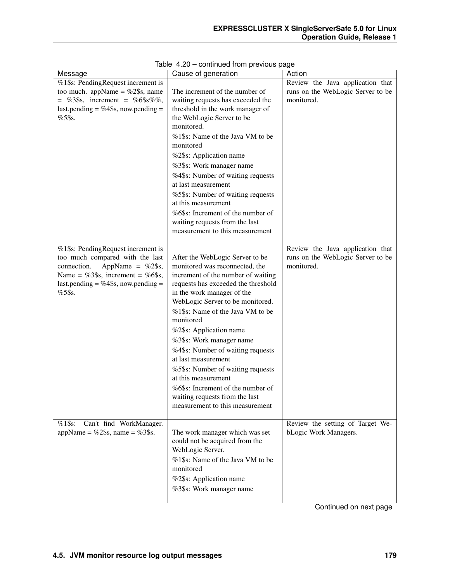| Message                              | Cause of generation                 | Action                            |
|--------------------------------------|-------------------------------------|-----------------------------------|
| %1\$s: PendingRequest increment is   |                                     | Review the Java application that  |
| too much. appName = $\%2\$ s, name   | The increment of the number of      | runs on the WebLogic Server to be |
| = %3\$s, increment = %6\$s%%,        | waiting requests has exceeded the   | monitored.                        |
| last.pending = %4\$s, now.pending =  | threshold in the work manager of    |                                   |
| $%5$ \$s.                            | the WebLogic Server to be           |                                   |
|                                      | monitored.                          |                                   |
|                                      | %1\$s: Name of the Java VM to be    |                                   |
|                                      | monitored                           |                                   |
|                                      | %2\$s: Application name             |                                   |
|                                      | %3\$s: Work manager name            |                                   |
|                                      | %4\$s: Number of waiting requests   |                                   |
|                                      | at last measurement                 |                                   |
|                                      | %5\$s: Number of waiting requests   |                                   |
|                                      | at this measurement                 |                                   |
|                                      | %6\$s: Increment of the number of   |                                   |
|                                      | waiting requests from the last      |                                   |
|                                      | measurement to this measurement     |                                   |
|                                      |                                     |                                   |
| %1\$s: PendingRequest increment is   |                                     | Review the Java application that  |
| too much compared with the last      | After the WebLogic Server to be     | runs on the WebLogic Server to be |
| AppName = $%2\$ s,<br>connection.    | monitored was reconnected, the      | monitored.                        |
| Name = %3\$s, increment = %6\$s,     | increment of the number of waiting  |                                   |
| last.pending = %4\$s, now.pending =  | requests has exceeded the threshold |                                   |
| $%5$ \$s.                            | in the work manager of the          |                                   |
|                                      | WebLogic Server to be monitored.    |                                   |
|                                      | %1\$s: Name of the Java VM to be    |                                   |
|                                      | monitored                           |                                   |
|                                      | %2\$s: Application name             |                                   |
|                                      | %3\$s: Work manager name            |                                   |
|                                      | %4\$s: Number of waiting requests   |                                   |
|                                      | at last measurement                 |                                   |
|                                      | %5\$s: Number of waiting requests   |                                   |
|                                      | at this measurement                 |                                   |
|                                      | %6\$s: Increment of the number of   |                                   |
|                                      | waiting requests from the last      |                                   |
|                                      | measurement to this measurement     |                                   |
|                                      |                                     |                                   |
| Can't find WorkManager.<br>$%1$ \$s: |                                     | Review the setting of Target We-  |
| appName = %2\$s, name = %3\$s.       | The work manager which was set      | bLogic Work Managers.             |
|                                      | could not be acquired from the      |                                   |
|                                      | WebLogic Server.                    |                                   |
|                                      | %1\$s: Name of the Java VM to be    |                                   |
|                                      | monitored                           |                                   |
|                                      | %2\$s: Application name             |                                   |
|                                      | %3\$s: Work manager name            |                                   |
|                                      |                                     |                                   |

|  |  | Table 4.20 - continued from previous page |  |  |  |
|--|--|-------------------------------------------|--|--|--|
|--|--|-------------------------------------------|--|--|--|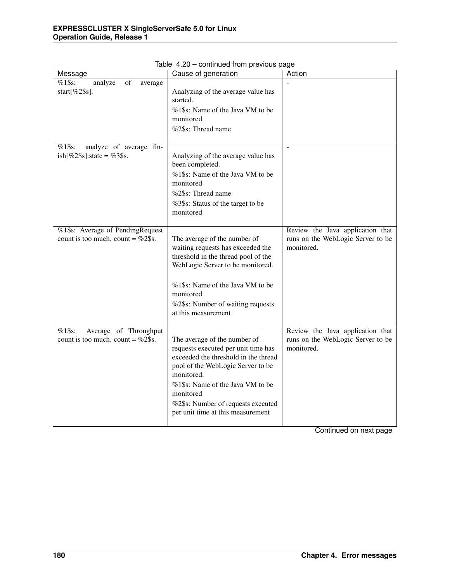| Message                                                                       | Cause of generation                                                                                                                                                                                                                                                                        | Action                                                                              |
|-------------------------------------------------------------------------------|--------------------------------------------------------------------------------------------------------------------------------------------------------------------------------------------------------------------------------------------------------------------------------------------|-------------------------------------------------------------------------------------|
| $%1$ \$s:<br>$\overline{\text{of}}$<br>analyze<br>average<br>start $[%2\$ s]. | Analyzing of the average value has<br>started.<br>%1\$s: Name of the Java VM to be<br>monitored<br>%2\$s: Thread name                                                                                                                                                                      |                                                                                     |
| $%1$ \$s:<br>analyze of average fin-<br>ish[%2\$s].state = %3\$s.             | Analyzing of the average value has<br>been completed.<br>%1\$s: Name of the Java VM to be<br>monitored<br>%2\$s: Thread name<br>%3\$s: Status of the target to be<br>monitored                                                                                                             | $\Box$                                                                              |
| %1\$s: Average of PendingRequest<br>count is too much. count = $\%2\$ s.      | The average of the number of<br>waiting requests has exceeded the<br>threshold in the thread pool of the<br>WebLogic Server to be monitored.<br>%1\$s: Name of the Java VM to be<br>monitored<br>%2\$s: Number of waiting requests<br>at this measurement                                  | Review the Java application that<br>runs on the WebLogic Server to be<br>monitored. |
| $%1\$ s:<br>Average of Throughput<br>count is too much. count = $\%2\$ s.     | The average of the number of<br>requests executed per unit time has<br>exceeded the threshold in the thread<br>pool of the WebLogic Server to be<br>monitored.<br>%1\$s: Name of the Java VM to be<br>monitored<br>%2\$s: Number of requests executed<br>per unit time at this measurement | Review the Java application that<br>runs on the WebLogic Server to be<br>monitored. |

Table 4.20 – continued from previous page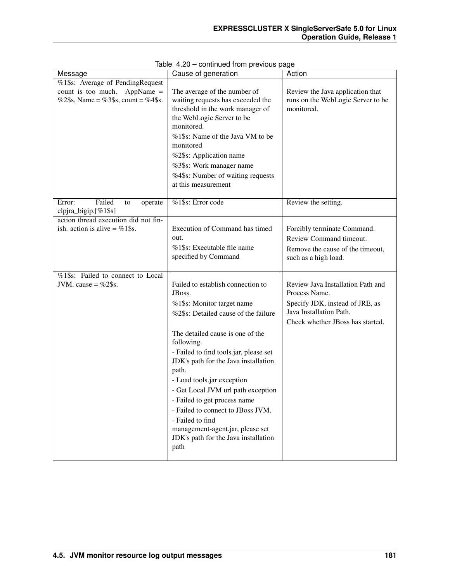| Message                                                                                                   | Cause of generation                                                                                                                                                                                                                                                                                                                                                                                                                                                                                             | Action                                                                                                                                               |
|-----------------------------------------------------------------------------------------------------------|-----------------------------------------------------------------------------------------------------------------------------------------------------------------------------------------------------------------------------------------------------------------------------------------------------------------------------------------------------------------------------------------------------------------------------------------------------------------------------------------------------------------|------------------------------------------------------------------------------------------------------------------------------------------------------|
| %1\$s: Average of PendingRequest<br>count is too much. AppName $=$<br>%2\$s, Name = %3\$s, count = %4\$s. | The average of the number of<br>waiting requests has exceeded the<br>threshold in the work manager of<br>the WebLogic Server to be<br>monitored.<br>%1\$s: Name of the Java VM to be<br>monitored<br>%2\$s: Application name<br>%3\$s: Work manager name<br>%4\$s: Number of waiting requests<br>at this measurement                                                                                                                                                                                            | Review the Java application that<br>runs on the WebLogic Server to be<br>monitored.                                                                  |
| Failed<br>Error:<br>to<br>operate<br>clpjra_bigip.[%1\$s]                                                 | %1\$s: Error code                                                                                                                                                                                                                                                                                                                                                                                                                                                                                               | Review the setting.                                                                                                                                  |
| action thread execution did not fin-<br>ish. action is alive = $\%1\$ s.                                  | Execution of Command has timed<br>out.<br>%1\$s: Executable file name<br>specified by Command                                                                                                                                                                                                                                                                                                                                                                                                                   | Forcibly terminate Command.<br>Review Command timeout.<br>Remove the cause of the timeout,<br>such as a high load.                                   |
| %1\$s: Failed to connect to Local<br>JVM. cause = $%2\$ s.                                                | Failed to establish connection to<br>JBoss.<br>%1\$s: Monitor target name<br>%2\$s: Detailed cause of the failure<br>The detailed cause is one of the<br>following.<br>- Failed to find tools.jar, please set<br>JDK's path for the Java installation<br>path.<br>- Load tools.jar exception<br>- Get Local JVM url path exception<br>- Failed to get process name<br>- Failed to connect to JBoss JVM.<br>- Failed to find<br>management-agent.jar, please set<br>JDK's path for the Java installation<br>path | Review Java Installation Path and<br>Process Name.<br>Specify JDK, instead of JRE, as<br>Java Installation Path.<br>Check whether JBoss has started. |

| Table 4.20 - continued from previous page |  |
|-------------------------------------------|--|
|-------------------------------------------|--|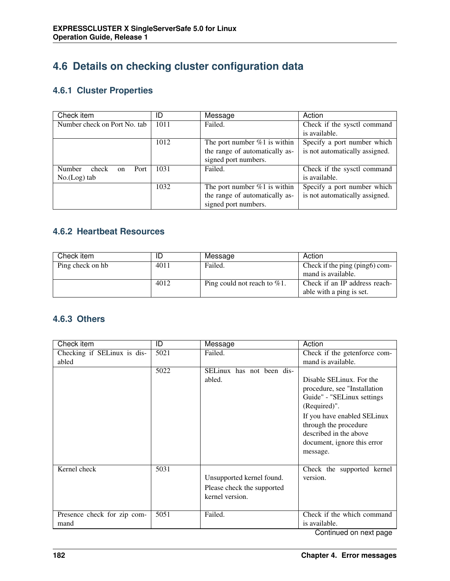# **4.6 Details on checking cluster configuration data**

### **4.6.1 Cluster Properties**

| Check item                             | D    | Message                         | Action                         |
|----------------------------------------|------|---------------------------------|--------------------------------|
| Number check on Port No. tab           | 1011 | Failed.                         | Check if the sysctl command    |
|                                        |      |                                 | is available.                  |
|                                        | 1012 | The port number $\%1$ is within | Specify a port number which    |
|                                        |      | the range of automatically as-  | is not automatically assigned. |
|                                        |      | signed port numbers.            |                                |
| Number<br>check<br>Port<br>$_{\rm on}$ | 1031 | Failed.                         | Check if the sysctl command    |
| $No.(Log)$ tab                         |      |                                 | is available.                  |
|                                        | 1032 | The port number $\%1$ is within | Specify a port number which    |
|                                        |      | the range of automatically as-  | is not automatically assigned. |
|                                        |      | signed port numbers.            |                                |

#### **4.6.2 Heartbeat Resources**

| Check item       | ID   | Message                         | Action                         |
|------------------|------|---------------------------------|--------------------------------|
| Ping check on hb | 4011 | Failed.                         | Check if the ping (ping6) com- |
|                  |      |                                 | mand is available.             |
|                  | 4012 | Ping could not reach to $\%1$ . | Check if an IP address reach-  |
|                  |      |                                 | able with a ping is set.       |

#### **4.6.3 Others**

| Check item                           | ID   | Message                             | Action                                             |
|--------------------------------------|------|-------------------------------------|----------------------------------------------------|
| Checking if SELinux is dis-<br>abled | 5021 | Failed.                             | Check if the getenforce com-<br>mand is available. |
|                                      |      |                                     |                                                    |
|                                      | 5022 | SELinux has not been dis-<br>abled. | Disable SELinux. For the                           |
|                                      |      |                                     | procedure, see "Installation                       |
|                                      |      |                                     | Guide" - "SELinux settings                         |
|                                      |      |                                     | (Required)".                                       |
|                                      |      |                                     | If you have enabled SELinux                        |
|                                      |      |                                     | through the procedure                              |
|                                      |      |                                     | described in the above                             |
|                                      |      |                                     | document, ignore this error                        |
|                                      |      |                                     | message.                                           |
|                                      |      |                                     |                                                    |
| Kernel check                         | 5031 |                                     | Check the supported kernel                         |
|                                      |      | Unsupported kernel found.           | version.                                           |
|                                      |      | Please check the supported          |                                                    |
|                                      |      | kernel version.                     |                                                    |
|                                      |      |                                     |                                                    |
| Presence check for zip com-          | 5051 | Failed.                             | Check if the which command                         |
| mand                                 |      |                                     | is available.<br>Continual and anti-annual         |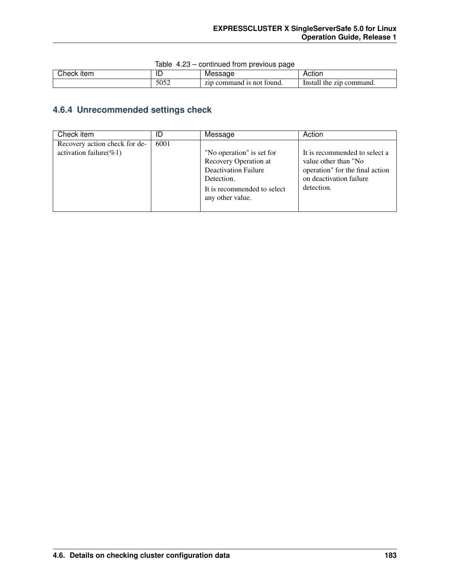|  |  | Table 4.23 - continued from previous page |  |  |  |
|--|--|-------------------------------------------|--|--|--|
|--|--|-------------------------------------------|--|--|--|

| $\cap$ heck, | ᄔ             | ме                                             | Action                             |
|--------------|---------------|------------------------------------------------|------------------------------------|
| ltem         |               | . SZN                                          |                                    |
|              | 5052<br>,,,,, | Pmand ∟<br>tound.<br>Z1D<br>not<br>1 C<br>comi | zip command.<br>Instal<br>the<br>. |

### **4.6.4 Unrecommended settings check**

| Check item                                                   | ID   | Message                                                                                                                                            | Action                                                                                                                            |
|--------------------------------------------------------------|------|----------------------------------------------------------------------------------------------------------------------------------------------------|-----------------------------------------------------------------------------------------------------------------------------------|
| Recovery action check for de-<br>activation failure( $\%1$ ) | 6001 | "No operation" is set for<br>Recovery Operation at<br><b>Deactivation Failure</b><br>Detection.<br>It is recommended to select<br>any other value. | It is recommended to select a<br>value other than "No<br>operation" for the final action<br>on deactivation failure<br>detection. |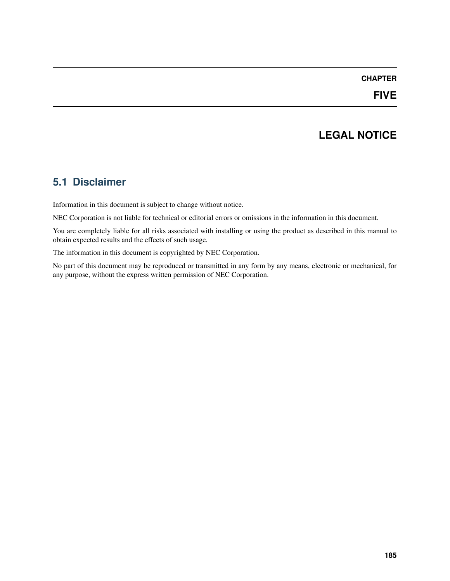#### **CHAPTER**

## **LEGAL NOTICE**

### **5.1 Disclaimer**

Information in this document is subject to change without notice.

NEC Corporation is not liable for technical or editorial errors or omissions in the information in this document.

You are completely liable for all risks associated with installing or using the product as described in this manual to obtain expected results and the effects of such usage.

The information in this document is copyrighted by NEC Corporation.

No part of this document may be reproduced or transmitted in any form by any means, electronic or mechanical, for any purpose, without the express written permission of NEC Corporation.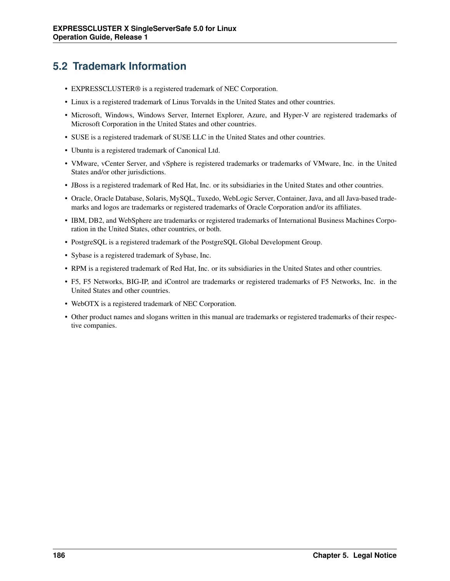## **5.2 Trademark Information**

- EXPRESSCLUSTER® is a registered trademark of NEC Corporation.
- Linux is a registered trademark of Linus Torvalds in the United States and other countries.
- Microsoft, Windows, Windows Server, Internet Explorer, Azure, and Hyper-V are registered trademarks of Microsoft Corporation in the United States and other countries.
- SUSE is a registered trademark of SUSE LLC in the United States and other countries.
- Ubuntu is a registered trademark of Canonical Ltd.
- VMware, vCenter Server, and vSphere is registered trademarks or trademarks of VMware, Inc. in the United States and/or other jurisdictions.
- JBoss is a registered trademark of Red Hat, Inc. or its subsidiaries in the United States and other countries.
- Oracle, Oracle Database, Solaris, MySQL, Tuxedo, WebLogic Server, Container, Java, and all Java-based trademarks and logos are trademarks or registered trademarks of Oracle Corporation and/or its affiliates.
- IBM, DB2, and WebSphere are trademarks or registered trademarks of International Business Machines Corporation in the United States, other countries, or both.
- PostgreSQL is a registered trademark of the PostgreSQL Global Development Group.
- Sybase is a registered trademark of Sybase, Inc.
- RPM is a registered trademark of Red Hat, Inc. or its subsidiaries in the United States and other countries.
- F5, F5 Networks, BIG-IP, and iControl are trademarks or registered trademarks of F5 Networks, Inc. in the United States and other countries.
- WebOTX is a registered trademark of NEC Corporation.
- Other product names and slogans written in this manual are trademarks or registered trademarks of their respective companies.